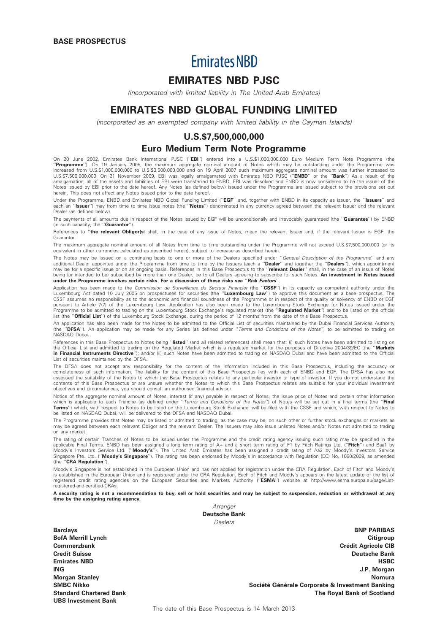# **Emirates NBD**

# EMIRATES NBD PJSC

(incorporated with limited liability in The United Arab Emirates)

# EMIRATES NBD GLOBAL FUNDING LIMITED

(incorporated as an exempted company with limited liability in the Cayman Islands)

# U.S.\$7,500,000,000

# Euro Medium Term Note Programme

On 20 June 2002, Emirates Bank International PJSC ("**EBI**") entered into a U.S.\$1,000,000,000 Euro Medium Term Note Programme (the<br>'**'Programme**''). On 19 January 2005, the maximum aggregate nominal amount of Notes which m increased from U.S.\$1,000,000,000 to U.S.\$3,500,000,000 and on 19 April 2007 such maximum aggregate nominal amount was further increased to<br>U.S.\$7,500,000,000. On 21 November 2009, EBI was legally amalgamated with Emirates amalgamation, all of the assets and liabilities of EBI were transferred to ENBD, EBI was dissolved and ENBD is now considered to be the issuer of the Notes issued by EBI prior to the date hereof. Any Notes (as defined below) issued under the Programme are issued subject to the provisions set out herein. This does not affect any Notes issued prior to the date hereof.

Under the Programme, ENBD and Emirates NBD Global Funding Limited ("EGF" and, together with ENBD in its capacity as issuer, the "Issuers" and each an "Issuer") may from time to time issue notes (the "Notes") denominated in any currency agreed between the relevant Issuer and the relevant Dealer (as defined below).

The payments of all amounts due in respect of the Notes issued by EGF will be unconditionally and irrevocably guaranteed (the "Guarantee") by ENBD (in such capacity, the ''Guarantor'').

References to "the relevant Obligor(s) shall, in the case of any issue of Notes, mean the relevant Issuer and, if the relevant Issuer is EGF, the Guarantor.

The maximum aggregate nominal amount of all Notes from time to time outstanding under the Programme will not exceed U.S.\$7,500,000,000 (or its equivalent in other currencies calculated as described herein), subject to increase as described herein.

The Notes may be issued on a continuing basis to one or more of the Dealers specified under "General Description of the Programme" and any additional Dealer appointed under the Programme from time to time by the Issuers (each a "Dealer" and together the "Dealers"), which appointment may be for a specific issue or on an ongoing basis. References in this Base Prospectus to the '**relevant Dealer**'' shall, in the case of an issue of Notes<br>being (or intended to be) subscribed by more than one Dealer, be to under the Programme involves certain risks. For a discussion of these risks see ''Risk Factors''.

Application has been made to the Commission de Surveillance du Secteur Financier (the "CSSF") in its capacity as competent authority under the Luxembourg Act dated 10 July 2005 on prospectuses for securities (the "Luxembourg Law") to approve this document as a base prospectus. The CSSF assumes no responsibility as to the economic and financial soundness of the Programme or in respect of the quality or solvency of ENBD or EGF pursuant to Article 7(7) of the Luxembourg Law. Application has also been made to the Luxembourg Stock Exchange for Notes issued under the<br>Programme to be admitted to trading on the Luxembourg Stock Exchange's regulated ma list (the "Official List") of the Luxembourg Stock Exchange, during the period of 12 months from the date of this Base Prospectus.

An application has also been made for the Notes to be admitted to the Official List of securities maintained by the Dubai Financial Services Authority<br>(the "**DFSA**"). An application may be made for any Series (as defined u NASDAQ Dubai.

References in this Base Prospectus to Notes being "listed" (and all related references) shall mean that: (i) such Notes have been admitted to listing on the Official List and admitted to trading on the Regulated Market which is a regulated market for the purposes of Directive 2004/39/EC (the "Markets in Financial Instruments Directive"); and/or (ii) such Notes have been admitted to trading on NASDAQ Dubai and have been admitted to the Official List of securities maintained by the DFSA.

The DFSA does not accept any responsibility for the content of the information included in this Base Prospectus, including the accuracy or<br>completeness of such information. The liability for the content of this Base Prospe assessed the suitability of the Notes to which this Base Prospectus relates to any particular investor or type of investor. If you do not understand the contents of this Base Prospectus or are unsure whether the Notes to which this Base Prospectus relates are suitable for your individual investment objectives and circumstances, you should consult an authorised financial advisor.

Notice of the aggregate nominal amount of Notes, interest (if any) payable in respect of Notes, the issue price of Notes and certain other information which is applicable to each Tranche (as defined under ''*Terms and Conditions of the Notes*'') of Notes will be set out in a final terms (the ''**Final**<br>**Terms'**') which, with respect to Notes to be listed on the Luxembourg be listed on NASDAQ Dubai, will be delivered to the DFSA and NASDAQ Dubai.

The Programme provides that Notes may be listed or admitted to trading, as the case may be, on such other or further stock exchanges or markets as<br>may be agreed between each relevant Obligor and the relevant Dealer. The Is on any market.

The rating of certain Tranches of Notes to be issued under the Programme and the credit rating agency issuing such rating may be specified in the<br>applicable Final Terms. ENBD has been assigned a long term rating of A+ and Singapore Pte. Ltd. (''Moody's Singapore''). The rating has been endorsed by Moody's in accordance with Regulation (EC) No. 1060/2009, as amended (the ''CRA Regulation'').

Moody's Singapore is not established in the European Union and has not applied for registration under the CRA Regulation. Each of Fitch and Moody's<br>is established in the European Union and is registered under the CRA Regul registered credit rating agencies on the European Securities and Markets Authority (''ESMA'') website at http://www.esma.europa.eu/page/Listregistered-and-certified-CRAs.

A security rating is not a recommendation to buy, sell or hold securities and may be subject to suspension, reduction or withdrawal at any time by the assigning rating agency.

> Arranger Deutsche Bank Dealers

UBS Investment Bank

Barclays BNP PARIBAS BofA Merrill Lynch Citigroup Commerzbank Commerzbank Created a Commerzbank Created a Created a Created a Created a Created a Created a Cre Credit Suisse Deutsche Bank Emirates NBD HSBC ING J.P. Morgan Morgan Stanley Nomura Nomura and Stanley Nomura and Stanley Nomura and Stanley Nomura and Stanley Nomura and St SMBC Nikko SMBC Nikko Société Générale Corporate & Investment Banking Standard Chartered Bank The Royal Bank of Scotland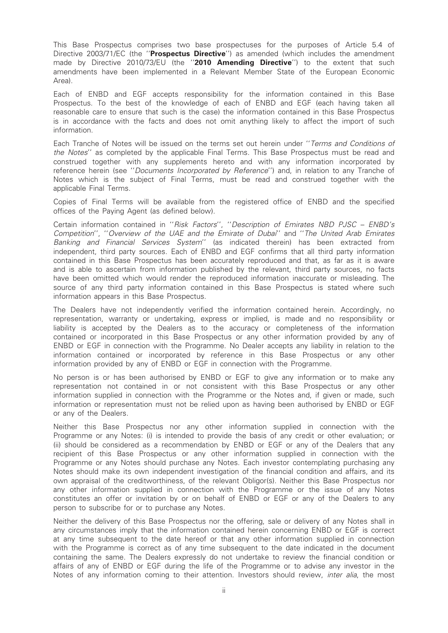This Base Prospectus comprises two base prospectuses for the purposes of Article 5.4 of Directive 2003/71/EC (the "Prospectus Directive") as amended (which includes the amendment made by Directive 2010/73/EU (the "2010 Amending Directive") to the extent that such amendments have been implemented in a Relevant Member State of the European Economic Area).

Each of ENBD and EGF accepts responsibility for the information contained in this Base Prospectus. To the best of the knowledge of each of ENBD and EGF (each having taken all reasonable care to ensure that such is the case) the information contained in this Base Prospectus is in accordance with the facts and does not omit anything likely to affect the import of such information.

Each Tranche of Notes will be issued on the terms set out herein under ''Terms and Conditions of the Notes'' as completed by the applicable Final Terms. This Base Prospectus must be read and construed together with any supplements hereto and with any information incorporated by reference herein (see ''Documents Incorporated by Reference'') and, in relation to any Tranche of Notes which is the subject of Final Terms, must be read and construed together with the applicable Final Terms.

Copies of Final Terms will be available from the registered office of ENBD and the specified offices of the Paying Agent (as defined below).

Certain information contained in ''Risk Factors'', ''Description of Emirates NBD PJSC – ENBD's Competition'', ''Overview of the UAE and the Emirate of Dubai'' and ''The United Arab Emirates Banking and Financial Services System'' (as indicated therein) has been extracted from independent, third party sources. Each of ENBD and EGF confirms that all third party information contained in this Base Prospectus has been accurately reproduced and that, as far as it is aware and is able to ascertain from information published by the relevant, third party sources, no facts have been omitted which would render the reproduced information inaccurate or misleading. The source of any third party information contained in this Base Prospectus is stated where such information appears in this Base Prospectus.

The Dealers have not independently verified the information contained herein. Accordingly, no representation, warranty or undertaking, express or implied, is made and no responsibility or liability is accepted by the Dealers as to the accuracy or completeness of the information contained or incorporated in this Base Prospectus or any other information provided by any of ENBD or EGF in connection with the Programme. No Dealer accepts any liability in relation to the information contained or incorporated by reference in this Base Prospectus or any other information provided by any of ENBD or EGF in connection with the Programme.

No person is or has been authorised by ENBD or EGF to give any information or to make any representation not contained in or not consistent with this Base Prospectus or any other information supplied in connection with the Programme or the Notes and, if given or made, such information or representation must not be relied upon as having been authorised by ENBD or EGF or any of the Dealers.

Neither this Base Prospectus nor any other information supplied in connection with the Programme or any Notes: (i) is intended to provide the basis of any credit or other evaluation; or (ii) should be considered as a recommendation by ENBD or EGF or any of the Dealers that any recipient of this Base Prospectus or any other information supplied in connection with the Programme or any Notes should purchase any Notes. Each investor contemplating purchasing any Notes should make its own independent investigation of the financial condition and affairs, and its own appraisal of the creditworthiness, of the relevant Obligor(s). Neither this Base Prospectus nor any other information supplied in connection with the Programme or the issue of any Notes constitutes an offer or invitation by or on behalf of ENBD or EGF or any of the Dealers to any person to subscribe for or to purchase any Notes.

Neither the delivery of this Base Prospectus nor the offering, sale or delivery of any Notes shall in any circumstances imply that the information contained herein concerning ENBD or EGF is correct at any time subsequent to the date hereof or that any other information supplied in connection with the Programme is correct as of any time subsequent to the date indicated in the document containing the same. The Dealers expressly do not undertake to review the financial condition or affairs of any of ENBD or EGF during the life of the Programme or to advise any investor in the Notes of any information coming to their attention. Investors should review, inter alia, the most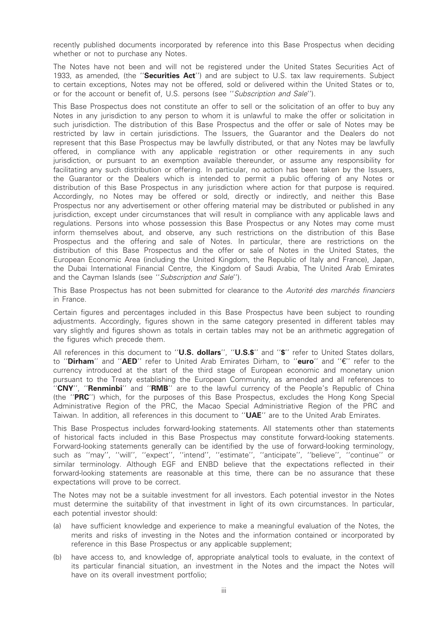recently published documents incorporated by reference into this Base Prospectus when deciding whether or not to purchase any Notes.

The Notes have not been and will not be registered under the United States Securities Act of 1933, as amended, (the "Securities Act") and are subject to U.S. tax law requirements. Subject to certain exceptions, Notes may not be offered, sold or delivered within the United States or to, or for the account or benefit of, U.S. persons (see ''Subscription and Sale'').

This Base Prospectus does not constitute an offer to sell or the solicitation of an offer to buy any Notes in any jurisdiction to any person to whom it is unlawful to make the offer or solicitation in such jurisdiction. The distribution of this Base Prospectus and the offer or sale of Notes may be restricted by law in certain jurisdictions. The Issuers, the Guarantor and the Dealers do not represent that this Base Prospectus may be lawfully distributed, or that any Notes may be lawfully offered, in compliance with any applicable registration or other requirements in any such jurisdiction, or pursuant to an exemption available thereunder, or assume any responsibility for facilitating any such distribution or offering. In particular, no action has been taken by the Issuers, the Guarantor or the Dealers which is intended to permit a public offering of any Notes or distribution of this Base Prospectus in any jurisdiction where action for that purpose is required. Accordingly, no Notes may be offered or sold, directly or indirectly, and neither this Base Prospectus nor any advertisement or other offering material may be distributed or published in any jurisdiction, except under circumstances that will result in compliance with any applicable laws and regulations. Persons into whose possession this Base Prospectus or any Notes may come must inform themselves about, and observe, any such restrictions on the distribution of this Base Prospectus and the offering and sale of Notes. In particular, there are restrictions on the distribution of this Base Prospectus and the offer or sale of Notes in the United States, the European Economic Area (including the United Kingdom, the Republic of Italy and France), Japan, the Dubai International Financial Centre, the Kingdom of Saudi Arabia, The United Arab Emirates and the Cayman Islands (see ''Subscription and Sale'').

This Base Prospectus has not been submitted for clearance to the Autorité des marchés financiers in France.

Certain figures and percentages included in this Base Prospectus have been subject to rounding adjustments. Accordingly, figures shown in the same category presented in different tables may vary slightly and figures shown as totals in certain tables may not be an arithmetic aggregation of the figures which precede them.

All references in this document to "U.S. dollars", "U.S.\$" and "\$" refer to United States dollars, to "Dirham" and "AED" refer to United Arab Emirates Dirham, to "euro" and "€" refer to the currency introduced at the start of the third stage of European economic and monetary union pursuant to the Treaty establishing the European Community, as amended and all references to "CNY", "Renminbi" and "RMB" are to the lawful currency of the People's Republic of China (the ''PRC'') which, for the purposes of this Base Prospectus, excludes the Hong Kong Special Administrative Region of the PRC, the Macao Special Administriative Region of the PRC and Taiwan. In addition, all references in this document to "UAE" are to the United Arab Emirates.

This Base Prospectus includes forward-looking statements. All statements other than statements of historical facts included in this Base Prospectus may constitute forward-looking statements. Forward-looking statements generally can be identified by the use of forward-looking terminology, such as ''may'', ''will'', ''expect'', ''intend'', ''estimate'', ''anticipate'', ''believe'', ''continue'' or similar terminology. Although EGF and ENBD believe that the expectations reflected in their forward-looking statements are reasonable at this time, there can be no assurance that these expectations will prove to be correct.

The Notes may not be a suitable investment for all investors. Each potential investor in the Notes must determine the suitability of that investment in light of its own circumstances. In particular, each potential investor should:

- (a) have sufficient knowledge and experience to make a meaningful evaluation of the Notes, the merits and risks of investing in the Notes and the information contained or incorporated by reference in this Base Prospectus or any applicable supplement;
- (b) have access to, and knowledge of, appropriate analytical tools to evaluate, in the context of its particular financial situation, an investment in the Notes and the impact the Notes will have on its overall investment portfolio;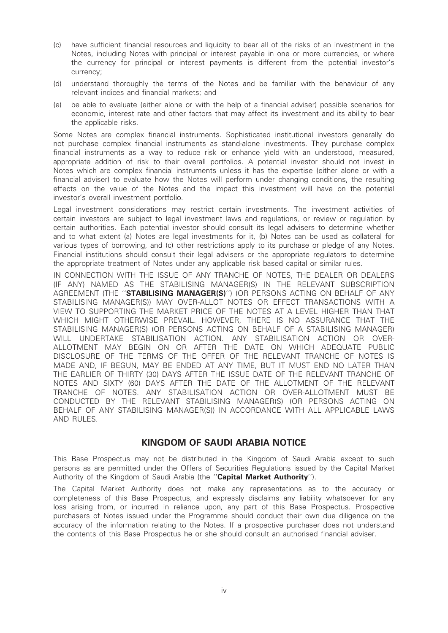- (c) have sufficient financial resources and liquidity to bear all of the risks of an investment in the Notes, including Notes with principal or interest payable in one or more currencies, or where the currency for principal or interest payments is different from the potential investor's currency;
- (d) understand thoroughly the terms of the Notes and be familiar with the behaviour of any relevant indices and financial markets; and
- (e) be able to evaluate (either alone or with the help of a financial adviser) possible scenarios for economic, interest rate and other factors that may affect its investment and its ability to bear the applicable risks.

Some Notes are complex financial instruments. Sophisticated institutional investors generally do not purchase complex financial instruments as stand-alone investments. They purchase complex financial instruments as a way to reduce risk or enhance yield with an understood, measured, appropriate addition of risk to their overall portfolios. A potential investor should not invest in Notes which are complex financial instruments unless it has the expertise (either alone or with a financial adviser) to evaluate how the Notes will perform under changing conditions, the resulting effects on the value of the Notes and the impact this investment will have on the potential investor's overall investment portfolio.

Legal investment considerations may restrict certain investments. The investment activities of certain investors are subject to legal investment laws and regulations, or review or regulation by certain authorities. Each potential investor should consult its legal advisers to determine whether and to what extent (a) Notes are legal investments for it, (b) Notes can be used as collateral for various types of borrowing, and (c) other restrictions apply to its purchase or pledge of any Notes. Financial institutions should consult their legal advisers or the appropriate regulators to determine the appropriate treatment of Notes under any applicable risk based capital or similar rules.

IN CONNECTION WITH THE ISSUE OF ANY TRANCHE OF NOTES, THE DEALER OR DEALERS (IF ANY) NAMED AS THE STABILISING MANAGER(S) IN THE RELEVANT SUBSCRIPTION AGREEMENT (THE ''STABILISING MANAGER(S)'') (OR PERSONS ACTING ON BEHALF OF ANY STABILISING MANAGER(S)) MAY OVER-ALLOT NOTES OR EFFECT TRANSACTIONS WITH A VIEW TO SUPPORTING THE MARKET PRICE OF THE NOTES AT A LEVEL HIGHER THAN THAT WHICH MIGHT OTHERWISE PREVAIL. HOWEVER, THERE IS NO ASSURANCE THAT THE STABILISING MANAGER(S) (OR PERSONS ACTING ON BEHALF OF A STABILISING MANAGER) WILL UNDERTAKE STABILISATION ACTION. ANY STABILISATION ACTION OR OVER-ALLOTMENT MAY BEGIN ON OR AFTER THE DATE ON WHICH ADEQUATE PUBLIC DISCLOSURE OF THE TERMS OF THE OFFER OF THE RELEVANT TRANCHE OF NOTES IS MADE AND, IF BEGUN, MAY BE ENDED AT ANY TIME, BUT IT MUST END NO LATER THAN THE EARLIER OF THIRTY (30) DAYS AFTER THE ISSUE DATE OF THE RELEVANT TRANCHE OF NOTES AND SIXTY (60) DAYS AFTER THE DATE OF THE ALLOTMENT OF THE RELEVANT TRANCHE OF NOTES. ANY STABILISATION ACTION OR OVER-ALLOTMENT MUST BE CONDUCTED BY THE RELEVANT STABILISING MANAGER(S) (OR PERSONS ACTING ON BEHALF OF ANY STABILISING MANAGER(S)) IN ACCORDANCE WITH ALL APPLICABLE LAWS AND RULES.

# KINGDOM OF SAUDI ARABIA NOTICE

This Base Prospectus may not be distributed in the Kingdom of Saudi Arabia except to such persons as are permitted under the Offers of Securities Regulations issued by the Capital Market Authority of the Kingdom of Saudi Arabia (the "Capital Market Authority").

The Capital Market Authority does not make any representations as to the accuracy or completeness of this Base Prospectus, and expressly disclaims any liability whatsoever for any loss arising from, or incurred in reliance upon, any part of this Base Prospectus. Prospective purchasers of Notes issued under the Programme should conduct their own due diligence on the accuracy of the information relating to the Notes. If a prospective purchaser does not understand the contents of this Base Prospectus he or she should consult an authorised financial adviser.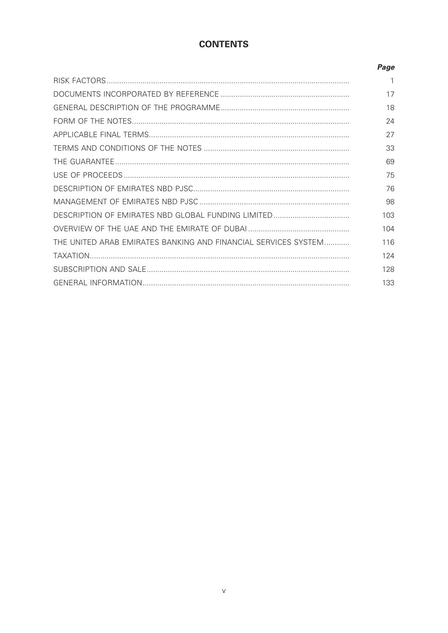# **CONTENTS**

|                                                                | Page |
|----------------------------------------------------------------|------|
|                                                                |      |
|                                                                | 17   |
|                                                                | 18   |
|                                                                | 24   |
|                                                                | 27   |
|                                                                | 33   |
|                                                                | 69   |
|                                                                | 75   |
|                                                                | 76   |
|                                                                | 98   |
|                                                                | 103  |
|                                                                | 104  |
| THE UNITED ARAB EMIRATES BANKING AND FINANCIAL SERVICES SYSTEM | 116  |
|                                                                | 124  |
|                                                                | 128  |
|                                                                | 133  |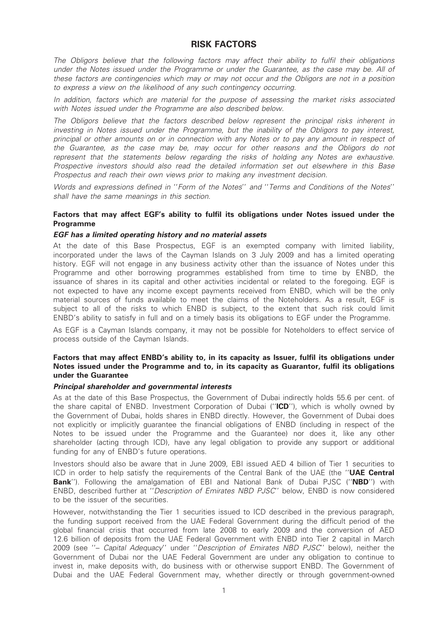# RISK FACTORS

The Obligors believe that the following factors may affect their ability to fulfil their obligations under the Notes issued under the Programme or under the Guarantee, as the case may be. All of these factors are contingencies which may or may not occur and the Obligors are not in a position to express a view on the likelihood of any such contingency occurring.

In addition, factors which are material for the purpose of assessing the market risks associated with Notes issued under the Programme are also described below.

The Obligors believe that the factors described below represent the principal risks inherent in investing in Notes issued under the Programme, but the inability of the Obligors to pay interest, principal or other amounts on or in connection with any Notes or to pay any amount in respect of the Guarantee, as the case may be, may occur for other reasons and the Obligors do not represent that the statements below regarding the risks of holding any Notes are exhaustive. Prospective investors should also read the detailed information set out elsewhere in this Base Prospectus and reach their own views prior to making any investment decision.

Words and expressions defined in ''Form of the Notes'' and ''Terms and Conditions of the Notes'' shall have the same meanings in this section.

# Factors that may affect EGF's ability to fulfil its obligations under Notes issued under the **Programme**

# EGF has a limited operating history and no material assets

At the date of this Base Prospectus, EGF is an exempted company with limited liability, incorporated under the laws of the Cayman Islands on 3 July 2009 and has a limited operating history. EGF will not engage in any business activity other than the issuance of Notes under this Programme and other borrowing programmes established from time to time by ENBD, the issuance of shares in its capital and other activities incidental or related to the foregoing. EGF is not expected to have any income except payments received from ENBD, which will be the only material sources of funds available to meet the claims of the Noteholders. As a result, EGF is subject to all of the risks to which ENBD is subject, to the extent that such risk could limit ENBD's ability to satisfy in full and on a timely basis its obligations to EGF under the Programme.

As EGF is a Cayman Islands company, it may not be possible for Noteholders to effect service of process outside of the Cayman Islands.

# Factors that may affect ENBD's ability to, in its capacity as Issuer, fulfil its obligations under Notes issued under the Programme and to, in its capacity as Guarantor, fulfil its obligations under the Guarantee

# Principal shareholder and governmental interests

As at the date of this Base Prospectus, the Government of Dubai indirectly holds 55.6 per cent. of the share capital of ENBD. Investment Corporation of Dubai (''ICD''), which is wholly owned by the Government of Dubai, holds shares in ENBD directly. However, the Government of Dubai does not explicitly or implicitly guarantee the financial obligations of ENBD (including in respect of the Notes to be issued under the Programme and the Guarantee) nor does it, like any other shareholder (acting through ICD), have any legal obligation to provide any support or additional funding for any of ENBD's future operations.

Investors should also be aware that in June 2009, EBI issued AED 4 billion of Tier 1 securities to ICD in order to help satisfy the requirements of the Central Bank of the UAE (the "UAE Central Bank''). Following the amalgamation of EBI and National Bank of Dubai PJSC ("NBD") with ENBD, described further at ''Description of Emirates NBD PJSC'' below, ENBD is now considered to be the issuer of the securities.

However, notwithstanding the Tier 1 securities issued to ICD described in the previous paragraph, the funding support received from the UAE Federal Government during the difficult period of the global financial crisis that occurred from late 2008 to early 2009 and the conversion of AED 12.6 billion of deposits from the UAE Federal Government with ENBD into Tier 2 capital in March 2009 (see ''– Capital Adequacy'' under ''Description of Emirates NBD PJSC'' below), neither the Government of Dubai nor the UAE Federal Government are under any obligation to continue to invest in, make deposits with, do business with or otherwise support ENBD. The Government of Dubai and the UAE Federal Government may, whether directly or through government-owned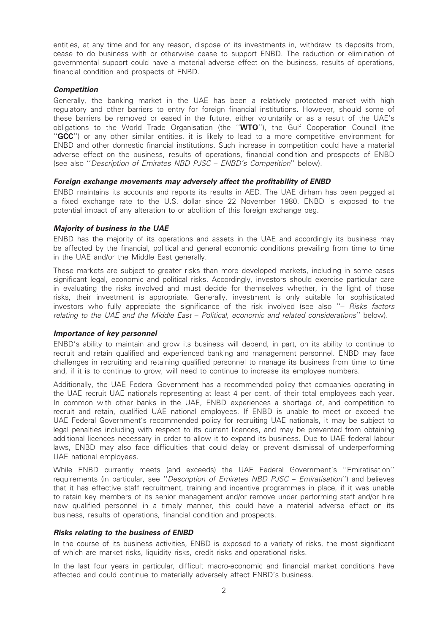entities, at any time and for any reason, dispose of its investments in, withdraw its deposits from, cease to do business with or otherwise cease to support ENBD. The reduction or elimination of governmental support could have a material adverse effect on the business, results of operations, financial condition and prospects of ENBD.

# **Competition**

Generally, the banking market in the UAE has been a relatively protected market with high regulatory and other barriers to entry for foreign financial institutions. However, should some of these barriers be removed or eased in the future, either voluntarily or as a result of the UAE's obligations to the World Trade Organisation (the "WTO"), the Gulf Cooperation Council (the ''GCC'') or any other similar entities, it is likely to lead to a more competitive environment for ENBD and other domestic financial institutions. Such increase in competition could have a material adverse effect on the business, results of operations, financial condition and prospects of ENBD (see also ''Description of Emirates NBD PJSC – ENBD's Competition'' below).

# Foreign exchange movements may adversely affect the profitability of ENBD

ENBD maintains its accounts and reports its results in AED. The UAE dirham has been pegged at a fixed exchange rate to the U.S. dollar since 22 November 1980. ENBD is exposed to the potential impact of any alteration to or abolition of this foreign exchange peg.

# Majority of business in the UAE

ENBD has the majority of its operations and assets in the UAE and accordingly its business may be affected by the financial, political and general economic conditions prevailing from time to time in the UAE and/or the Middle East generally.

These markets are subject to greater risks than more developed markets, including in some cases significant legal, economic and political risks. Accordingly, investors should exercise particular care in evaluating the risks involved and must decide for themselves whether, in the light of those risks, their investment is appropriate. Generally, investment is only suitable for sophisticated investors who fully appreciate the significance of the risk involved (see also ''– Risks factors relating to the UAE and the Middle East – Political, economic and related considerations'' below).

# Importance of key personnel

ENBD's ability to maintain and grow its business will depend, in part, on its ability to continue to recruit and retain qualified and experienced banking and management personnel. ENBD may face challenges in recruiting and retaining qualified personnel to manage its business from time to time and, if it is to continue to grow, will need to continue to increase its employee numbers.

Additionally, the UAE Federal Government has a recommended policy that companies operating in the UAE recruit UAE nationals representing at least 4 per cent. of their total employees each year. In common with other banks in the UAE, ENBD experiences a shortage of, and competition to recruit and retain, qualified UAE national employees. If ENBD is unable to meet or exceed the UAE Federal Government's recommended policy for recruiting UAE nationals, it may be subject to legal penalties including with respect to its current licences, and may be prevented from obtaining additional licences necessary in order to allow it to expand its business. Due to UAE federal labour laws, ENBD may also face difficulties that could delay or prevent dismissal of underperforming UAE national employees.

While ENBD currently meets (and exceeds) the UAE Federal Government's ''Emiratisation'' requirements (in particular, see ''Description of Emirates NBD PJSC – Emiratisation'') and believes that it has effective staff recruitment, training and incentive programmes in place, if it was unable to retain key members of its senior management and/or remove under performing staff and/or hire new qualified personnel in a timely manner, this could have a material adverse effect on its business, results of operations, financial condition and prospects.

# Risks relating to the business of ENBD

In the course of its business activities, ENBD is exposed to a variety of risks, the most significant of which are market risks, liquidity risks, credit risks and operational risks.

In the last four years in particular, difficult macro-economic and financial market conditions have affected and could continue to materially adversely affect ENBD's business.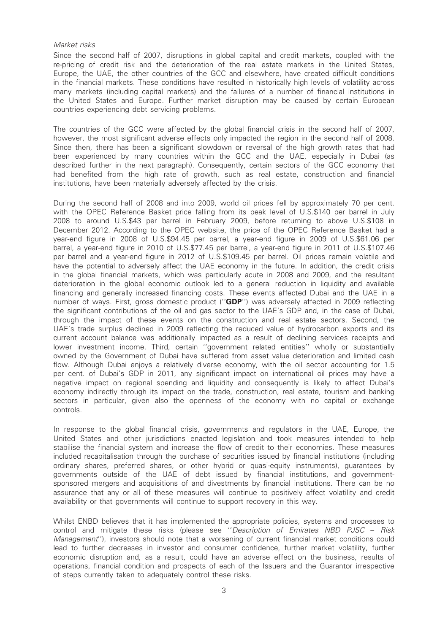# Market risks

Since the second half of 2007, disruptions in global capital and credit markets, coupled with the re-pricing of credit risk and the deterioration of the real estate markets in the United States, Europe, the UAE, the other countries of the GCC and elsewhere, have created difficult conditions in the financial markets. These conditions have resulted in historically high levels of volatility across many markets (including capital markets) and the failures of a number of financial institutions in the United States and Europe. Further market disruption may be caused by certain European countries experiencing debt servicing problems.

The countries of the GCC were affected by the global financial crisis in the second half of 2007, however, the most significant adverse effects only impacted the region in the second half of 2008. Since then, there has been a significant slowdown or reversal of the high growth rates that had been experienced by many countries within the GCC and the UAE, especially in Dubai (as described further in the next paragraph). Consequently, certain sectors of the GCC economy that had benefited from the high rate of growth, such as real estate, construction and financial institutions, have been materially adversely affected by the crisis.

During the second half of 2008 and into 2009, world oil prices fell by approximately 70 per cent. with the OPEC Reference Basket price falling from its peak level of U.S.\$140 per barrel in July 2008 to around U.S.\$43 per barrel in February 2009, before returning to above U.S.\$108 in December 2012. According to the OPEC website, the price of the OPEC Reference Basket had a year-end figure in 2008 of U.S.\$94.45 per barrel, a year-end figure in 2009 of U.S.\$61.06 per barrel, a year-end figure in 2010 of U.S.\$77.45 per barrel, a year-end figure in 2011 of U.S.\$107.46 per barrel and a year-end figure in 2012 of U.S.\$109.45 per barrel. Oil prices remain volatile and have the potential to adversely affect the UAE economy in the future. In addition, the credit crisis in the global financial markets, which was particularly acute in 2008 and 2009, and the resultant deterioration in the global economic outlook led to a general reduction in liquidity and available financing and generally increased financing costs. These events affected Dubai and the UAE in a number of ways. First, gross domestic product ("GDP") was adversely affected in 2009 reflecting the significant contributions of the oil and gas sector to the UAE's GDP and, in the case of Dubai, through the impact of these events on the construction and real estate sectors. Second, the UAE's trade surplus declined in 2009 reflecting the reduced value of hydrocarbon exports and its current account balance was additionally impacted as a result of declining services receipts and lower investment income. Third, certain ''government related entities'' wholly or substantially owned by the Government of Dubai have suffered from asset value deterioration and limited cash flow. Although Dubai enjoys a relatively diverse economy, with the oil sector accounting for 1.5 per cent. of Dubai's GDP in 2011, any significant impact on international oil prices may have a negative impact on regional spending and liquidity and consequently is likely to affect Dubai's economy indirectly through its impact on the trade, construction, real estate, tourism and banking sectors in particular, given also the openness of the economy with no capital or exchange controls.

In response to the global financial crisis, governments and regulators in the UAE, Europe, the United States and other jurisdictions enacted legislation and took measures intended to help stabilise the financial system and increase the flow of credit to their economies. These measures included recapitalisation through the purchase of securities issued by financial institutions (including ordinary shares, preferred shares, or other hybrid or quasi-equity instruments), guarantees by governments outside of the UAE of debt issued by financial institutions, and governmentsponsored mergers and acquisitions of and divestments by financial institutions. There can be no assurance that any or all of these measures will continue to positively affect volatility and credit availability or that governments will continue to support recovery in this way.

Whilst ENBD believes that it has implemented the appropriate policies, systems and processes to control and mitigate these risks (please see ''Description of Emirates NBD PJSC – Risk Management''), investors should note that a worsening of current financial market conditions could lead to further decreases in investor and consumer confidence, further market volatility, further economic disruption and, as a result, could have an adverse effect on the business, results of operations, financial condition and prospects of each of the Issuers and the Guarantor irrespective of steps currently taken to adequately control these risks.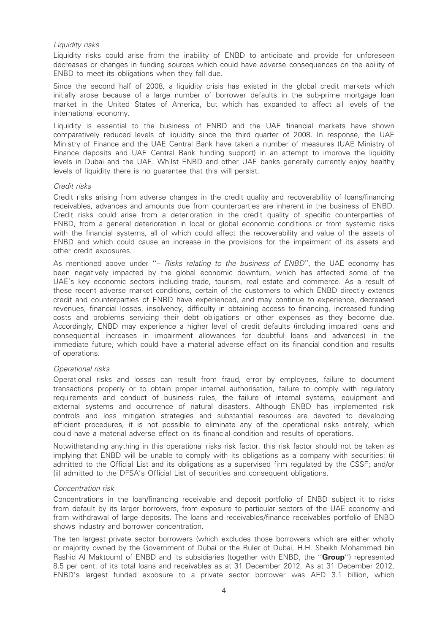# Liquidity risks

Liquidity risks could arise from the inability of ENBD to anticipate and provide for unforeseen decreases or changes in funding sources which could have adverse consequences on the ability of ENBD to meet its obligations when they fall due.

Since the second half of 2008, a liquidity crisis has existed in the global credit markets which initially arose because of a large number of borrower defaults in the sub-prime mortgage loan market in the United States of America, but which has expanded to affect all levels of the international economy.

Liquidity is essential to the business of ENBD and the UAE financial markets have shown comparatively reduced levels of liquidity since the third quarter of 2008. In response, the UAE Ministry of Finance and the UAE Central Bank have taken a number of measures (UAE Ministry of Finance deposits and UAE Central Bank funding support) in an attempt to improve the liquidity levels in Dubai and the UAE. Whilst ENBD and other UAE banks generally currently enjoy healthy levels of liquidity there is no guarantee that this will persist.

# Credit risks

Credit risks arising from adverse changes in the credit quality and recoverability of loans/financing receivables, advances and amounts due from counterparties are inherent in the business of ENBD. Credit risks could arise from a deterioration in the credit quality of specific counterparties of ENBD, from a general deterioration in local or global economic conditions or from systemic risks with the financial systems, all of which could affect the recoverability and value of the assets of ENBD and which could cause an increase in the provisions for the impairment of its assets and other credit exposures.

As mentioned above under "- Risks relating to the business of ENBD", the UAE economy has been negatively impacted by the global economic downturn, which has affected some of the UAE's key economic sectors including trade, tourism, real estate and commerce. As a result of these recent adverse market conditions, certain of the customers to which ENBD directly extends credit and counterparties of ENBD have experienced, and may continue to experience, decreased revenues, financial losses, insolvency, difficulty in obtaining access to financing, increased funding costs and problems servicing their debt obligations or other expenses as they become due. Accordingly, ENBD may experience a higher level of credit defaults (including impaired loans and consequential increases in impairment allowances for doubtful loans and advances) in the immediate future, which could have a material adverse effect on its financial condition and results of operations.

# Operational risks

Operational risks and losses can result from fraud, error by employees, failure to document transactions properly or to obtain proper internal authorisation, failure to comply with regulatory requirements and conduct of business rules, the failure of internal systems, equipment and external systems and occurrence of natural disasters. Although ENBD has implemented risk controls and loss mitigation strategies and substantial resources are devoted to developing efficient procedures, it is not possible to eliminate any of the operational risks entirely, which could have a material adverse effect on its financial condition and results of operations.

Notwithstanding anything in this operational risks risk factor, this risk factor should not be taken as implying that ENBD will be unable to comply with its obligations as a company with securities: (i) admitted to the Official List and its obligations as a supervised firm regulated by the CSSF; and/or (ii) admitted to the DFSA's Official List of securities and consequent obligations.

# Concentration risk

Concentrations in the loan/financing receivable and deposit portfolio of ENBD subject it to risks from default by its larger borrowers, from exposure to particular sectors of the UAE economy and from withdrawal of large deposits. The loans and receivables/finance receivables portfolio of ENBD shows industry and borrower concentration.

The ten largest private sector borrowers (which excludes those borrowers which are either wholly or majority owned by the Government of Dubai or the Ruler of Dubai, H.H. Sheikh Mohammed bin Rashid Al Maktoum) of ENBD and its subsidiaries (together with ENBD, the "Group") represented 8.5 per cent. of its total loans and receivables as at 31 December 2012. As at 31 December 2012, ENBD's largest funded exposure to a private sector borrower was AED 3.1 billion, which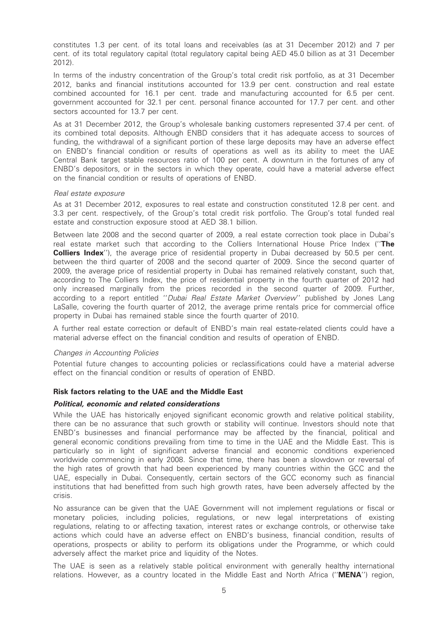constitutes 1.3 per cent. of its total loans and receivables (as at 31 December 2012) and 7 per cent. of its total regulatory capital (total regulatory capital being AED 45.0 billion as at 31 December 2012).

In terms of the industry concentration of the Group's total credit risk portfolio, as at 31 December 2012, banks and financial institutions accounted for 13.9 per cent. construction and real estate combined accounted for 16.1 per cent. trade and manufacturing accounted for 6.5 per cent. government accounted for 32.1 per cent. personal finance accounted for 17.7 per cent. and other sectors accounted for 13.7 per cent.

As at 31 December 2012, the Group's wholesale banking customers represented 37.4 per cent. of its combined total deposits. Although ENBD considers that it has adequate access to sources of funding, the withdrawal of a significant portion of these large deposits may have an adverse effect on ENBD's financial condition or results of operations as well as its ability to meet the UAE Central Bank target stable resources ratio of 100 per cent. A downturn in the fortunes of any of ENBD's depositors, or in the sectors in which they operate, could have a material adverse effect on the financial condition or results of operations of ENBD.

# Real estate exposure

As at 31 December 2012, exposures to real estate and construction constituted 12.8 per cent. and 3.3 per cent. respectively, of the Group's total credit risk portfolio. The Group's total funded real estate and construction exposure stood at AED 38.1 billion.

Between late 2008 and the second quarter of 2009, a real estate correction took place in Dubai's real estate market such that according to the Colliers International House Price Index ("The **Colliers Index''**), the average price of residential property in Dubai decreased by 50.5 per cent. between the third quarter of 2008 and the second quarter of 2009. Since the second quarter of 2009, the average price of residential property in Dubai has remained relatively constant, such that, according to The Colliers Index, the price of residential property in the fourth quarter of 2012 had only increased marginally from the prices recorded in the second quarter of 2009. Further, according to a report entitled "Dubai Real Estate Market Overview" published by Jones Lang LaSalle, covering the fourth quarter of 2012, the average prime rentals price for commercial office property in Dubai has remained stable since the fourth quarter of 2010.

A further real estate correction or default of ENBD's main real estate-related clients could have a material adverse effect on the financial condition and results of operation of ENBD.

# Changes in Accounting Policies

Potential future changes to accounting policies or reclassifications could have a material adverse effect on the financial condition or results of operation of ENBD.

# Risk factors relating to the UAE and the Middle East

#### Political, economic and related considerations

While the UAE has historically enjoyed significant economic growth and relative political stability, there can be no assurance that such growth or stability will continue. Investors should note that ENBD's businesses and financial performance may be affected by the financial, political and general economic conditions prevailing from time to time in the UAE and the Middle East. This is particularly so in light of significant adverse financial and economic conditions experienced worldwide commencing in early 2008. Since that time, there has been a slowdown or reversal of the high rates of growth that had been experienced by many countries within the GCC and the UAE, especially in Dubai. Consequently, certain sectors of the GCC economy such as financial institutions that had benefitted from such high growth rates, have been adversely affected by the crisis.

No assurance can be given that the UAE Government will not implement regulations or fiscal or monetary policies, including policies, regulations, or new legal interpretations of existing regulations, relating to or affecting taxation, interest rates or exchange controls, or otherwise take actions which could have an adverse effect on ENBD's business, financial condition, results of operations, prospects or ability to perform its obligations under the Programme, or which could adversely affect the market price and liquidity of the Notes.

The UAE is seen as a relatively stable political environment with generally healthy international relations. However, as a country located in the Middle East and North Africa ("MENA") region,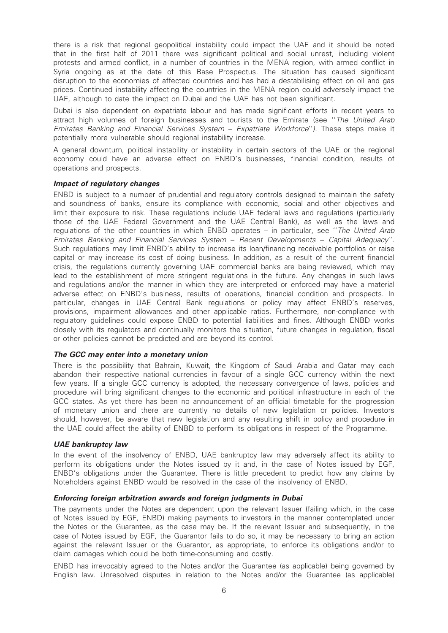there is a risk that regional geopolitical instability could impact the UAE and it should be noted that in the first half of 2011 there was significant political and social unrest, including violent protests and armed conflict, in a number of countries in the MENA region, with armed conflict in Syria ongoing as at the date of this Base Prospectus. The situation has caused significant disruption to the economies of affected countries and has had a destabilising effect on oil and gas prices. Continued instability affecting the countries in the MENA region could adversely impact the UAE, although to date the impact on Dubai and the UAE has not been significant.

Dubai is also dependent on expatriate labour and has made significant efforts in recent years to attract high volumes of foreign businesses and tourists to the Emirate (see ''The United Arab Emirates Banking and Financial Services System – Expatriate Workforce''). These steps make it potentially more vulnerable should regional instability increase.

A general downturn, political instability or instability in certain sectors of the UAE or the regional economy could have an adverse effect on ENBD's businesses, financial condition, results of operations and prospects.

# Impact of regulatory changes

ENBD is subject to a number of prudential and regulatory controls designed to maintain the safety and soundness of banks, ensure its compliance with economic, social and other objectives and limit their exposure to risk. These regulations include UAE federal laws and regulations (particularly those of the UAE Federal Government and the UAE Central Bank), as well as the laws and regulations of the other countries in which ENBD operates – in particular, see ''The United Arab Emirates Banking and Financial Services System – Recent Developments – Capital Adequacy''. Such regulations may limit ENBD's ability to increase its loan/financing receivable portfolios or raise capital or may increase its cost of doing business. In addition, as a result of the current financial crisis, the regulations currently governing UAE commercial banks are being reviewed, which may lead to the establishment of more stringent regulations in the future. Any changes in such laws and regulations and/or the manner in which they are interpreted or enforced may have a material adverse effect on ENBD's business, results of operations, financial condition and prospects. In particular, changes in UAE Central Bank regulations or policy may affect ENBD's reserves, provisions, impairment allowances and other applicable ratios. Furthermore, non-compliance with regulatory guidelines could expose ENBD to potential liabilities and fines. Although ENBD works closely with its regulators and continually monitors the situation, future changes in regulation, fiscal or other policies cannot be predicted and are beyond its control.

# The GCC may enter into a monetary union

There is the possibility that Bahrain, Kuwait, the Kingdom of Saudi Arabia and Qatar may each abandon their respective national currencies in favour of a single GCC currency within the next few years. If a single GCC currency is adopted, the necessary convergence of laws, policies and procedure will bring significant changes to the economic and political infrastructure in each of the GCC states. As yet there has been no announcement of an official timetable for the progression of monetary union and there are currently no details of new legislation or policies. Investors should, however, be aware that new legislation and any resulting shift in policy and procedure in the UAE could affect the ability of ENBD to perform its obligations in respect of the Programme.

# UAE bankruptcy law

In the event of the insolvency of ENBD, UAE bankruptcy law may adversely affect its ability to perform its obligations under the Notes issued by it and, in the case of Notes issued by EGF, ENBD's obligations under the Guarantee. There is little precedent to predict how any claims by Noteholders against ENBD would be resolved in the case of the insolvency of ENBD.

# Enforcing foreign arbitration awards and foreign judgments in Dubai

The payments under the Notes are dependent upon the relevant Issuer (failing which, in the case of Notes issued by EGF, ENBD) making payments to investors in the manner contemplated under the Notes or the Guarantee, as the case may be. If the relevant Issuer and subsequently, in the case of Notes issued by EGF, the Guarantor fails to do so, it may be necessary to bring an action against the relevant Issuer or the Guarantor, as appropriate, to enforce its obligations and/or to claim damages which could be both time-consuming and costly.

ENBD has irrevocably agreed to the Notes and/or the Guarantee (as applicable) being governed by English law. Unresolved disputes in relation to the Notes and/or the Guarantee (as applicable)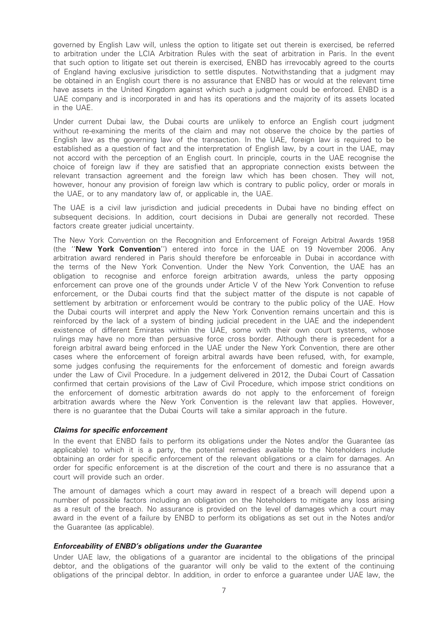governed by English Law will, unless the option to litigate set out therein is exercised, be referred to arbitration under the LCIA Arbitration Rules with the seat of arbitration in Paris. In the event that such option to litigate set out therein is exercised, ENBD has irrevocably agreed to the courts of England having exclusive jurisdiction to settle disputes. Notwithstanding that a judgment may be obtained in an English court there is no assurance that ENBD has or would at the relevant time have assets in the United Kingdom against which such a judgment could be enforced. ENBD is a UAE company and is incorporated in and has its operations and the majority of its assets located in the UAE.

Under current Dubai law, the Dubai courts are unlikely to enforce an English court judgment without re-examining the merits of the claim and may not observe the choice by the parties of English law as the governing law of the transaction. In the UAE, foreign law is required to be established as a question of fact and the interpretation of English law, by a court in the UAE, may not accord with the perception of an English court. In principle, courts in the UAE recognise the choice of foreign law if they are satisfied that an appropriate connection exists between the relevant transaction agreement and the foreign law which has been chosen. They will not, however, honour any provision of foreign law which is contrary to public policy, order or morals in the UAE, or to any mandatory law of, or applicable in, the UAE.

The UAE is a civil law jurisdiction and judicial precedents in Dubai have no binding effect on subsequent decisions. In addition, court decisions in Dubai are generally not recorded. These factors create greater judicial uncertainty.

The New York Convention on the Recognition and Enforcement of Foreign Arbitral Awards 1958 (the ''New York Convention'') entered into force in the UAE on 19 November 2006. Any arbitration award rendered in Paris should therefore be enforceable in Dubai in accordance with the terms of the New York Convention. Under the New York Convention, the UAE has an obligation to recognise and enforce foreign arbitration awards, unless the party opposing enforcement can prove one of the grounds under Article V of the New York Convention to refuse enforcement, or the Dubai courts find that the subject matter of the dispute is not capable of settlement by arbitration or enforcement would be contrary to the public policy of the UAE. How the Dubai courts will interpret and apply the New York Convention remains uncertain and this is reinforced by the lack of a system of binding judicial precedent in the UAE and the independent existence of different Emirates within the UAE, some with their own court systems, whose rulings may have no more than persuasive force cross border. Although there is precedent for a foreign arbitral award being enforced in the UAE under the New York Convention, there are other cases where the enforcement of foreign arbitral awards have been refused, with, for example, some judges confusing the requirements for the enforcement of domestic and foreign awards under the Law of Civil Procedure. In a judgement delivered in 2012, the Dubai Court of Cassation confirmed that certain provisions of the Law of Civil Procedure, which impose strict conditions on the enforcement of domestic arbitration awards do not apply to the enforcement of foreign arbitration awards where the New York Convention is the relevant law that applies. However, there is no guarantee that the Dubai Courts will take a similar approach in the future.

# Claims for specific enforcement

In the event that ENBD fails to perform its obligations under the Notes and/or the Guarantee (as applicable) to which it is a party, the potential remedies available to the Noteholders include obtaining an order for specific enforcement of the relevant obligations or a claim for damages. An order for specific enforcement is at the discretion of the court and there is no assurance that a court will provide such an order.

The amount of damages which a court may award in respect of a breach will depend upon a number of possible factors including an obligation on the Noteholders to mitigate any loss arising as a result of the breach. No assurance is provided on the level of damages which a court may award in the event of a failure by ENBD to perform its obligations as set out in the Notes and/or the Guarantee (as applicable).

# Enforceability of ENBD's obligations under the Guarantee

Under UAE law, the obligations of a guarantor are incidental to the obligations of the principal debtor, and the obligations of the guarantor will only be valid to the extent of the continuing obligations of the principal debtor. In addition, in order to enforce a guarantee under UAE law, the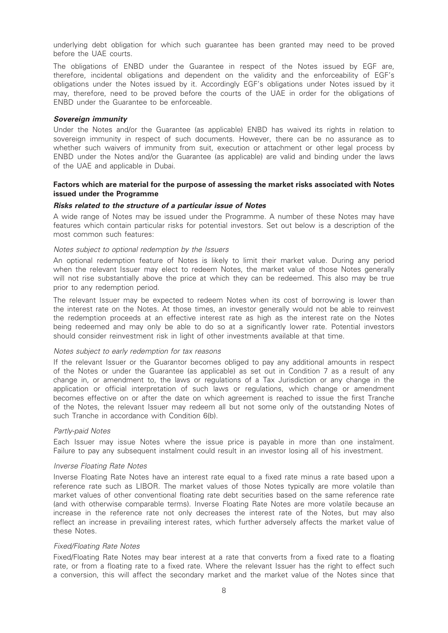underlying debt obligation for which such guarantee has been granted may need to be proved before the UAE courts.

The obligations of ENBD under the Guarantee in respect of the Notes issued by EGF are, therefore, incidental obligations and dependent on the validity and the enforceability of EGF's obligations under the Notes issued by it. Accordingly EGF's obligations under Notes issued by it may, therefore, need to be proved before the courts of the UAE in order for the obligations of ENBD under the Guarantee to be enforceable.

# Sovereign immunity

Under the Notes and/or the Guarantee (as applicable) ENBD has waived its rights in relation to sovereign immunity in respect of such documents. However, there can be no assurance as to whether such waivers of immunity from suit, execution or attachment or other legal process by ENBD under the Notes and/or the Guarantee (as applicable) are valid and binding under the laws of the UAE and applicable in Dubai.

# Factors which are material for the purpose of assessing the market risks associated with Notes issued under the Programme

#### Risks related to the structure of a particular issue of Notes

A wide range of Notes may be issued under the Programme. A number of these Notes may have features which contain particular risks for potential investors. Set out below is a description of the most common such features:

#### Notes subject to optional redemption by the Issuers

An optional redemption feature of Notes is likely to limit their market value. During any period when the relevant Issuer may elect to redeem Notes, the market value of those Notes generally will not rise substantially above the price at which they can be redeemed. This also may be true prior to any redemption period.

The relevant Issuer may be expected to redeem Notes when its cost of borrowing is lower than the interest rate on the Notes. At those times, an investor generally would not be able to reinvest the redemption proceeds at an effective interest rate as high as the interest rate on the Notes being redeemed and may only be able to do so at a significantly lower rate. Potential investors should consider reinvestment risk in light of other investments available at that time.

# Notes subject to early redemption for tax reasons

If the relevant Issuer or the Guarantor becomes obliged to pay any additional amounts in respect of the Notes or under the Guarantee (as applicable) as set out in Condition 7 as a result of any change in, or amendment to, the laws or regulations of a Tax Jurisdiction or any change in the application or official interpretation of such laws or regulations, which change or amendment becomes effective on or after the date on which agreement is reached to issue the first Tranche of the Notes, the relevant Issuer may redeem all but not some only of the outstanding Notes of such Tranche in accordance with Condition 6(b).

#### Partly-paid Notes

Each Issuer may issue Notes where the issue price is payable in more than one instalment. Failure to pay any subsequent instalment could result in an investor losing all of his investment.

### Inverse Floating Rate Notes

Inverse Floating Rate Notes have an interest rate equal to a fixed rate minus a rate based upon a reference rate such as LIBOR. The market values of those Notes typically are more volatile than market values of other conventional floating rate debt securities based on the same reference rate (and with otherwise comparable terms). Inverse Floating Rate Notes are more volatile because an increase in the reference rate not only decreases the interest rate of the Notes, but may also reflect an increase in prevailing interest rates, which further adversely affects the market value of these Notes.

# Fixed/Floating Rate Notes

Fixed/Floating Rate Notes may bear interest at a rate that converts from a fixed rate to a floating rate, or from a floating rate to a fixed rate. Where the relevant Issuer has the right to effect such a conversion, this will affect the secondary market and the market value of the Notes since that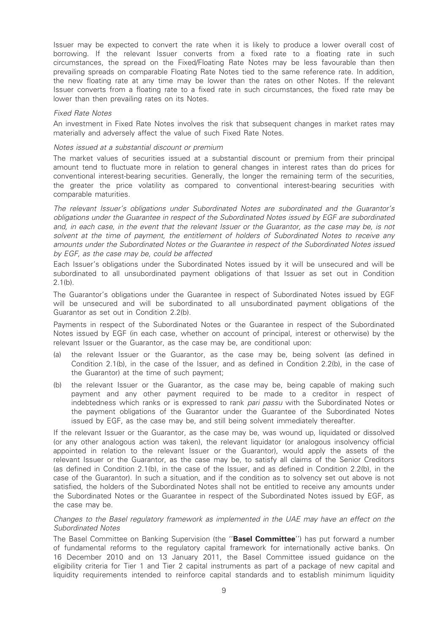Issuer may be expected to convert the rate when it is likely to produce a lower overall cost of borrowing. If the relevant Issuer converts from a fixed rate to a floating rate in such circumstances, the spread on the Fixed/Floating Rate Notes may be less favourable than then prevailing spreads on comparable Floating Rate Notes tied to the same reference rate. In addition, the new floating rate at any time may be lower than the rates on other Notes. If the relevant Issuer converts from a floating rate to a fixed rate in such circumstances, the fixed rate may be lower than then prevailing rates on its Notes.

# Fixed Rate Notes

An investment in Fixed Rate Notes involves the risk that subsequent changes in market rates may materially and adversely affect the value of such Fixed Rate Notes.

### Notes issued at a substantial discount or premium

The market values of securities issued at a substantial discount or premium from their principal amount tend to fluctuate more in relation to general changes in interest rates than do prices for conventional interest-bearing securities. Generally, the longer the remaining term of the securities, the greater the price volatility as compared to conventional interest-bearing securities with comparable maturities.

The relevant Issuer's obligations under Subordinated Notes are subordinated and the Guarantor's obligations under the Guarantee in respect of the Subordinated Notes issued by EGF are subordinated and, in each case, in the event that the relevant Issuer or the Guarantor, as the case may be, is not solvent at the time of payment, the entitlement of holders of Subordinated Notes to receive any amounts under the Subordinated Notes or the Guarantee in respect of the Subordinated Notes issued by EGF, as the case may be, could be affected

Each Issuer's obligations under the Subordinated Notes issued by it will be unsecured and will be subordinated to all unsubordinated payment obligations of that Issuer as set out in Condition 2.1(b).

The Guarantor's obligations under the Guarantee in respect of Subordinated Notes issued by EGF will be unsecured and will be subordinated to all unsubordinated payment obligations of the Guarantor as set out in Condition 2.2(b).

Payments in respect of the Subordinated Notes or the Guarantee in respect of the Subordinated Notes issued by EGF (in each case, whether on account of principal, interest or otherwise) by the relevant Issuer or the Guarantor, as the case may be, are conditional upon:

- (a) the relevant Issuer or the Guarantor, as the case may be, being solvent (as defined in Condition 2.1(b), in the case of the Issuer, and as defined in Condition 2.2(b), in the case of the Guarantor) at the time of such payment;
- (b) the relevant Issuer or the Guarantor, as the case may be, being capable of making such payment and any other payment required to be made to a creditor in respect of indebtedness which ranks or is expressed to rank pari passu with the Subordinated Notes or the payment obligations of the Guarantor under the Guarantee of the Subordinated Notes issued by EGF, as the case may be, and still being solvent immediately thereafter.

If the relevant Issuer or the Guarantor, as the case may be, was wound up, liquidated or dissolved (or any other analogous action was taken), the relevant liquidator (or analogous insolvency official appointed in relation to the relevant Issuer or the Guarantor), would apply the assets of the relevant Issuer or the Guarantor, as the case may be, to satisfy all claims of the Senior Creditors (as defined in Condition 2.1(b), in the case of the Issuer, and as defined in Condition 2.2(b), in the case of the Guarantor). In such a situation, and if the condition as to solvency set out above is not satisfied, the holders of the Subordinated Notes shall not be entitled to receive any amounts under the Subordinated Notes or the Guarantee in respect of the Subordinated Notes issued by EGF, as the case may be.

# Changes to the Basel regulatory framework as implemented in the UAE may have an effect on the Subordinated Notes

The Basel Committee on Banking Supervision (the "Basel Committee") has put forward a number of fundamental reforms to the regulatory capital framework for internationally active banks. On 16 December 2010 and on 13 January 2011, the Basel Committee issued guidance on the eligibility criteria for Tier 1 and Tier 2 capital instruments as part of a package of new capital and liquidity requirements intended to reinforce capital standards and to establish minimum liquidity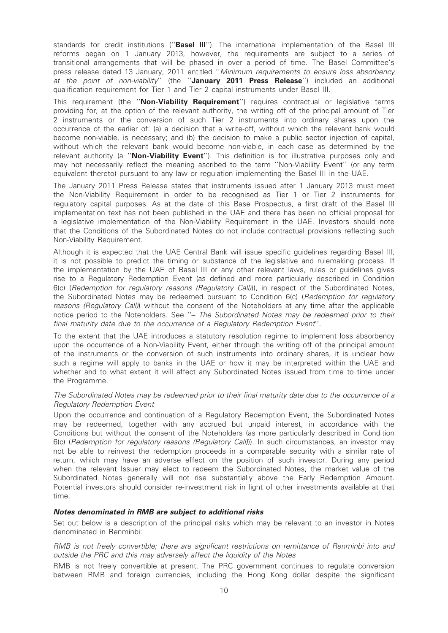standards for credit institutions ("Basel III"). The international implementation of the Basel III reforms began on 1 January 2013, however, the requirements are subject to a series of transitional arrangements that will be phased in over a period of time. The Basel Committee's press release dated 13 January, 2011 entitled ''Minimum requirements to ensure loss absorbency at the point of non-viability'' (the "January 2011 Press Release") included an additional qualification requirement for Tier 1 and Tier 2 capital instruments under Basel III.

This requirement (the "Non-Viability Requirement") requires contractual or legislative terms providing for, at the option of the relevant authority, the writing off of the principal amount of Tier 2 instruments or the conversion of such Tier 2 instruments into ordinary shares upon the occurrence of the earlier of: (a) a decision that a write-off, without which the relevant bank would become non-viable, is necessary; and (b) the decision to make a public sector injection of capital, without which the relevant bank would become non-viable, in each case as determined by the relevant authority (a "Non-Viability Event"). This definition is for illustrative purposes only and may not necessarily reflect the meaning ascribed to the term ''Non-Viability Event'' (or any term equivalent thereto) pursuant to any law or regulation implementing the Basel III in the UAE.

The January 2011 Press Release states that instruments issued after 1 January 2013 must meet the Non-Viability Requirement in order to be recognised as Tier 1 or Tier 2 instruments for regulatory capital purposes. As at the date of this Base Prospectus, a first draft of the Basel III implementation text has not been published in the UAE and there has been no official proposal for a legislative implementation of the Non-Viability Requirement in the UAE. Investors should note that the Conditions of the Subordinated Notes do not include contractual provisions reflecting such Non-Viability Requirement.

Although it is expected that the UAE Central Bank will issue specific guidelines regarding Basel III, it is not possible to predict the timing or substance of the legislative and rulemaking process. If the implementation by the UAE of Basel III or any other relevant laws, rules or guidelines gives rise to a Regulatory Redemption Event (as defined and more particularly described in Condition 6(c) (Redemption for regulatory reasons (Regulatory Call))), in respect of the Subordinated Notes, the Subordinated Notes may be redeemed pursuant to Condition 6(c) (Redemption for regulatory reasons (Regulatory Call)) without the consent of the Noteholders at any time after the applicable notice period to the Noteholders. See "- The Subordinated Notes may be redeemed prior to their final maturity date due to the occurrence of a Regulatory Redemption Event''.

To the extent that the UAE introduces a statutory resolution regime to implement loss absorbency upon the occurrence of a Non-Viability Event, either through the writing off of the principal amount of the instruments or the conversion of such instruments into ordinary shares, it is unclear how such a regime will apply to banks in the UAE or how it may be interpreted within the UAE and whether and to what extent it will affect any Subordinated Notes issued from time to time under the Programme.

# The Subordinated Notes may be redeemed prior to their final maturity date due to the occurrence of a Regulatory Redemption Event

Upon the occurrence and continuation of a Regulatory Redemption Event, the Subordinated Notes may be redeemed, together with any accrued but unpaid interest, in accordance with the Conditions but without the consent of the Noteholders (as more particularly described in Condition 6(c) (Redemption for regulatory reasons (Regulatory Call))). In such circumstances, an investor may not be able to reinvest the redemption proceeds in a comparable security with a similar rate of return, which may have an adverse effect on the position of such investor. During any period when the relevant Issuer may elect to redeem the Subordinated Notes, the market value of the Subordinated Notes generally will not rise substantially above the Early Redemption Amount. Potential investors should consider re-investment risk in light of other investments available at that time.

# Notes denominated in RMB are subject to additional risks

Set out below is a description of the principal risks which may be relevant to an investor in Notes denominated in Renminbi:

RMB is not freely convertible; there are significant restrictions on remittance of Renminbi into and outside the PRC and this may adversely affect the liquidity of the Notes

RMB is not freely convertible at present. The PRC government continues to regulate conversion between RMB and foreign currencies, including the Hong Kong dollar despite the significant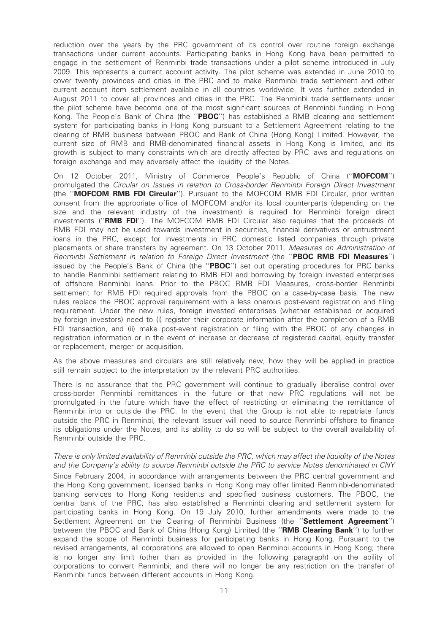reduction over the years by the PRC government of its control over routine foreign exchange transactions under current accounts. Participating banks in Hong Kong have been permitted to engage in the settlement of Renminbi trade transactions under a pilot scheme introduced in July 2009. This represents a current account activity. The pilot scheme was extended in June 2010 to cover twenty provinces and cities in the PRC and to make Renminbi trade settlement and other current account item settlement available in all countries worldwide. It was further extended in August 2011 to cover all provinces and cities in the PRC. The Renminbi trade settlements under the pilot scheme have become one of the most significant sources of Renminbi funding in Hong Kong. The People's Bank of China (the "PBOC") has established a RMB clearing and settlement system for participating banks in Hong Kong pursuant to a Settlement Agreement relating to the clearing of RMB business between PBOC and Bank of China (Hong Kong) Limited. However, the current size of RMB and RMB-denominated financial assets in Hong Kong is limited, and its growth is subject to many constraints which are directly affected by PRC laws and regulations on foreign exchange and may adversely affect the liquidity of the Notes.

On 12 October 2011, Ministry of Commerce People's Republic of China ("MOFCOM") promulgated the Circular on Issues in relation to Cross-border Renminbi Foreign Direct Investment (the "MOFCOM RMB FDI Circular"). Pursuant to the MOFCOM RMB FDI Circular, prior written consent from the appropriate office of MOFCOM and/or its local counterparts (depending on the size and the relevant industry of the investment) is required for Renminbi foreign direct investments (''RMB FDI''). The MOFCOM RMB FDI Circular also requires that the proceeds of RMB FDI may not be used towards investment in securities, financial derivatives or entrustment loans in the PRC, except for investments in PRC domestic listed companies through private placements or share transfers by agreement. On 13 October 2011, Measures on Administration of Renminbi Settlement in relation to Foreign Direct Investment (the "PBOC RMB FDI Measures") issued by the People's Bank of China (the "PBOC") set out operating procedures for PRC banks to handle Renminbi settlement relating to RMB FDI and borrowing by foreign invested enterprises of offshore Renminbi loans. Prior to the PBOC RMB FDI Measures, cross-border Renminbi settlement for RMB FDI required approvals from the PBOC on a case-by-case basis. The new rules replace the PBOC approval requirement with a less onerous post-event registration and filing requirement. Under the new rules, foreign invested enterprises (whether established or acquired by foreign investors) need to (i) register their corporate information after the completion of a RMB FDI transaction, and (ii) make post-event registration or filing with the PBOC of any changes in registration information or in the event of increase or decrease of registered capital, equity transfer or replacement, merger or acquisition.

As the above measures and circulars are still relatively new, how they will be applied in practice still remain subject to the interpretation by the relevant PRC authorities.

There is no assurance that the PRC government will continue to gradually liberalise control over cross-border Renminbi remittances in the future or that new PRC regulations will not be promulgated in the future which have the effect of restricting or eliminating the remittance of Renminbi into or outside the PRC. In the event that the Group is not able to repatriate funds outside the PRC in Renminbi, the relevant Issuer will need to source Renminbi offshore to finance its obligations under the Notes, and its ability to do so will be subject to the overall availability of Renminbi outside the PRC.

# There is only limited availability of Renminbi outside the PRC, which may affect the liquidity of the Notes and the Company's ability to source Renminbi outside the PRC to service Notes denominated in CNY

Since February 2004, in accordance with arrangements between the PRC central government and the Hong Kong government, licensed banks in Hong Kong may offer limited Renminbi-denominated banking services to Hong Kong residents and specified business customers. The PBOC, the central bank of the PRC, has also established a Renminbi clearing and settlement system for participating banks in Hong Kong. On 19 July 2010, further amendments were made to the Settlement Agreement on the Clearing of Renminbi Business (the "Settlement Agreement") between the PBOC and Bank of China (Hong Kong) Limited (the "RMB Clearing Bank") to further expand the scope of Renminbi business for participating banks in Hong Kong. Pursuant to the revised arrangements, all corporations are allowed to open Renminbi accounts in Hong Kong; there is no longer any limit (other than as provided in the following paragraph) on the ability of corporations to convert Renminbi; and there will no longer be any restriction on the transfer of Renminbi funds between different accounts in Hong Kong.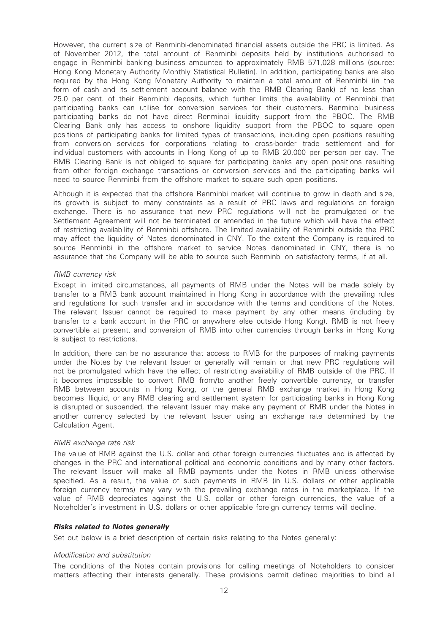However, the current size of Renminbi-denominated financial assets outside the PRC is limited. As of November 2012, the total amount of Renminbi deposits held by institutions authorised to engage in Renminbi banking business amounted to approximately RMB 571,028 millions (source: Hong Kong Monetary Authority Monthly Statistical Bulletin). In addition, participating banks are also required by the Hong Kong Monetary Authority to maintain a total amount of Renminbi (in the form of cash and its settlement account balance with the RMB Clearing Bank) of no less than 25.0 per cent. of their Renminbi deposits, which further limits the availability of Renminbi that participating banks can utilise for conversion services for their customers. Renminbi business participating banks do not have direct Renminbi liquidity support from the PBOC. The RMB Clearing Bank only has access to onshore liquidity support from the PBOC to square open positions of participating banks for limited types of transactions, including open positions resulting from conversion services for corporations relating to cross-border trade settlement and for individual customers with accounts in Hong Kong of up to RMB 20,000 per person per day. The RMB Clearing Bank is not obliged to square for participating banks any open positions resulting from other foreign exchange transactions or conversion services and the participating banks will need to source Renminbi from the offshore market to square such open positions.

Although it is expected that the offshore Renminbi market will continue to grow in depth and size, its growth is subject to many constraints as a result of PRC laws and regulations on foreign exchange. There is no assurance that new PRC regulations will not be promulgated or the Settlement Agreement will not be terminated or amended in the future which will have the effect of restricting availability of Renminbi offshore. The limited availability of Renminbi outside the PRC may affect the liquidity of Notes denominated in CNY. To the extent the Company is required to source Renminbi in the offshore market to service Notes denominated in CNY, there is no assurance that the Company will be able to source such Renminbi on satisfactory terms, if at all.

# RMB currency risk

Except in limited circumstances, all payments of RMB under the Notes will be made solely by transfer to a RMB bank account maintained in Hong Kong in accordance with the prevailing rules and regulations for such transfer and in accordance with the terms and conditions of the Notes. The relevant Issuer cannot be required to make payment by any other means (including by transfer to a bank account in the PRC or anywhere else outside Hong Kong). RMB is not freely convertible at present, and conversion of RMB into other currencies through banks in Hong Kong is subject to restrictions.

In addition, there can be no assurance that access to RMB for the purposes of making payments under the Notes by the relevant Issuer or generally will remain or that new PRC regulations will not be promulgated which have the effect of restricting availability of RMB outside of the PRC. If it becomes impossible to convert RMB from/to another freely convertible currency, or transfer RMB between accounts in Hong Kong, or the general RMB exchange market in Hong Kong becomes illiquid, or any RMB clearing and settlement system for participating banks in Hong Kong is disrupted or suspended, the relevant Issuer may make any payment of RMB under the Notes in another currency selected by the relevant Issuer using an exchange rate determined by the Calculation Agent.

# RMB exchange rate risk

The value of RMB against the U.S. dollar and other foreign currencies fluctuates and is affected by changes in the PRC and international political and economic conditions and by many other factors. The relevant Issuer will make all RMB payments under the Notes in RMB unless otherwise specified. As a result, the value of such payments in RMB (in U.S. dollars or other applicable foreign currency terms) may vary with the prevailing exchange rates in the marketplace. If the value of RMB depreciates against the U.S. dollar or other foreign currencies, the value of a Noteholder's investment in U.S. dollars or other applicable foreign currency terms will decline.

# Risks related to Notes generally

Set out below is a brief description of certain risks relating to the Notes generally:

# Modification and substitution

The conditions of the Notes contain provisions for calling meetings of Noteholders to consider matters affecting their interests generally. These provisions permit defined majorities to bind all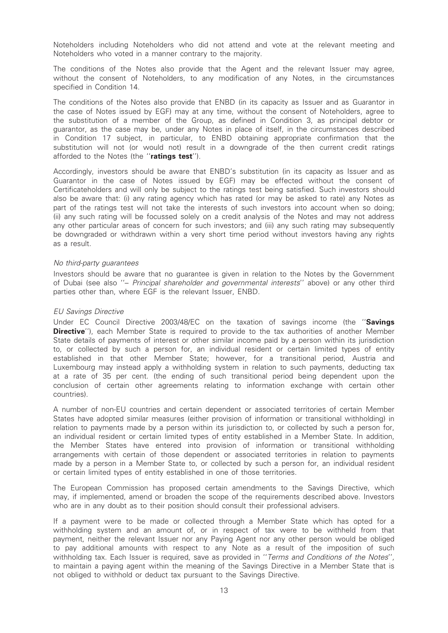Noteholders including Noteholders who did not attend and vote at the relevant meeting and Noteholders who voted in a manner contrary to the majority.

The conditions of the Notes also provide that the Agent and the relevant Issuer may agree, without the consent of Noteholders, to any modification of any Notes, in the circumstances specified in Condition 14.

The conditions of the Notes also provide that ENBD (in its capacity as Issuer and as Guarantor in the case of Notes issued by EGF) may at any time, without the consent of Noteholders, agree to the substitution of a member of the Group, as defined in Condition 3, as principal debtor or guarantor, as the case may be, under any Notes in place of itself, in the circumstances described in Condition 17 subject, in particular, to ENBD obtaining appropriate confirmation that the substitution will not (or would not) result in a downgrade of the then current credit ratings afforded to the Notes (the "ratings test").

Accordingly, investors should be aware that ENBD's substitution (in its capacity as Issuer and as Guarantor in the case of Notes issued by EGF) may be effected without the consent of Certificateholders and will only be subject to the ratings test being satisfied. Such investors should also be aware that: (i) any rating agency which has rated (or may be asked to rate) any Notes as part of the ratings test will not take the interests of such investors into account when so doing; (ii) any such rating will be focussed solely on a credit analysis of the Notes and may not address any other particular areas of concern for such investors; and (iii) any such rating may subsequently be downgraded or withdrawn within a very short time period without investors having any rights as a result.

# No third-party guarantees

Investors should be aware that no guarantee is given in relation to the Notes by the Government of Dubai (see also ''– Principal shareholder and governmental interests'' above) or any other third parties other than, where EGF is the relevant Issuer, ENBD.

# EU Savings Directive

Under EC Council Directive 2003/48/EC on the taxation of savings income (the "Savings **Directive''**), each Member State is required to provide to the tax authorities of another Member State details of payments of interest or other similar income paid by a person within its jurisdiction to, or collected by such a person for, an individual resident or certain limited types of entity established in that other Member State; however, for a transitional period, Austria and Luxembourg may instead apply a withholding system in relation to such payments, deducting tax at a rate of 35 per cent. (the ending of such transitional period being dependent upon the conclusion of certain other agreements relating to information exchange with certain other countries).

A number of non-EU countries and certain dependent or associated territories of certain Member States have adopted similar measures (either provision of information or transitional withholding) in relation to payments made by a person within its jurisdiction to, or collected by such a person for, an individual resident or certain limited types of entity established in a Member State. In addition, the Member States have entered into provision of information or transitional withholding arrangements with certain of those dependent or associated territories in relation to payments made by a person in a Member State to, or collected by such a person for, an individual resident or certain limited types of entity established in one of those territories.

The European Commission has proposed certain amendments to the Savings Directive, which may, if implemented, amend or broaden the scope of the requirements described above. Investors who are in any doubt as to their position should consult their professional advisers.

If a payment were to be made or collected through a Member State which has opted for a withholding system and an amount of, or in respect of tax were to be withheld from that payment, neither the relevant Issuer nor any Paying Agent nor any other person would be obliged to pay additional amounts with respect to any Note as a result of the imposition of such withholding tax. Each Issuer is required, save as provided in ''Terms and Conditions of the Notes'', to maintain a paying agent within the meaning of the Savings Directive in a Member State that is not obliged to withhold or deduct tax pursuant to the Savings Directive.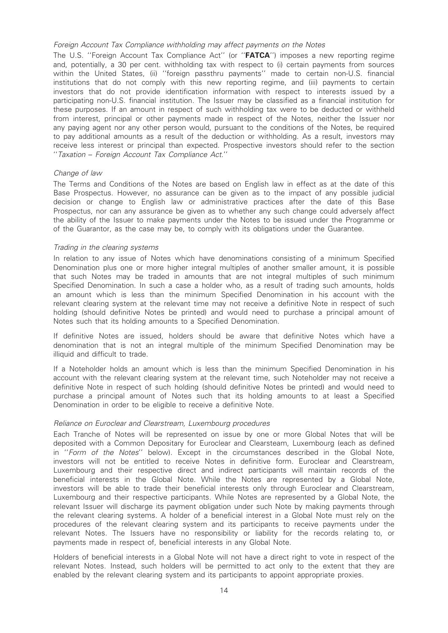### Foreign Account Tax Compliance withholding may affect payments on the Notes

The U.S. "Foreian Account Tax Compliance Act" (or "FATCA") imposes a new reporting regime and, potentially, a 30 per cent. withholding tax with respect to (i) certain payments from sources within the United States, (ii) ''foreign passthru payments'' made to certain non-U.S. financial institutions that do not comply with this new reporting regime, and (iii) payments to certain investors that do not provide identification information with respect to interests issued by a participating non-U.S. financial institution. The Issuer may be classified as a financial institution for these purposes. If an amount in respect of such withholding tax were to be deducted or withheld from interest, principal or other payments made in respect of the Notes, neither the Issuer nor any paying agent nor any other person would, pursuant to the conditions of the Notes, be required to pay additional amounts as a result of the deduction or withholding. As a result, investors may receive less interest or principal than expected. Prospective investors should refer to the section ''Taxation – Foreign Account Tax Compliance Act.''

# Change of law

The Terms and Conditions of the Notes are based on English law in effect as at the date of this Base Prospectus. However, no assurance can be given as to the impact of any possible judicial decision or change to English law or administrative practices after the date of this Base Prospectus, nor can any assurance be given as to whether any such change could adversely affect the ability of the Issuer to make payments under the Notes to be issued under the Programme or of the Guarantor, as the case may be, to comply with its obligations under the Guarantee.

#### Trading in the clearing systems

In relation to any issue of Notes which have denominations consisting of a minimum Specified Denomination plus one or more higher integral multiples of another smaller amount, it is possible that such Notes may be traded in amounts that are not integral multiples of such minimum Specified Denomination. In such a case a holder who, as a result of trading such amounts, holds an amount which is less than the minimum Specified Denomination in his account with the relevant clearing system at the relevant time may not receive a definitive Note in respect of such holding (should definitive Notes be printed) and would need to purchase a principal amount of Notes such that its holding amounts to a Specified Denomination.

If definitive Notes are issued, holders should be aware that definitive Notes which have a denomination that is not an integral multiple of the minimum Specified Denomination may be illiquid and difficult to trade.

If a Noteholder holds an amount which is less than the minimum Specified Denomination in his account with the relevant clearing system at the relevant time, such Noteholder may not receive a definitive Note in respect of such holding (should definitive Notes be printed) and would need to purchase a principal amount of Notes such that its holding amounts to at least a Specified Denomination in order to be eligible to receive a definitive Note.

#### Reliance on Euroclear and Clearstream, Luxembourg procedures

Each Tranche of Notes will be represented on issue by one or more Global Notes that will be deposited with a Common Depositary for Euroclear and Clearsteam, Luxembourg (each as defined in ''Form of the Notes'' below). Except in the circumstances described in the Global Note, investors will not be entitled to receive Notes in definitive form. Euroclear and Clearstream, Luxembourg and their respective direct and indirect participants will maintain records of the beneficial interests in the Global Note. While the Notes are represented by a Global Note, investors will be able to trade their beneficial interests only through Euroclear and Clearstream, Luxembourg and their respective participants. While Notes are represented by a Global Note, the relevant Issuer will discharge its payment obligation under such Note by making payments through the relevant clearing systems. A holder of a beneficial interest in a Global Note must rely on the procedures of the relevant clearing system and its participants to receive payments under the relevant Notes. The Issuers have no responsibility or liability for the records relating to, or payments made in respect of, beneficial interests in any Global Note.

Holders of beneficial interests in a Global Note will not have a direct right to vote in respect of the relevant Notes. Instead, such holders will be permitted to act only to the extent that they are enabled by the relevant clearing system and its participants to appoint appropriate proxies.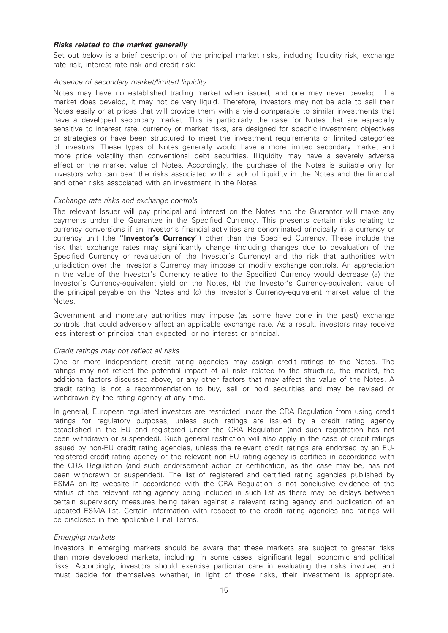# Risks related to the market generally

Set out below is a brief description of the principal market risks, including liquidity risk, exchange rate risk, interest rate risk and credit risk:

# Absence of secondary market/limited liquidity

Notes may have no established trading market when issued, and one may never develop. If a market does develop, it may not be very liquid. Therefore, investors may not be able to sell their Notes easily or at prices that will provide them with a yield comparable to similar investments that have a developed secondary market. This is particularly the case for Notes that are especially sensitive to interest rate, currency or market risks, are designed for specific investment objectives or strategies or have been structured to meet the investment requirements of limited categories of investors. These types of Notes generally would have a more limited secondary market and more price volatility than conventional debt securities. Illiquidity may have a severely adverse effect on the market value of Notes. Accordingly, the purchase of the Notes is suitable only for investors who can bear the risks associated with a lack of liquidity in the Notes and the financial and other risks associated with an investment in the Notes.

# Exchange rate risks and exchange controls

The relevant Issuer will pay principal and interest on the Notes and the Guarantor will make any payments under the Guarantee in the Specified Currency. This presents certain risks relating to currency conversions if an investor's financial activities are denominated principally in a currency or currency unit (the "**Investor's Currency**") other than the Specified Currency. These include the risk that exchange rates may significantly change (including changes due to devaluation of the Specified Currency or revaluation of the Investor's Currency) and the risk that authorities with jurisdiction over the Investor's Currency may impose or modify exchange controls. An appreciation in the value of the Investor's Currency relative to the Specified Currency would decrease (a) the Investor's Currency-equivalent yield on the Notes, (b) the Investor's Currency-equivalent value of the principal payable on the Notes and (c) the Investor's Currency-equivalent market value of the Notes.

Government and monetary authorities may impose (as some have done in the past) exchange controls that could adversely affect an applicable exchange rate. As a result, investors may receive less interest or principal than expected, or no interest or principal.

# Credit ratings may not reflect all risks

One or more independent credit rating agencies may assign credit ratings to the Notes. The ratings may not reflect the potential impact of all risks related to the structure, the market, the additional factors discussed above, or any other factors that may affect the value of the Notes. A credit rating is not a recommendation to buy, sell or hold securities and may be revised or withdrawn by the rating agency at any time.

In general, European regulated investors are restricted under the CRA Regulation from using credit ratings for regulatory purposes, unless such ratings are issued by a credit rating agency established in the EU and registered under the CRA Regulation (and such registration has not been withdrawn or suspended). Such general restriction will also apply in the case of credit ratings issued by non-EU credit rating agencies, unless the relevant credit ratings are endorsed by an EUregistered credit rating agency or the relevant non-EU rating agency is certified in accordance with the CRA Regulation (and such endorsement action or certification, as the case may be, has not been withdrawn or suspended). The list of registered and certified rating agencies published by ESMA on its website in accordance with the CRA Regulation is not conclusive evidence of the status of the relevant rating agency being included in such list as there may be delays between certain supervisory measures being taken against a relevant rating agency and publication of an updated ESMA list. Certain information with respect to the credit rating agencies and ratings will be disclosed in the applicable Final Terms.

# Emerging markets

Investors in emerging markets should be aware that these markets are subject to greater risks than more developed markets, including, in some cases, significant legal, economic and political risks. Accordingly, investors should exercise particular care in evaluating the risks involved and must decide for themselves whether, in light of those risks, their investment is appropriate.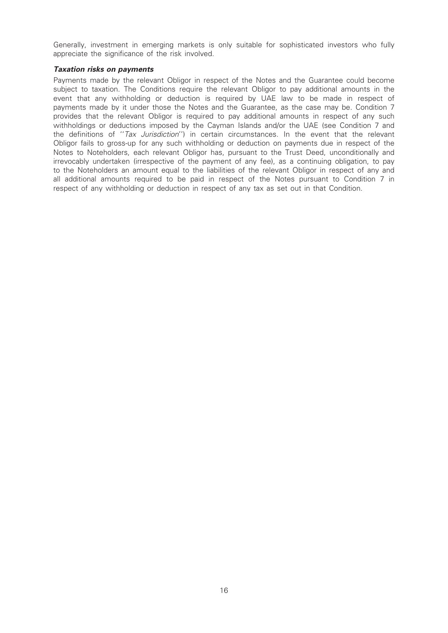Generally, investment in emerging markets is only suitable for sophisticated investors who fully appreciate the significance of the risk involved.

# Taxation risks on payments

Payments made by the relevant Obligor in respect of the Notes and the Guarantee could become subject to taxation. The Conditions require the relevant Obligor to pay additional amounts in the event that any withholding or deduction is required by UAE law to be made in respect of payments made by it under those the Notes and the Guarantee, as the case may be. Condition 7 provides that the relevant Obligor is required to pay additional amounts in respect of any such withholdings or deductions imposed by the Cayman Islands and/or the UAE (see Condition 7 and the definitions of "Tax Jurisdiction") in certain circumstances. In the event that the relevant Obligor fails to gross-up for any such withholding or deduction on payments due in respect of the Notes to Noteholders, each relevant Obligor has, pursuant to the Trust Deed, unconditionally and irrevocably undertaken (irrespective of the payment of any fee), as a continuing obligation, to pay to the Noteholders an amount equal to the liabilities of the relevant Obligor in respect of any and all additional amounts required to be paid in respect of the Notes pursuant to Condition 7 in respect of any withholding or deduction in respect of any tax as set out in that Condition.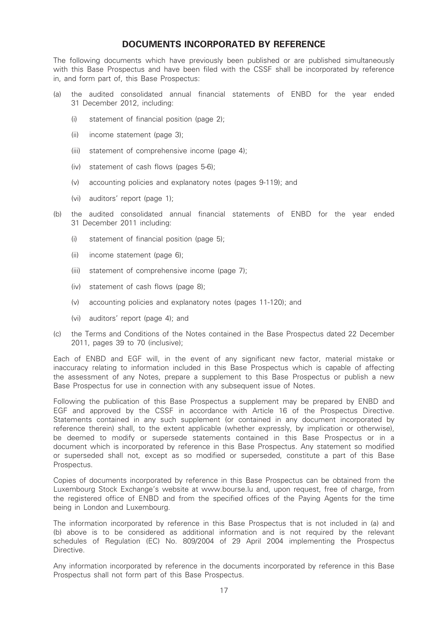# DOCUMENTS INCORPORATED BY REFERENCE

The following documents which have previously been published or are published simultaneously with this Base Prospectus and have been filed with the CSSF shall be incorporated by reference in, and form part of, this Base Prospectus:

- (a) the audited consolidated annual financial statements of ENBD for the year ended 31 December 2012, including:
	- (i) statement of financial position (page 2);
	- (ii) income statement (page 3);
	- (iii) statement of comprehensive income (page 4);
	- (iv) statement of cash flows (pages 5-6);
	- (v) accounting policies and explanatory notes (pages 9-119); and
	- (vi) auditors' report (page 1);
- (b) the audited consolidated annual financial statements of ENBD for the year ended 31 December 2011 including:
	- (i) statement of financial position (page 5);
	- (ii) income statement (page 6);
	- (iii) statement of comprehensive income (page 7);
	- (iv) statement of cash flows (page 8);
	- (v) accounting policies and explanatory notes (pages 11-120); and
	- (vi) auditors' report (page 4); and
- (c) the Terms and Conditions of the Notes contained in the Base Prospectus dated 22 December 2011, pages 39 to 70 (inclusive);

Each of ENBD and EGF will, in the event of any significant new factor, material mistake or inaccuracy relating to information included in this Base Prospectus which is capable of affecting the assessment of any Notes, prepare a supplement to this Base Prospectus or publish a new Base Prospectus for use in connection with any subsequent issue of Notes.

Following the publication of this Base Prospectus a supplement may be prepared by ENBD and EGF and approved by the CSSF in accordance with Article 16 of the Prospectus Directive. Statements contained in any such supplement (or contained in any document incorporated by reference therein) shall, to the extent applicable (whether expressly, by implication or otherwise), be deemed to modify or supersede statements contained in this Base Prospectus or in a document which is incorporated by reference in this Base Prospectus. Any statement so modified or superseded shall not, except as so modified or superseded, constitute a part of this Base Prospectus.

Copies of documents incorporated by reference in this Base Prospectus can be obtained from the Luxembourg Stock Exchange's website at www.bourse.lu and, upon request, free of charge, from the registered office of ENBD and from the specified offices of the Paying Agents for the time being in London and Luxembourg.

The information incorporated by reference in this Base Prospectus that is not included in (a) and (b) above is to be considered as additional information and is not required by the relevant schedules of Regulation (EC) No. 809/2004 of 29 April 2004 implementing the Prospectus Directive.

Any information incorporated by reference in the documents incorporated by reference in this Base Prospectus shall not form part of this Base Prospectus.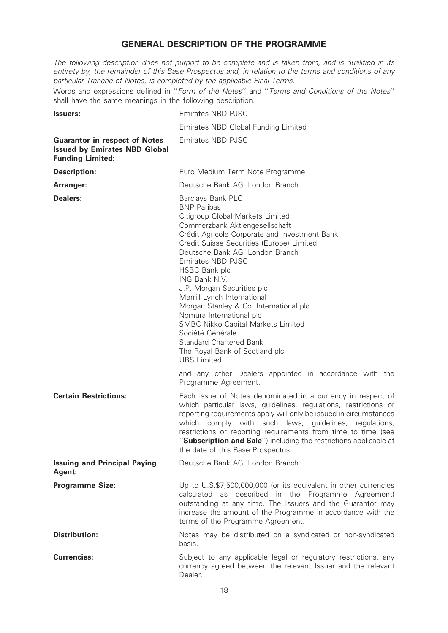# GENERAL DESCRIPTION OF THE PROGRAMME

The following description does not purport to be complete and is taken from, and is qualified in its entirety by, the remainder of this Base Prospectus and, in relation to the terms and conditions of any particular Tranche of Notes, is completed by the applicable Final Terms.

Words and expressions defined in ''Form of the Notes'' and ''Terms and Conditions of the Notes'' shall have the same meanings in the following description.

| <b>Issuers:</b>                                                                                         | Emirates NBD PJSC                                                                                                                                                                                                                                                                                                                                                                                                                                                                                                                                                                                   |
|---------------------------------------------------------------------------------------------------------|-----------------------------------------------------------------------------------------------------------------------------------------------------------------------------------------------------------------------------------------------------------------------------------------------------------------------------------------------------------------------------------------------------------------------------------------------------------------------------------------------------------------------------------------------------------------------------------------------------|
|                                                                                                         | Emirates NBD Global Funding Limited                                                                                                                                                                                                                                                                                                                                                                                                                                                                                                                                                                 |
| <b>Guarantor in respect of Notes</b><br><b>Issued by Emirates NBD Global</b><br><b>Funding Limited:</b> | Emirates NBD PJSC                                                                                                                                                                                                                                                                                                                                                                                                                                                                                                                                                                                   |
| <b>Description:</b>                                                                                     | Euro Medium Term Note Programme                                                                                                                                                                                                                                                                                                                                                                                                                                                                                                                                                                     |
| Arranger:                                                                                               | Deutsche Bank AG, London Branch                                                                                                                                                                                                                                                                                                                                                                                                                                                                                                                                                                     |
| Dealers:                                                                                                | Barclays Bank PLC<br><b>BNP Paribas</b><br>Citigroup Global Markets Limited<br>Commerzbank Aktiengesellschaft<br>Crédit Agricole Corporate and Investment Bank<br>Credit Suisse Securities (Europe) Limited<br>Deutsche Bank AG, London Branch<br>Emirates NBD PJSC<br><b>HSBC Bank plc</b><br>ING Bank N.V.<br>J.P. Morgan Securities plc<br>Merrill Lynch International<br>Morgan Stanley & Co. International plc<br>Nomura International plc<br>SMBC Nikko Capital Markets Limited<br>Société Générale<br><b>Standard Chartered Bank</b><br>The Royal Bank of Scotland plc<br><b>UBS</b> Limited |
|                                                                                                         | and any other Dealers appointed in accordance with the<br>Programme Agreement.                                                                                                                                                                                                                                                                                                                                                                                                                                                                                                                      |
| <b>Certain Restrictions:</b>                                                                            | Each issue of Notes denominated in a currency in respect of<br>which particular laws, guidelines, regulations, restrictions or<br>reporting requirements apply will only be issued in circumstances<br>which comply with such laws, guidelines,<br>regulations,<br>restrictions or reporting requirements from time to time (see<br>"Subscription and Sale") including the restrictions applicable at<br>the date of this Base Prospectus.                                                                                                                                                          |
| <b>Issuing and Principal Paying</b><br>Agent:                                                           | Deutsche Bank AG, London Branch                                                                                                                                                                                                                                                                                                                                                                                                                                                                                                                                                                     |
| <b>Programme Size:</b>                                                                                  | Up to U.S.\$7,500,000,000 (or its equivalent in other currencies<br>calculated as described in the Programme Agreement)<br>outstanding at any time. The Issuers and the Guarantor may<br>increase the amount of the Programme in accordance with the<br>terms of the Programme Agreement.                                                                                                                                                                                                                                                                                                           |
| <b>Distribution:</b>                                                                                    | Notes may be distributed on a syndicated or non-syndicated<br>basis.                                                                                                                                                                                                                                                                                                                                                                                                                                                                                                                                |
| <b>Currencies:</b>                                                                                      | Subject to any applicable legal or regulatory restrictions, any<br>currency agreed between the relevant Issuer and the relevant<br>Dealer.                                                                                                                                                                                                                                                                                                                                                                                                                                                          |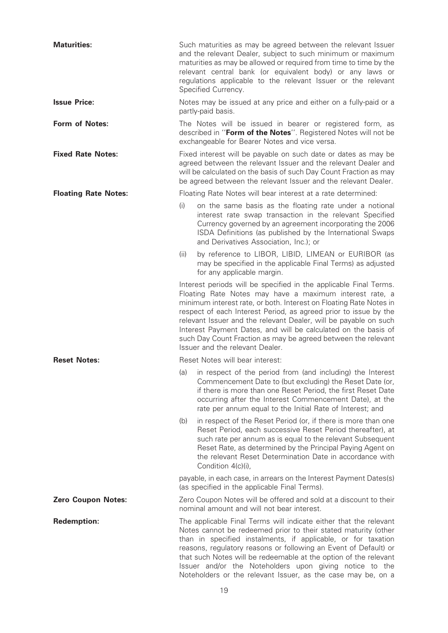| <b>Maturities:</b>          | Such maturities as may be agreed between the relevant Issuer<br>and the relevant Dealer, subject to such minimum or maximum<br>maturities as may be allowed or required from time to time by the<br>relevant central bank (or equivalent body) or any laws or<br>regulations applicable to the relevant Issuer or the relevant<br>Specified Currency.                                                                                                                                                            |  |
|-----------------------------|------------------------------------------------------------------------------------------------------------------------------------------------------------------------------------------------------------------------------------------------------------------------------------------------------------------------------------------------------------------------------------------------------------------------------------------------------------------------------------------------------------------|--|
| <b>Issue Price:</b>         | Notes may be issued at any price and either on a fully-paid or a<br>partly-paid basis.                                                                                                                                                                                                                                                                                                                                                                                                                           |  |
| <b>Form of Notes:</b>       | The Notes will be issued in bearer or registered form, as<br>described in "Form of the Notes". Registered Notes will not be<br>exchangeable for Bearer Notes and vice versa.                                                                                                                                                                                                                                                                                                                                     |  |
| <b>Fixed Rate Notes:</b>    | Fixed interest will be payable on such date or dates as may be<br>agreed between the relevant Issuer and the relevant Dealer and<br>will be calculated on the basis of such Day Count Fraction as may<br>be agreed between the relevant Issuer and the relevant Dealer.                                                                                                                                                                                                                                          |  |
| <b>Floating Rate Notes:</b> | Floating Rate Notes will bear interest at a rate determined:                                                                                                                                                                                                                                                                                                                                                                                                                                                     |  |
|                             | (i)<br>on the same basis as the floating rate under a notional<br>interest rate swap transaction in the relevant Specified<br>Currency governed by an agreement incorporating the 2006<br>ISDA Definitions (as published by the International Swaps<br>and Derivatives Association, Inc.); or                                                                                                                                                                                                                    |  |
|                             | by reference to LIBOR, LIBID, LIMEAN or EURIBOR (as<br>(ii)<br>may be specified in the applicable Final Terms) as adjusted<br>for any applicable margin.                                                                                                                                                                                                                                                                                                                                                         |  |
|                             | Interest periods will be specified in the applicable Final Terms.<br>Floating Rate Notes may have a maximum interest rate, a<br>minimum interest rate, or both. Interest on Floating Rate Notes in<br>respect of each Interest Period, as agreed prior to issue by the<br>relevant Issuer and the relevant Dealer, will be payable on such<br>Interest Payment Dates, and will be calculated on the basis of<br>such Day Count Fraction as may be agreed between the relevant<br>Issuer and the relevant Dealer. |  |
| <b>Reset Notes:</b>         | Reset Notes will bear interest:                                                                                                                                                                                                                                                                                                                                                                                                                                                                                  |  |
|                             | (a) in respect of the period from (and including) the Interest<br>Commencement Date to (but excluding) the Reset Date (or,<br>if there is more than one Reset Period, the first Reset Date<br>occurring after the Interest Commencement Date), at the<br>rate per annum equal to the Initial Rate of Interest; and                                                                                                                                                                                               |  |
|                             | in respect of the Reset Period (or, if there is more than one<br>(b)<br>Reset Period, each successive Reset Period thereafter), at<br>such rate per annum as is equal to the relevant Subsequent<br>Reset Rate, as determined by the Principal Paying Agent on<br>the relevant Reset Determination Date in accordance with<br>Condition 4(c)(i),                                                                                                                                                                 |  |
|                             | payable, in each case, in arrears on the Interest Payment Dates(s)<br>(as specified in the applicable Final Terms).                                                                                                                                                                                                                                                                                                                                                                                              |  |
| <b>Zero Coupon Notes:</b>   | Zero Coupon Notes will be offered and sold at a discount to their<br>nominal amount and will not bear interest.                                                                                                                                                                                                                                                                                                                                                                                                  |  |
| <b>Redemption:</b>          | The applicable Final Terms will indicate either that the relevant<br>Notes cannot be redeemed prior to their stated maturity (other<br>than in specified instalments, if applicable, or for taxation<br>reasons, regulatory reasons or following an Event of Default) or<br>that such Notes will be redeemable at the option of the relevant<br>Issuer and/or the Noteholders upon giving notice to the<br>Noteholders or the relevant Issuer, as the case may be, on a                                          |  |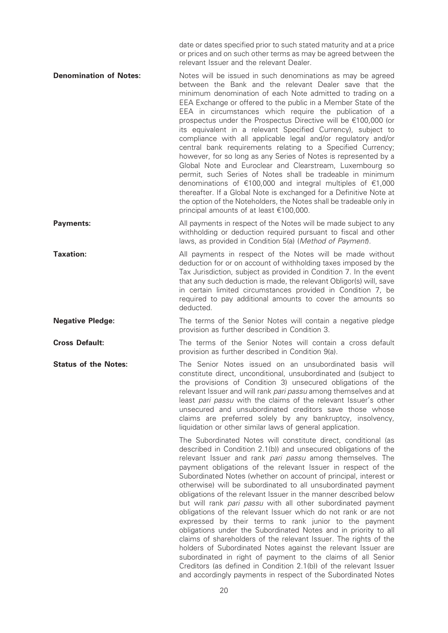date or dates specified prior to such stated maturity and at a price or prices and on such other terms as may be agreed between the relevant Issuer and the relevant Dealer.

**Denomination of Notes:** Notes will be issued in such denominations as may be agreed between the Bank and the relevant Dealer save that the minimum denomination of each Note admitted to trading on a EEA Exchange or offered to the public in a Member State of the EEA in circumstances which require the publication of a prospectus under the Prospectus Directive will be  $€100,000$  (or its equivalent in a relevant Specified Currency), subject to compliance with all applicable legal and/or regulatory and/or central bank requirements relating to a Specified Currency; however, for so long as any Series of Notes is represented by a Global Note and Euroclear and Clearstream, Luxembourg so permit, such Series of Notes shall be tradeable in minimum denominations of  $\epsilon$ 100,000 and integral multiples of  $\epsilon$ 1,000 thereafter. If a Global Note is exchanged for a Definitive Note at the option of the Noteholders, the Notes shall be tradeable only in principal amounts of at least  $€100,000$ .

**Payments:** All payments in respect of the Notes will be made subject to any withholding or deduction required pursuant to fiscal and other laws, as provided in Condition 5(a) (Method of Payment).

**Taxation:** All payments in respect of the Notes will be made without deduction for or on account of withholding taxes imposed by the Tax Jurisdiction, subject as provided in Condition 7. In the event that any such deduction is made, the relevant Obligor(s) will, save in certain limited circumstances provided in Condition 7, be required to pay additional amounts to cover the amounts so deducted.

**Negative Pledge:** The terms of the Senior Notes will contain a negative pledge provision as further described in Condition 3.

**Cross Default:** The terms of the Senior Notes will contain a cross default provision as further described in Condition 9(a).

**Status of the Notes:** The Senior Notes issued on an unsubordinated basis will constitute direct, unconditional, unsubordinated and (subject to the provisions of Condition 3) unsecured obligations of the relevant Issuer and will rank *pari passu* among themselves and at least pari passu with the claims of the relevant Issuer's other unsecured and unsubordinated creditors save those whose claims are preferred solely by any bankruptcy, insolvency, liquidation or other similar laws of general application.

> The Subordinated Notes will constitute direct, conditional (as described in Condition 2.1(b)) and unsecured obligations of the relevant Issuer and rank pari passu among themselves. The payment obligations of the relevant Issuer in respect of the Subordinated Notes (whether on account of principal, interest or otherwise) will be subordinated to all unsubordinated payment obligations of the relevant Issuer in the manner described below but will rank pari passu with all other subordinated payment obligations of the relevant Issuer which do not rank or are not expressed by their terms to rank junior to the payment obligations under the Subordinated Notes and in priority to all claims of shareholders of the relevant Issuer. The rights of the holders of Subordinated Notes against the relevant Issuer are subordinated in right of payment to the claims of all Senior Creditors (as defined in Condition 2.1(b)) of the relevant Issuer and accordingly payments in respect of the Subordinated Notes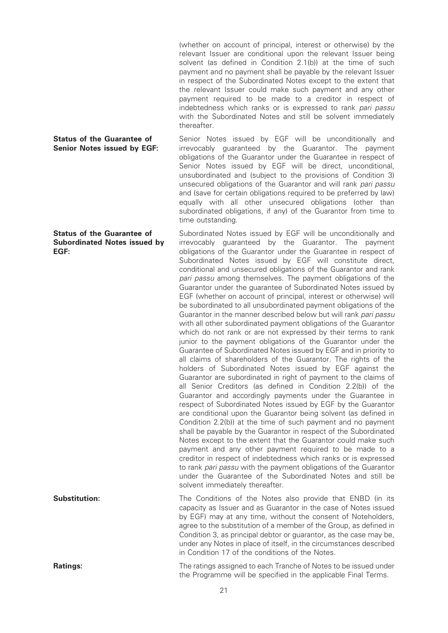(whether on account of principal, interest or otherwise) by the relevant Issuer are conditional upon the relevant Issuer being solvent (as defined in Condition 2.1(b)) at the time of such payment and no payment shall be payable by the relevant Issuer in respect of the Subordinated Notes except to the extent that the relevant Issuer could make such payment and any other payment required to be made to a creditor in respect of indebtedness which ranks or is expressed to rank pari passu with the Subordinated Notes and still be solvent immediately thereafter.

### Status of the Guarantee of Senior Notes issued by EGF:

Status of the Guarantee of Subordinated Notes issued by EGF:

Senior Notes issued by EGF will be unconditionally and irrevocably guaranteed by the Guarantor. The payment obligations of the Guarantor under the Guarantee in respect of Senior Notes issued by EGF will be direct, unconditional, unsubordinated and (subject to the provisions of Condition 3) unsecured obligations of the Guarantor and will rank pari passu and (save for certain obligations required to be preferred by law) equally with all other unsecured obligations (other than subordinated obligations, if any) of the Guarantor from time to time outstanding.

Subordinated Notes issued by EGF will be unconditionally and irrevocably guaranteed by the Guarantor. The payment obligations of the Guarantor under the Guarantee in respect of Subordinated Notes issued by EGF will constitute direct, conditional and unsecured obligations of the Guarantor and rank pari passu among themselves. The payment obligations of the Guarantor under the guarantee of Subordinated Notes issued by EGF (whether on account of principal, interest or otherwise) will be subordinated to all unsubordinated payment obligations of the Guarantor in the manner described below but will rank pari passu with all other subordinated payment obligations of the Guarantor which do not rank or are not expressed by their terms to rank junior to the payment obligations of the Guarantor under the Guarantee of Subordinated Notes issued by EGF and in priority to all claims of shareholders of the Guarantor. The rights of the holders of Subordinated Notes issued by EGF against the Guarantor are subordinated in right of payment to the claims of all Senior Creditors (as defined in Condition 2.2(b)) of the Guarantor and accordingly payments under the Guarantee in respect of Subordinated Notes issued by EGF by the Guarantor are conditional upon the Guarantor being solvent (as defined in Condition 2.2(b)) at the time of such payment and no payment shall be payable by the Guarantor in respect of the Subordinated Notes except to the extent that the Guarantor could make such payment and any other payment required to be made to a creditor in respect of indebtedness which ranks or is expressed to rank pari passu with the payment obligations of the Guarantor under the Guarantee of the Subordinated Notes and still be solvent immediately thereafter.

**Substitution:** The Conditions of the Notes also provide that ENBD (in its capacity as Issuer and as Guarantor in the case of Notes issued by EGF) may at any time, without the consent of Noteholders, agree to the substitution of a member of the Group, as defined in Condition 3, as principal debtor or guarantor, as the case may be, under any Notes in place of itself, in the circumstances described in Condition 17 of the conditions of the Notes.

**Ratings:** The ratings assigned to each Tranche of Notes to be issued under the Programme will be specified in the applicable Final Terms.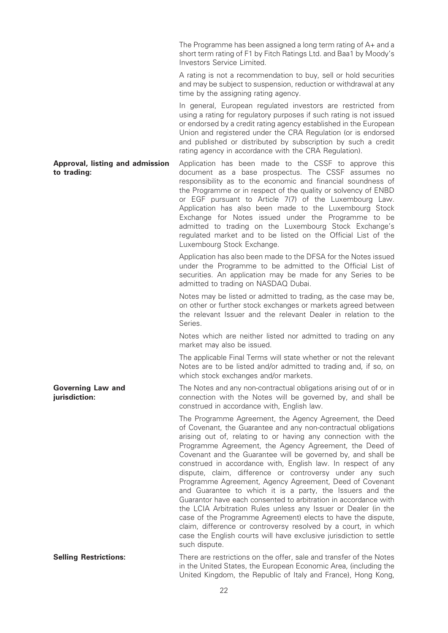The Programme has been assigned a long term rating of A+ and a short term rating of F1 by Fitch Ratings Ltd. and Baa1 by Moody's Investors Service Limited.

A rating is not a recommendation to buy, sell or hold securities and may be subject to suspension, reduction or withdrawal at any time by the assigning rating agency.

In general, European regulated investors are restricted from using a rating for regulatory purposes if such rating is not issued or endorsed by a credit rating agency established in the European Union and registered under the CRA Regulation (or is endorsed and published or distributed by subscription by such a credit rating agency in accordance with the CRA Regulation).

Approval, listing and admission to trading: Application has been made to the CSSF to approve this document as a base prospectus. The CSSF assumes no responsibility as to the economic and financial soundness of the Programme or in respect of the quality or solvency of ENBD or EGF pursuant to Article 7(7) of the Luxembourg Law. Application has also been made to the Luxembourg Stock Exchange for Notes issued under the Programme to be admitted to trading on the Luxembourg Stock Exchange's regulated market and to be listed on the Official List of the Luxembourg Stock Exchange.

> Application has also been made to the DFSA for the Notes issued under the Programme to be admitted to the Official List of securities. An application may be made for any Series to be admitted to trading on NASDAQ Dubai.

> Notes may be listed or admitted to trading, as the case may be, on other or further stock exchanges or markets agreed between the relevant Issuer and the relevant Dealer in relation to the Series.

> Notes which are neither listed nor admitted to trading on any market may also be issued.

> The applicable Final Terms will state whether or not the relevant Notes are to be listed and/or admitted to trading and, if so, on which stock exchanges and/or markets.

> The Notes and any non-contractual obligations arising out of or in connection with the Notes will be governed by, and shall be construed in accordance with, English law.

> The Programme Agreement, the Agency Agreement, the Deed of Covenant, the Guarantee and any non-contractual obligations arising out of, relating to or having any connection with the Programme Agreement, the Agency Agreement, the Deed of Covenant and the Guarantee will be governed by, and shall be construed in accordance with, English law. In respect of any dispute, claim, difference or controversy under any such Programme Agreement, Agency Agreement, Deed of Covenant and Guarantee to which it is a party, the Issuers and the Guarantor have each consented to arbitration in accordance with the LCIA Arbitration Rules unless any Issuer or Dealer (in the case of the Programme Agreement) elects to have the dispute, claim, difference or controversy resolved by a court, in which case the English courts will have exclusive jurisdiction to settle such dispute.

**Selling Restrictions:** There are restrictions on the offer, sale and transfer of the Notes in the United States, the European Economic Area, (including the United Kingdom, the Republic of Italy and France), Hong Kong,

Governing Law and jurisdiction: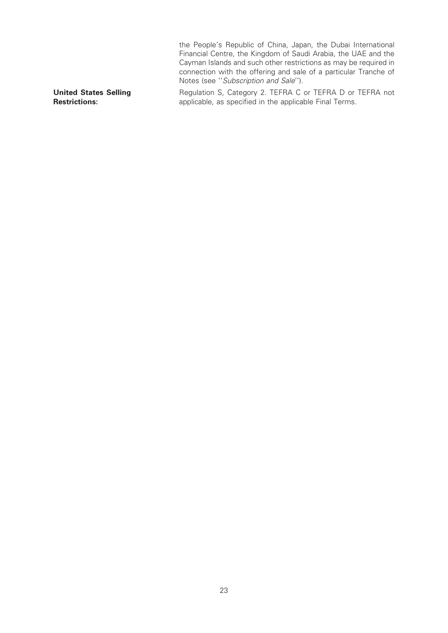the People's Republic of China, Japan, the Dubai International Financial Centre, the Kingdom of Saudi Arabia, the UAE and the Cayman Islands and such other restrictions as may be required in connection with the offering and sale of a particular Tranche of Notes (see ''Subscription and Sale''). United States Selling Restrictions: Regulation S, Category 2. TEFRA C or TEFRA D or TEFRA not applicable, as specified in the applicable Final Terms.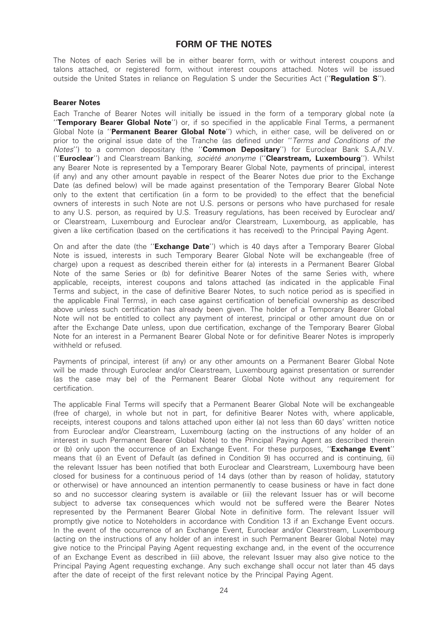# FORM OF THE NOTES

The Notes of each Series will be in either bearer form, with or without interest coupons and talons attached, or registered form, without interest coupons attached. Notes will be issued outside the United States in reliance on Regulation S under the Securities Act ("Regulation S").

# Bearer Notes

Each Tranche of Bearer Notes will initially be issued in the form of a temporary global note (a "Temporary Bearer Global Note") or, if so specified in the applicable Final Terms, a permanent Global Note (a "Permanent Bearer Global Note") which, in either case, will be delivered on or prior to the original issue date of the Tranche (as defined under "Terms and Conditions of the Notes") to a common depositary (the "**Common Depositary**") for Euroclear Bank S.A./N.V. ("Euroclear") and Clearstream Banking, société anonyme ("Clearstream, Luxembourg"). Whilst any Bearer Note is represented by a Temporary Bearer Global Note, payments of principal, interest (if any) and any other amount payable in respect of the Bearer Notes due prior to the Exchange Date (as defined below) will be made against presentation of the Temporary Bearer Global Note only to the extent that certification (in a form to be provided) to the effect that the beneficial owners of interests in such Note are not U.S. persons or persons who have purchased for resale to any U.S. person, as required by U.S. Treasury regulations, has been received by Euroclear and/ or Clearstream, Luxembourg and Euroclear and/or Clearstream, Luxembourg, as applicable, has given a like certification (based on the certifications it has received) to the Principal Paying Agent.

On and after the date (the "**Exchange Date**") which is 40 days after a Temporary Bearer Global Note is issued, interests in such Temporary Bearer Global Note will be exchangeable (free of charge) upon a request as described therein either for (a) interests in a Permanent Bearer Global Note of the same Series or (b) for definitive Bearer Notes of the same Series with, where applicable, receipts, interest coupons and talons attached (as indicated in the applicable Final Terms and subject, in the case of definitive Bearer Notes, to such notice period as is specified in the applicable Final Terms), in each case against certification of beneficial ownership as described above unless such certification has already been given. The holder of a Temporary Bearer Global Note will not be entitled to collect any payment of interest, principal or other amount due on or after the Exchange Date unless, upon due certification, exchange of the Temporary Bearer Global Note for an interest in a Permanent Bearer Global Note or for definitive Bearer Notes is improperly withheld or refused.

Payments of principal, interest (if any) or any other amounts on a Permanent Bearer Global Note will be made through Euroclear and/or Clearstream, Luxembourg against presentation or surrender (as the case may be) of the Permanent Bearer Global Note without any requirement for certification.

The applicable Final Terms will specify that a Permanent Bearer Global Note will be exchangeable (free of charge), in whole but not in part, for definitive Bearer Notes with, where applicable, receipts, interest coupons and talons attached upon either (a) not less than 60 days' written notice from Euroclear and/or Clearstream, Luxembourg (acting on the instructions of any holder of an interest in such Permanent Bearer Global Note) to the Principal Paying Agent as described therein or (b) only upon the occurrence of an Exchange Event. For these purposes, "**Exchange Event**" means that (i) an Event of Default (as defined in Condition 9) has occurred and is continuing, (ii) the relevant Issuer has been notified that both Euroclear and Clearstream, Luxembourg have been closed for business for a continuous period of 14 days (other than by reason of holiday, statutory or otherwise) or have announced an intention permanently to cease business or have in fact done so and no successor clearing system is available or (iii) the relevant Issuer has or will become subject to adverse tax consequences which would not be suffered were the Bearer Notes represented by the Permanent Bearer Global Note in definitive form. The relevant Issuer will promptly give notice to Noteholders in accordance with Condition 13 if an Exchange Event occurs. In the event of the occurrence of an Exchange Event, Euroclear and/or Clearstream, Luxembourg (acting on the instructions of any holder of an interest in such Permanent Bearer Global Note) may give notice to the Principal Paying Agent requesting exchange and, in the event of the occurrence of an Exchange Event as described in (iii) above, the relevant Issuer may also give notice to the Principal Paying Agent requesting exchange. Any such exchange shall occur not later than 45 days after the date of receipt of the first relevant notice by the Principal Paying Agent.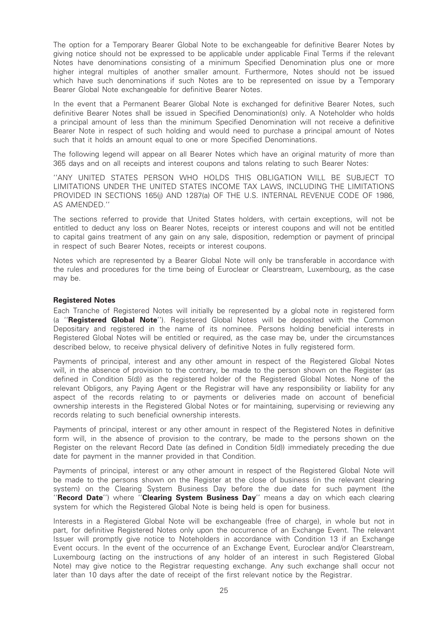The option for a Temporary Bearer Global Note to be exchangeable for definitive Bearer Notes by giving notice should not be expressed to be applicable under applicable Final Terms if the relevant Notes have denominations consisting of a minimum Specified Denomination plus one or more higher integral multiples of another smaller amount. Furthermore, Notes should not be issued which have such denominations if such Notes are to be represented on issue by a Temporary Bearer Global Note exchangeable for definitive Bearer Notes.

In the event that a Permanent Bearer Global Note is exchanged for definitive Bearer Notes, such definitive Bearer Notes shall be issued in Specified Denomination(s) only. A Noteholder who holds a principal amount of less than the minimum Specified Denomination will not receive a definitive Bearer Note in respect of such holding and would need to purchase a principal amount of Notes such that it holds an amount equal to one or more Specified Denominations.

The following legend will appear on all Bearer Notes which have an original maturity of more than 365 days and on all receipts and interest coupons and talons relating to such Bearer Notes:

''ANY UNITED STATES PERSON WHO HOLDS THIS OBLIGATION WILL BE SUBJECT TO LIMITATIONS UNDER THE UNITED STATES INCOME TAX LAWS, INCLUDING THE LIMITATIONS PROVIDED IN SECTIONS 165(j) AND 1287(a) OF THE U.S. INTERNAL REVENUE CODE OF 1986, AS AMENDED.''

The sections referred to provide that United States holders, with certain exceptions, will not be entitled to deduct any loss on Bearer Notes, receipts or interest coupons and will not be entitled to capital gains treatment of any gain on any sale, disposition, redemption or payment of principal in respect of such Bearer Notes, receipts or interest coupons.

Notes which are represented by a Bearer Global Note will only be transferable in accordance with the rules and procedures for the time being of Euroclear or Clearstream, Luxembourg, as the case may be.

# Registered Notes

Each Tranche of Registered Notes will initially be represented by a global note in registered form (a ''Registered Global Note''). Registered Global Notes will be deposited with the Common Depositary and registered in the name of its nominee. Persons holding beneficial interests in Registered Global Notes will be entitled or required, as the case may be, under the circumstances described below, to receive physical delivery of definitive Notes in fully registered form.

Payments of principal, interest and any other amount in respect of the Registered Global Notes will, in the absence of provision to the contrary, be made to the person shown on the Register (as defined in Condition 5(d)) as the registered holder of the Registered Global Notes. None of the relevant Obligors, any Paying Agent or the Registrar will have any responsibility or liability for any aspect of the records relating to or payments or deliveries made on account of beneficial ownership interests in the Registered Global Notes or for maintaining, supervising or reviewing any records relating to such beneficial ownership interests.

Payments of principal, interest or any other amount in respect of the Registered Notes in definitive form will, in the absence of provision to the contrary, be made to the persons shown on the Register on the relevant Record Date (as defined in Condition 5(d)) immediately preceding the due date for payment in the manner provided in that Condition.

Payments of principal, interest or any other amount in respect of the Registered Global Note will be made to the persons shown on the Register at the close of business (in the relevant clearing system) on the Clearing System Business Day before the due date for such payment (the "Record Date") where "Clearing System Business Day" means a day on which each clearing system for which the Registered Global Note is being held is open for business.

Interests in a Registered Global Note will be exchangeable (free of charge), in whole but not in part, for definitive Registered Notes only upon the occurrence of an Exchange Event. The relevant Issuer will promptly give notice to Noteholders in accordance with Condition 13 if an Exchange Event occurs. In the event of the occurrence of an Exchange Event, Euroclear and/or Clearstream, Luxembourg (acting on the instructions of any holder of an interest in such Registered Global Note) may give notice to the Registrar requesting exchange. Any such exchange shall occur not later than 10 days after the date of receipt of the first relevant notice by the Registrar.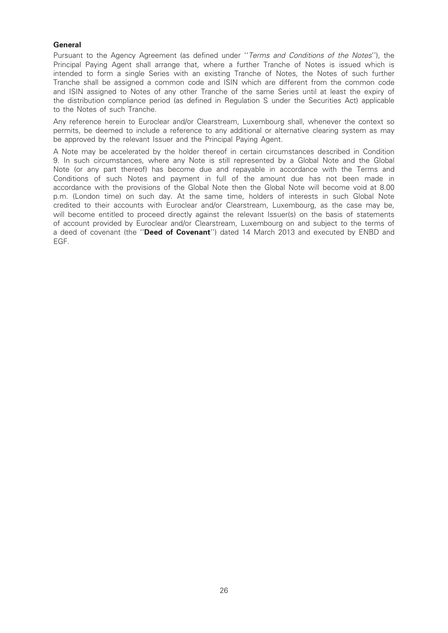# **General**

Pursuant to the Agency Agreement (as defined under ''Terms and Conditions of the Notes''), the Principal Paying Agent shall arrange that, where a further Tranche of Notes is issued which is intended to form a single Series with an existing Tranche of Notes, the Notes of such further Tranche shall be assigned a common code and ISIN which are different from the common code and ISIN assigned to Notes of any other Tranche of the same Series until at least the expiry of the distribution compliance period (as defined in Regulation S under the Securities Act) applicable to the Notes of such Tranche.

Any reference herein to Euroclear and/or Clearstream, Luxembourg shall, whenever the context so permits, be deemed to include a reference to any additional or alternative clearing system as may be approved by the relevant Issuer and the Principal Paying Agent.

A Note may be accelerated by the holder thereof in certain circumstances described in Condition 9. In such circumstances, where any Note is still represented by a Global Note and the Global Note (or any part thereof) has become due and repayable in accordance with the Terms and Conditions of such Notes and payment in full of the amount due has not been made in accordance with the provisions of the Global Note then the Global Note will become void at 8.00 p.m. (London time) on such day. At the same time, holders of interests in such Global Note credited to their accounts with Euroclear and/or Clearstream, Luxembourg, as the case may be, will become entitled to proceed directly against the relevant Issuer(s) on the basis of statements of account provided by Euroclear and/or Clearstream, Luxembourg on and subject to the terms of a deed of covenant (the "Deed of Covenant") dated 14 March 2013 and executed by ENBD and EGF.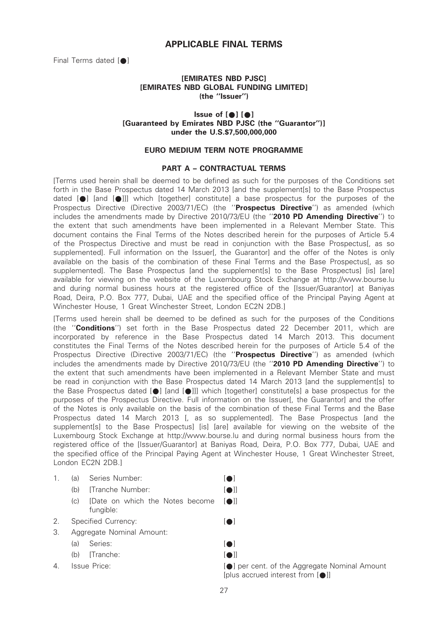# APPLICABLE FINAL TERMS

Final Terms dated  $[$   $\bullet$   $]$ 

# [EMIRATES NBD PJSC] [EMIRATES NBD GLOBAL FUNDING LIMITED] (the ''Issuer'')

# $l$  issue of  $[•] [•]$ [Guaranteed by Emirates NBD PJSC (the ''Guarantor'')] under the U.S.\$7,500,000,000

### EURO MEDIUM TERM NOTE PROGRAMME

# PART A – CONTRACTUAL TERMS

[Terms used herein shall be deemed to be defined as such for the purposes of the Conditions set forth in the Base Prospectus dated 14 March 2013 [and the supplement[s] to the Base Prospectus dated  $[\bullet]$  [and  $[\bullet]$ ]] which [together] constitute] a base prospectus for the purposes of the Prospectus Directive (Directive 2003/71/EC) (the "Prospectus Directive") as amended (which includes the amendments made by Directive 2010/73/EU (the "2010 PD Amending Directive") to the extent that such amendments have been implemented in a Relevant Member State. This document contains the Final Terms of the Notes described herein for the purposes of Article 5.4 of the Prospectus Directive and must be read in conjunction with the Base Prospectus[, as so supplemented]. Full information on the Issuer[, the Guarantor] and the offer of the Notes is only available on the basis of the combination of these Final Terms and the Base Prospectusl, as so supplemented]. The Base Prospectus [and the supplement[s] to the Base Prospectus] [is] [are] available for viewing on the website of the Luxembourg Stock Exchange at http://www.bourse.lu and during normal business hours at the registered office of the [Issuer/Guarantor] at Baniyas Road, Deira, P.O. Box 777, Dubai, UAE and the specified office of the Principal Paying Agent at Winchester House, 1 Great Winchester Street, London EC2N 2DB.]

[Terms used herein shall be deemed to be defined as such for the purposes of the Conditions (the "Conditions") set forth in the Base Prospectus dated 22 December 2011, which are incorporated by reference in the Base Prospectus dated 14 March 2013. This document constitutes the Final Terms of the Notes described herein for the purposes of Article 5.4 of the Prospectus Directive (Directive 2003/71/EC) (the "Prospectus Directive") as amended (which includes the amendments made by Directive 2010/73/EU (the "2010 PD Amending Directive") to the extent that such amendments have been implemented in a Relevant Member State and must be read in conjunction with the Base Prospectus dated 14 March 2013 [and the supplement[s] to the Base Prospectus dated  $[\bullet]$  [and  $[\bullet]]$ ] which [together] constitute[s] a base prospectus for the purposes of the Prospectus Directive. Full information on the Issuer[, the Guarantor] and the offer of the Notes is only available on the basis of the combination of these Final Terms and the Base Prospectus dated 14 March 2013 [, as so supplemented]. The Base Prospectus [and the supplement[s] to the Base Prospectus] [is] [are] available for viewing on the website of the Luxembourg Stock Exchange at http://www.bourse.lu and during normal business hours from the registered office of the [Issuer/Guarantor] at Baniyas Road, Deira, P.O. Box 777, Dubai, UAE and the specified office of the Principal Paying Agent at Winchester House, 1 Great Winchester Street, London EC2N 2DB.]

#### 1. (a) Series Number: [ $\bullet$ ]

- (b) [Tranche Number: [ $\bullet$ ]]
- $(c)$  [Date on which the Notes become  $[\bullet]$ ] fungible:
- 2. Specified Currency: [ $\bigcirc$ ]
- 3. Aggregate Nominal Amount:
	- (a) Series:  $[•]$
	- $(b)$  [Tranche:  $\lceil \bullet \rceil$ ]
- 

4. Issue Price:  $[•]$  per cent. of the Aggregate Nominal Amount [plus accrued interest from  $[•]$ ]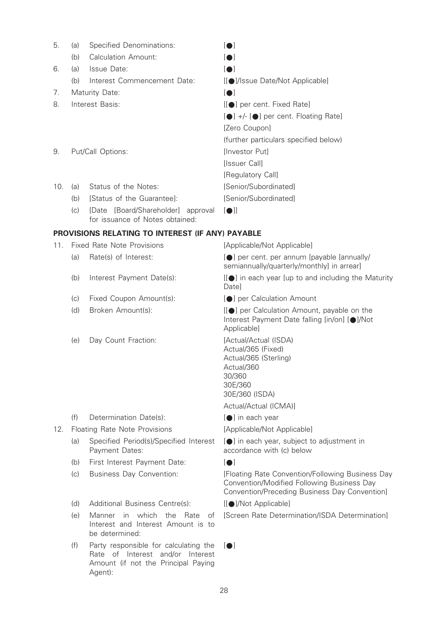| 5.                      | (a) | Specified Denominations:                                                               | $\blacksquare$                        |
|-------------------------|-----|----------------------------------------------------------------------------------------|---------------------------------------|
|                         | (b) | Calculation Amount:                                                                    | <b>10</b>                             |
| 6.                      | (a) | Issue Date:                                                                            | $\blacksquare$                        |
|                         | (b) | Interest Commencement Date:                                                            | [[●]/Issue Date/Not Applicable]       |
| 7.                      |     | Maturity Date:                                                                         | $\blacksquare$                        |
| 8.<br>Interest Basis:   |     |                                                                                        | [[●] per cent. Fixed Rate]            |
|                         |     |                                                                                        | [●] +/- [●] per cent. Floating Rate]  |
|                         |     |                                                                                        | [Zero Coupon]                         |
|                         |     |                                                                                        | (further particulars specified below) |
| Put/Call Options:<br>9. |     |                                                                                        | Investor Putl                         |
|                         |     |                                                                                        | [Issuer Call]                         |
|                         |     |                                                                                        | [Regulatory Call]                     |
| 10.                     | (a) | Status of the Notes:                                                                   | [Senior/Subordinated]                 |
|                         | (b) | [Status of the Guarantee]:                                                             | [Senior/Subordinated]                 |
|                         | (c) | [Board/Shareholder] approval<br><i><b>IDate</b></i><br>for issuance of Notes obtained: | $\blacksquare$                        |

# PROVISIONS RELATING TO INTEREST (IF ANY) PAYABLE

| 11. |                               | Fixed Rate Note Provisions                               | [Applicable/Not Applicable]                                                                                                                     |
|-----|-------------------------------|----------------------------------------------------------|-------------------------------------------------------------------------------------------------------------------------------------------------|
|     | (a)                           | Rate(s) of Interest:                                     | [●] per cent. per annum [payable [annually/<br>semiannually/quarterly/monthly] in arrear]                                                       |
|     | (b)                           | Interest Payment Date(s):                                | [[●] in each year [up to and including the Maturity<br>Date]                                                                                    |
|     | (c)                           | Fixed Coupon Amount(s):                                  | <b>10</b> per Calculation Amount                                                                                                                |
|     | (d)                           | Broken Amount(s):                                        | [[●] per Calculation Amount, payable on the<br>Interest Payment Date falling [in/on] [●]/Not<br>Applicable]                                     |
|     | (e)                           | Day Count Fraction:                                      | [Actual/Actual (ISDA)<br>Actual/365 (Fixed)<br>Actual/365 (Sterling)<br>Actual/360<br>30/360<br>30E/360<br>30E/360 (ISDA)                       |
|     |                               |                                                          | Actual/Actual (ICMA)]                                                                                                                           |
|     | (f)                           | Determination Date(s):                                   | [●] in each year                                                                                                                                |
| 12. | Floating Rate Note Provisions |                                                          | [Applicable/Not Applicable]                                                                                                                     |
|     | (a)                           | Specified Period(s)/Specified Interest<br>Payment Dates: | [ $\bigcirc$ ] in each year, subject to adjustment in<br>accordance with (c) below                                                              |
|     | (b)                           | First Interest Payment Date:                             | $\blacksquare$                                                                                                                                  |
|     | (c)                           | <b>Business Day Convention:</b>                          | [Floating Rate Convention/Following Business Day<br>Convention/Modified Following Business Day<br>Convention/Preceding Business Day Convention] |
|     | (d)                           | Additional Business Centre(s):                           | [[●]/Not Applicable]                                                                                                                            |
|     | (e)                           | Manner in which<br>the<br>Rate<br>оf                     | [Screen Rate Determination/ISDA Determination]                                                                                                  |

(f) Party responsible for calculating the  $[\bullet]$ Rate of Interest and/or Interest Amount (if not the Principal Paying Agent):

be determined:

Interest and Interest Amount is to

28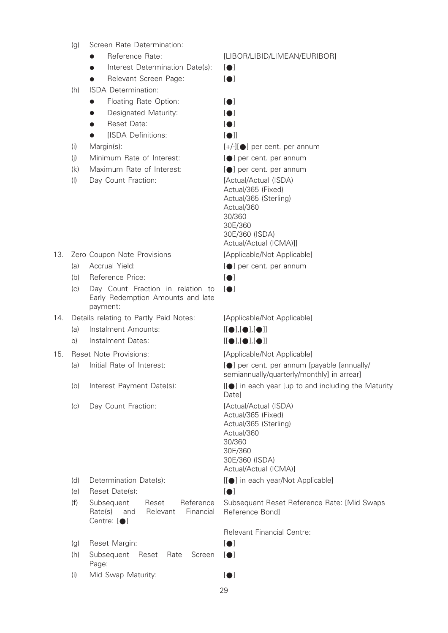- (g) Screen Rate Determination:
	-
	- $\bullet$  Interest Determination Date(s):  $\lceil \bullet \rceil$
	- Relevant Screen Page: [•]
- (h) ISDA Determination:
	- Floating Rate Option: [ $\bullet$ ]
	- Designated Maturity: [ $\bullet$ ]
	- Reset Date: [ $\bullet$ ]
	- [ISDA Definitions: [ $\bullet$ ]]
- 
- (i) Minimum Rate of Interest:  $[•]$  per cent. per annum
- (k) Maximum Rate of Interest:  $[•]$  per cent. per annum
- (I) Day Count Fraction: [Actual/Actual (ISDA)

- 13. Zero Coupon Note Provisions [Applicable/Not Applicable]
	-
	- (b) Reference Price:  $\lceil \bullet \rceil$
	- (c) Day Count Fraction in relation to Early Redemption Amounts and late payment:
- 14. Details relating to Partly Paid Notes: [Applicable/Not Applicable]
	- (a) Instalment Amounts:  $[[\bullet],[\bullet]]$
	- b) Instalment Dates: [[ $\bullet$ ],[ $\bullet$ ],[ $\bullet$ ]]
- 15. Reset Note Provisions: [Applicable/Not Applicable]
	-
	-
	- (c) Day Count Fraction: [Actual/Actual (ISDA)

- 
- (e) Reset Date(s): [ $\bullet$ ]
- (f) Subsequent Reset Reference Rate(s) and Relevant Financial Centre:  $[ \bullet ]$
- (g) Reset Margin: [●]
- (h) Subsequent Reset Rate Screen Page:
- (i) Mid Swap Maturity:  $[•]$
- Reference Rate: [LIBOR/LIBID/LIMEAN/EURIBOR]
	-
	-

- 
- 

- (i) Margin(s):  $[+/][\bullet]$  per cent. per annum
	-
	-

Actual/365 (Fixed) Actual/365 (Sterling) Actual/360 30/360 30E/360 30E/360 (ISDA) Actual/Actual (ICMA)]]

- 
- (a) Accrual Yield:  $[•]$  per cent. per annum
	-
	- $[<sub>•</sub>]$

- 
- 

(a) Initial Rate of Interest:  $\Box$  [O] per cent. per annum [payable [annually/ semiannually/quarterly/monthly] in arrear]

(b) Interest Payment Date(s):  $[[\bullet]]$  in each year [up to and including the Maturity **Datel** 

> Actual/365 (Fixed) Actual/365 (Sterling) Actual/360 30/360 30E/360 30E/360 (ISDA) Actual/Actual (ICMA)]

(d) Determination Date(s):  $[[\bullet]]$  in each year/Not Applicable]

Subsequent Reset Reference Rate: [Mid Swaps Reference Bond]

Relevant Financial Centre:

- 
- $|$
-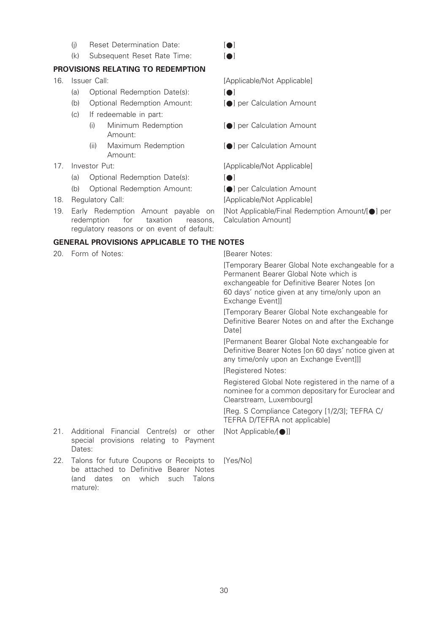- (i) Reset Determination Date:  $\lceil \bullet \rceil$
- $(k)$  Subsequent Reset Rate Time:  $[•]$

# PROVISIONS RELATING TO REDEMPTION

- - (a) Optional Redemption Date(s):  $[•]$
	- (b) Optional Redemption Amount: [\*] per Calculation Amount
	- (c) If redeemable in part:
		- (i) Minimum Redemption Amount:
		- (ii) Maximum Redemption Amount:
- - (a) Optional Redemption Date(s):  $[•]$
	- (b) Optional Redemption Amount: [\*] per Calculation Amount
- 
- 19. Early Redemption Amount payable on redemption for taxation reasons, regulatory reasons or on event of default:

# GENERAL PROVISIONS APPLICABLE TO THE NOTES

20. Form of Notes: **Example 20. Form of Notes: [Bearer Notes:** 

[Temporary Bearer Global Note exchangeable for a Permanent Bearer Global Note which is exchangeable for Definitive Bearer Notes [on 60 days' notice given at any time/only upon an Exchange Event]]

[Temporary Bearer Global Note exchangeable for Definitive Bearer Notes on and after the Exchange **Datel** 

[Permanent Bearer Global Note exchangeable for Definitive Bearer Notes [on 60 days' notice given at any time/only upon an Exchange Event]]]

[Registered Notes:

Registered Global Note registered in the name of a nominee for a common depositary for Euroclear and Clearstream, Luxembourg]

[Reg. S Compliance Category [1/2/3]; TEFRA C/ TEFRA D/TEFRA not applicable]

[Not Applicable/[ $\bigcirc$ ]]

- 21. Additional Financial Centre(s) or other special provisions relating to Payment Dates:
- 22. Talons for future Coupons or Receipts to be attached to Definitive Bearer Notes (and dates on which such Talons mature):

[Yes/No]

- 16. Issuer Call: Call: Call: [Applicable/Not Applicable]
	- -
	- [ $\bigcirc$ ] per Calculation Amount
	- **[O] per Calculation Amount**

17. Investor Put:  $[Applicable/Mot Applicable]$ 

18. Regulatory Call:  $[Applicable/Not Applicable]$ 

Calculation Amount]

[Not Applicable/Final Redemption Amount/[\*] per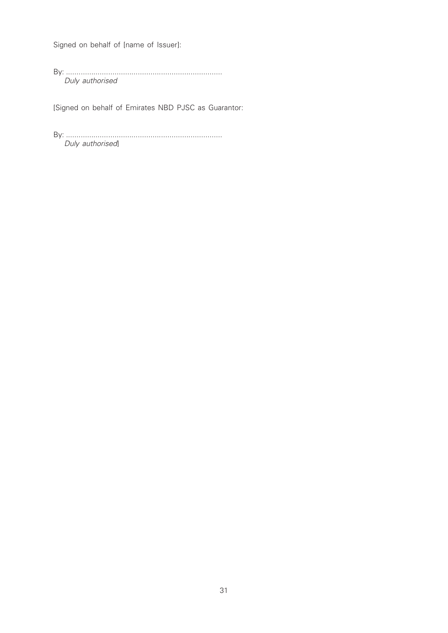Signed on behalf of [name of Issuer]:

By: .......................................................................... Duly authorised

[Signed on behalf of Emirates NBD PJSC as Guarantor:

By: .......................................................................... Duly authorised]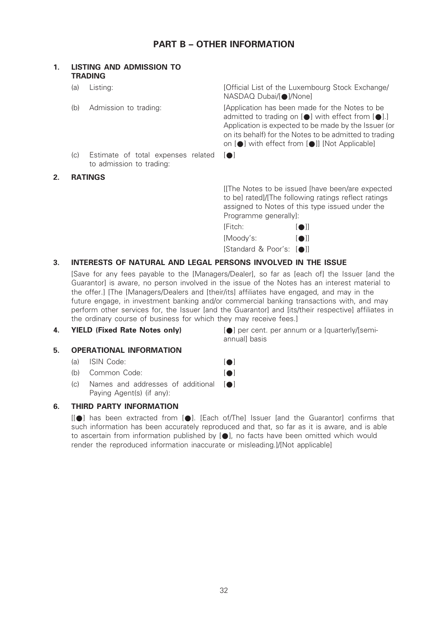# PART B – OTHER INFORMATION

| 1. | <b>LISTING AND ADMISSION TO</b><br><b>TRADING</b> |                                                                |                                                                                                                                                                                                                                                                                        |
|----|---------------------------------------------------|----------------------------------------------------------------|----------------------------------------------------------------------------------------------------------------------------------------------------------------------------------------------------------------------------------------------------------------------------------------|
|    | (a)                                               | Listing:                                                       | [Official List of the Luxembourg Stock Exchange/<br>NASDAQ Dubai/[●]/None]                                                                                                                                                                                                             |
|    | (b)                                               | Admission to trading:                                          | [Application has been made for the Notes to be<br>admitted to trading on $[\bullet]$ with effect from $[\bullet]$ .<br>Application is expected to be made by the Issuer (or<br>on its behalf) for the Notes to be admitted to trading<br>on [●] with effect from [●]] [Not Applicable] |
|    | (C)                                               | Estimate of total expenses related<br>to admission to trading: | $\blacksquare$                                                                                                                                                                                                                                                                         |
| 2. | <b>RATINGS</b>                                    |                                                                |                                                                                                                                                                                                                                                                                        |
|    |                                                   |                                                                | [[The Notes to be issued [have been/are expected<br>to be] rated]/[The following ratings reflect ratings<br>assigned to Notes of this type issued under the<br>Programme generally]:                                                                                                   |

| IFitch:                  | <b>TO</b> II |
|--------------------------|--------------|
| [Moody's:                | <b>TOIL</b>  |
| [Standard & Poor's: [●]] |              |

# 3. INTERESTS OF NATURAL AND LEGAL PERSONS INVOLVED IN THE ISSUE

[Save for any fees payable to the [Managers/Dealer], so far as [each of] the Issuer [and the Guarantor] is aware, no person involved in the issue of the Notes has an interest material to the offer.] [The [Managers/Dealers and [their/its] affiliates have engaged, and may in the future engage, in investment banking and/or commercial banking transactions with, and may perform other services for, the Issuer [and the Guarantor] and [its/their respective] affiliates in the ordinary course of business for which they may receive fees.]

## 5. OPERATIONAL INFORMATION

#### (a) ISIN Code:  $[•]$

- (b) Common Code: [ $\bigcirc$ ]
- $(c)$  Names and addresses of additional  $[•]$ Paying Agent(s) (if any):

## 6. THIRD PARTY INFORMATION

 $[[\bullet]]$  has been extracted from  $[\bullet]$ . [Each of/The] Issuer [and the Guarantor] confirms that such information has been accurately reproduced and that, so far as it is aware, and is able to ascertain from information published by [ $\bigcirc$ ], no facts have been omitted which would render the reproduced information inaccurate or misleading.]/[Not applicable]

4. **YIELD (Fixed Rate Notes only)** [a] per cent. per annum or a [quarterly/[semiannuall basis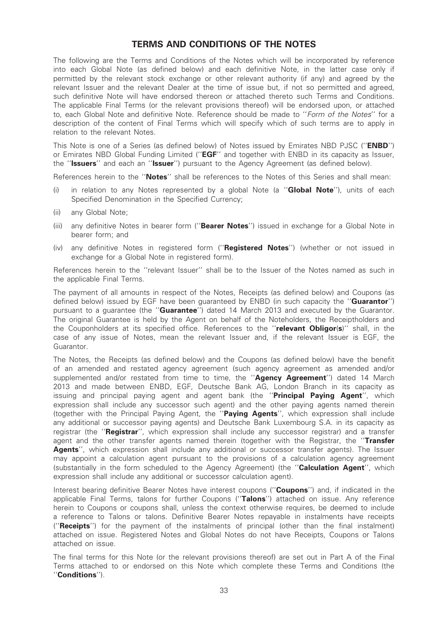# TERMS AND CONDITIONS OF THE NOTES

The following are the Terms and Conditions of the Notes which will be incorporated by reference into each Global Note (as defined below) and each definitive Note, in the latter case only if permitted by the relevant stock exchange or other relevant authority (if any) and agreed by the relevant Issuer and the relevant Dealer at the time of issue but, if not so permitted and agreed, such definitive Note will have endorsed thereon or attached thereto such Terms and Conditions. The applicable Final Terms (or the relevant provisions thereof) will be endorsed upon, or attached to, each Global Note and definitive Note. Reference should be made to ''Form of the Notes'' for a description of the content of Final Terms which will specify which of such terms are to apply in relation to the relevant Notes.

This Note is one of a Series (as defined below) of Notes issued by Emirates NBD PJSC ("**ENBD**") or Emirates NBD Global Funding Limited ("EGF" and together with ENBD in its capacity as Issuer, the "Issuers" and each an "Issuer") pursuant to the Agency Agreement (as defined below).

References herein to the "**Notes**" shall be references to the Notes of this Series and shall mean:

- (i) in relation to any Notes represented by a global Note (a "Global Note"), units of each Specified Denomination in the Specified Currency;
- (ii) any Global Note;
- (iii) any definitive Notes in bearer form ("Bearer Notes") issued in exchange for a Global Note in bearer form; and
- (iv) any definitive Notes in registered form ("Registered Notes") (whether or not issued in exchange for a Global Note in registered form).

References herein to the ''relevant Issuer'' shall be to the Issuer of the Notes named as such in the applicable Final Terms.

The payment of all amounts in respect of the Notes, Receipts (as defined below) and Coupons (as defined below) issued by EGF have been quaranteed by ENBD (in such capacity the "**Guarantor**") pursuant to a guarantee (the "**Guarantee**") dated 14 March 2013 and executed by the Guarantor. The original Guarantee is held by the Agent on behalf of the Noteholders, the Receiptholders and the Couponholders at its specified office. References to the "relevant Obligor(s)" shall, in the case of any issue of Notes, mean the relevant Issuer and, if the relevant Issuer is EGF, the Guarantor.

The Notes, the Receipts (as defined below) and the Coupons (as defined below) have the benefit of an amended and restated agency agreement (such agency agreement as amended and/or supplemented and/or restated from time to time, the "Agency Agreement") dated 14 March 2013 and made between ENBD, EGF, Deutsche Bank AG, London Branch in its capacity as issuing and principal paying agent and agent bank (the '**'Principal Paying Agent'**', which expression shall include any successor such agent) and the other paying agents named therein (together with the Principal Paying Agent, the ''Paying Agents'', which expression shall include any additional or successor paying agents) and Deutsche Bank Luxembourg S.A. in its capacity as registrar (the "Registrar", which expression shall include any successor registrar) and a transfer agent and the other transfer agents named therein (together with the Registrar, the "Transfer Agents'', which expression shall include any additional or successor transfer agents). The Issuer may appoint a calculation agent pursuant to the provisions of a calculation agency agreement (substantially in the form scheduled to the Agency Agreement) (the "**Calculation Agent**", which expression shall include any additional or successor calculation agent).

Interest bearing definitive Bearer Notes have interest coupons ("Coupons") and, if indicated in the applicable Final Terms, talons for further Coupons ("Talons") attached on issue. Any reference herein to Coupons or coupons shall, unless the context otherwise requires, be deemed to include a reference to Talons or talons. Definitive Bearer Notes repayable in instalments have receipts ("**Receipts**") for the payment of the instalments of principal (other than the final instalment) attached on issue. Registered Notes and Global Notes do not have Receipts, Coupons or Talons attached on issue.

The final terms for this Note (or the relevant provisions thereof) are set out in Part A of the Final Terms attached to or endorsed on this Note which complete these Terms and Conditions (the ''Conditions'').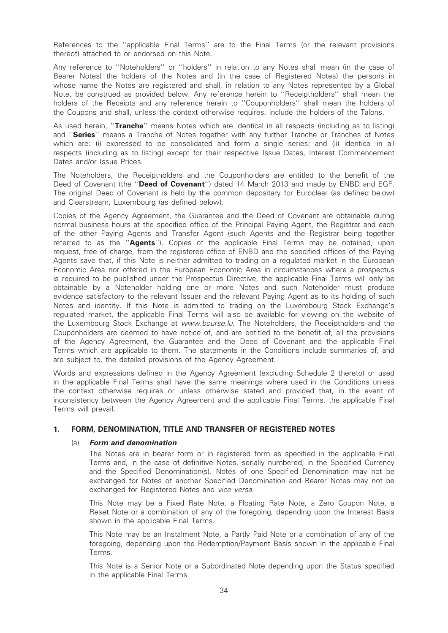References to the ''applicable Final Terms'' are to the Final Terms (or the relevant provisions thereof) attached to or endorsed on this Note.

Any reference to ''Noteholders'' or ''holders'' in relation to any Notes shall mean (in the case of Bearer Notes) the holders of the Notes and (in the case of Registered Notes) the persons in whose name the Notes are registered and shall, in relation to any Notes represented by a Global Note, be construed as provided below. Any reference herein to ''Receiptholders'' shall mean the holders of the Receipts and any reference herein to ''Couponholders'' shall mean the holders of the Coupons and shall, unless the context otherwise requires, include the holders of the Talons.

As used herein, "Tranche" means Notes which are identical in all respects (including as to listing) and "Series" means a Tranche of Notes together with any further Tranche or Tranches of Notes which are: (i) expressed to be consolidated and form a single series; and (ii) identical in all respects (including as to listing) except for their respective Issue Dates, Interest Commencement Dates and/or Issue Prices.

The Noteholders, the Receiptholders and the Couponholders are entitled to the benefit of the Deed of Covenant (the "Deed of Covenant") dated 14 March 2013 and made by ENBD and EGF. The original Deed of Covenant is held by the common depositary for Euroclear (as defined below) and Clearstream, Luxembourg (as defined below).

Copies of the Agency Agreement, the Guarantee and the Deed of Covenant are obtainable during normal business hours at the specified office of the Principal Paying Agent, the Registrar and each of the other Paying Agents and Transfer Agent (such Agents and the Registrar being together referred to as the "**Agents**"). Copies of the applicable Final Terms may be obtained, upon request, free of charge, from the registered office of ENBD and the specified offices of the Paying Agents save that, if this Note is neither admitted to trading on a regulated market in the European Economic Area nor offered in the European Economic Area in circumstances where a prospectus is required to be published under the Prospectus Directive, the applicable Final Terms will only be obtainable by a Noteholder holding one or more Notes and such Noteholder must produce evidence satisfactory to the relevant Issuer and the relevant Paying Agent as to its holding of such Notes and identity. If this Note is admitted to trading on the Luxembourg Stock Exchange's regulated market, the applicable Final Terms will also be available for viewing on the website of the Luxembourg Stock Exchange at www.bourse.lu. The Noteholders, the Receiptholders and the Couponholders are deemed to have notice of, and are entitled to the benefit of, all the provisions of the Agency Agreement, the Guarantee and the Deed of Covenant and the applicable Final Terms which are applicable to them. The statements in the Conditions include summaries of, and are subject to, the detailed provisions of the Agency Agreement.

Words and expressions defined in the Agency Agreement (excluding Schedule 2 thereto) or used in the applicable Final Terms shall have the same meanings where used in the Conditions unless the context otherwise requires or unless otherwise stated and provided that, in the event of inconsistency between the Agency Agreement and the applicable Final Terms, the applicable Final Terms will prevail.

## 1. FORM, DENOMINATION, TITLE AND TRANSFER OF REGISTERED NOTES

#### (a) Form and denomination

The Notes are in bearer form or in registered form as specified in the applicable Final Terms and, in the case of definitive Notes, serially numbered, in the Specified Currency and the Specified Denomination(s). Notes of one Specified Denomination may not be exchanged for Notes of another Specified Denomination and Bearer Notes may not be exchanged for Registered Notes and vice versa.

This Note may be a Fixed Rate Note, a Floating Rate Note, a Zero Coupon Note, a Reset Note or a combination of any of the foregoing, depending upon the Interest Basis shown in the applicable Final Terms.

This Note may be an Instalment Note, a Partly Paid Note or a combination of any of the foregoing, depending upon the Redemption/Payment Basis shown in the applicable Final Terms.

This Note is a Senior Note or a Subordinated Note depending upon the Status specified in the applicable Final Terms.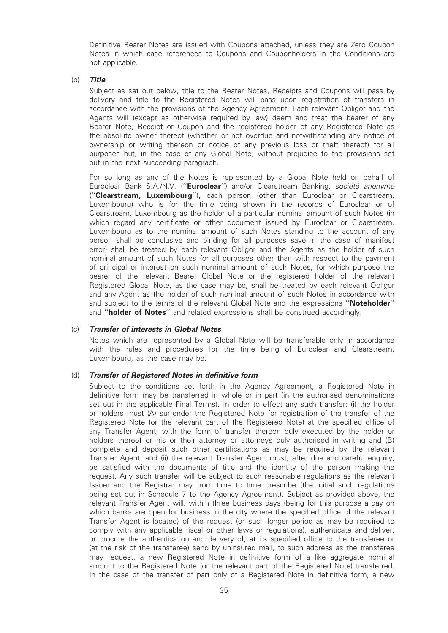Definitive Bearer Notes are issued with Coupons attached, unless they are Zero Coupon Notes in which case references to Coupons and Couponholders in the Conditions are not applicable.

#### (b) Title

Subject as set out below, title to the Bearer Notes, Receipts and Coupons will pass by delivery and title to the Registered Notes will pass upon registration of transfers in accordance with the provisions of the Agency Agreement. Each relevant Obligor and the Agents will (except as otherwise required by law) deem and treat the bearer of any Bearer Note, Receipt or Coupon and the registered holder of any Registered Note as the absolute owner thereof (whether or not overdue and notwithstanding any notice of ownership or writing thereon or notice of any previous loss or theft thereof) for all purposes but, in the case of any Global Note, without prejudice to the provisions set out in the next succeeding paragraph.

For so long as any of the Notes is represented by a Global Note held on behalf of Euroclear Bank S.A./N.V. ("Euroclear") and/or Clearstream Banking, société anonyme ("Clearstream, Luxembourg"), each person (other than Euroclear or Clearstream, Luxembourg) who is for the time being shown in the records of Euroclear or of Clearstream, Luxembourg as the holder of a particular nominal amount of such Notes (in which regard any certificate or other document issued by Euroclear or Clearstream, Luxembourg as to the nominal amount of such Notes standing to the account of any person shall be conclusive and binding for all purposes save in the case of manifest error) shall be treated by each relevant Obligor and the Agents as the holder of such nominal amount of such Notes for all purposes other than with respect to the payment of principal or interest on such nominal amount of such Notes, for which purpose the bearer of the relevant Bearer Global Note or the registered holder of the relevant Registered Global Note, as the case may be, shall be treated by each relevant Obligor and any Agent as the holder of such nominal amount of such Notes in accordance with and subject to the terms of the relevant Global Note and the expressions "Noteholder" and "**holder of Notes**" and related expressions shall be construed accordingly.

#### (c) Transfer of interests in Global Notes

Notes which are represented by a Global Note will be transferable only in accordance with the rules and procedures for the time being of Euroclear and Clearstream, Luxembourg, as the case may be.

## (d) Transfer of Registered Notes in definitive form

Subject to the conditions set forth in the Agency Agreement, a Registered Note in definitive form may be transferred in whole or in part (in the authorised denominations set out in the applicable Final Terms). In order to effect any such transfer: (i) the holder or holders must (A) surrender the Registered Note for registration of the transfer of the Registered Note (or the relevant part of the Registered Note) at the specified office of any Transfer Agent, with the form of transfer thereon duly executed by the holder or holders thereof or his or their attorney or attorneys duly authorised in writing and (B) complete and deposit such other certifications as may be required by the relevant Transfer Agent; and (ii) the relevant Transfer Agent must, after due and careful enquiry, be satisfied with the documents of title and the identity of the person making the request. Any such transfer will be subject to such reasonable regulations as the relevant Issuer and the Registrar may from time to time prescribe (the initial such regulations being set out in Schedule 7 to the Agency Agreement). Subject as provided above, the relevant Transfer Agent will, within three business days (being for this purpose a day on which banks are open for business in the city where the specified office of the relevant Transfer Agent is located) of the request (or such longer period as may be required to comply with any applicable fiscal or other laws or regulations), authenticate and deliver, or procure the authentication and delivery of, at its specified office to the transferee or (at the risk of the transferee) send by uninsured mail, to such address as the transferee may request, a new Registered Note in definitive form of a like aggregate nominal amount to the Registered Note (or the relevant part of the Registered Note) transferred. In the case of the transfer of part only of a Registered Note in definitive form, a new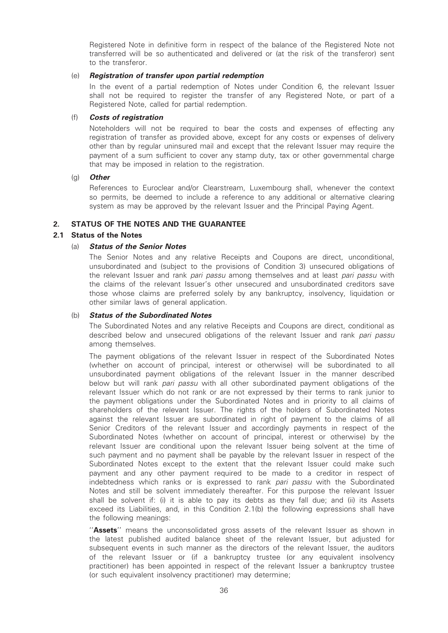Registered Note in definitive form in respect of the balance of the Registered Note not transferred will be so authenticated and delivered or (at the risk of the transferor) sent to the transferor.

#### (e) Registration of transfer upon partial redemption

In the event of a partial redemption of Notes under Condition 6, the relevant Issuer shall not be required to register the transfer of any Registered Note, or part of a Registered Note, called for partial redemption.

## (f) Costs of registration

Noteholders will not be required to bear the costs and expenses of effecting any registration of transfer as provided above, except for any costs or expenses of delivery other than by regular uninsured mail and except that the relevant Issuer may require the payment of a sum sufficient to cover any stamp duty, tax or other governmental charge that may be imposed in relation to the registration.

## (g) Other

References to Euroclear and/or Clearstream, Luxembourg shall, whenever the context so permits, be deemed to include a reference to any additional or alternative clearing system as may be approved by the relevant Issuer and the Principal Paying Agent.

## 2. STATUS OF THE NOTES AND THE GUARANTEE

## 2.1 Status of the Notes

## (a) Status of the Senior Notes

The Senior Notes and any relative Receipts and Coupons are direct, unconditional, unsubordinated and (subject to the provisions of Condition 3) unsecured obligations of the relevant Issuer and rank pari passu among themselves and at least pari passu with the claims of the relevant Issuer's other unsecured and unsubordinated creditors save those whose claims are preferred solely by any bankruptcy, insolvency, liquidation or other similar laws of general application.

#### (b) Status of the Subordinated Notes

The Subordinated Notes and any relative Receipts and Coupons are direct, conditional as described below and unsecured obligations of the relevant Issuer and rank pari passu among themselves.

The payment obligations of the relevant Issuer in respect of the Subordinated Notes (whether on account of principal, interest or otherwise) will be subordinated to all unsubordinated payment obligations of the relevant Issuer in the manner described below but will rank *pari passu* with all other subordinated payment obligations of the relevant Issuer which do not rank or are not expressed by their terms to rank junior to the payment obligations under the Subordinated Notes and in priority to all claims of shareholders of the relevant Issuer. The rights of the holders of Subordinated Notes against the relevant Issuer are subordinated in right of payment to the claims of all Senior Creditors of the relevant Issuer and accordingly payments in respect of the Subordinated Notes (whether on account of principal, interest or otherwise) by the relevant Issuer are conditional upon the relevant Issuer being solvent at the time of such payment and no payment shall be payable by the relevant Issuer in respect of the Subordinated Notes except to the extent that the relevant Issuer could make such payment and any other payment required to be made to a creditor in respect of indebtedness which ranks or is expressed to rank pari passu with the Subordinated Notes and still be solvent immediately thereafter. For this purpose the relevant Issuer shall be solvent if: (i) it is able to pay its debts as they fall due; and (ii) its Assets exceed its Liabilities, and, in this Condition 2.1(b) the following expressions shall have the following meanings:

"Assets" means the unconsolidated gross assets of the relevant Issuer as shown in the latest published audited balance sheet of the relevant Issuer, but adjusted for subsequent events in such manner as the directors of the relevant Issuer, the auditors of the relevant Issuer or (if a bankruptcy trustee (or any equivalent insolvency practitioner) has been appointed in respect of the relevant Issuer a bankruptcy trustee (or such equivalent insolvency practitioner) may determine;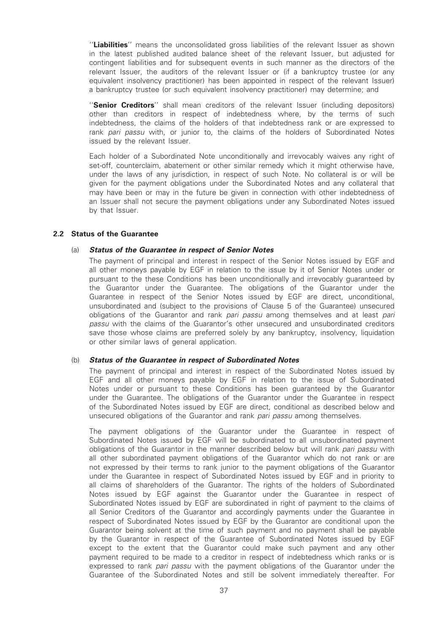"Liabilities" means the unconsolidated gross liabilities of the relevant Issuer as shown in the latest published audited balance sheet of the relevant Issuer, but adjusted for contingent liabilities and for subsequent events in such manner as the directors of the relevant Issuer, the auditors of the relevant Issuer or (if a bankruptcy trustee (or any equivalent insolvency practitioner) has been appointed in respect of the relevant Issuer) a bankruptcy trustee (or such equivalent insolvency practitioner) may determine; and

"Senior Creditors" shall mean creditors of the relevant Issuer (including depositors) other than creditors in respect of indebtedness where, by the terms of such indebtedness, the claims of the holders of that indebtedness rank or are expressed to rank pari passu with, or junior to, the claims of the holders of Subordinated Notes issued by the relevant Issuer.

Each holder of a Subordinated Note unconditionally and irrevocably waives any right of set-off, counterclaim, abatement or other similar remedy which it might otherwise have, under the laws of any jurisdiction, in respect of such Note. No collateral is or will be given for the payment obligations under the Subordinated Notes and any collateral that may have been or may in the future be given in connection with other indebtedness of an Issuer shall not secure the payment obligations under any Subordinated Notes issued by that Issuer.

#### 2.2 Status of the Guarantee

## (a) Status of the Guarantee in respect of Senior Notes

The payment of principal and interest in respect of the Senior Notes issued by EGF and all other moneys payable by EGF in relation to the issue by it of Senior Notes under or pursuant to the these Conditions has been unconditionally and irrevocably guaranteed by the Guarantor under the Guarantee. The obligations of the Guarantor under the Guarantee in respect of the Senior Notes issued by EGF are direct, unconditional, unsubordinated and (subject to the provisions of Clause 5 of the Guarantee) unsecured obligations of the Guarantor and rank pari passu among themselves and at least pari passu with the claims of the Guarantor's other unsecured and unsubordinated creditors save those whose claims are preferred solely by any bankruptcy, insolvency, liquidation or other similar laws of general application.

#### (b) Status of the Guarantee in respect of Subordinated Notes

The payment of principal and interest in respect of the Subordinated Notes issued by EGF and all other moneys payable by EGF in relation to the issue of Subordinated Notes under or pursuant to these Conditions has been guaranteed by the Guarantor under the Guarantee. The obligations of the Guarantor under the Guarantee in respect of the Subordinated Notes issued by EGF are direct, conditional as described below and unsecured obligations of the Guarantor and rank pari passu among themselves.

The payment obligations of the Guarantor under the Guarantee in respect of Subordinated Notes issued by EGF will be subordinated to all unsubordinated payment obligations of the Guarantor in the manner described below but will rank pari passu with all other subordinated payment obligations of the Guarantor which do not rank or are not expressed by their terms to rank junior to the payment obligations of the Guarantor under the Guarantee in respect of Subordinated Notes issued by EGF and in priority to all claims of shareholders of the Guarantor. The rights of the holders of Subordinated Notes issued by EGF against the Guarantor under the Guarantee in respect of Subordinated Notes issued by EGF are subordinated in right of payment to the claims of all Senior Creditors of the Guarantor and accordingly payments under the Guarantee in respect of Subordinated Notes issued by EGF by the Guarantor are conditional upon the Guarantor being solvent at the time of such payment and no payment shall be payable by the Guarantor in respect of the Guarantee of Subordinated Notes issued by EGF except to the extent that the Guarantor could make such payment and any other payment required to be made to a creditor in respect of indebtedness which ranks or is expressed to rank pari passu with the payment obligations of the Guarantor under the Guarantee of the Subordinated Notes and still be solvent immediately thereafter. For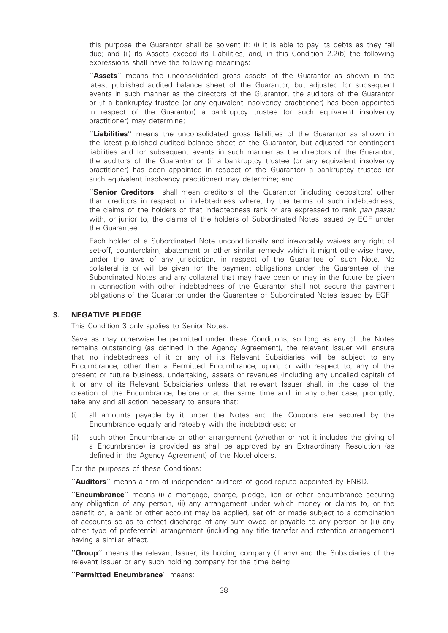this purpose the Guarantor shall be solvent if: (i) it is able to pay its debts as they fall due; and (ii) its Assets exceed its Liabilities, and, in this Condition 2.2(b) the following expressions shall have the following meanings:

"Assets" means the unconsolidated gross assets of the Guarantor as shown in the latest published audited balance sheet of the Guarantor, but adjusted for subsequent events in such manner as the directors of the Guarantor, the auditors of the Guarantor or (if a bankruptcy trustee (or any equivalent insolvency practitioner) has been appointed in respect of the Guarantor) a bankruptcy trustee (or such equivalent insolvency practitioner) may determine;

"Liabilities" means the unconsolidated gross liabilities of the Guarantor as shown in the latest published audited balance sheet of the Guarantor, but adjusted for contingent liabilities and for subsequent events in such manner as the directors of the Guarantor, the auditors of the Guarantor or (if a bankruptcy trustee (or any equivalent insolvency practitioner) has been appointed in respect of the Guarantor) a bankruptcy trustee (or such equivalent insolvency practitioner) may determine; and

"Senior Creditors" shall mean creditors of the Guarantor (including depositors) other than creditors in respect of indebtedness where, by the terms of such indebtedness, the claims of the holders of that indebtedness rank or are expressed to rank pari passu with, or junior to, the claims of the holders of Subordinated Notes issued by EGF under the Guarantee.

Each holder of a Subordinated Note unconditionally and irrevocably waives any right of set-off, counterclaim, abatement or other similar remedy which it might otherwise have, under the laws of any jurisdiction, in respect of the Guarantee of such Note. No collateral is or will be given for the payment obligations under the Guarantee of the Subordinated Notes and any collateral that may have been or may in the future be given in connection with other indebtedness of the Guarantor shall not secure the payment obligations of the Guarantor under the Guarantee of Subordinated Notes issued by EGF.

#### 3. NEGATIVE PLEDGE

This Condition 3 only applies to Senior Notes.

Save as may otherwise be permitted under these Conditions, so long as any of the Notes remains outstanding (as defined in the Agency Agreement), the relevant Issuer will ensure that no indebtedness of it or any of its Relevant Subsidiaries will be subject to any Encumbrance, other than a Permitted Encumbrance, upon, or with respect to, any of the present or future business, undertaking, assets or revenues (including any uncalled capital) of it or any of its Relevant Subsidiaries unless that relevant Issuer shall, in the case of the creation of the Encumbrance, before or at the same time and, in any other case, promptly, take any and all action necessary to ensure that:

- (i) all amounts payable by it under the Notes and the Coupons are secured by the Encumbrance equally and rateably with the indebtedness; or
- (ii) such other Encumbrance or other arrangement (whether or not it includes the giving of a Encumbrance) is provided as shall be approved by an Extraordinary Resolution (as defined in the Agency Agreement) of the Noteholders.

For the purposes of these Conditions:

''Auditors'' means a firm of independent auditors of good repute appointed by ENBD.

"**Encumbrance**" means (i) a mortgage, charge, pledge, lien or other encumbrance securing any obligation of any person, (ii) any arrangement under which money or claims to, or the benefit of, a bank or other account may be applied, set off or made subject to a combination of accounts so as to effect discharge of any sum owed or payable to any person or (iii) any other type of preferential arrangement (including any title transfer and retention arrangement) having a similar effect.

"Group" means the relevant Issuer, its holding company (if any) and the Subsidiaries of the relevant Issuer or any such holding company for the time being.

"Permitted Encumbrance" means: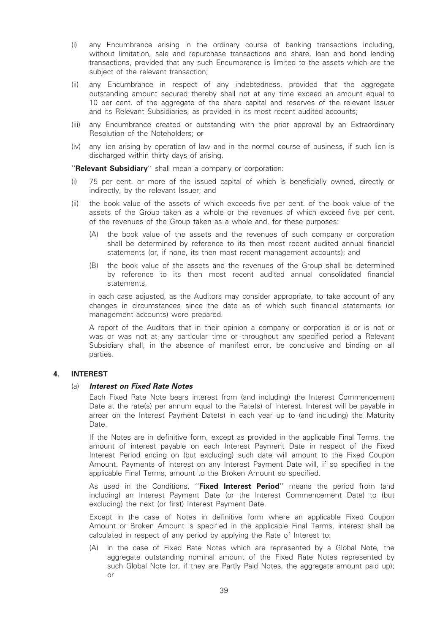- (i) any Encumbrance arising in the ordinary course of banking transactions including, without limitation, sale and repurchase transactions and share, loan and bond lending transactions, provided that any such Encumbrance is limited to the assets which are the subject of the relevant transaction;
- (ii) any Encumbrance in respect of any indebtedness, provided that the aggregate outstanding amount secured thereby shall not at any time exceed an amount equal to 10 per cent. of the aggregate of the share capital and reserves of the relevant Issuer and its Relevant Subsidiaries, as provided in its most recent audited accounts;
- (iii) any Encumbrance created or outstanding with the prior approval by an Extraordinary Resolution of the Noteholders; or
- (iv) any lien arising by operation of law and in the normal course of business, if such lien is discharged within thirty days of arising.

"Relevant Subsidiary" shall mean a company or corporation:

- (i) 75 per cent. or more of the issued capital of which is beneficially owned, directly or indirectly, by the relevant Issuer; and
- (ii) the book value of the assets of which exceeds five per cent. of the book value of the assets of the Group taken as a whole or the revenues of which exceed five per cent. of the revenues of the Group taken as a whole and, for these purposes:
	- (A) the book value of the assets and the revenues of such company or corporation shall be determined by reference to its then most recent audited annual financial statements (or, if none, its then most recent management accounts); and
	- (B) the book value of the assets and the revenues of the Group shall be determined by reference to its then most recent audited annual consolidated financial statements,

in each case adjusted, as the Auditors may consider appropriate, to take account of any changes in circumstances since the date as of which such financial statements (or management accounts) were prepared.

A report of the Auditors that in their opinion a company or corporation is or is not or was or was not at any particular time or throughout any specified period a Relevant Subsidiary shall, in the absence of manifest error, be conclusive and binding on all parties.

## 4. INTEREST

#### (a) Interest on Fixed Rate Notes

Each Fixed Rate Note bears interest from (and including) the Interest Commencement Date at the rate(s) per annum equal to the Rate(s) of Interest. Interest will be payable in arrear on the Interest Payment Date(s) in each year up to (and including) the Maturity Date.

If the Notes are in definitive form, except as provided in the applicable Final Terms, the amount of interest payable on each Interest Payment Date in respect of the Fixed Interest Period ending on (but excluding) such date will amount to the Fixed Coupon Amount. Payments of interest on any Interest Payment Date will, if so specified in the applicable Final Terms, amount to the Broken Amount so specified.

As used in the Conditions, "Fixed Interest Period" means the period from (and including) an Interest Payment Date (or the Interest Commencement Date) to (but excluding) the next (or first) Interest Payment Date.

Except in the case of Notes in definitive form where an applicable Fixed Coupon Amount or Broken Amount is specified in the applicable Final Terms, interest shall be calculated in respect of any period by applying the Rate of Interest to:

(A) in the case of Fixed Rate Notes which are represented by a Global Note, the aggregate outstanding nominal amount of the Fixed Rate Notes represented by such Global Note (or, if they are Partly Paid Notes, the aggregate amount paid up); or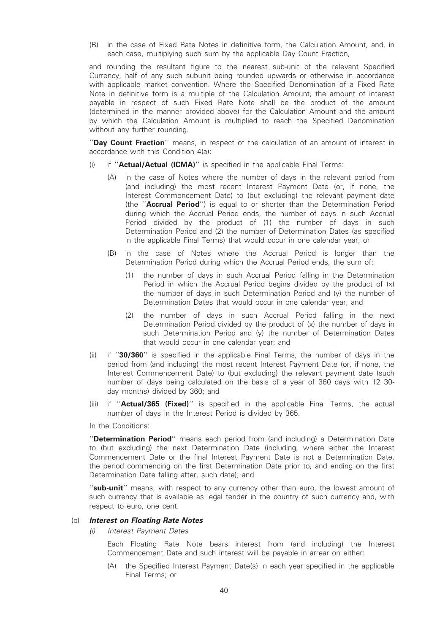(B) in the case of Fixed Rate Notes in definitive form, the Calculation Amount, and, in each case, multiplying such sum by the applicable Day Count Fraction,

and rounding the resultant figure to the nearest sub-unit of the relevant Specified Currency, half of any such subunit being rounded upwards or otherwise in accordance with applicable market convention. Where the Specified Denomination of a Fixed Rate Note in definitive form is a multiple of the Calculation Amount, the amount of interest payable in respect of such Fixed Rate Note shall be the product of the amount (determined in the manner provided above) for the Calculation Amount and the amount by which the Calculation Amount is multiplied to reach the Specified Denomination without any further rounding.

"Day Count Fraction" means, in respect of the calculation of an amount of interest in accordance with this Condition 4(a):

- (i) if "**Actual/Actual (ICMA)**" is specified in the applicable Final Terms:
	- (A) in the case of Notes where the number of days in the relevant period from (and including) the most recent Interest Payment Date (or, if none, the Interest Commencement Date) to (but excluding) the relevant payment date (the ''Accrual Period'') is equal to or shorter than the Determination Period during which the Accrual Period ends, the number of days in such Accrual Period divided by the product of (1) the number of days in such Determination Period and (2) the number of Determination Dates (as specified in the applicable Final Terms) that would occur in one calendar year; or
	- (B) in the case of Notes where the Accrual Period is longer than the Determination Period during which the Accrual Period ends, the sum of:
		- (1) the number of days in such Accrual Period falling in the Determination Period in which the Accrual Period begins divided by the product of (x) the number of days in such Determination Period and (y) the number of Determination Dates that would occur in one calendar year; and
		- (2) the number of days in such Accrual Period falling in the next Determination Period divided by the product of (x) the number of days in such Determination Period and (y) the number of Determination Dates that would occur in one calendar year; and
- (ii) if ''30/360'' is specified in the applicable Final Terms, the number of days in the period from (and including) the most recent Interest Payment Date (or, if none, the Interest Commencement Date) to (but excluding) the relevant payment date (such number of days being calculated on the basis of a year of 360 days with 12 30 day months) divided by 360; and
- (iii) if "**Actual/365 (Fixed)**" is specified in the applicable Final Terms, the actual number of days in the Interest Period is divided by 365.
- In the Conditions:

"Determination Period" means each period from (and including) a Determination Date to (but excluding) the next Determination Date (including, where either the Interest Commencement Date or the final Interest Payment Date is not a Determination Date, the period commencing on the first Determination Date prior to, and ending on the first Determination Date falling after, such date); and

"sub-unit" means, with respect to any currency other than euro, the lowest amount of such currency that is available as legal tender in the country of such currency and, with respect to euro, one cent.

#### (b) Interest on Floating Rate Notes

(i) Interest Payment Dates

Each Floating Rate Note bears interest from (and including) the Interest Commencement Date and such interest will be payable in arrear on either:

(A) the Specified Interest Payment Date(s) in each year specified in the applicable Final Terms; or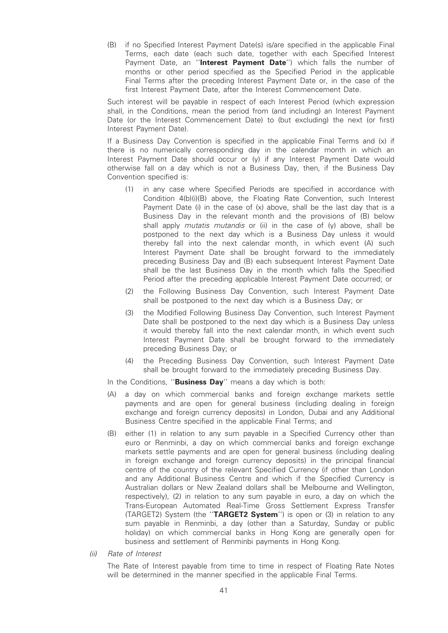(B) if no Specified Interest Payment Date(s) is/are specified in the applicable Final Terms, each date (each such date, together with each Specified Interest Payment Date, an "Interest Payment Date") which falls the number of months or other period specified as the Specified Period in the applicable Final Terms after the preceding Interest Payment Date or, in the case of the first Interest Payment Date, after the Interest Commencement Date.

Such interest will be payable in respect of each Interest Period (which expression shall, in the Conditions, mean the period from (and including) an Interest Payment Date (or the Interest Commencement Date) to (but excluding) the next (or first) Interest Payment Date).

If a Business Day Convention is specified in the applicable Final Terms and (x) if there is no numerically corresponding day in the calendar month in which an Interest Payment Date should occur or (y) if any Interest Payment Date would otherwise fall on a day which is not a Business Day, then, if the Business Day Convention specified is:

- (1) in any case where Specified Periods are specified in accordance with Condition 4(b)(i)(B) above, the Floating Rate Convention, such Interest Payment Date (i) in the case of (x) above, shall be the last day that is a Business Day in the relevant month and the provisions of (B) below shall apply mutatis mutandis or (ii) in the case of  $(y)$  above, shall be postponed to the next day which is a Business Day unless it would thereby fall into the next calendar month, in which event (A) such Interest Payment Date shall be brought forward to the immediately preceding Business Day and (B) each subsequent Interest Payment Date shall be the last Business Day in the month which falls the Specified Period after the preceding applicable Interest Payment Date occurred; or
- (2) the Following Business Day Convention, such Interest Payment Date shall be postponed to the next day which is a Business Day; or
- (3) the Modified Following Business Day Convention, such Interest Payment Date shall be postponed to the next day which is a Business Day unless it would thereby fall into the next calendar month, in which event such Interest Payment Date shall be brought forward to the immediately preceding Business Day; or
- (4) the Preceding Business Day Convention, such Interest Payment Date shall be brought forward to the immediately preceding Business Day.
- In the Conditions, "Business Day" means a day which is both:
- (A) a day on which commercial banks and foreign exchange markets settle payments and are open for general business (including dealing in foreign exchange and foreign currency deposits) in London, Dubai and any Additional Business Centre specified in the applicable Final Terms; and
- (B) either (1) in relation to any sum payable in a Specified Currency other than euro or Renminbi, a day on which commercial banks and foreign exchange markets settle payments and are open for general business (including dealing in foreign exchange and foreign currency deposits) in the principal financial centre of the country of the relevant Specified Currency (if other than London and any Additional Business Centre and which if the Specified Currency is Australian dollars or New Zealand dollars shall be Melbourne and Wellington, respectively), (2) in relation to any sum payable in euro, a day on which the Trans-European Automated Real-Time Gross Settlement Express Transfer (TARGET2) System (the "TARGET2 System") is open or (3) in relation to any sum payable in Renminbi, a day (other than a Saturday, Sunday or public holiday) on which commercial banks in Hong Kong are generally open for business and settlement of Renminbi payments in Hong Kong.
- (ii) Rate of Interest

The Rate of Interest payable from time to time in respect of Floating Rate Notes will be determined in the manner specified in the applicable Final Terms.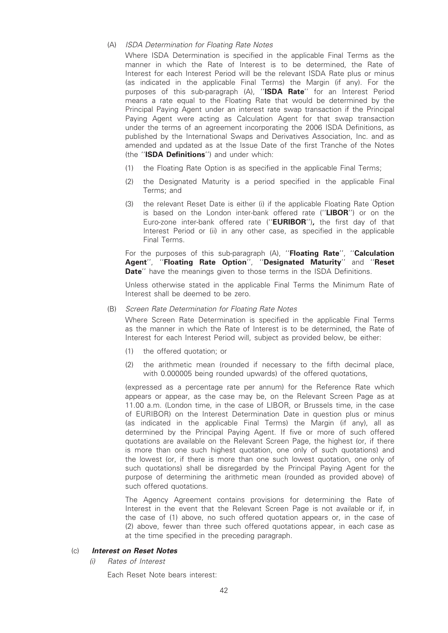## (A) ISDA Determination for Floating Rate Notes

Where ISDA Determination is specified in the applicable Final Terms as the manner in which the Rate of Interest is to be determined, the Rate of Interest for each Interest Period will be the relevant ISDA Rate plus or minus (as indicated in the applicable Final Terms) the Margin (if any). For the purposes of this sub-paragraph (A), "ISDA Rate" for an Interest Period means a rate equal to the Floating Rate that would be determined by the Principal Paying Agent under an interest rate swap transaction if the Principal Paying Agent were acting as Calculation Agent for that swap transaction under the terms of an agreement incorporating the 2006 ISDA Definitions, as published by the International Swaps and Derivatives Association, Inc. and as amended and updated as at the Issue Date of the first Tranche of the Notes (the ''ISDA Definitions'') and under which:

- (1) the Floating Rate Option is as specified in the applicable Final Terms;
- (2) the Designated Maturity is a period specified in the applicable Final Terms; and
- (3) the relevant Reset Date is either (i) if the applicable Floating Rate Option is based on the London inter-bank offered rate ("LIBOR") or on the Euro-zone inter-bank offered rate ("**EURIBOR**"), the first day of that Interest Period or (ii) in any other case, as specified in the applicable Final Terms.

For the purposes of this sub-paragraph (A), "Floating Rate", "Calculation Agent'', ''Floating Rate Option'', ''Designated Maturity'' and ''Reset Date" have the meanings given to those terms in the ISDA Definitions.

Unless otherwise stated in the applicable Final Terms the Minimum Rate of Interest shall be deemed to be zero.

#### (B) Screen Rate Determination for Floating Rate Notes

Where Screen Rate Determination is specified in the applicable Final Terms as the manner in which the Rate of Interest is to be determined, the Rate of Interest for each Interest Period will, subject as provided below, be either:

- (1) the offered quotation; or
- (2) the arithmetic mean (rounded if necessary to the fifth decimal place, with 0.000005 being rounded upwards) of the offered quotations,

(expressed as a percentage rate per annum) for the Reference Rate which appears or appear, as the case may be, on the Relevant Screen Page as at 11.00 a.m. (London time, in the case of LIBOR, or Brussels time, in the case of EURIBOR) on the Interest Determination Date in question plus or minus (as indicated in the applicable Final Terms) the Margin (if any), all as determined by the Principal Paying Agent. If five or more of such offered quotations are available on the Relevant Screen Page, the highest (or, if there is more than one such highest quotation, one only of such quotations) and the lowest (or, if there is more than one such lowest quotation, one only of such quotations) shall be disregarded by the Principal Paying Agent for the purpose of determining the arithmetic mean (rounded as provided above) of such offered quotations.

The Agency Agreement contains provisions for determining the Rate of Interest in the event that the Relevant Screen Page is not available or if, in the case of (1) above, no such offered quotation appears or, in the case of (2) above, fewer than three such offered quotations appear, in each case as at the time specified in the preceding paragraph.

#### (c) Interest on Reset Notes

(i) Rates of Interest

Each Reset Note bears interest: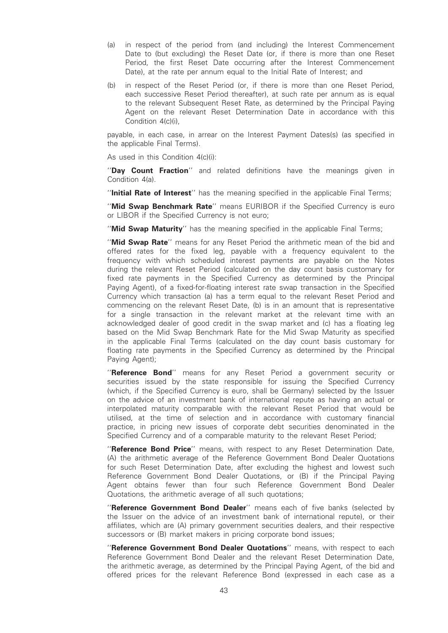- (a) in respect of the period from (and including) the Interest Commencement Date to (but excluding) the Reset Date (or, if there is more than one Reset Period, the first Reset Date occurring after the Interest Commencement Date), at the rate per annum equal to the Initial Rate of Interest; and
- (b) in respect of the Reset Period (or, if there is more than one Reset Period, each successive Reset Period thereafter), at such rate per annum as is equal to the relevant Subsequent Reset Rate, as determined by the Principal Paying Agent on the relevant Reset Determination Date in accordance with this Condition 4(c)(i),

payable, in each case, in arrear on the Interest Payment Dates(s) (as specified in the applicable Final Terms).

As used in this Condition 4(c)(i):

''Day Count Fraction'' and related definitions have the meanings given in Condition 4(a).

"Initial Rate of Interest" has the meaning specified in the applicable Final Terms;

''Mid Swap Benchmark Rate'' means EURIBOR if the Specified Currency is euro or LIBOR if the Specified Currency is not euro;

"Mid Swap Maturity" has the meaning specified in the applicable Final Terms;

"Mid Swap Rate" means for any Reset Period the arithmetic mean of the bid and offered rates for the fixed leg, payable with a frequency equivalent to the frequency with which scheduled interest payments are payable on the Notes during the relevant Reset Period (calculated on the day count basis customary for fixed rate payments in the Specified Currency as determined by the Principal Paying Agent), of a fixed-for-floating interest rate swap transaction in the Specified Currency which transaction (a) has a term equal to the relevant Reset Period and commencing on the relevant Reset Date, (b) is in an amount that is representative for a single transaction in the relevant market at the relevant time with an acknowledged dealer of good credit in the swap market and (c) has a floating leg based on the Mid Swap Benchmark Rate for the Mid Swap Maturity as specified in the applicable Final Terms (calculated on the day count basis customary for floating rate payments in the Specified Currency as determined by the Principal Paying Agent);

"Reference Bond" means for any Reset Period a government security or securities issued by the state responsible for issuing the Specified Currency (which, if the Specified Currency is euro, shall be Germany) selected by the Issuer on the advice of an investment bank of international repute as having an actual or interpolated maturity comparable with the relevant Reset Period that would be utilised, at the time of selection and in accordance with customary financial practice, in pricing new issues of corporate debt securities denominated in the Specified Currency and of a comparable maturity to the relevant Reset Period;

"Reference Bond Price" means, with respect to any Reset Determination Date, (A) the arithmetic average of the Reference Government Bond Dealer Quotations for such Reset Determination Date, after excluding the highest and lowest such Reference Government Bond Dealer Quotations, or (B) if the Principal Paying Agent obtains fewer than four such Reference Government Bond Dealer Quotations, the arithmetic average of all such quotations;

"Reference Government Bond Dealer" means each of five banks (selected by the Issuer on the advice of an investment bank of international repute), or their affiliates, which are (A) primary government securities dealers, and their respective successors or (B) market makers in pricing corporate bond issues;

"Reference Government Bond Dealer Quotations" means, with respect to each Reference Government Bond Dealer and the relevant Reset Determination Date, the arithmetic average, as determined by the Principal Paying Agent, of the bid and offered prices for the relevant Reference Bond (expressed in each case as a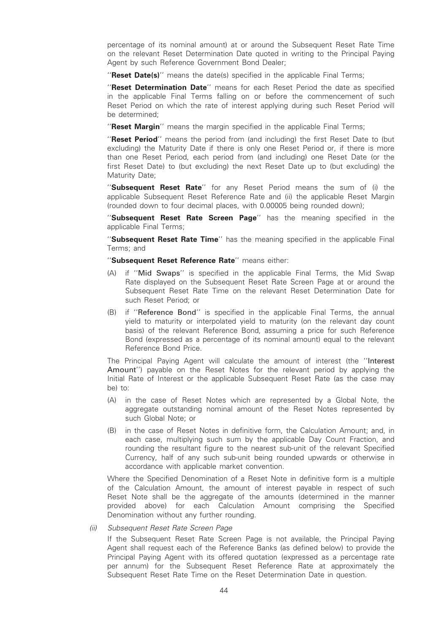percentage of its nominal amount) at or around the Subsequent Reset Rate Time on the relevant Reset Determination Date quoted in writing to the Principal Paying Agent by such Reference Government Bond Dealer;

"Reset Date(s)" means the date(s) specified in the applicable Final Terms;

"Reset Determination Date" means for each Reset Period the date as specified in the applicable Final Terms falling on or before the commencement of such Reset Period on which the rate of interest applying during such Reset Period will be determined;

"Reset Margin" means the margin specified in the applicable Final Terms;

"Reset Period" means the period from (and including) the first Reset Date to (but excluding) the Maturity Date if there is only one Reset Period or, if there is more than one Reset Period, each period from (and including) one Reset Date (or the first Reset Date) to (but excluding) the next Reset Date up to (but excluding) the Maturity Date;

''Subsequent Reset Rate'' for any Reset Period means the sum of (i) the applicable Subsequent Reset Reference Rate and (ii) the applicable Reset Margin (rounded down to four decimal places, with 0.00005 being rounded down);

"Subsequent Reset Rate Screen Page" has the meaning specified in the applicable Final Terms;

"Subsequent Reset Rate Time" has the meaning specified in the applicable Final Terms; and

#### "Subsequent Reset Reference Rate" means either:

- (A) if ''Mid Swaps'' is specified in the applicable Final Terms, the Mid Swap Rate displayed on the Subsequent Reset Rate Screen Page at or around the Subsequent Reset Rate Time on the relevant Reset Determination Date for such Reset Period; or
- (B) if ''Reference Bond'' is specified in the applicable Final Terms, the annual yield to maturity or interpolated yield to maturity (on the relevant day count basis) of the relevant Reference Bond, assuming a price for such Reference Bond (expressed as a percentage of its nominal amount) equal to the relevant Reference Bond Price.

The Principal Paying Agent will calculate the amount of interest (the ''Interest Amount'') payable on the Reset Notes for the relevant period by applying the Initial Rate of Interest or the applicable Subsequent Reset Rate (as the case may be) to:

- (A) in the case of Reset Notes which are represented by a Global Note, the aggregate outstanding nominal amount of the Reset Notes represented by such Global Note; or
- (B) in the case of Reset Notes in definitive form, the Calculation Amount; and, in each case, multiplying such sum by the applicable Day Count Fraction, and rounding the resultant figure to the nearest sub-unit of the relevant Specified Currency, half of any such sub-unit being rounded upwards or otherwise in accordance with applicable market convention.

Where the Specified Denomination of a Reset Note in definitive form is a multiple of the Calculation Amount, the amount of interest payable in respect of such Reset Note shall be the aggregate of the amounts (determined in the manner provided above) for each Calculation Amount comprising the Specified Denomination without any further rounding.

#### (ii) Subsequent Reset Rate Screen Page

If the Subsequent Reset Rate Screen Page is not available, the Principal Paying Agent shall request each of the Reference Banks (as defined below) to provide the Principal Paying Agent with its offered quotation (expressed as a percentage rate per annum) for the Subsequent Reset Reference Rate at approximately the Subsequent Reset Rate Time on the Reset Determination Date in question.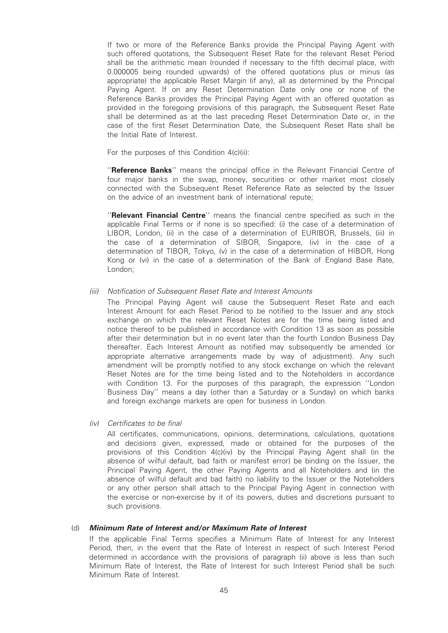If two or more of the Reference Banks provide the Principal Paying Agent with such offered quotations, the Subsequent Reset Rate for the relevant Reset Period shall be the arithmetic mean (rounded if necessary to the fifth decimal place, with 0.000005 being rounded upwards) of the offered quotations plus or minus (as appropriate) the applicable Reset Margin (if any), all as determined by the Principal Paying Agent. If on any Reset Determination Date only one or none of the Reference Banks provides the Principal Paying Agent with an offered quotation as provided in the foregoing provisions of this paragraph, the Subsequent Reset Rate shall be determined as at the last preceding Reset Determination Date or, in the case of the first Reset Determination Date, the Subsequent Reset Rate shall be the Initial Rate of Interest.

For the purposes of this Condition 4(c)(ii):

"Reference Banks" means the principal office in the Relevant Financial Centre of four major banks in the swap, money, securities or other market most closely connected with the Subsequent Reset Reference Rate as selected by the Issuer on the advice of an investment bank of international repute;

''Relevant Financial Centre'' means the financial centre specified as such in the applicable Final Terms or if none is so specified: (i) the case of a determination of LIBOR, London, (ii) in the case of a determination of EURIBOR, Brussels, (iii) in the case of a determination of SIBOR, Singapore, (iv) in the case of a determination of TIBOR, Tokyo, (v) in the case of a determination of HIBOR, Hong Kong or (vi) in the case of a determination of the Bank of England Base Rate, London;

#### (iii) Notification of Subsequent Reset Rate and Interest Amounts

The Principal Paying Agent will cause the Subsequent Reset Rate and each Interest Amount for each Reset Period to be notified to the Issuer and any stock exchange on which the relevant Reset Notes are for the time being listed and notice thereof to be published in accordance with Condition 13 as soon as possible after their determination but in no event later than the fourth London Business Day thereafter. Each Interest Amount as notified may subsequently be amended (or appropriate alternative arrangements made by way of adjustment). Any such amendment will be promptly notified to any stock exchange on which the relevant Reset Notes are for the time being listed and to the Noteholders in accordance with Condition 13. For the purposes of this paragraph, the expression ''London Business Day'' means a day (other than a Saturday or a Sunday) on which banks and foreign exchange markets are open for business in London.

(iv) Certificates to be final

All certificates, communications, opinions, determinations, calculations, quotations and decisions given, expressed, made or obtained for the purposes of the provisions of this Condition 4(c)(iv) by the Principal Paying Agent shall (in the absence of wilful default, bad faith or manifest error) be binding on the Issuer, the Principal Paying Agent, the other Paying Agents and all Noteholders and (in the absence of wilful default and bad faith) no liability to the Issuer or the Noteholders or any other person shall attach to the Principal Paying Agent in connection with the exercise or non-exercise by it of its powers, duties and discretions pursuant to such provisions.

#### (d) Minimum Rate of Interest and/or Maximum Rate of Interest

If the applicable Final Terms specifies a Minimum Rate of Interest for any Interest Period, then, in the event that the Rate of Interest in respect of such Interest Period determined in accordance with the provisions of paragraph (ii) above is less than such Minimum Rate of Interest, the Rate of Interest for such Interest Period shall be such Minimum Rate of Interest.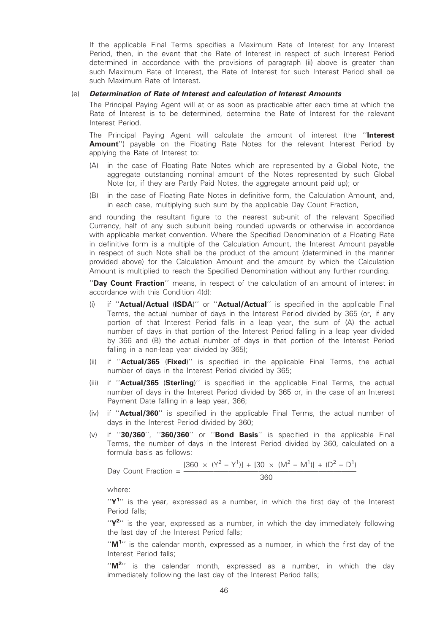If the applicable Final Terms specifies a Maximum Rate of Interest for any Interest Period, then, in the event that the Rate of Interest in respect of such Interest Period determined in accordance with the provisions of paragraph (ii) above is greater than such Maximum Rate of Interest, the Rate of Interest for such Interest Period shall be such Maximum Rate of Interest

#### (e) Determination of Rate of Interest and calculation of Interest Amounts

The Principal Paying Agent will at or as soon as practicable after each time at which the Rate of Interest is to be determined, determine the Rate of Interest for the relevant Interest Period.

The Principal Paying Agent will calculate the amount of interest (the "Interest Amount") payable on the Floating Rate Notes for the relevant Interest Period by applying the Rate of Interest to:

- (A) in the case of Floating Rate Notes which are represented by a Global Note, the aggregate outstanding nominal amount of the Notes represented by such Global Note (or, if they are Partly Paid Notes, the aggregate amount paid up); or
- (B) in the case of Floating Rate Notes in definitive form, the Calculation Amount, and, in each case, multiplying such sum by the applicable Day Count Fraction,

and rounding the resultant figure to the nearest sub-unit of the relevant Specified Currency, half of any such subunit being rounded upwards or otherwise in accordance with applicable market convention. Where the Specified Denomination of a Floating Rate in definitive form is a multiple of the Calculation Amount, the Interest Amount payable in respect of such Note shall be the product of the amount (determined in the manner provided above) for the Calculation Amount and the amount by which the Calculation Amount is multiplied to reach the Specified Denomination without any further rounding.

"Day Count Fraction" means, in respect of the calculation of an amount of interest in accordance with this Condition 4(d):

- (i) if "Actual/Actual (ISDA)" or "Actual/Actual" is specified in the applicable Final Terms, the actual number of days in the Interest Period divided by 365 (or, if any portion of that Interest Period falls in a leap year, the sum of (A) the actual number of days in that portion of the Interest Period falling in a leap year divided by 366 and (B) the actual number of days in that portion of the Interest Period falling in a non-leap year divided by 365);
- (ii) if "**Actual/365 (Fixed**)" is specified in the applicable Final Terms, the actual number of days in the Interest Period divided by 365;
- (iii) if " $Actual/365$  (Sterling)" is specified in the applicable Final Terms, the actual number of days in the Interest Period divided by 365 or, in the case of an Interest Payment Date falling in a leap year, 366;
- (iv) if "**Actual/360**" is specified in the applicable Final Terms, the actual number of days in the Interest Period divided by 360;
- (v) if ''30/360'', ''360/360'' or ''Bond Basis'' is specified in the applicable Final Terms, the number of days in the Interest Period divided by 360, calculated on a formula basis as follows:

Day Count Fraction = 
$$
\frac{[360 \times (Y^2 - Y^1)] + [30 \times (M^2 - M^1)] + (D^2 - D^1)}{360}
$$

where:

" $Y^1$ " is the year, expressed as a number, in which the first day of the Interest Period falls;

" $Y^{2}$ " is the year, expressed as a number, in which the day immediately following the last day of the Interest Period falls;

" $M^{1}$ " is the calendar month, expressed as a number, in which the first day of the Interest Period falls;

"M<sup>2</sup>" is the calendar month, expressed as a number, in which the day immediately following the last day of the Interest Period falls;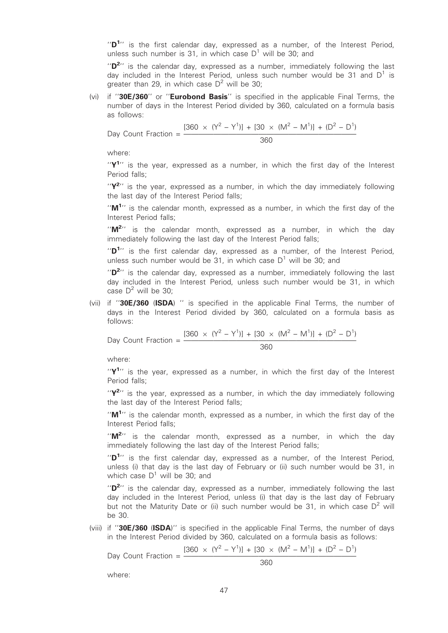" $D^{1}$ " is the first calendar day, expressed as a number, of the Interest Period, unless such number is 31, in which case  $D^1$  will be 30; and

" $D^{2}$ " is the calendar day, expressed as a number, immediately following the last day included in the Interest Period, unless such number would be 31 and  $D^1$  is greater than 29, in which case  $D^2$  will be 30;

(vi) if ''30E/360'' or ''Eurobond Basis'' is specified in the applicable Final Terms, the number of days in the Interest Period divided by 360, calculated on a formula basis as follows:

Day Count Fraction = ——————————————————————— <sup>360</sup>

$$
\frac{[360 \times (Y^2 - Y^1)] + [30 \times (M^2 - M^1)] + (D^2 - D^1)}{360}
$$

where:

" $Y^1$ " is the year, expressed as a number, in which the first day of the Interest Period falls;

" $Y^{2}$ " is the year, expressed as a number, in which the day immediately following the last day of the Interest Period falls;

"M<sup>1</sup>" is the calendar month, expressed as a number, in which the first day of the Interest Period falls;

" $M^{2}$ " is the calendar month, expressed as a number, in which the day immediately following the last day of the Interest Period falls;

" $D^{1}$ " is the first calendar day, expressed as a number, of the Interest Period, unless such number would be 31, in which case  $D^1$  will be 30; and

" $D^{2}$ " is the calendar day, expressed as a number, immediately following the last day included in the Interest Period, unless such number would be 31, in which case  $D^2$  will be 30;

(vii) if "30E/360 (ISDA) " is specified in the applicable Final Terms, the number of days in the Interest Period divided by 360, calculated on a formula basis as follows:

Day Count Fraction = 
$$
\frac{[360 \times (Y^2 - Y^1)] + [30 \times (M^2 - M^1)] + (D^2 - D^1)}{360}
$$

where:

" $Y^1$ " is the year, expressed as a number, in which the first day of the Interest Period falls;

" $Y^{2}$ " is the year, expressed as a number, in which the day immediately following the last day of the Interest Period falls;

" $M^{1}$ " is the calendar month, expressed as a number, in which the first day of the Interest Period falls;

" $M^{2}$ " is the calendar month, expressed as a number, in which the day immediately following the last day of the Interest Period falls;

" $D^{1}$ " is the first calendar day, expressed as a number, of the Interest Period, unless (i) that day is the last day of February or (ii) such number would be 31, in which case  $D^1$  will be 30; and

" $D^{2}$ " is the calendar day, expressed as a number, immediately following the last day included in the Interest Period, unless (i) that day is the last day of February but not the Maturity Date or (ii) such number would be 31, in which case  $D^2$  will be 30.

(viii) if "30E/360 (ISDA)" is specified in the applicable Final Terms, the number of days in the Interest Period divided by 360, calculated on a formula basis as follows:

$$
[360 \times (Y^2 - Y^1)] + [30 \times (M^2 - M^1)] + (D^2 - D^1)
$$

Day Count Fraction  $=$   $\frac{18}{10}$ 

$$
\overline{360}
$$

where: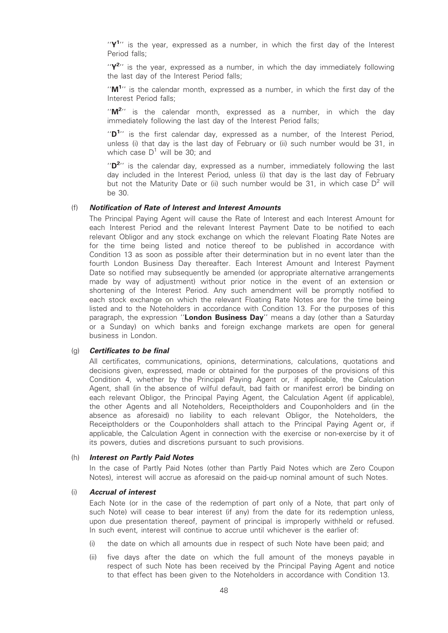" $Y<sup>1</sup>$ " is the year, expressed as a number, in which the first day of the Interest Period falls;

" $Y^{2}$ " is the year, expressed as a number, in which the day immediately following the last day of the Interest Period falls;

" $M^{1}$ " is the calendar month, expressed as a number, in which the first day of the Interest Period falls;

" $M^{2}$ " is the calendar month, expressed as a number, in which the day immediately following the last day of the Interest Period falls;

" $D^{1}$ " is the first calendar day, expressed as a number, of the Interest Period, unless (i) that day is the last day of February or (ii) such number would be 31, in which case  $D^1$  will be 30; and

" $D^{2}$ " is the calendar day, expressed as a number, immediately following the last day included in the Interest Period, unless (i) that day is the last day of February but not the Maturity Date or (ii) such number would be 31, in which case  $D^2$  will be 30.

#### (f) Notification of Rate of Interest and Interest Amounts

The Principal Paying Agent will cause the Rate of Interest and each Interest Amount for each Interest Period and the relevant Interest Payment Date to be notified to each relevant Obligor and any stock exchange on which the relevant Floating Rate Notes are for the time being listed and notice thereof to be published in accordance with Condition 13 as soon as possible after their determination but in no event later than the fourth London Business Day thereafter. Each Interest Amount and Interest Payment Date so notified may subsequently be amended (or appropriate alternative arrangements made by way of adjustment) without prior notice in the event of an extension or shortening of the Interest Period. Any such amendment will be promptly notified to each stock exchange on which the relevant Floating Rate Notes are for the time being listed and to the Noteholders in accordance with Condition 13. For the purposes of this paragraph, the expression "London Business Day" means a day (other than a Saturday or a Sunday) on which banks and foreign exchange markets are open for general business in London.

#### (g) Certificates to be final

All certificates, communications, opinions, determinations, calculations, quotations and decisions given, expressed, made or obtained for the purposes of the provisions of this Condition 4, whether by the Principal Paying Agent or, if applicable, the Calculation Agent, shall (in the absence of wilful default, bad faith or manifest error) be binding on each relevant Obligor, the Principal Paying Agent, the Calculation Agent (if applicable), the other Agents and all Noteholders, Receiptholders and Couponholders and (in the absence as aforesaid) no liability to each relevant Obligor, the Noteholders, the Receiptholders or the Couponholders shall attach to the Principal Paying Agent or, if applicable, the Calculation Agent in connection with the exercise or non-exercise by it of its powers, duties and discretions pursuant to such provisions.

#### (h) Interest on Partly Paid Notes

In the case of Partly Paid Notes (other than Partly Paid Notes which are Zero Coupon Notes), interest will accrue as aforesaid on the paid-up nominal amount of such Notes.

#### (i) Accrual of interest

Each Note (or in the case of the redemption of part only of a Note, that part only of such Note) will cease to bear interest (if any) from the date for its redemption unless, upon due presentation thereof, payment of principal is improperly withheld or refused. In such event, interest will continue to accrue until whichever is the earlier of:

- (i) the date on which all amounts due in respect of such Note have been paid; and
- (ii) five days after the date on which the full amount of the moneys payable in respect of such Note has been received by the Principal Paying Agent and notice to that effect has been given to the Noteholders in accordance with Condition 13.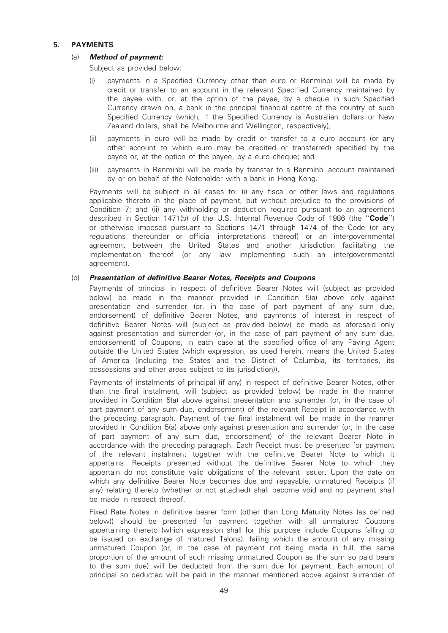## 5. PAYMENTS

## (a) Method of payment:

Subject as provided below:

- (i) payments in a Specified Currency other than euro or Renminbi will be made by credit or transfer to an account in the relevant Specified Currency maintained by the payee with, or, at the option of the payee, by a cheque in such Specified Currency drawn on, a bank in the principal financial centre of the country of such Specified Currency (which, if the Specified Currency is Australian dollars or New Zealand dollars, shall be Melbourne and Wellington, respectively);
- (ii) payments in euro will be made by credit or transfer to a euro account (or any other account to which euro may be credited or transferred) specified by the payee or, at the option of the payee, by a euro cheque; and
- (iii) payments in Renminbi will be made by transfer to a Renminbi account maintained by or on behalf of the Noteholder with a bank in Hong Kong.

Payments will be subject in all cases to: (i) any fiscal or other laws and regulations applicable thereto in the place of payment, but without prejudice to the provisions of Condition 7; and (ii) any withholding or deduction required pursuant to an agreement described in Section 1471(b) of the U.S. Internal Revenue Code of 1986 (the "Code") or otherwise imposed pursuant to Sections 1471 through 1474 of the Code (or any regulations thereunder or official interpretations thereof) or an intergovernmental agreement between the United States and another jurisdiction facilitating the implementation thereof (or any law implementing such an intergovernmental agreement).

## (b) Presentation of definitive Bearer Notes, Receipts and Coupons

Payments of principal in respect of definitive Bearer Notes will (subject as provided below) be made in the manner provided in Condition 5(a) above only against presentation and surrender (or, in the case of part payment of any sum due, endorsement) of definitive Bearer Notes, and payments of interest in respect of definitive Bearer Notes will (subject as provided below) be made as aforesaid only against presentation and surrender (or, in the case of part payment of any sum due, endorsement) of Coupons, in each case at the specified office of any Paying Agent outside the United States (which expression, as used herein, means the United States of America (including the States and the District of Columbia, its territories, its possessions and other areas subject to its jurisdiction)).

Payments of instalments of principal (if any) in respect of definitive Bearer Notes, other than the final instalment, will (subject as provided below) be made in the manner provided in Condition 5(a) above against presentation and surrender (or, in the case of part payment of any sum due, endorsement) of the relevant Receipt in accordance with the preceding paragraph. Payment of the final instalment will be made in the manner provided in Condition 5(a) above only against presentation and surrender (or, in the case of part payment of any sum due, endorsement) of the relevant Bearer Note in accordance with the preceding paragraph. Each Receipt must be presented for payment of the relevant instalment together with the definitive Bearer Note to which it appertains. Receipts presented without the definitive Bearer Note to which they appertain do not constitute valid obligations of the relevant Issuer. Upon the date on which any definitive Bearer Note becomes due and repayable, unmatured Receipts (if any) relating thereto (whether or not attached) shall become void and no payment shall be made in respect thereof.

Fixed Rate Notes in definitive bearer form (other than Long Maturity Notes (as defined below)) should be presented for payment together with all unmatured Coupons appertaining thereto (which expression shall for this purpose include Coupons falling to be issued on exchange of matured Talons), failing which the amount of any missing unmatured Coupon (or, in the case of payment not being made in full, the same proportion of the amount of such missing unmatured Coupon as the sum so paid bears to the sum due) will be deducted from the sum due for payment. Each amount of principal so deducted will be paid in the manner mentioned above against surrender of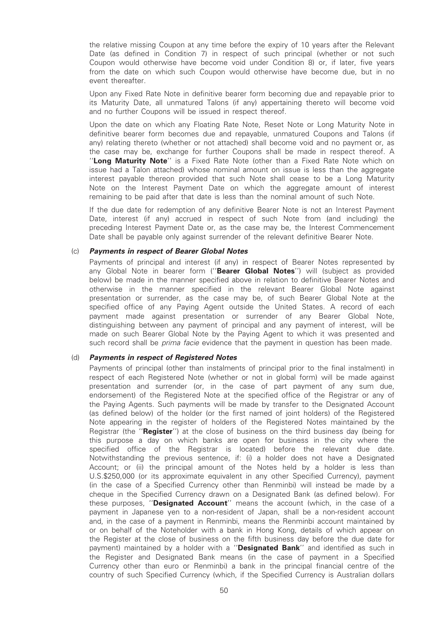the relative missing Coupon at any time before the expiry of 10 years after the Relevant Date (as defined in Condition 7) in respect of such principal (whether or not such Coupon would otherwise have become void under Condition 8) or, if later, five years from the date on which such Coupon would otherwise have become due, but in no event thereafter.

Upon any Fixed Rate Note in definitive bearer form becoming due and repayable prior to its Maturity Date, all unmatured Talons (if any) appertaining thereto will become void and no further Coupons will be issued in respect thereof.

Upon the date on which any Floating Rate Note, Reset Note or Long Maturity Note in definitive bearer form becomes due and repayable, unmatured Coupons and Talons (if any) relating thereto (whether or not attached) shall become void and no payment or, as the case may be, exchange for further Coupons shall be made in respect thereof. A "Long Maturity Note" is a Fixed Rate Note (other than a Fixed Rate Note which on issue had a Talon attached) whose nominal amount on issue is less than the aggregate interest payable thereon provided that such Note shall cease to be a Long Maturity Note on the Interest Payment Date on which the aggregate amount of interest remaining to be paid after that date is less than the nominal amount of such Note.

If the due date for redemption of any definitive Bearer Note is not an Interest Payment Date, interest (if any) accrued in respect of such Note from (and including) the preceding Interest Payment Date or, as the case may be, the Interest Commencement Date shall be payable only against surrender of the relevant definitive Bearer Note.

#### (c) Payments in respect of Bearer Global Notes

Payments of principal and interest (if any) in respect of Bearer Notes represented by any Global Note in bearer form ("Bearer Global Notes") will (subject as provided below) be made in the manner specified above in relation to definitive Bearer Notes and otherwise in the manner specified in the relevant Bearer Global Note against presentation or surrender, as the case may be, of such Bearer Global Note at the specified office of any Paying Agent outside the United States. A record of each payment made against presentation or surrender of any Bearer Global Note, distinguishing between any payment of principal and any payment of interest, will be made on such Bearer Global Note by the Paying Agent to which it was presented and such record shall be *prima facie* evidence that the payment in question has been made.

#### (d) Payments in respect of Registered Notes

Payments of principal (other than instalments of principal prior to the final instalment) in respect of each Registered Note (whether or not in global form) will be made against presentation and surrender (or, in the case of part payment of any sum due, endorsement) of the Registered Note at the specified office of the Registrar or any of the Paying Agents. Such payments will be made by transfer to the Designated Account (as defined below) of the holder (or the first named of joint holders) of the Registered Note appearing in the register of holders of the Registered Notes maintained by the Registrar (the "Register") at the close of business on the third business day (being for this purpose a day on which banks are open for business in the city where the specified office of the Registrar is located) before the relevant due date. Notwithstanding the previous sentence, if: (i) a holder does not have a Designated Account; or (ii) the principal amount of the Notes held by a holder is less than U.S.\$250,000 (or its approximate equivalent in any other Specified Currency), payment (in the case of a Specified Currency other than Renminbi) will instead be made by a cheque in the Specified Currency drawn on a Designated Bank (as defined below). For these purposes, "Designated Account" means the account (which, in the case of a payment in Japanese yen to a non-resident of Japan, shall be a non-resident account and, in the case of a payment in Renminbi, means the Renminbi account maintained by or on behalf of the Noteholder with a bank in Hong Kong, details of which appear on the Register at the close of business on the fifth business day before the due date for payment) maintained by a holder with a "Designated Bank" and identified as such in the Register and Designated Bank means (in the case of payment in a Specified Currency other than euro or Renminbi) a bank in the principal financial centre of the country of such Specified Currency (which, if the Specified Currency is Australian dollars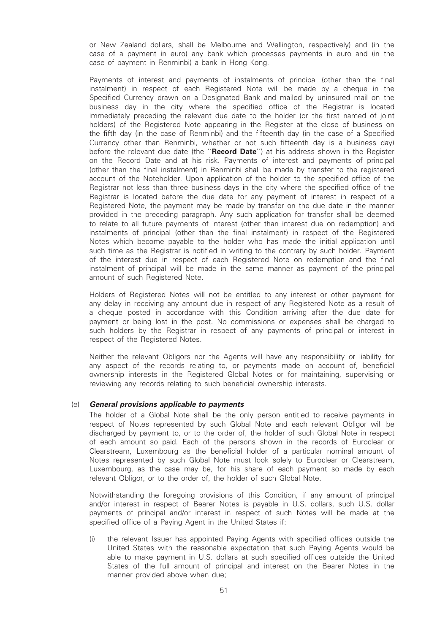or New Zealand dollars, shall be Melbourne and Wellington, respectively) and (in the case of a payment in euro) any bank which processes payments in euro and (in the case of payment in Renminbi) a bank in Hong Kong.

Payments of interest and payments of instalments of principal (other than the final instalment) in respect of each Registered Note will be made by a cheque in the Specified Currency drawn on a Designated Bank and mailed by uninsured mail on the business day in the city where the specified office of the Registrar is located immediately preceding the relevant due date to the holder (or the first named of joint holders) of the Registered Note appearing in the Register at the close of business on the fifth day (in the case of Renminbi) and the fifteenth day (in the case of a Specified Currency other than Renminbi, whether or not such fifteenth day is a business day) before the relevant due date (the "Record Date") at his address shown in the Register on the Record Date and at his risk. Payments of interest and payments of principal (other than the final instalment) in Renminbi shall be made by transfer to the registered account of the Noteholder. Upon application of the holder to the specified office of the Registrar not less than three business days in the city where the specified office of the Registrar is located before the due date for any payment of interest in respect of a Registered Note, the payment may be made by transfer on the due date in the manner provided in the preceding paragraph. Any such application for transfer shall be deemed to relate to all future payments of interest (other than interest due on redemption) and instalments of principal (other than the final instalment) in respect of the Registered Notes which become payable to the holder who has made the initial application until such time as the Registrar is notified in writing to the contrary by such holder. Payment of the interest due in respect of each Registered Note on redemption and the final instalment of principal will be made in the same manner as payment of the principal amount of such Registered Note.

Holders of Registered Notes will not be entitled to any interest or other payment for any delay in receiving any amount due in respect of any Registered Note as a result of a cheque posted in accordance with this Condition arriving after the due date for payment or being lost in the post. No commissions or expenses shall be charged to such holders by the Registrar in respect of any payments of principal or interest in respect of the Registered Notes.

Neither the relevant Obligors nor the Agents will have any responsibility or liability for any aspect of the records relating to, or payments made on account of, beneficial ownership interests in the Registered Global Notes or for maintaining, supervising or reviewing any records relating to such beneficial ownership interests.

#### (e) General provisions applicable to payments

The holder of a Global Note shall be the only person entitled to receive payments in respect of Notes represented by such Global Note and each relevant Obligor will be discharged by payment to, or to the order of, the holder of such Global Note in respect of each amount so paid. Each of the persons shown in the records of Euroclear or Clearstream, Luxembourg as the beneficial holder of a particular nominal amount of Notes represented by such Global Note must look solely to Euroclear or Clearstream, Luxembourg, as the case may be, for his share of each payment so made by each relevant Obligor, or to the order of, the holder of such Global Note.

Notwithstanding the foregoing provisions of this Condition, if any amount of principal and/or interest in respect of Bearer Notes is payable in U.S. dollars, such U.S. dollar payments of principal and/or interest in respect of such Notes will be made at the specified office of a Paying Agent in the United States if:

(i) the relevant Issuer has appointed Paying Agents with specified offices outside the United States with the reasonable expectation that such Paying Agents would be able to make payment in U.S. dollars at such specified offices outside the United States of the full amount of principal and interest on the Bearer Notes in the manner provided above when due;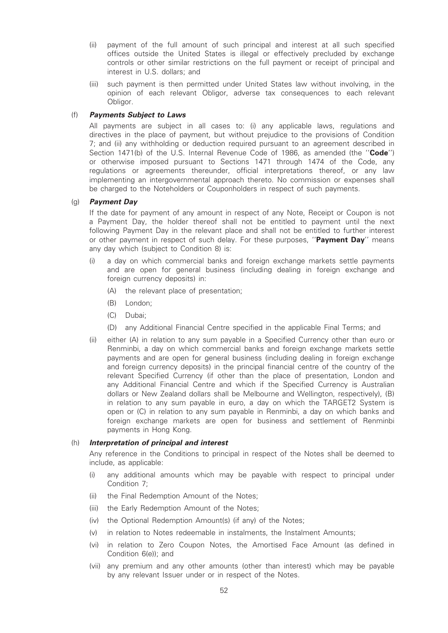- (ii) payment of the full amount of such principal and interest at all such specified offices outside the United States is illegal or effectively precluded by exchange controls or other similar restrictions on the full payment or receipt of principal and interest in U.S. dollars; and
- (iii) such payment is then permitted under United States law without involving, in the opinion of each relevant Obligor, adverse tax consequences to each relevant Obligor.

## (f) Payments Subject to Laws

All payments are subject in all cases to: (i) any applicable laws, regulations and directives in the place of payment, but without prejudice to the provisions of Condition 7; and (ii) any withholding or deduction required pursuant to an agreement described in Section 1471(b) of the U.S. Internal Revenue Code of 1986, as amended (the "Code") or otherwise imposed pursuant to Sections 1471 through 1474 of the Code, any regulations or agreements thereunder, official interpretations thereof, or any law implementing an intergovernmental approach thereto. No commission or expenses shall be charged to the Noteholders or Couponholders in respect of such payments.

## (g) Payment Day

If the date for payment of any amount in respect of any Note, Receipt or Coupon is not a Payment Day, the holder thereof shall not be entitled to payment until the next following Payment Day in the relevant place and shall not be entitled to further interest or other payment in respect of such delay. For these purposes, "Payment Day" means any day which (subject to Condition 8) is:

- (i) a day on which commercial banks and foreign exchange markets settle payments and are open for general business (including dealing in foreign exchange and foreign currency deposits) in:
	- (A) the relevant place of presentation;
	- (B) London;
	- (C) Dubai;
	- (D) any Additional Financial Centre specified in the applicable Final Terms; and
- (ii) either (A) in relation to any sum payable in a Specified Currency other than euro or Renminbi, a day on which commercial banks and foreign exchange markets settle payments and are open for general business (including dealing in foreign exchange and foreign currency deposits) in the principal financial centre of the country of the relevant Specified Currency (if other than the place of presentation, London and any Additional Financial Centre and which if the Specified Currency is Australian dollars or New Zealand dollars shall be Melbourne and Wellington, respectively), (B) in relation to any sum payable in euro, a day on which the TARGET2 System is open or (C) in relation to any sum payable in Renminbi, a day on which banks and foreign exchange markets are open for business and settlement of Renminbi payments in Hong Kong.

#### (h) Interpretation of principal and interest

Any reference in the Conditions to principal in respect of the Notes shall be deemed to include, as applicable:

- (i) any additional amounts which may be payable with respect to principal under Condition 7;
- (ii) the Final Redemption Amount of the Notes;
- (iii) the Early Redemption Amount of the Notes;
- (iv) the Optional Redemption Amount(s) (if any) of the Notes;
- (v) in relation to Notes redeemable in instalments, the Instalment Amounts;
- (vi) in relation to Zero Coupon Notes, the Amortised Face Amount (as defined in Condition 6(e)); and
- (vii) any premium and any other amounts (other than interest) which may be payable by any relevant Issuer under or in respect of the Notes.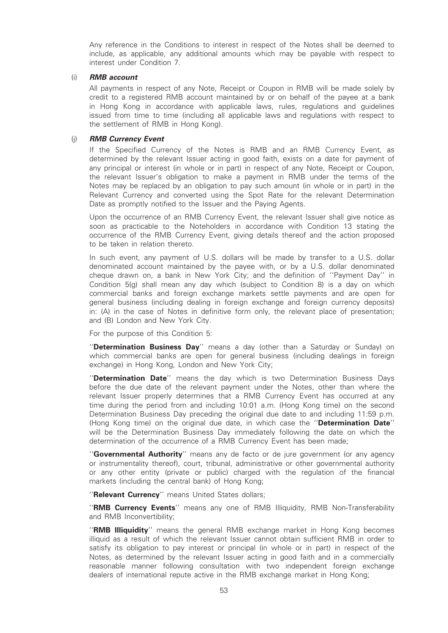Any reference in the Conditions to interest in respect of the Notes shall be deemed to include, as applicable, any additional amounts which may be payable with respect to interest under Condition 7.

#### (i) RMB account

All payments in respect of any Note, Receipt or Coupon in RMB will be made solely by credit to a registered RMB account maintained by or on behalf of the payee at a bank in Hong Kong in accordance with applicable laws, rules, regulations and guidelines issued from time to time (including all applicable laws and regulations with respect to the settlement of RMB in Hong Kong).

#### (j) RMB Currency Event

If the Specified Currency of the Notes is RMB and an RMB Currency Event, as determined by the relevant Issuer acting in good faith, exists on a date for payment of any principal or interest (in whole or in part) in respect of any Note, Receipt or Coupon, the relevant Issuer's obligation to make a payment in RMB under the terms of the Notes may be replaced by an obligation to pay such amount (in whole or in part) in the Relevant Currency and converted using the Spot Rate for the relevant Determination Date as promptly notified to the Issuer and the Paying Agents.

Upon the occurrence of an RMB Currency Event, the relevant Issuer shall give notice as soon as practicable to the Noteholders in accordance with Condition 13 stating the occurrence of the RMB Currency Event, giving details thereof and the action proposed to be taken in relation thereto.

In such event, any payment of U.S. dollars will be made by transfer to a U.S. dollar denominated account maintained by the payee with, or by a U.S. dollar denominated cheque drawn on, a bank in New York City; and the definition of ''Payment Day'' in Condition 5(g) shall mean any day which (subject to Condition 8) is a day on which commercial banks and foreign exchange markets settle payments and are open for general business (including dealing in foreign exchange and foreign currency deposits) in: (A) in the case of Notes in definitive form only, the relevant place of presentation; and (B) London and New York City.

For the purpose of this Condition 5:

"Determination Business Day" means a day (other than a Saturday or Sunday) on which commercial banks are open for general business (including dealings in foreign exchange) in Hong Kong, London and New York City;

''Determination Date'' means the day which is two Determination Business Days before the due date of the relevant payment under the Notes, other than where the relevant Issuer properly determines that a RMB Currency Event has occurred at any time during the period from and including 10:01 a.m. (Hong Kong time) on the second Determination Business Day preceding the original due date to and including 11:59 p.m. (Hong Kong time) on the original due date, in which case the "Determination Date" will be the Determination Business Day immediately following the date on which the determination of the occurrence of a RMB Currency Event has been made;

"Governmental Authority" means any de facto or de jure government (or any agency or instrumentality thereof), court, tribunal, administrative or other governmental authority or any other entity (private or public) charged with the regulation of the financial markets (including the central bank) of Hong Kong;

"Relevant Currency" means United States dollars;

''RMB Currency Events'' means any one of RMB Illiquidity, RMB Non-Transferability and RMB Inconvertibility;

"RMB Illiquidity" means the general RMB exchange market in Hong Kong becomes illiquid as a result of which the relevant Issuer cannot obtain sufficient RMB in order to satisfy its obligation to pay interest or principal (in whole or in part) in respect of the Notes, as determined by the relevant Issuer acting in good faith and in a commercially reasonable manner following consultation with two independent foreign exchange dealers of international repute active in the RMB exchange market in Hong Kong;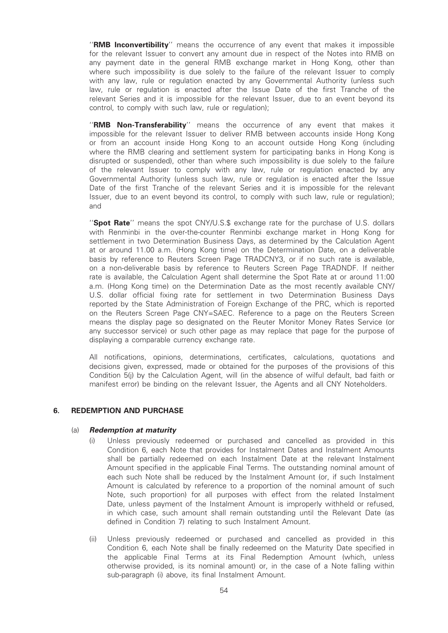"RMB Inconvertibility" means the occurrence of any event that makes it impossible for the relevant Issuer to convert any amount due in respect of the Notes into RMB on any payment date in the general RMB exchange market in Hong Kong, other than where such impossibility is due solely to the failure of the relevant Issuer to comply with any law, rule or regulation enacted by any Governmental Authority (unless such law, rule or regulation is enacted after the Issue Date of the first Tranche of the relevant Series and it is impossible for the relevant Issuer, due to an event beyond its control, to comply with such law, rule or regulation);

"RMB Non-Transferability" means the occurrence of any event that makes it impossible for the relevant Issuer to deliver RMB between accounts inside Hong Kong or from an account inside Hong Kong to an account outside Hong Kong (including where the RMB clearing and settlement system for participating banks in Hong Kong is disrupted or suspended), other than where such impossibility is due solely to the failure of the relevant Issuer to comply with any law, rule or regulation enacted by any Governmental Authority (unless such law, rule or regulation is enacted after the Issue Date of the first Tranche of the relevant Series and it is impossible for the relevant Issuer, due to an event beyond its control, to comply with such law, rule or regulation); and

"Spot Rate" means the spot CNY/U.S.\$ exchange rate for the purchase of U.S. dollars with Renminbi in the over-the-counter Renminbi exchange market in Hong Kong for settlement in two Determination Business Days, as determined by the Calculation Agent at or around 11.00 a.m. (Hong Kong time) on the Determination Date, on a deliverable basis by reference to Reuters Screen Page TRADCNY3, or if no such rate is available, on a non-deliverable basis by reference to Reuters Screen Page TRADNDF. If neither rate is available, the Calculation Agent shall determine the Spot Rate at or around 11:00 a.m. (Hong Kong time) on the Determination Date as the most recently available CNY/ U.S. dollar official fixing rate for settlement in two Determination Business Days reported by the State Administration of Foreign Exchange of the PRC, which is reported on the Reuters Screen Page CNY=SAEC. Reference to a page on the Reuters Screen means the display page so designated on the Reuter Monitor Money Rates Service (or any successor service) or such other page as may replace that page for the purpose of displaying a comparable currency exchange rate.

All notifications, opinions, determinations, certificates, calculations, quotations and decisions given, expressed, made or obtained for the purposes of the provisions of this Condition 5(i) by the Calculation Agent, will (in the absence of wilful default, bad faith or manifest error) be binding on the relevant Issuer, the Agents and all CNY Noteholders.

#### 6. REDEMPTION AND PURCHASE

#### (a) Redemption at maturity

- Unless previously redeemed or purchased and cancelled as provided in this Condition 6, each Note that provides for Instalment Dates and Instalment Amounts shall be partially redeemed on each Instalment Date at the relevant Instalment Amount specified in the applicable Final Terms. The outstanding nominal amount of each such Note shall be reduced by the Instalment Amount (or, if such Instalment Amount is calculated by reference to a proportion of the nominal amount of such Note, such proportion) for all purposes with effect from the related Instalment Date, unless payment of the Instalment Amount is improperly withheld or refused, in which case, such amount shall remain outstanding until the Relevant Date (as defined in Condition 7) relating to such Instalment Amount.
- (ii) Unless previously redeemed or purchased and cancelled as provided in this Condition 6, each Note shall be finally redeemed on the Maturity Date specified in the applicable Final Terms at its Final Redemption Amount (which, unless otherwise provided, is its nominal amount) or, in the case of a Note falling within sub-paragraph (i) above, its final Instalment Amount.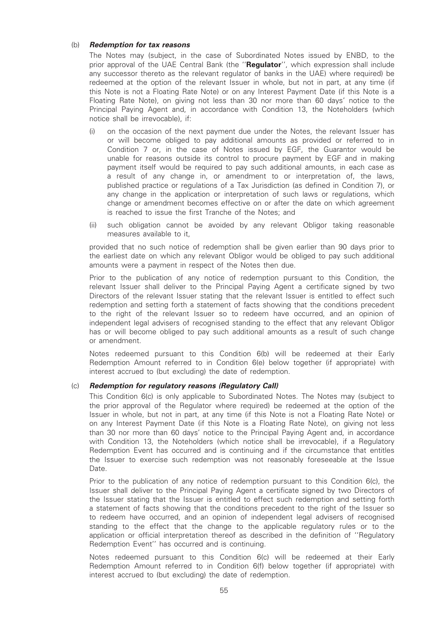#### (b) Redemption for tax reasons

The Notes may (subject, in the case of Subordinated Notes issued by ENBD, to the prior approval of the UAE Central Bank (the "Regulator", which expression shall include any successor thereto as the relevant regulator of banks in the UAE) where required) be redeemed at the option of the relevant Issuer in whole, but not in part, at any time (if this Note is not a Floating Rate Note) or on any Interest Payment Date (if this Note is a Floating Rate Note), on giving not less than 30 nor more than 60 days' notice to the Principal Paying Agent and, in accordance with Condition 13, the Noteholders (which notice shall be irrevocable), if:

- (i) on the occasion of the next payment due under the Notes, the relevant Issuer has or will become obliged to pay additional amounts as provided or referred to in Condition 7 or, in the case of Notes issued by EGF, the Guarantor would be unable for reasons outside its control to procure payment by EGF and in making payment itself would be required to pay such additional amounts, in each case as a result of any change in, or amendment to or interpretation of, the laws, published practice or regulations of a Tax Jurisdiction (as defined in Condition 7), or any change in the application or interpretation of such laws or regulations, which change or amendment becomes effective on or after the date on which agreement is reached to issue the first Tranche of the Notes; and
- (ii) such obligation cannot be avoided by any relevant Obligor taking reasonable measures available to it,

provided that no such notice of redemption shall be given earlier than 90 days prior to the earliest date on which any relevant Obligor would be obliged to pay such additional amounts were a payment in respect of the Notes then due.

Prior to the publication of any notice of redemption pursuant to this Condition, the relevant Issuer shall deliver to the Principal Paying Agent a certificate signed by two Directors of the relevant Issuer stating that the relevant Issuer is entitled to effect such redemption and setting forth a statement of facts showing that the conditions precedent to the right of the relevant Issuer so to redeem have occurred, and an opinion of independent legal advisers of recognised standing to the effect that any relevant Obligor has or will become obliged to pay such additional amounts as a result of such change or amendment.

Notes redeemed pursuant to this Condition 6(b) will be redeemed at their Early Redemption Amount referred to in Condition 6(e) below together (if appropriate) with interest accrued to (but excluding) the date of redemption.

## (c) Redemption for regulatory reasons (Regulatory Call)

This Condition 6(c) is only applicable to Subordinated Notes. The Notes may (subject to the prior approval of the Regulator where required) be redeemed at the option of the Issuer in whole, but not in part, at any time (if this Note is not a Floating Rate Note) or on any Interest Payment Date (if this Note is a Floating Rate Note), on giving not less than 30 nor more than 60 days' notice to the Principal Paying Agent and, in accordance with Condition 13, the Noteholders (which notice shall be irrevocable), if a Regulatory Redemption Event has occurred and is continuing and if the circumstance that entitles the Issuer to exercise such redemption was not reasonably foreseeable at the Issue Date.

Prior to the publication of any notice of redemption pursuant to this Condition 6(c), the Issuer shall deliver to the Principal Paying Agent a certificate signed by two Directors of the Issuer stating that the Issuer is entitled to effect such redemption and setting forth a statement of facts showing that the conditions precedent to the right of the Issuer so to redeem have occurred, and an opinion of independent legal advisers of recognised standing to the effect that the change to the applicable regulatory rules or to the application or official interpretation thereof as described in the definition of ''Regulatory Redemption Event'' has occurred and is continuing.

Notes redeemed pursuant to this Condition 6(c) will be redeemed at their Early Redemption Amount referred to in Condition 6(f) below together (if appropriate) with interest accrued to (but excluding) the date of redemption.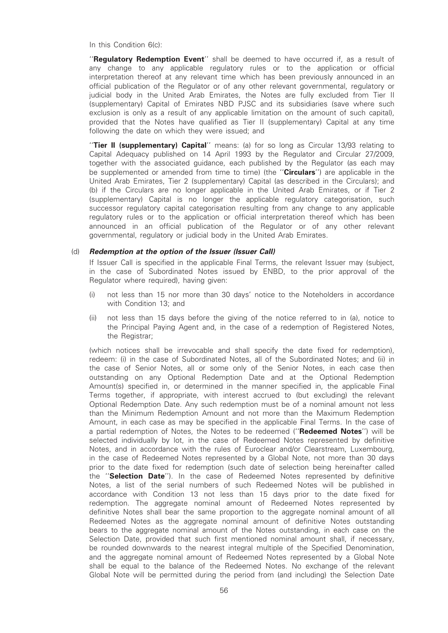In this Condition 6(c):

"Regulatory Redemption Event" shall be deemed to have occurred if, as a result of any change to any applicable regulatory rules or to the application or official interpretation thereof at any relevant time which has been previously announced in an official publication of the Regulator or of any other relevant governmental, regulatory or judicial body in the United Arab Emirates, the Notes are fully excluded from Tier II (supplementary) Capital of Emirates NBD PJSC and its subsidiaries (save where such exclusion is only as a result of any applicable limitation on the amount of such capital), provided that the Notes have qualified as Tier II (supplementary) Capital at any time following the date on which they were issued; and

''Tier II (supplementary) Capital'' means: (a) for so long as Circular 13/93 relating to Capital Adequacy published on 14 April 1993 by the Regulator and Circular 27/2009, together with the associated guidance, each published by the Regulator (as each may be supplemented or amended from time to time) (the "Circulars") are applicable in the United Arab Emirates, Tier 2 (supplementary) Capital (as described in the Circulars); and (b) if the Circulars are no longer applicable in the United Arab Emirates, or if Tier 2 (supplementary) Capital is no longer the applicable regulatory categorisation, such successor regulatory capital categorisation resulting from any change to any applicable regulatory rules or to the application or official interpretation thereof which has been announced in an official publication of the Regulator or of any other relevant governmental, regulatory or judicial body in the United Arab Emirates.

## (d) Redemption at the option of the Issuer (Issuer Call)

If Issuer Call is specified in the applicable Final Terms, the relevant Issuer may (subject, in the case of Subordinated Notes issued by ENBD, to the prior approval of the Regulator where required), having given:

- (i) not less than 15 nor more than 30 days' notice to the Noteholders in accordance with Condition 13; and
- (ii) not less than 15 days before the giving of the notice referred to in (a), notice to the Principal Paying Agent and, in the case of a redemption of Registered Notes, the Registrar;

(which notices shall be irrevocable and shall specify the date fixed for redemption), redeem: (i) in the case of Subordinated Notes, all of the Subordinated Notes; and (ii) in the case of Senior Notes, all or some only of the Senior Notes, in each case then outstanding on any Optional Redemption Date and at the Optional Redemption Amount(s) specified in, or determined in the manner specified in, the applicable Final Terms together, if appropriate, with interest accrued to (but excluding) the relevant Optional Redemption Date. Any such redemption must be of a nominal amount not less than the Minimum Redemption Amount and not more than the Maximum Redemption Amount, in each case as may be specified in the applicable Final Terms. In the case of a partial redemption of Notes, the Notes to be redeemed ("Redeemed Notes") will be selected individually by lot, in the case of Redeemed Notes represented by definitive Notes, and in accordance with the rules of Euroclear and/or Clearstream, Luxembourg, in the case of Redeemed Notes represented by a Global Note, not more than 30 days prior to the date fixed for redemption (such date of selection being hereinafter called the ''Selection Date''). In the case of Redeemed Notes represented by definitive Notes, a list of the serial numbers of such Redeemed Notes will be published in accordance with Condition 13 not less than 15 days prior to the date fixed for redemption. The aggregate nominal amount of Redeemed Notes represented by definitive Notes shall bear the same proportion to the aggregate nominal amount of all Redeemed Notes as the aggregate nominal amount of definitive Notes outstanding bears to the aggregate nominal amount of the Notes outstanding, in each case on the Selection Date, provided that such first mentioned nominal amount shall, if necessary, be rounded downwards to the nearest integral multiple of the Specified Denomination, and the aggregate nominal amount of Redeemed Notes represented by a Global Note shall be equal to the balance of the Redeemed Notes. No exchange of the relevant Global Note will be permitted during the period from (and including) the Selection Date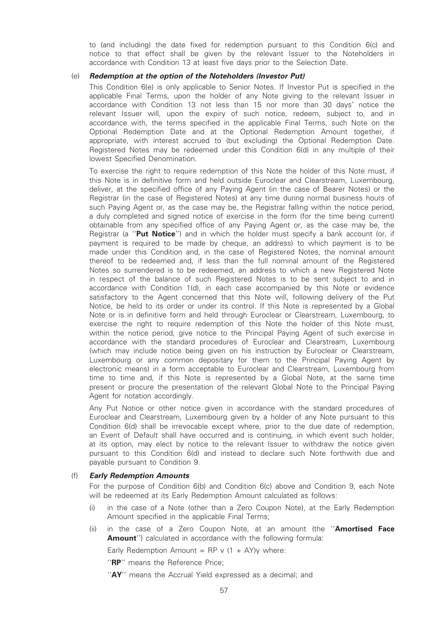to (and including) the date fixed for redemption pursuant to this Condition 6(c) and notice to that effect shall be given by the relevant Issuer to the Noteholders in accordance with Condition 13 at least five days prior to the Selection Date.

### (e) Redemption at the option of the Noteholders (Investor Put)

This Condition 6(e) is only applicable to Senior Notes. If Investor Put is specified in the applicable Final Terms, upon the holder of any Note giving to the relevant Issuer in accordance with Condition 13 not less than 15 nor more than 30 days' notice the relevant Issuer will, upon the expiry of such notice, redeem, subject to, and in accordance with, the terms specified in the applicable Final Terms, such Note on the Optional Redemption Date and at the Optional Redemption Amount together, if appropriate, with interest accrued to (but excluding) the Optional Redemption Date. Registered Notes may be redeemed under this Condition 6(d) in any multiple of their lowest Specified Denomination.

To exercise the right to require redemption of this Note the holder of this Note must, if this Note is in definitive form and held outside Euroclear and Clearstream, Luxembourg, deliver, at the specified office of any Paying Agent (in the case of Bearer Notes) or the Registrar (in the case of Registered Notes) at any time during normal business hours of such Paying Agent or, as the case may be, the Registrar falling within the notice period, a duly completed and signed notice of exercise in the form (for the time being current) obtainable from any specified office of any Paying Agent or, as the case may be, the Registrar (a "Put Notice") and in which the holder must specify a bank account (or, if payment is required to be made by cheque, an address) to which payment is to be made under this Condition and, in the case of Registered Notes, the nominal amount thereof to be redeemed and, if less than the full nominal amount of the Registered Notes so surrendered is to be redeemed, an address to which a new Registered Note in respect of the balance of such Registered Notes is to be sent subject to and in accordance with Condition 1(d), in each case accompanied by this Note or evidence satisfactory to the Agent concerned that this Note will, following delivery of the Put Notice, be held to its order or under its control. If this Note is represented by a Global Note or is in definitive form and held through Euroclear or Clearstream, Luxembourg, to exercise the right to require redemption of this Note the holder of this Note must, within the notice period, give notice to the Principal Paying Agent of such exercise in accordance with the standard procedures of Euroclear and Clearstream, Luxembourg (which may include notice being given on his instruction by Euroclear or Clearstream, Luxembourg or any common depositary for them to the Principal Paying Agent by electronic means) in a form acceptable to Euroclear and Clearstream, Luxembourg from time to time and, if this Note is represented by a Global Note, at the same time present or procure the presentation of the relevant Global Note to the Principal Paying Agent for notation accordingly.

Any Put Notice or other notice given in accordance with the standard procedures of Euroclear and Clearstream, Luxembourg given by a holder of any Note pursuant to this Condition 6(d) shall be irrevocable except where, prior to the due date of redemption, an Event of Default shall have occurred and is continuing, in which event such holder, at its option, may elect by notice to the relevant Issuer to withdraw the notice given pursuant to this Condition 6(d) and instead to declare such Note forthwith due and payable pursuant to Condition 9.

#### (f) Early Redemption Amounts

For the purpose of Condition 6(b) and Condition 6(c) above and Condition 9, each Note will be redeemed at its Early Redemption Amount calculated as follows:

- (i) in the case of a Note (other than a Zero Coupon Note), at the Early Redemption Amount specified in the applicable Final Terms;
- (ii) in the case of a Zero Coupon Note, at an amount (the "Amortised Face **Amount''**) calculated in accordance with the following formula:

Early Redemption Amount = RP v  $(1 + AY)y$  where:

"RP" means the Reference Price;

"AY" means the Accrual Yield expressed as a decimal; and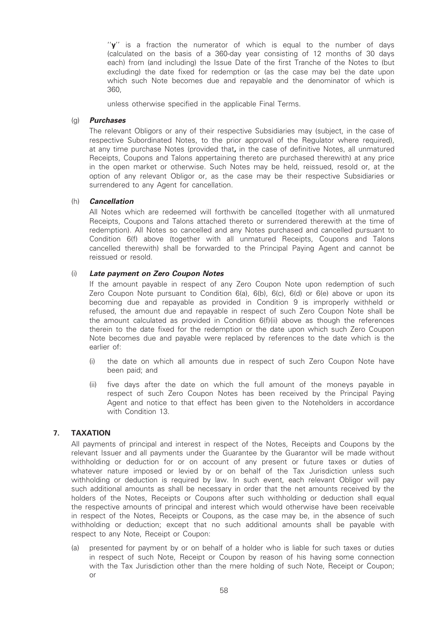''y'' is a fraction the numerator of which is equal to the number of days (calculated on the basis of a 360-day year consisting of 12 months of 30 days each) from (and including) the Issue Date of the first Tranche of the Notes to (but excluding) the date fixed for redemption or (as the case may be) the date upon which such Note becomes due and repayable and the denominator of which is 360,

unless otherwise specified in the applicable Final Terms.

## (g) Purchases

The relevant Obligors or any of their respective Subsidiaries may (subject, in the case of respective Subordinated Notes, to the prior approval of the Regulator where required), at any time purchase Notes (provided that, in the case of definitive Notes, all unmatured Receipts, Coupons and Talons appertaining thereto are purchased therewith) at any price in the open market or otherwise. Such Notes may be held, reissued, resold or, at the option of any relevant Obligor or, as the case may be their respective Subsidiaries or surrendered to any Agent for cancellation.

## (h) Cancellation

All Notes which are redeemed will forthwith be cancelled (together with all unmatured Receipts, Coupons and Talons attached thereto or surrendered therewith at the time of redemption). All Notes so cancelled and any Notes purchased and cancelled pursuant to Condition 6(f) above (together with all unmatured Receipts, Coupons and Talons cancelled therewith) shall be forwarded to the Principal Paying Agent and cannot be reissued or resold.

## (i) Late payment on Zero Coupon Notes

If the amount payable in respect of any Zero Coupon Note upon redemption of such Zero Coupon Note pursuant to Condition 6(a), 6(b), 6(c), 6(d) or 6(e) above or upon its becoming due and repayable as provided in Condition 9 is improperly withheld or refused, the amount due and repayable in respect of such Zero Coupon Note shall be the amount calculated as provided in Condition 6(f)(ii) above as though the references therein to the date fixed for the redemption or the date upon which such Zero Coupon Note becomes due and payable were replaced by references to the date which is the earlier of:

- (i) the date on which all amounts due in respect of such Zero Coupon Note have been paid; and
- (ii) five days after the date on which the full amount of the moneys payable in respect of such Zero Coupon Notes has been received by the Principal Paying Agent and notice to that effect has been given to the Noteholders in accordance with Condition 13.

## 7. TAXATION

All payments of principal and interest in respect of the Notes, Receipts and Coupons by the relevant Issuer and all payments under the Guarantee by the Guarantor will be made without withholding or deduction for or on account of any present or future taxes or duties of whatever nature imposed or levied by or on behalf of the Tax Jurisdiction unless such withholding or deduction is required by law. In such event, each relevant Obligor will pay such additional amounts as shall be necessary in order that the net amounts received by the holders of the Notes, Receipts or Coupons after such withholding or deduction shall equal the respective amounts of principal and interest which would otherwise have been receivable in respect of the Notes, Receipts or Coupons, as the case may be, in the absence of such withholding or deduction; except that no such additional amounts shall be payable with respect to any Note, Receipt or Coupon:

(a) presented for payment by or on behalf of a holder who is liable for such taxes or duties in respect of such Note, Receipt or Coupon by reason of his having some connection with the Tax Jurisdiction other than the mere holding of such Note, Receipt or Coupon; or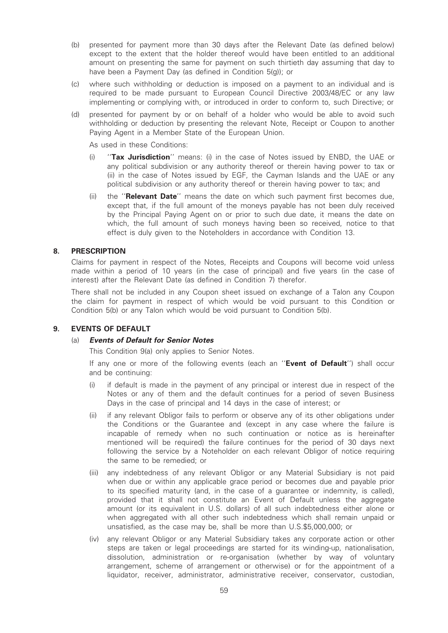- (b) presented for payment more than 30 days after the Relevant Date (as defined below) except to the extent that the holder thereof would have been entitled to an additional amount on presenting the same for payment on such thirtieth day assuming that day to have been a Payment Day (as defined in Condition 5(g)); or
- (c) where such withholding or deduction is imposed on a payment to an individual and is required to be made pursuant to European Council Directive 2003/48/EC or any law implementing or complying with, or introduced in order to conform to, such Directive; or
- (d) presented for payment by or on behalf of a holder who would be able to avoid such withholding or deduction by presenting the relevant Note, Receipt or Coupon to another Paying Agent in a Member State of the European Union.

As used in these Conditions:

- (i) "Tax Jurisdiction" means: (i) in the case of Notes issued by ENBD, the UAE or any political subdivision or any authority thereof or therein having power to tax or (ii) in the case of Notes issued by EGF, the Cayman Islands and the UAE or any political subdivision or any authority thereof or therein having power to tax; and
- (ii) the "**Relevant Date**" means the date on which such payment first becomes due, except that, if the full amount of the moneys payable has not been duly received by the Principal Paying Agent on or prior to such due date, it means the date on which, the full amount of such moneys having been so received, notice to that effect is duly given to the Noteholders in accordance with Condition 13.

## 8. PRESCRIPTION

Claims for payment in respect of the Notes, Receipts and Coupons will become void unless made within a period of 10 years (in the case of principal) and five years (in the case of interest) after the Relevant Date (as defined in Condition 7) therefor.

There shall not be included in any Coupon sheet issued on exchange of a Talon any Coupon the claim for payment in respect of which would be void pursuant to this Condition or Condition 5(b) or any Talon which would be void pursuant to Condition 5(b).

## 9. EVENTS OF DEFAULT

#### (a) Events of Default for Senior Notes

This Condition 9(a) only applies to Senior Notes.

If any one or more of the following events (each an "Event of Default") shall occur and be continuing:

- (i) if default is made in the payment of any principal or interest due in respect of the Notes or any of them and the default continues for a period of seven Business Days in the case of principal and 14 days in the case of interest; or
- (ii) if any relevant Obligor fails to perform or observe any of its other obligations under the Conditions or the Guarantee and (except in any case where the failure is incapable of remedy when no such continuation or notice as is hereinafter mentioned will be required) the failure continues for the period of 30 days next following the service by a Noteholder on each relevant Obligor of notice requiring the same to be remedied; or
- (iii) any indebtedness of any relevant Obligor or any Material Subsidiary is not paid when due or within any applicable grace period or becomes due and payable prior to its specified maturity (and, in the case of a guarantee or indemnity, is called), provided that it shall not constitute an Event of Default unless the aggregate amount (or its equivalent in U.S. dollars) of all such indebtedness either alone or when aggregated with all other such indebtedness which shall remain unpaid or unsatisfied, as the case may be, shall be more than U.S.\$5,000,000; or
- (iv) any relevant Obligor or any Material Subsidiary takes any corporate action or other steps are taken or legal proceedings are started for its winding-up, nationalisation, dissolution, administration or re-organisation (whether by way of voluntary arrangement, scheme of arrangement or otherwise) or for the appointment of a liquidator, receiver, administrator, administrative receiver, conservator, custodian,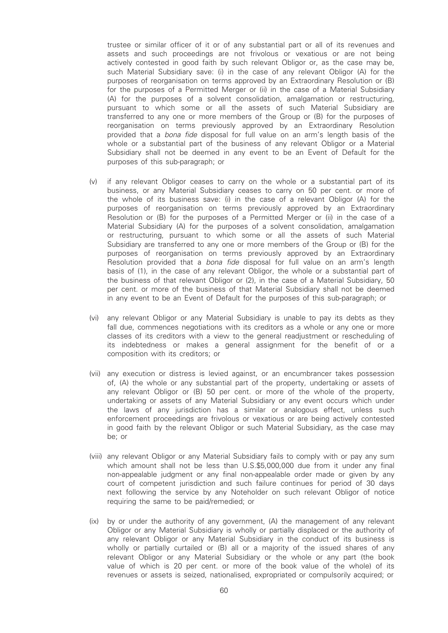trustee or similar officer of it or of any substantial part or all of its revenues and assets and such proceedings are not frivolous or vexatious or are not being actively contested in good faith by such relevant Obligor or, as the case may be, such Material Subsidiary save: (i) in the case of any relevant Obligor (A) for the purposes of reorganisation on terms approved by an Extraordinary Resolution or (B) for the purposes of a Permitted Merger or (ii) in the case of a Material Subsidiary (A) for the purposes of a solvent consolidation, amalgamation or restructuring, pursuant to which some or all the assets of such Material Subsidiary are transferred to any one or more members of the Group or (B) for the purposes of reorganisation on terms previously approved by an Extraordinary Resolution provided that a bona fide disposal for full value on an arm's length basis of the whole or a substantial part of the business of any relevant Obligor or a Material Subsidiary shall not be deemed in any event to be an Event of Default for the purposes of this sub-paragraph; or

- (v) if any relevant Obligor ceases to carry on the whole or a substantial part of its business, or any Material Subsidiary ceases to carry on 50 per cent. or more of the whole of its business save: (i) in the case of a relevant Obligor (A) for the purposes of reorganisation on terms previously approved by an Extraordinary Resolution or (B) for the purposes of a Permitted Merger or (ii) in the case of a Material Subsidiary (A) for the purposes of a solvent consolidation, amalgamation or restructuring, pursuant to which some or all the assets of such Material Subsidiary are transferred to any one or more members of the Group or (B) for the purposes of reorganisation on terms previously approved by an Extraordinary Resolution provided that a bona fide disposal for full value on an arm's length basis of (1), in the case of any relevant Obligor, the whole or a substantial part of the business of that relevant Obligor or (2), in the case of a Material Subsidiary, 50 per cent. or more of the business of that Material Subsidiary shall not be deemed in any event to be an Event of Default for the purposes of this sub-paragraph; or
- (vi) any relevant Obligor or any Material Subsidiary is unable to pay its debts as they fall due, commences negotiations with its creditors as a whole or any one or more classes of its creditors with a view to the general readjustment or rescheduling of its indebtedness or makes a general assignment for the benefit of or a composition with its creditors; or
- (vii) any execution or distress is levied against, or an encumbrancer takes possession of, (A) the whole or any substantial part of the property, undertaking or assets of any relevant Obligor or (B) 50 per cent. or more of the whole of the property, undertaking or assets of any Material Subsidiary or any event occurs which under the laws of any jurisdiction has a similar or analogous effect, unless such enforcement proceedings are frivolous or vexatious or are being actively contested in good faith by the relevant Obligor or such Material Subsidiary, as the case may be; or
- (viii) any relevant Obligor or any Material Subsidiary fails to comply with or pay any sum which amount shall not be less than U.S.\$5,000,000 due from it under any final non-appealable judgment or any final non-appealable order made or given by any court of competent jurisdiction and such failure continues for period of 30 days next following the service by any Noteholder on such relevant Obligor of notice requiring the same to be paid/remedied; or
- (ix) by or under the authority of any government, (A) the management of any relevant Obligor or any Material Subsidiary is wholly or partially displaced or the authority of any relevant Obligor or any Material Subsidiary in the conduct of its business is wholly or partially curtailed or (B) all or a majority of the issued shares of any relevant Obligor or any Material Subsidiary or the whole or any part (the book value of which is 20 per cent. or more of the book value of the whole) of its revenues or assets is seized, nationalised, expropriated or compulsorily acquired; or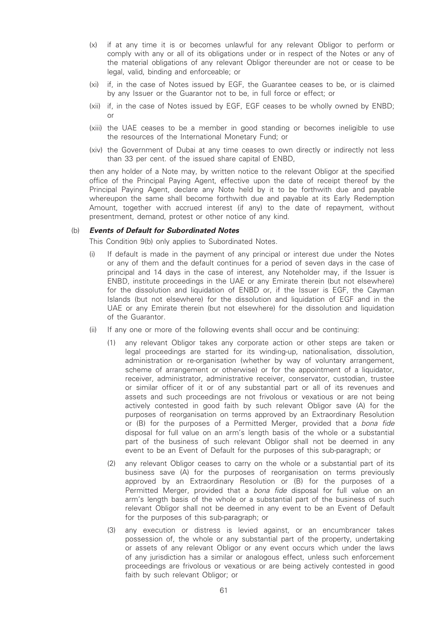- (x) if at any time it is or becomes unlawful for any relevant Obligor to perform or comply with any or all of its obligations under or in respect of the Notes or any of the material obligations of any relevant Obligor thereunder are not or cease to be legal, valid, binding and enforceable; or
- (xi) if, in the case of Notes issued by EGF, the Guarantee ceases to be, or is claimed by any Issuer or the Guarantor not to be, in full force or effect; or
- (xii) if, in the case of Notes issued by EGF, EGF ceases to be wholly owned by ENBD; or
- (xiii) the UAE ceases to be a member in good standing or becomes ineligible to use the resources of the International Monetary Fund; or
- (xiv) the Government of Dubai at any time ceases to own directly or indirectly not less than 33 per cent. of the issued share capital of ENBD,

then any holder of a Note may, by written notice to the relevant Obligor at the specified office of the Principal Paying Agent, effective upon the date of receipt thereof by the Principal Paying Agent, declare any Note held by it to be forthwith due and payable whereupon the same shall become forthwith due and payable at its Early Redemption Amount, together with accrued interest (if any) to the date of repayment, without presentment, demand, protest or other notice of any kind.

#### (b) Events of Default for Subordinated Notes

This Condition 9(b) only applies to Subordinated Notes.

- (i) If default is made in the payment of any principal or interest due under the Notes or any of them and the default continues for a period of seven days in the case of principal and 14 days in the case of interest, any Noteholder may, if the Issuer is ENBD, institute proceedings in the UAE or any Emirate therein (but not elsewhere) for the dissolution and liquidation of ENBD or, if the Issuer is EGF, the Cayman Islands (but not elsewhere) for the dissolution and liquidation of EGF and in the UAE or any Emirate therein (but not elsewhere) for the dissolution and liquidation of the Guarantor.
- (ii) If any one or more of the following events shall occur and be continuing:
	- (1) any relevant Obligor takes any corporate action or other steps are taken or legal proceedings are started for its winding-up, nationalisation, dissolution, administration or re-organisation (whether by way of voluntary arrangement, scheme of arrangement or otherwise) or for the appointment of a liquidator, receiver, administrator, administrative receiver, conservator, custodian, trustee or similar officer of it or of any substantial part or all of its revenues and assets and such proceedings are not frivolous or vexatious or are not being actively contested in good faith by such relevant Obligor save (A) for the purposes of reorganisation on terms approved by an Extraordinary Resolution or (B) for the purposes of a Permitted Merger, provided that a bona fide disposal for full value on an arm's length basis of the whole or a substantial part of the business of such relevant Obligor shall not be deemed in any event to be an Event of Default for the purposes of this sub-paragraph; or
	- (2) any relevant Obligor ceases to carry on the whole or a substantial part of its business save (A) for the purposes of reorganisation on terms previously approved by an Extraordinary Resolution or (B) for the purposes of a Permitted Merger, provided that a bona fide disposal for full value on an arm's length basis of the whole or a substantial part of the business of such relevant Obligor shall not be deemed in any event to be an Event of Default for the purposes of this sub-paragraph; or
	- (3) any execution or distress is levied against, or an encumbrancer takes possession of, the whole or any substantial part of the property, undertaking or assets of any relevant Obligor or any event occurs which under the laws of any jurisdiction has a similar or analogous effect, unless such enforcement proceedings are frivolous or vexatious or are being actively contested in good faith by such relevant Obligor; or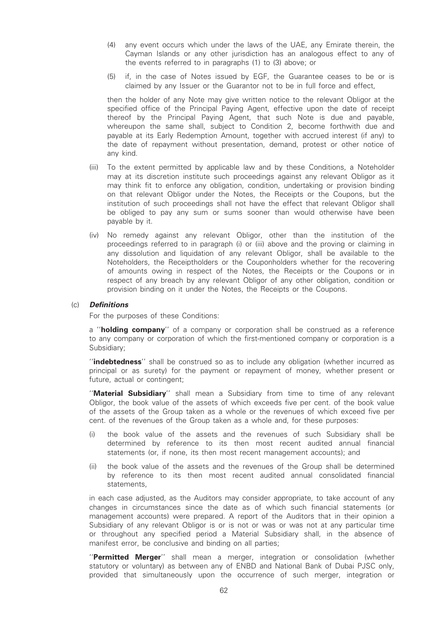- (4) any event occurs which under the laws of the UAE, any Emirate therein, the Cayman Islands or any other jurisdiction has an analogous effect to any of the events referred to in paragraphs (1) to (3) above; or
- (5) if, in the case of Notes issued by EGF, the Guarantee ceases to be or is claimed by any Issuer or the Guarantor not to be in full force and effect,

then the holder of any Note may give written notice to the relevant Obligor at the specified office of the Principal Paying Agent, effective upon the date of receipt thereof by the Principal Paying Agent, that such Note is due and payable, whereupon the same shall, subject to Condition 2, become forthwith due and payable at its Early Redemption Amount, together with accrued interest (if any) to the date of repayment without presentation, demand, protest or other notice of any kind.

- (iii) To the extent permitted by applicable law and by these Conditions, a Noteholder may at its discretion institute such proceedings against any relevant Obligor as it may think fit to enforce any obligation, condition, undertaking or provision binding on that relevant Obligor under the Notes, the Receipts or the Coupons, but the institution of such proceedings shall not have the effect that relevant Obligor shall be obliged to pay any sum or sums sooner than would otherwise have been payable by it.
- (iv) No remedy against any relevant Obligor, other than the institution of the proceedings referred to in paragraph (i) or (iii) above and the proving or claiming in any dissolution and liquidation of any relevant Obligor, shall be available to the Noteholders, the Receiptholders or the Couponholders whether for the recovering of amounts owing in respect of the Notes, the Receipts or the Coupons or in respect of any breach by any relevant Obligor of any other obligation, condition or provision binding on it under the Notes, the Receipts or the Coupons.

#### (c) Definitions

For the purposes of these Conditions:

a "holding company" of a company or corporation shall be construed as a reference to any company or corporation of which the first-mentioned company or corporation is a Subsidiary;

''indebtedness'' shall be construed so as to include any obligation (whether incurred as principal or as surety) for the payment or repayment of money, whether present or future, actual or contingent;

''Material Subsidiary'' shall mean a Subsidiary from time to time of any relevant Obligor, the book value of the assets of which exceeds five per cent. of the book value of the assets of the Group taken as a whole or the revenues of which exceed five per cent. of the revenues of the Group taken as a whole and, for these purposes:

- (i) the book value of the assets and the revenues of such Subsidiary shall be determined by reference to its then most recent audited annual financial statements (or, if none, its then most recent management accounts); and
- (ii) the book value of the assets and the revenues of the Group shall be determined by reference to its then most recent audited annual consolidated financial statements,

in each case adjusted, as the Auditors may consider appropriate, to take account of any changes in circumstances since the date as of which such financial statements (or management accounts) were prepared. A report of the Auditors that in their opinion a Subsidiary of any relevant Obligor is or is not or was or was not at any particular time or throughout any specified period a Material Subsidiary shall, in the absence of manifest error, be conclusive and binding on all parties;

"Permitted Merger" shall mean a merger, integration or consolidation (whether statutory or voluntary) as between any of ENBD and National Bank of Dubai PJSC only, provided that simultaneously upon the occurrence of such merger, integration or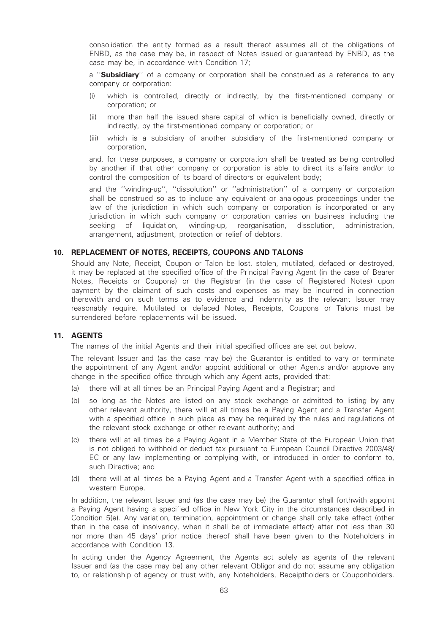consolidation the entity formed as a result thereof assumes all of the obligations of ENBD, as the case may be, in respect of Notes issued or guaranteed by ENBD, as the case may be, in accordance with Condition 17;

a "**Subsidiary**" of a company or corporation shall be construed as a reference to any company or corporation:

- (i) which is controlled, directly or indirectly, by the first-mentioned company or corporation; or
- (ii) more than half the issued share capital of which is beneficially owned, directly or indirectly, by the first-mentioned company or corporation; or
- (iii) which is a subsidiary of another subsidiary of the first-mentioned company or corporation,

and, for these purposes, a company or corporation shall be treated as being controlled by another if that other company or corporation is able to direct its affairs and/or to control the composition of its board of directors or equivalent body;

and the ''winding-up'', ''dissolution'' or ''administration'' of a company or corporation shall be construed so as to include any equivalent or analogous proceedings under the law of the jurisdiction in which such company or corporation is incorporated or any jurisdiction in which such company or corporation carries on business including the seeking of liquidation, winding-up, reorganisation, dissolution, administration, arrangement, adjustment, protection or relief of debtors.

## 10. REPLACEMENT OF NOTES, RECEIPTS, COUPONS AND TALONS

Should any Note, Receipt, Coupon or Talon be lost, stolen, mutilated, defaced or destroyed, it may be replaced at the specified office of the Principal Paying Agent (in the case of Bearer Notes, Receipts or Coupons) or the Registrar (in the case of Registered Notes) upon payment by the claimant of such costs and expenses as may be incurred in connection therewith and on such terms as to evidence and indemnity as the relevant Issuer may reasonably require. Mutilated or defaced Notes, Receipts, Coupons or Talons must be surrendered before replacements will be issued.

#### 11. AGENTS

The names of the initial Agents and their initial specified offices are set out below.

The relevant Issuer and (as the case may be) the Guarantor is entitled to vary or terminate the appointment of any Agent and/or appoint additional or other Agents and/or approve any change in the specified office through which any Agent acts, provided that:

- (a) there will at all times be an Principal Paying Agent and a Registrar; and
- (b) so long as the Notes are listed on any stock exchange or admitted to listing by any other relevant authority, there will at all times be a Paying Agent and a Transfer Agent with a specified office in such place as may be required by the rules and regulations of the relevant stock exchange or other relevant authority; and
- (c) there will at all times be a Paying Agent in a Member State of the European Union that is not obliged to withhold or deduct tax pursuant to European Council Directive 2003/48/ EC or any law implementing or complying with, or introduced in order to conform to, such Directive; and
- (d) there will at all times be a Paying Agent and a Transfer Agent with a specified office in western Europe.

In addition, the relevant Issuer and (as the case may be) the Guarantor shall forthwith appoint a Paying Agent having a specified office in New York City in the circumstances described in Condition 5(e). Any variation, termination, appointment or change shall only take effect (other than in the case of insolvency, when it shall be of immediate effect) after not less than 30 nor more than 45 days' prior notice thereof shall have been given to the Noteholders in accordance with Condition 13.

In acting under the Agency Agreement, the Agents act solely as agents of the relevant Issuer and (as the case may be) any other relevant Obligor and do not assume any obligation to, or relationship of agency or trust with, any Noteholders, Receiptholders or Couponholders.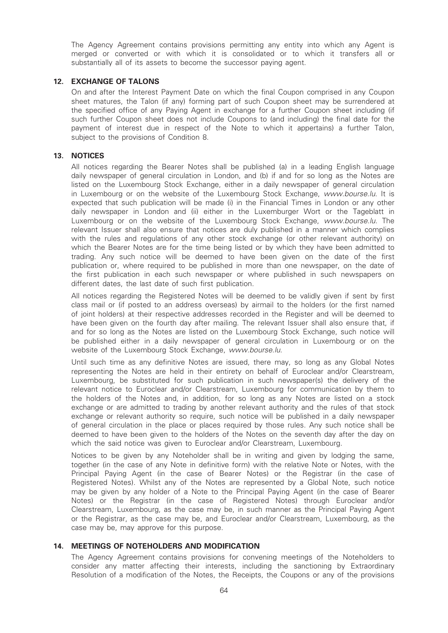The Agency Agreement contains provisions permitting any entity into which any Agent is merged or converted or with which it is consolidated or to which it transfers all or substantially all of its assets to become the successor paying agent.

## 12. EXCHANGE OF TALONS

On and after the Interest Payment Date on which the final Coupon comprised in any Coupon sheet matures, the Talon (if any) forming part of such Coupon sheet may be surrendered at the specified office of any Paying Agent in exchange for a further Coupon sheet including (if such further Coupon sheet does not include Coupons to (and including) the final date for the payment of interest due in respect of the Note to which it appertains) a further Talon, subject to the provisions of Condition 8.

#### 13. NOTICES

All notices regarding the Bearer Notes shall be published (a) in a leading English language daily newspaper of general circulation in London, and (b) if and for so long as the Notes are listed on the Luxembourg Stock Exchange, either in a daily newspaper of general circulation in Luxembourg or on the website of the Luxembourg Stock Exchange, www.bourse.lu. It is expected that such publication will be made (i) in the Financial Times in London or any other daily newspaper in London and (ii) either in the Luxemburger Wort or the Tageblatt in Luxembourg or on the website of the Luxembourg Stock Exchange, www.bourse.lu. The relevant Issuer shall also ensure that notices are duly published in a manner which complies with the rules and regulations of any other stock exchange (or other relevant authority) on which the Bearer Notes are for the time being listed or by which they have been admitted to trading. Any such notice will be deemed to have been given on the date of the first publication or, where required to be published in more than one newspaper, on the date of the first publication in each such newspaper or where published in such newspapers on different dates, the last date of such first publication.

All notices regarding the Registered Notes will be deemed to be validly given if sent by first class mail or (if posted to an address overseas) by airmail to the holders (or the first named of joint holders) at their respective addresses recorded in the Register and will be deemed to have been given on the fourth day after mailing. The relevant Issuer shall also ensure that, if and for so long as the Notes are listed on the Luxembourg Stock Exchange, such notice will be published either in a daily newspaper of general circulation in Luxembourg or on the website of the Luxembourg Stock Exchange, www.bourse.lu.

Until such time as any definitive Notes are issued, there may, so long as any Global Notes representing the Notes are held in their entirety on behalf of Euroclear and/or Clearstream, Luxembourg, be substituted for such publication in such newspaper(s) the delivery of the relevant notice to Euroclear and/or Clearstream, Luxembourg for communication by them to the holders of the Notes and, in addition, for so long as any Notes are listed on a stock exchange or are admitted to trading by another relevant authority and the rules of that stock exchange or relevant authority so require, such notice will be published in a daily newspaper of general circulation in the place or places required by those rules. Any such notice shall be deemed to have been given to the holders of the Notes on the seventh day after the day on which the said notice was given to Euroclear and/or Clearstream, Luxembourg.

Notices to be given by any Noteholder shall be in writing and given by lodging the same, together (in the case of any Note in definitive form) with the relative Note or Notes, with the Principal Paying Agent (in the case of Bearer Notes) or the Registrar (in the case of Registered Notes). Whilst any of the Notes are represented by a Global Note, such notice may be given by any holder of a Note to the Principal Paying Agent (in the case of Bearer Notes) or the Registrar (in the case of Registered Notes) through Euroclear and/or Clearstream, Luxembourg, as the case may be, in such manner as the Principal Paying Agent or the Registrar, as the case may be, and Euroclear and/or Clearstream, Luxembourg, as the case may be, may approve for this purpose.

## 14. MEETINGS OF NOTEHOLDERS AND MODIFICATION

The Agency Agreement contains provisions for convening meetings of the Noteholders to consider any matter affecting their interests, including the sanctioning by Extraordinary Resolution of a modification of the Notes, the Receipts, the Coupons or any of the provisions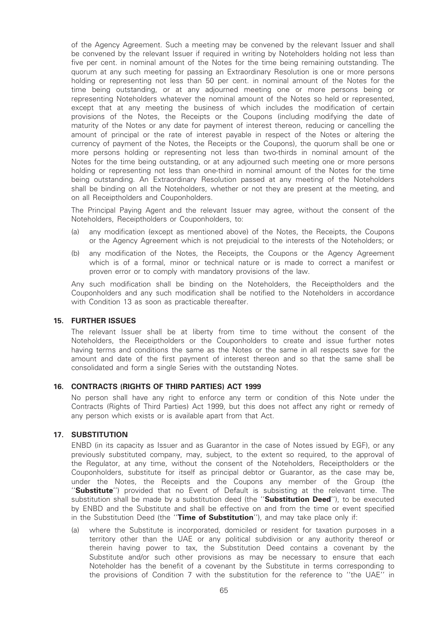of the Agency Agreement. Such a meeting may be convened by the relevant Issuer and shall be convened by the relevant Issuer if required in writing by Noteholders holding not less than five per cent. in nominal amount of the Notes for the time being remaining outstanding. The quorum at any such meeting for passing an Extraordinary Resolution is one or more persons holding or representing not less than 50 per cent. in nominal amount of the Notes for the time being outstanding, or at any adjourned meeting one or more persons being or representing Noteholders whatever the nominal amount of the Notes so held or represented, except that at any meeting the business of which includes the modification of certain provisions of the Notes, the Receipts or the Coupons (including modifying the date of maturity of the Notes or any date for payment of interest thereon, reducing or cancelling the amount of principal or the rate of interest payable in respect of the Notes or altering the currency of payment of the Notes, the Receipts or the Coupons), the quorum shall be one or more persons holding or representing not less than two-thirds in nominal amount of the Notes for the time being outstanding, or at any adjourned such meeting one or more persons holding or representing not less than one-third in nominal amount of the Notes for the time being outstanding. An Extraordinary Resolution passed at any meeting of the Noteholders shall be binding on all the Noteholders, whether or not they are present at the meeting, and on all Receiptholders and Couponholders.

The Principal Paying Agent and the relevant Issuer may agree, without the consent of the Noteholders, Receiptholders or Couponholders, to:

- (a) any modification (except as mentioned above) of the Notes, the Receipts, the Coupons or the Agency Agreement which is not prejudicial to the interests of the Noteholders; or
- (b) any modification of the Notes, the Receipts, the Coupons or the Agency Agreement which is of a formal, minor or technical nature or is made to correct a manifest or proven error or to comply with mandatory provisions of the law.

Any such modification shall be binding on the Noteholders, the Receiptholders and the Couponholders and any such modification shall be notified to the Noteholders in accordance with Condition 13 as soon as practicable thereafter.

#### 15. FURTHER ISSUES

The relevant Issuer shall be at liberty from time to time without the consent of the Noteholders, the Receiptholders or the Couponholders to create and issue further notes having terms and conditions the same as the Notes or the same in all respects save for the amount and date of the first payment of interest thereon and so that the same shall be consolidated and form a single Series with the outstanding Notes.

#### 16. CONTRACTS (RIGHTS OF THIRD PARTIES) ACT 1999

No person shall have any right to enforce any term or condition of this Note under the Contracts (Rights of Third Parties) Act 1999, but this does not affect any right or remedy of any person which exists or is available apart from that Act.

### 17. SUBSTITUTION

ENBD (in its capacity as Issuer and as Guarantor in the case of Notes issued by EGF), or any previously substituted company, may, subject, to the extent so required, to the approval of the Regulator, at any time, without the consent of the Noteholders, Receiptholders or the Couponholders, substitute for itself as principal debtor or Guarantor, as the case may be, under the Notes, the Receipts and the Coupons any member of the Group (the "Substitute") provided that no Event of Default is subsisting at the relevant time. The substitution shall be made by a substitution deed (the "Substitution Deed"), to be executed by ENBD and the Substitute and shall be effective on and from the time or event specified in the Substitution Deed (the "Time of Substitution"), and may take place only if:

(a) where the Substitute is incorporated, domiciled or resident for taxation purposes in a territory other than the UAE or any political subdivision or any authority thereof or therein having power to tax, the Substitution Deed contains a covenant by the Substitute and/or such other provisions as may be necessary to ensure that each Noteholder has the benefit of a covenant by the Substitute in terms corresponding to the provisions of Condition 7 with the substitution for the reference to ''the UAE'' in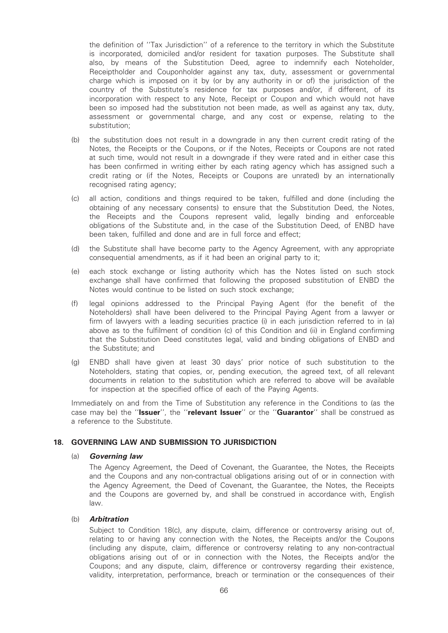the definition of ''Tax Jurisdiction'' of a reference to the territory in which the Substitute is incorporated, domiciled and/or resident for taxation purposes. The Substitute shall also, by means of the Substitution Deed, agree to indemnify each Noteholder, Receiptholder and Couponholder against any tax, duty, assessment or governmental charge which is imposed on it by (or by any authority in or of) the jurisdiction of the country of the Substitute's residence for tax purposes and/or, if different, of its incorporation with respect to any Note, Receipt or Coupon and which would not have been so imposed had the substitution not been made, as well as against any tax, duty, assessment or governmental charge, and any cost or expense, relating to the substitution;

- (b) the substitution does not result in a downgrade in any then current credit rating of the Notes, the Receipts or the Coupons, or if the Notes, Receipts or Coupons are not rated at such time, would not result in a downgrade if they were rated and in either case this has been confirmed in writing either by each rating agency which has assigned such a credit rating or (if the Notes, Receipts or Coupons are unrated) by an internationally recognised rating agency;
- (c) all action, conditions and things required to be taken, fulfilled and done (including the obtaining of any necessary consents) to ensure that the Substitution Deed, the Notes, the Receipts and the Coupons represent valid, legally binding and enforceable obligations of the Substitute and, in the case of the Substitution Deed, of ENBD have been taken, fulfilled and done and are in full force and effect;
- (d) the Substitute shall have become party to the Agency Agreement, with any appropriate consequential amendments, as if it had been an original party to it;
- (e) each stock exchange or listing authority which has the Notes listed on such stock exchange shall have confirmed that following the proposed substitution of ENBD the Notes would continue to be listed on such stock exchange;
- (f) legal opinions addressed to the Principal Paying Agent (for the benefit of the Noteholders) shall have been delivered to the Principal Paying Agent from a lawyer or firm of lawyers with a leading securities practice (i) in each jurisdiction referred to in (a) above as to the fulfilment of condition (c) of this Condition and (ii) in England confirming that the Substitution Deed constitutes legal, valid and binding obligations of ENBD and the Substitute; and
- (g) ENBD shall have given at least 30 days' prior notice of such substitution to the Noteholders, stating that copies, or, pending execution, the agreed text, of all relevant documents in relation to the substitution which are referred to above will be available for inspection at the specified office of each of the Paying Agents.

Immediately on and from the Time of Substitution any reference in the Conditions to (as the case may be) the "Issuer", the "relevant Issuer" or the "Guarantor" shall be construed as a reference to the Substitute.

#### 18. GOVERNING LAW AND SUBMISSION TO JURISDICTION

#### (a) Governing law

The Agency Agreement, the Deed of Covenant, the Guarantee, the Notes, the Receipts and the Coupons and any non-contractual obligations arising out of or in connection with the Agency Agreement, the Deed of Covenant, the Guarantee, the Notes, the Receipts and the Coupons are governed by, and shall be construed in accordance with, English law.

#### (b) Arbitration

Subject to Condition 18(c), any dispute, claim, difference or controversy arising out of, relating to or having any connection with the Notes, the Receipts and/or the Coupons (including any dispute, claim, difference or controversy relating to any non-contractual obligations arising out of or in connection with the Notes, the Receipts and/or the Coupons; and any dispute, claim, difference or controversy regarding their existence, validity, interpretation, performance, breach or termination or the consequences of their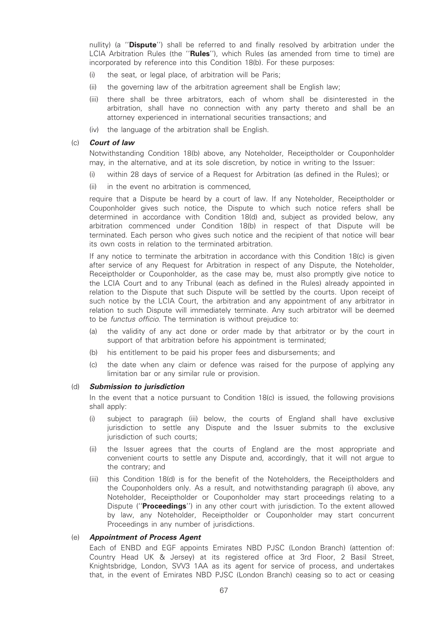nullity) (a "**Dispute**") shall be referred to and finally resolved by arbitration under the LCIA Arbitration Rules (the "Rules"), which Rules (as amended from time to time) are incorporated by reference into this Condition 18(b). For these purposes:

- (i) the seat, or legal place, of arbitration will be Paris;
- (ii) the governing law of the arbitration agreement shall be English law;
- (iii) there shall be three arbitrators, each of whom shall be disinterested in the arbitration, shall have no connection with any party thereto and shall be an attorney experienced in international securities transactions; and
- (iv) the language of the arbitration shall be English.

#### (c) Court of law

Notwithstanding Condition 18(b) above, any Noteholder, Receiptholder or Couponholder may, in the alternative, and at its sole discretion, by notice in writing to the Issuer:

- (i) within 28 days of service of a Request for Arbitration (as defined in the Rules); or
- (ii) in the event no arbitration is commenced,

require that a Dispute be heard by a court of law. If any Noteholder, Receiptholder or Couponholder gives such notice, the Dispute to which such notice refers shall be determined in accordance with Condition 18(d) and, subject as provided below, any arbitration commenced under Condition 18(b) in respect of that Dispute will be terminated. Each person who gives such notice and the recipient of that notice will bear its own costs in relation to the terminated arbitration.

If any notice to terminate the arbitration in accordance with this Condition 18(c) is given after service of any Request for Arbitration in respect of any Dispute, the Noteholder, Receiptholder or Couponholder, as the case may be, must also promptly give notice to the LCIA Court and to any Tribunal (each as defined in the Rules) already appointed in relation to the Dispute that such Dispute will be settled by the courts. Upon receipt of such notice by the LCIA Court, the arbitration and any appointment of any arbitrator in relation to such Dispute will immediately terminate. Any such arbitrator will be deemed to be functus officio. The termination is without prejudice to:

- (a) the validity of any act done or order made by that arbitrator or by the court in support of that arbitration before his appointment is terminated;
- (b) his entitlement to be paid his proper fees and disbursements; and
- (c) the date when any claim or defence was raised for the purpose of applying any limitation bar or any similar rule or provision.

#### (d) Submission to jurisdiction

In the event that a notice pursuant to Condition 18(c) is issued, the following provisions shall apply:

- (i) subject to paragraph (iii) below, the courts of England shall have exclusive jurisdiction to settle any Dispute and the Issuer submits to the exclusive jurisdiction of such courts;
- (ii) the Issuer agrees that the courts of England are the most appropriate and convenient courts to settle any Dispute and, accordingly, that it will not argue to the contrary; and
- (iii) this Condition 18(d) is for the benefit of the Noteholders, the Receiptholders and the Couponholders only. As a result, and notwithstanding paragraph (i) above, any Noteholder, Receiptholder or Couponholder may start proceedings relating to a Dispute ("**Proceedings**") in any other court with jurisdiction. To the extent allowed by law, any Noteholder, Receiptholder or Couponholder may start concurrent Proceedings in any number of jurisdictions.

## (e) Appointment of Process Agent

Each of ENBD and EGF appoints Emirates NBD PJSC (London Branch) (attention of: Country Head UK & Jersey) at its registered office at 3rd Floor, 2 Basil Street, Knightsbridge, London, SVV3 1AA as its agent for service of process, and undertakes that, in the event of Emirates NBD PJSC (London Branch) ceasing so to act or ceasing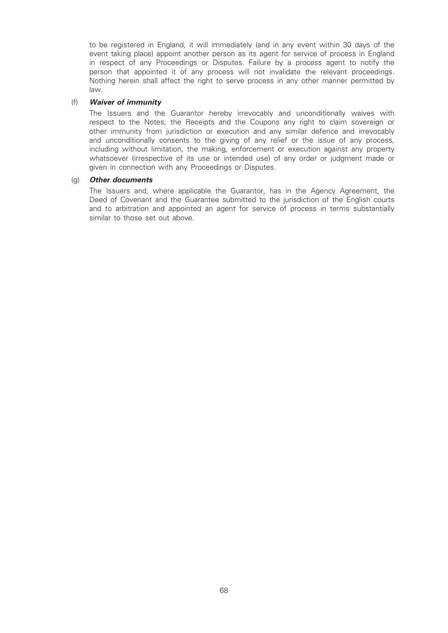to be registered in England, it will immediately (and in any event within 30 days of the event taking place) appoint another person as its agent for service of process in England in respect of any Proceedings or Disputes. Failure by a process agent to notify the person that appointed it of any process will not invalidate the relevant proceedings. Nothing herein shall affect the right to serve process in any other manner permitted by law.

#### (f) Waiver of immunity

The Issuers and the Guarantor hereby irrevocably and unconditionally waives with respect to the Notes, the Receipts and the Coupons any right to claim sovereign or other immunity from jurisdiction or execution and any similar defence and irrevocably and unconditionally consents to the giving of any relief or the issue of any process, including without limitation, the making, enforcement or execution against any property whatsoever (irrespective of its use or intended use) of any order or judgment made or given in connection with any Proceedings or Disputes.

#### (g) Other documents

The Issuers and, where applicable the Guarantor, has in the Agency Agreement, the Deed of Covenant and the Guarantee submitted to the jurisdiction of the English courts and to arbitration and appointed an agent for service of process in terms substantially similar to those set out above.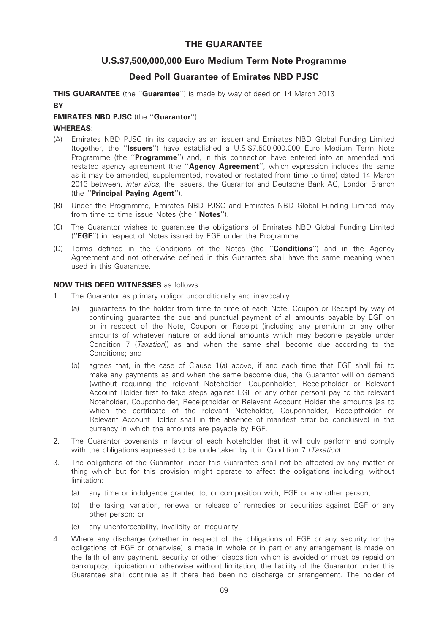# THE GUARANTEE

# U.S.\$7,500,000,000 Euro Medium Term Note Programme

# Deed Poll Guarantee of Emirates NBD PJSC

THIS GUARANTEE (the "Guarantee") is made by way of deed on 14 March 2013 **BY** 

## EMIRATES NBD PJSC (the ''Guarantor'').

## WHEREAS:

- (A) Emirates NBD PJSC (in its capacity as an issuer) and Emirates NBD Global Funding Limited (together, the ''Issuers'') have established a U.S.\$7,500,000,000 Euro Medium Term Note Programme (the "Programme") and, in this connection have entered into an amended and restated agency agreement (the "Agency Agreement", which expression includes the same as it may be amended, supplemented, novated or restated from time to time) dated 14 March 2013 between, inter alios, the Issuers, the Guarantor and Deutsche Bank AG, London Branch (the ''Principal Paying Agent'').
- (B) Under the Programme, Emirates NBD PJSC and Emirates NBD Global Funding Limited may from time to time issue Notes (the "Notes").
- (C) The Guarantor wishes to guarantee the obligations of Emirates NBD Global Funding Limited (''EGF'') in respect of Notes issued by EGF under the Programme.
- (D) Terms defined in the Conditions of the Notes (the "**Conditions**") and in the Agency Agreement and not otherwise defined in this Guarantee shall have the same meaning when used in this Guarantee.

## NOW THIS DEED WITNESSES as follows:

- 1. The Guarantor as primary obligor unconditionally and irrevocably:
	- (a) guarantees to the holder from time to time of each Note, Coupon or Receipt by way of continuing guarantee the due and punctual payment of all amounts payable by EGF on or in respect of the Note, Coupon or Receipt (including any premium or any other amounts of whatever nature or additional amounts which may become payable under Condition 7 (Taxation)) as and when the same shall become due according to the Conditions; and
	- (b) agrees that, in the case of Clause 1(a) above, if and each time that EGF shall fail to make any payments as and when the same become due, the Guarantor will on demand (without requiring the relevant Noteholder, Couponholder, Receiptholder or Relevant Account Holder first to take steps against EGF or any other person) pay to the relevant Noteholder, Couponholder, Receiptholder or Relevant Account Holder the amounts (as to which the certificate of the relevant Noteholder, Couponholder, Receiptholder or Relevant Account Holder shall in the absence of manifest error be conclusive) in the currency in which the amounts are payable by EGF.
- 2. The Guarantor covenants in favour of each Noteholder that it will duly perform and comply with the obligations expressed to be undertaken by it in Condition 7 (Taxation).
- 3. The obligations of the Guarantor under this Guarantee shall not be affected by any matter or thing which but for this provision might operate to affect the obligations including, without limitation:
	- (a) any time or indulgence granted to, or composition with, EGF or any other person;
	- (b) the taking, variation, renewal or release of remedies or securities against EGF or any other person; or
	- (c) any unenforceability, invalidity or irregularity.
- 4. Where any discharge (whether in respect of the obligations of EGF or any security for the obligations of EGF or otherwise) is made in whole or in part or any arrangement is made on the faith of any payment, security or other disposition which is avoided or must be repaid on bankruptcy, liquidation or otherwise without limitation, the liability of the Guarantor under this Guarantee shall continue as if there had been no discharge or arrangement. The holder of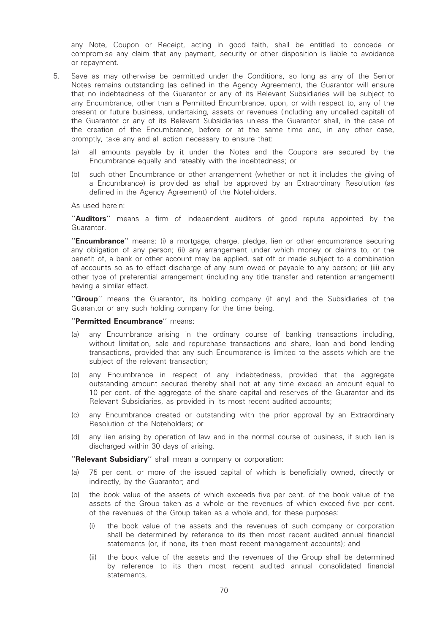any Note, Coupon or Receipt, acting in good faith, shall be entitled to concede or compromise any claim that any payment, security or other disposition is liable to avoidance or repayment.

- 5. Save as may otherwise be permitted under the Conditions, so long as any of the Senior Notes remains outstanding (as defined in the Agency Agreement), the Guarantor will ensure that no indebtedness of the Guarantor or any of its Relevant Subsidiaries will be subject to any Encumbrance, other than a Permitted Encumbrance, upon, or with respect to, any of the present or future business, undertaking, assets or revenues (including any uncalled capital) of the Guarantor or any of its Relevant Subsidiaries unless the Guarantor shall, in the case of the creation of the Encumbrance, before or at the same time and, in any other case, promptly, take any and all action necessary to ensure that:
	- (a) all amounts payable by it under the Notes and the Coupons are secured by the Encumbrance equally and rateably with the indebtedness; or
	- (b) such other Encumbrance or other arrangement (whether or not it includes the giving of a Encumbrance) is provided as shall be approved by an Extraordinary Resolution (as defined in the Agency Agreement) of the Noteholders.

As used herein:

"Auditors" means a firm of independent auditors of good repute appointed by the Guarantor.

"**Encumbrance**" means: (i) a mortgage, charge, pledge, lien or other encumbrance securing any obligation of any person; (ii) any arrangement under which money or claims to, or the benefit of, a bank or other account may be applied, set off or made subject to a combination of accounts so as to effect discharge of any sum owed or payable to any person; or (iii) any other type of preferential arrangement (including any title transfer and retention arrangement) having a similar effect.

"Group" means the Guarantor, its holding company (if any) and the Subsidiaries of the Guarantor or any such holding company for the time being.

#### ''Permitted Encumbrance'' means:

- (a) any Encumbrance arising in the ordinary course of banking transactions including, without limitation, sale and repurchase transactions and share, loan and bond lending transactions, provided that any such Encumbrance is limited to the assets which are the subject of the relevant transaction;
- (b) any Encumbrance in respect of any indebtedness, provided that the aggregate outstanding amount secured thereby shall not at any time exceed an amount equal to 10 per cent. of the aggregate of the share capital and reserves of the Guarantor and its Relevant Subsidiaries, as provided in its most recent audited accounts;
- (c) any Encumbrance created or outstanding with the prior approval by an Extraordinary Resolution of the Noteholders; or
- (d) any lien arising by operation of law and in the normal course of business, if such lien is discharged within 30 days of arising.

''Relevant Subsidiary'' shall mean a company or corporation:

- (a) 75 per cent. or more of the issued capital of which is beneficially owned, directly or indirectly, by the Guarantor; and
- (b) the book value of the assets of which exceeds five per cent. of the book value of the assets of the Group taken as a whole or the revenues of which exceed five per cent. of the revenues of the Group taken as a whole and, for these purposes:
	- (i) the book value of the assets and the revenues of such company or corporation shall be determined by reference to its then most recent audited annual financial statements (or, if none, its then most recent management accounts); and
	- (ii) the book value of the assets and the revenues of the Group shall be determined by reference to its then most recent audited annual consolidated financial statements,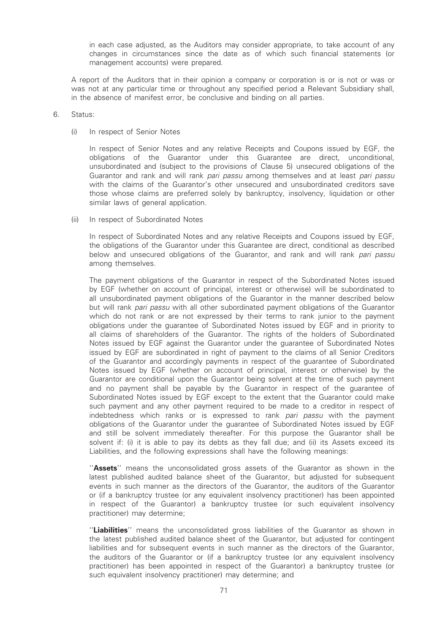in each case adjusted, as the Auditors may consider appropriate, to take account of any changes in circumstances since the date as of which such financial statements (or management accounts) were prepared.

A report of the Auditors that in their opinion a company or corporation is or is not or was or was not at any particular time or throughout any specified period a Relevant Subsidiary shall, in the absence of manifest error, be conclusive and binding on all parties.

#### 6. Status:

#### (i) In respect of Senior Notes

In respect of Senior Notes and any relative Receipts and Coupons issued by EGF, the obligations of the Guarantor under this Guarantee are direct, unconditional, unsubordinated and (subject to the provisions of Clause 5) unsecured obligations of the Guarantor and rank and will rank *pari passu* among themselves and at least *pari passu* with the claims of the Guarantor's other unsecured and unsubordinated creditors save those whose claims are preferred solely by bankruptcy, insolvency, liquidation or other similar laws of general application.

#### (ii) In respect of Subordinated Notes

In respect of Subordinated Notes and any relative Receipts and Coupons issued by EGF, the obligations of the Guarantor under this Guarantee are direct, conditional as described below and unsecured obligations of the Guarantor, and rank and will rank pari passu among themselves.

The payment obligations of the Guarantor in respect of the Subordinated Notes issued by EGF (whether on account of principal, interest or otherwise) will be subordinated to all unsubordinated payment obligations of the Guarantor in the manner described below but will rank pari passu with all other subordinated payment obligations of the Guarantor which do not rank or are not expressed by their terms to rank junior to the payment obligations under the guarantee of Subordinated Notes issued by EGF and in priority to all claims of shareholders of the Guarantor. The rights of the holders of Subordinated Notes issued by EGF against the Guarantor under the guarantee of Subordinated Notes issued by EGF are subordinated in right of payment to the claims of all Senior Creditors of the Guarantor and accordingly payments in respect of the guarantee of Subordinated Notes issued by EGF (whether on account of principal, interest or otherwise) by the Guarantor are conditional upon the Guarantor being solvent at the time of such payment and no payment shall be payable by the Guarantor in respect of the guarantee of Subordinated Notes issued by EGF except to the extent that the Guarantor could make such payment and any other payment required to be made to a creditor in respect of indebtedness which ranks or is expressed to rank pari passu with the payment obligations of the Guarantor under the guarantee of Subordinated Notes issued by EGF and still be solvent immediately thereafter. For this purpose the Guarantor shall be solvent if: (i) it is able to pay its debts as they fall due; and (ii) its Assets exceed its Liabilities, and the following expressions shall have the following meanings:

"Assets" means the unconsolidated gross assets of the Guarantor as shown in the latest published audited balance sheet of the Guarantor, but adjusted for subsequent events in such manner as the directors of the Guarantor, the auditors of the Guarantor or (if a bankruptcy trustee (or any equivalent insolvency practitioner) has been appointed in respect of the Guarantor) a bankruptcy trustee (or such equivalent insolvency practitioner) may determine;

"Liabilities" means the unconsolidated gross liabilities of the Guarantor as shown in the latest published audited balance sheet of the Guarantor, but adjusted for contingent liabilities and for subsequent events in such manner as the directors of the Guarantor, the auditors of the Guarantor or (if a bankruptcy trustee (or any equivalent insolvency practitioner) has been appointed in respect of the Guarantor) a bankruptcy trustee (or such equivalent insolvency practitioner) may determine; and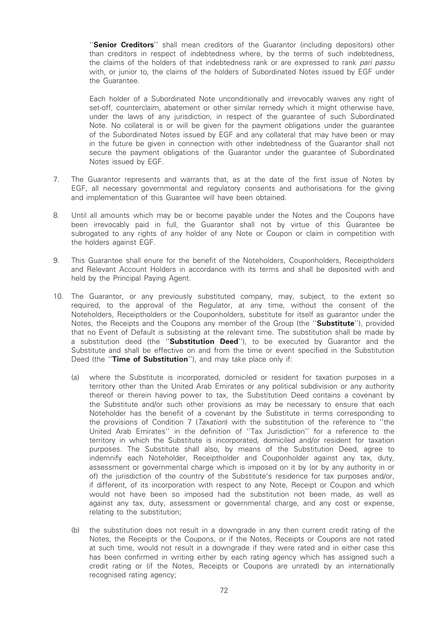"Senior Creditors" shall mean creditors of the Guarantor (including depositors) other than creditors in respect of indebtedness where, by the terms of such indebtedness, the claims of the holders of that indebtedness rank or are expressed to rank pari passu with, or junior to, the claims of the holders of Subordinated Notes issued by EGF under the Guarantee.

Each holder of a Subordinated Note unconditionally and irrevocably waives any right of set-off, counterclaim, abatement or other similar remedy which it might otherwise have, under the laws of any jurisdiction, in respect of the guarantee of such Subordinated Note. No collateral is or will be given for the payment obligations under the guarantee of the Subordinated Notes issued by EGF and any collateral that may have been or may in the future be given in connection with other indebtedness of the Guarantor shall not secure the payment obligations of the Guarantor under the guarantee of Subordinated Notes issued by EGF.

- 7. The Guarantor represents and warrants that, as at the date of the first issue of Notes by EGF, all necessary governmental and regulatory consents and authorisations for the giving and implementation of this Guarantee will have been obtained.
- 8. Until all amounts which may be or become payable under the Notes and the Coupons have been irrevocably paid in full, the Guarantor shall not by virtue of this Guarantee be subrogated to any rights of any holder of any Note or Coupon or claim in competition with the holders against EGF.
- 9. This Guarantee shall enure for the benefit of the Noteholders, Couponholders, Receiptholders and Relevant Account Holders in accordance with its terms and shall be deposited with and held by the Principal Paying Agent.
- 10. The Guarantor, or any previously substituted company, may, subject, to the extent so required, to the approval of the Regulator, at any time, without the consent of the Noteholders, Receiptholders or the Couponholders, substitute for itself as guarantor under the Notes, the Receipts and the Coupons any member of the Group (the "**Substitute**"), provided that no Event of Default is subsisting at the relevant time. The substitution shall be made by a substitution deed (the "Substitution Deed"), to be executed by Guarantor and the Substitute and shall be effective on and from the time or event specified in the Substitution Deed (the "Time of Substitution"), and may take place only if:
	- (a) where the Substitute is incorporated, domiciled or resident for taxation purposes in a territory other than the United Arab Emirates or any political subdivision or any authority thereof or therein having power to tax, the Substitution Deed contains a covenant by the Substitute and/or such other provisions as may be necessary to ensure that each Noteholder has the benefit of a covenant by the Substitute in terms corresponding to the provisions of Condition 7 (Taxation) with the substitution of the reference to ''the United Arab Emirates'' in the definition of ''Tax Jurisdiction'' for a reference to the territory in which the Substitute is incorporated, domiciled and/or resident for taxation purposes. The Substitute shall also, by means of the Substitution Deed, agree to indemnify each Noteholder, Receiptholder and Couponholder against any tax, duty, assessment or governmental charge which is imposed on it by (or by any authority in or of) the jurisdiction of the country of the Substitute's residence for tax purposes and/or, if different, of its incorporation with respect to any Note, Receipt or Coupon and which would not have been so imposed had the substitution not been made, as well as against any tax, duty, assessment or governmental charge, and any cost or expense, relating to the substitution;
	- (b) the substitution does not result in a downgrade in any then current credit rating of the Notes, the Receipts or the Coupons, or if the Notes, Receipts or Coupons are not rated at such time, would not result in a downgrade if they were rated and in either case this has been confirmed in writing either by each rating agency which has assigned such a credit rating or (if the Notes, Receipts or Coupons are unrated) by an internationally recognised rating agency;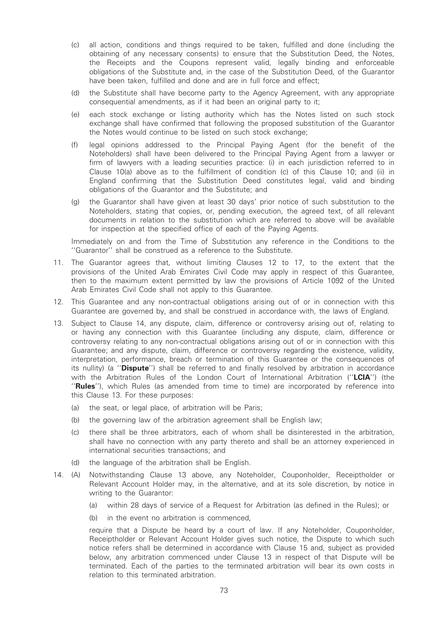- (c) all action, conditions and things required to be taken, fulfilled and done (including the obtaining of any necessary consents) to ensure that the Substitution Deed, the Notes, the Receipts and the Coupons represent valid, legally binding and enforceable obligations of the Substitute and, in the case of the Substitution Deed, of the Guarantor have been taken, fulfilled and done and are in full force and effect;
- (d) the Substitute shall have become party to the Agency Agreement, with any appropriate consequential amendments, as if it had been an original party to it;
- (e) each stock exchange or listing authority which has the Notes listed on such stock exchange shall have confirmed that following the proposed substitution of the Guarantor the Notes would continue to be listed on such stock exchange;
- (f) legal opinions addressed to the Principal Paying Agent (for the benefit of the Noteholders) shall have been delivered to the Principal Paying Agent from a lawyer or firm of lawyers with a leading securities practice: (i) in each jurisdiction referred to in Clause 10(a) above as to the fulfillment of condition (c) of this Clause 10; and (ii) in England confirming that the Substitution Deed constitutes legal, valid and binding obligations of the Guarantor and the Substitute; and
- (g) the Guarantor shall have given at least 30 days' prior notice of such substitution to the Noteholders, stating that copies, or, pending execution, the agreed text, of all relevant documents in relation to the substitution which are referred to above will be available for inspection at the specified office of each of the Paying Agents.

Immediately on and from the Time of Substitution any reference in the Conditions to the ''Guarantor'' shall be construed as a reference to the Substitute.

- 11. The Guarantor agrees that, without limiting Clauses 12 to 17, to the extent that the provisions of the United Arab Emirates Civil Code may apply in respect of this Guarantee, then to the maximum extent permitted by law the provisions of Article 1092 of the United Arab Emirates Civil Code shall not apply to this Guarantee.
- 12. This Guarantee and any non-contractual obligations arising out of or in connection with this Guarantee are governed by, and shall be construed in accordance with, the laws of England.
- 13. Subject to Clause 14, any dispute, claim, difference or controversy arising out of, relating to or having any connection with this Guarantee (including any dispute, claim, difference or controversy relating to any non-contractual obligations arising out of or in connection with this Guarantee; and any dispute, claim, difference or controversy regarding the existence, validity, interpretation, performance, breach or termination of this Guarantee or the consequences of its nullity) (a "Dispute") shall be referred to and finally resolved by arbitration in accordance with the Arbitration Rules of the London Court of International Arbitration ("LCIA") (the ''Rules''), which Rules (as amended from time to time) are incorporated by reference into this Clause 13. For these purposes:
	- (a) the seat, or legal place, of arbitration will be Paris;
	- (b) the governing law of the arbitration agreement shall be English law;
	- (c) there shall be three arbitrators, each of whom shall be disinterested in the arbitration, shall have no connection with any party thereto and shall be an attorney experienced in international securities transactions; and
	- (d) the language of the arbitration shall be English.
- 14. (A) Notwithstanding Clause 13 above, any Noteholder, Couponholder, Receiptholder or Relevant Account Holder may, in the alternative, and at its sole discretion, by notice in writing to the Guarantor:
	- (a) within 28 days of service of a Request for Arbitration (as defined in the Rules); or
	- (b) in the event no arbitration is commenced,

require that a Dispute be heard by a court of law. If any Noteholder, Couponholder, Receiptholder or Relevant Account Holder gives such notice, the Dispute to which such notice refers shall be determined in accordance with Clause 15 and, subject as provided below, any arbitration commenced under Clause 13 in respect of that Dispute will be terminated. Each of the parties to the terminated arbitration will bear its own costs in relation to this terminated arbitration.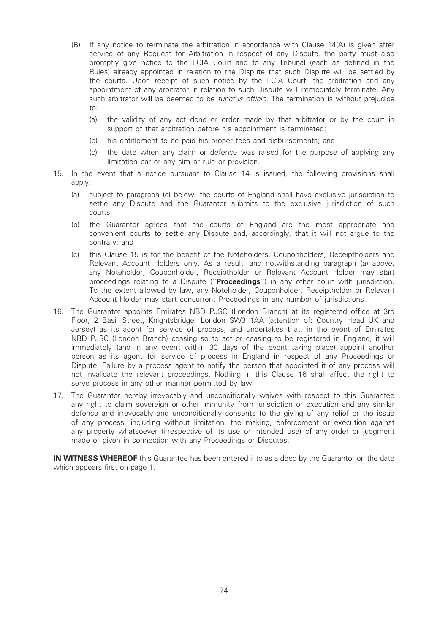- (B) If any notice to terminate the arbitration in accordance with Clause 14(A) is given after service of any Request for Arbitration in respect of any Dispute, the party must also promptly give notice to the LCIA Court and to any Tribunal (each as defined in the Rules) already appointed in relation to the Dispute that such Dispute will be settled by the courts. Upon receipt of such notice by the LCIA Court, the arbitration and any appointment of any arbitrator in relation to such Dispute will immediately terminate. Any such arbitrator will be deemed to be *functus officio*. The termination is without prejudice to:
	- (a) the validity of any act done or order made by that arbitrator or by the court in support of that arbitration before his appointment is terminated;
	- (b) his entitlement to be paid his proper fees and disbursements; and
	- (c) the date when any claim or defence was raised for the purpose of applying any limitation bar or any similar rule or provision.
- 15. In the event that a notice pursuant to Clause 14 is issued, the following provisions shall apply:
	- (a) subject to paragraph (c) below, the courts of England shall have exclusive jurisdiction to settle any Dispute and the Guarantor submits to the exclusive jurisdiction of such courts;
	- (b) the Guarantor agrees that the courts of England are the most appropriate and convenient courts to settle any Dispute and, accordingly, that it will not argue to the contrary; and
	- (c) this Clause 15 is for the benefit of the Noteholders, Couponholders, Receiptholders and Relevant Account Holders only. As a result, and notwithstanding paragraph (a) above, any Noteholder, Couponholder, Receiptholder or Relevant Account Holder may start proceedings relating to a Dispute ("Proceedings") in any other court with jurisdiction. To the extent allowed by law, any Noteholder, Couponholder, Receiptholder or Relevant Account Holder may start concurrent Proceedings in any number of jurisdictions.
- 16. The Guarantor appoints Emirates NBD PJSC (London Branch) at its registered office at 3rd Floor, 2 Basil Street, Knightsbridge, London SW3 1AA (attention of: Country Head UK and Jersey) as its agent for service of process, and undertakes that, in the event of Emirates NBD PJSC (London Branch) ceasing so to act or ceasing to be registered in England, it will immediately (and in any event within 30 days of the event taking place) appoint another person as its agent for service of process in England in respect of any Proceedings or Dispute. Failure by a process agent to notify the person that appointed it of any process will not invalidate the relevant proceedings. Nothing in this Clause 16 shall affect the right to serve process in any other manner permitted by law.
- 17. The Guarantor hereby irrevocably and unconditionally waives with respect to this Guarantee any right to claim sovereign or other immunity from jurisdiction or execution and any similar defence and irrevocably and unconditionally consents to the giving of any relief or the issue of any process, including without limitation, the making, enforcement or execution against any property whatsoever (irrespective of its use or intended use) of any order or judgment made or given in connection with any Proceedings or Disputes.

IN WITNESS WHEREOF this Guarantee has been entered into as a deed by the Guarantor on the date which appears first on page 1.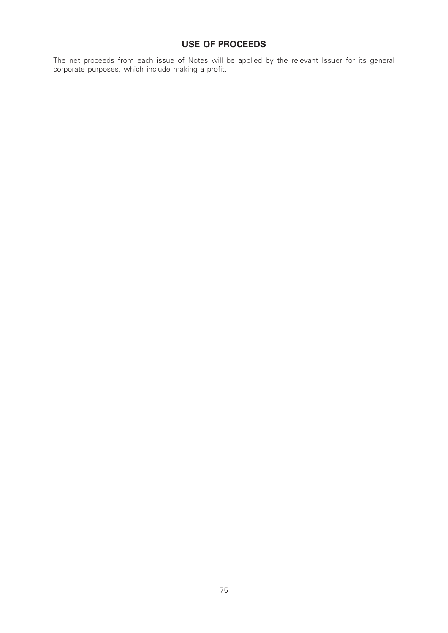# USE OF PROCEEDS

The net proceeds from each issue of Notes will be applied by the relevant Issuer for its general corporate purposes, which include making a profit.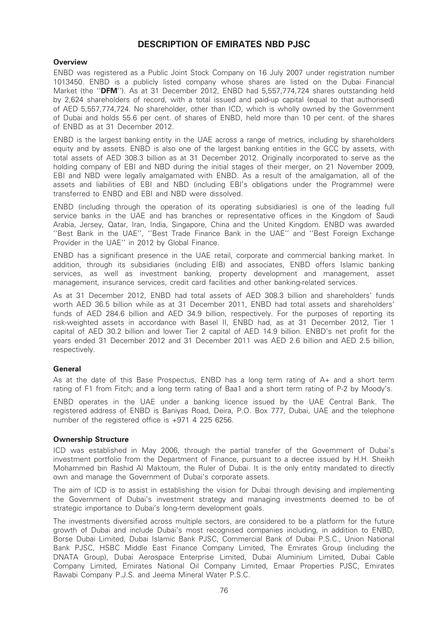# DESCRIPTION OF EMIRATES NBD PJSC

## **Overview**

ENBD was registered as a Public Joint Stock Company on 16 July 2007 under registration number 1013450. ENBD is a publicly listed company whose shares are listed on the Dubai Financial Market (the "DFM"). As at 31 December 2012, ENBD had 5,557,774,724 shares outstanding held by 2,624 shareholders of record, with a total issued and paid-up capital (equal to that authorised) of AED 5,557,774,724. No shareholder, other than ICD, which is wholly owned by the Government of Dubai and holds 55.6 per cent. of shares of ENBD, held more than 10 per cent. of the shares of ENBD as at 31 December 2012.

ENBD is the largest banking entity in the UAE across a range of metrics, including by shareholders equity and by assets. ENBD is also one of the largest banking entities in the GCC by assets, with total assets of AED 308.3 billion as at 31 December 2012. Originally incorporated to serve as the holding company of EBI and NBD during the initial stages of their merger, on 21 November 2009, EBI and NBD were legally amalgamated with ENBD. As a result of the amalgamation, all of the assets and liabilities of EBI and NBD (including EBI's obligations under the Programme) were transferred to ENBD and EBI and NBD were dissolved.

ENBD (including through the operation of its operating subsidiaries) is one of the leading full service banks in the UAE and has branches or representative offices in the Kingdom of Saudi Arabia, Jersey, Qatar, Iran, India, Singapore, China and the United Kingdom. ENBD was awarded ''Best Bank in the UAE'', ''Best Trade Finance Bank in the UAE'' and ''Best Foreign Exchange Provider in the UAE'' in 2012 by Global Finance.

ENBD has a significant presence in the UAE retail, corporate and commercial banking market. In addition, through its subsidiaries (including EIB) and associates, ENBD offers Islamic banking services, as well as investment banking, property development and management, asset management, insurance services, credit card facilities and other banking-related services.

As at 31 December 2012, ENBD had total assets of AED 308.3 billion and shareholders' funds worth AED 36.5 billion while as at 31 December 2011, ENBD had total assets and shareholders' funds of AED 284.6 billion and AED 34.9 billion, respectively. For the purposes of reporting its risk-weighted assets in accordance with Basel II, ENBD had, as at 31 December 2012, Tier 1 capital of AED 30.2 billion and lower Tier 2 capital of AED 14.9 billion. ENBD's net profit for the years ended 31 December 2012 and 31 December 2011 was AED 2.6 billion and AED 2.5 billion, respectively.

## General

As at the date of this Base Prospectus, ENBD has a long term rating of A+ and a short term rating of F1 from Fitch; and a long term rating of Baa1 and a short term rating of P-2 by Moody's.

ENBD operates in the UAE under a banking licence issued by the UAE Central Bank. The registered address of ENBD is Baniyas Road, Deira, P.O. Box 777, Dubai, UAE and the telephone number of the registered office is +971 4 225 6256.

#### Ownership Structure

ICD was established in May 2006, through the partial transfer of the Government of Dubai's investment portfolio from the Department of Finance, pursuant to a decree issued by H.H. Sheikh Mohammed bin Rashid Al Maktoum, the Ruler of Dubai. It is the only entity mandated to directly own and manage the Government of Dubai's corporate assets.

The aim of ICD is to assist in establishing the vision for Dubai through devising and implementing the Government of Dubai's investment strategy and managing investments deemed to be of strategic importance to Dubai's long-term development goals.

The investments diversified across multiple sectors, are considered to be a platform for the future growth of Dubai and include Dubai's most recognised companies including, in addition to ENBD, Borse Dubai Limited, Dubai Islamic Bank PJSC, Commercial Bank of Dubai P.S.C., Union National Bank PJSC, HSBC Middle East Finance Company Limited, The Emirates Group (including the DNATA Group), Dubai Aerospace Enterprise Limited, Dubai Aluminium Limited, Dubai Cable Company Limited, Emirates National Oil Company Limited, Emaar Properties PJSC, Emirates Rawabi Company P.J.S. and Jeema Mineral Water P.S.C.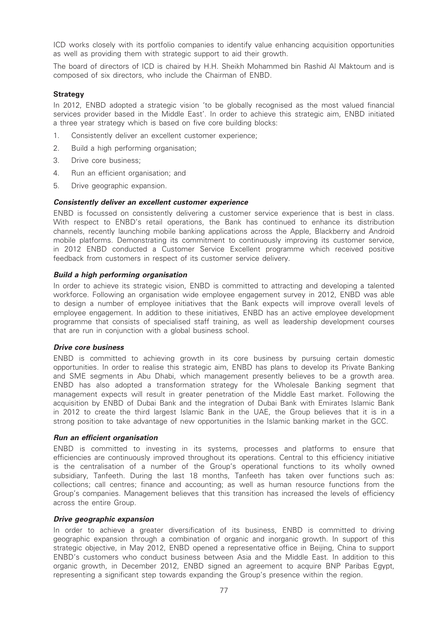ICD works closely with its portfolio companies to identify value enhancing acquisition opportunities as well as providing them with strategic support to aid their growth.

The board of directors of ICD is chaired by H.H. Sheikh Mohammed bin Rashid Al Maktoum and is composed of six directors, who include the Chairman of ENBD.

#### **Strategy**

In 2012, ENBD adopted a strategic vision 'to be globally recognised as the most valued financial services provider based in the Middle East'. In order to achieve this strategic aim, ENBD initiated a three year strategy which is based on five core building blocks:

- 1. Consistently deliver an excellent customer experience;
- 2. Build a high performing organisation;
- 3. Drive core business;
- 4. Run an efficient organisation; and
- 5. Drive geographic expansion.

#### Consistently deliver an excellent customer experience

ENBD is focussed on consistently delivering a customer service experience that is best in class. With respect to ENBD's retail operations, the Bank has continued to enhance its distribution channels, recently launching mobile banking applications across the Apple, Blackberry and Android mobile platforms. Demonstrating its commitment to continuously improving its customer service, in 2012 ENBD conducted a Customer Service Excellent programme which received positive feedback from customers in respect of its customer service delivery.

#### Build a high performing organisation

In order to achieve its strategic vision, ENBD is committed to attracting and developing a talented workforce. Following an organisation wide employee engagement survey in 2012, ENBD was able to design a number of employee initiatives that the Bank expects will improve overall levels of employee engagement. In addition to these initiatives, ENBD has an active employee development programme that consists of specialised staff training, as well as leadership development courses that are run in conjunction with a global business school.

#### Drive core business

ENBD is committed to achieving growth in its core business by pursuing certain domestic opportunities. In order to realise this strategic aim, ENBD has plans to develop its Private Banking and SME segments in Abu Dhabi, which management presently believes to be a growth area. ENBD has also adopted a transformation strategy for the Wholesale Banking segment that management expects will result in greater penetration of the Middle East market. Following the acquisition by ENBD of Dubai Bank and the integration of Dubai Bank with Emirates Islamic Bank in 2012 to create the third largest Islamic Bank in the UAE, the Group believes that it is in a strong position to take advantage of new opportunities in the Islamic banking market in the GCC.

#### Run an efficient organisation

ENBD is committed to investing in its systems, processes and platforms to ensure that efficiencies are continuously improved throughout its operations. Central to this efficiency initiative is the centralisation of a number of the Group's operational functions to its wholly owned subsidiary, Tanfeeth. During the last 18 months, Tanfeeth has taken over functions such as: collections; call centres; finance and accounting; as well as human resource functions from the Group's companies. Management believes that this transition has increased the levels of efficiency across the entire Group.

#### Drive geographic expansion

In order to achieve a greater diversification of its business, ENBD is committed to driving geographic expansion through a combination of organic and inorganic growth. In support of this strategic objective, in May 2012, ENBD opened a representative office in Beijing, China to support ENBD's customers who conduct business between Asia and the Middle East. In addition to this organic growth, in December 2012, ENBD signed an agreement to acquire BNP Paribas Egypt, representing a significant step towards expanding the Group's presence within the region.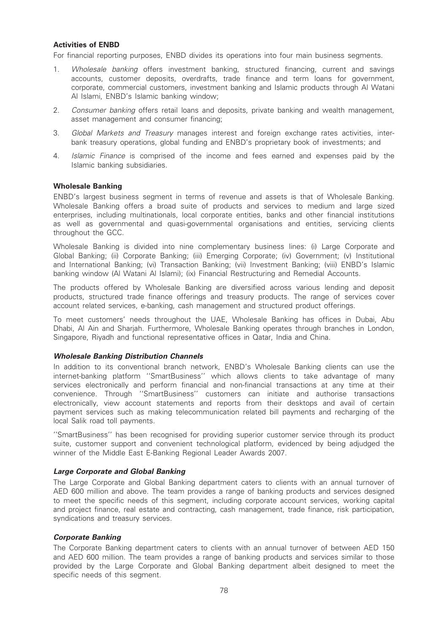## Activities of ENBD

For financial reporting purposes, ENBD divides its operations into four main business segments.

- 1. Wholesale banking offers investment banking, structured financing, current and savings accounts, customer deposits, overdrafts, trade finance and term loans for government, corporate, commercial customers, investment banking and Islamic products through Al Watani Al Islami, ENBD's Islamic banking window;
- 2. Consumer banking offers retail loans and deposits, private banking and wealth management. asset management and consumer financing;
- 3. Global Markets and Treasury manages interest and foreign exchange rates activities, interbank treasury operations, global funding and ENBD's proprietary book of investments; and
- 4. Islamic Finance is comprised of the income and fees earned and expenses paid by the Islamic banking subsidiaries.

#### Wholesale Banking

ENBD's largest business segment in terms of revenue and assets is that of Wholesale Banking. Wholesale Banking offers a broad suite of products and services to medium and large sized enterprises, including multinationals, local corporate entities, banks and other financial institutions as well as governmental and quasi-governmental organisations and entities, servicing clients throughout the GCC.

Wholesale Banking is divided into nine complementary business lines: (i) Large Corporate and Global Banking; (ii) Corporate Banking; (iii) Emerging Corporate; (iv) Government; (v) Institutional and International Banking; (vi) Transaction Banking; (vii) Investment Banking; (viii) ENBD's Islamic banking window (Al Watani Al Islami); (ix) Financial Restructuring and Remedial Accounts.

The products offered by Wholesale Banking are diversified across various lending and deposit products, structured trade finance offerings and treasury products. The range of services cover account related services, e-banking, cash management and structured product offerings.

To meet customers' needs throughout the UAE, Wholesale Banking has offices in Dubai, Abu Dhabi, Al Ain and Shariah. Furthermore, Wholesale Banking operates through branches in London, Singapore, Riyadh and functional representative offices in Qatar, India and China.

#### Wholesale Banking Distribution Channels

In addition to its conventional branch network, ENBD's Wholesale Banking clients can use the internet-banking platform ''SmartBusiness'' which allows clients to take advantage of many services electronically and perform financial and non-financial transactions at any time at their convenience. Through ''SmartBusiness'' customers can initiate and authorise transactions electronically, view account statements and reports from their desktops and avail of certain payment services such as making telecommunication related bill payments and recharging of the local Salik road toll payments.

''SmartBusiness'' has been recognised for providing superior customer service through its product suite, customer support and convenient technological platform, evidenced by being adjudged the winner of the Middle East E-Banking Regional Leader Awards 2007.

#### Large Corporate and Global Banking

The Large Corporate and Global Banking department caters to clients with an annual turnover of AED 600 million and above. The team provides a range of banking products and services designed to meet the specific needs of this segment, including corporate account services, working capital and project finance, real estate and contracting, cash management, trade finance, risk participation, syndications and treasury services.

#### Corporate Banking

The Corporate Banking department caters to clients with an annual turnover of between AED 150 and AED 600 million. The team provides a range of banking products and services similar to those provided by the Large Corporate and Global Banking department albeit designed to meet the specific needs of this segment.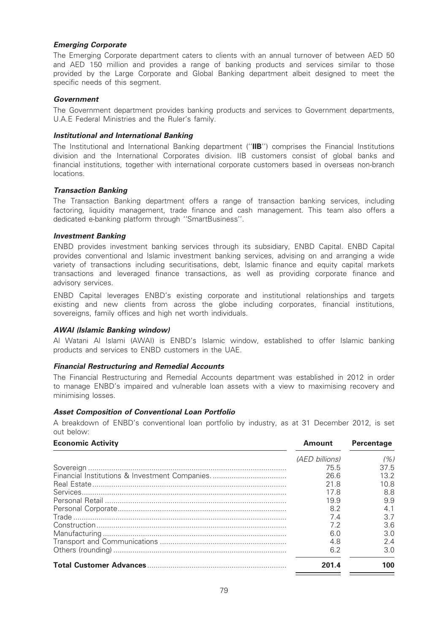## Emerging Corporate

The Emerging Corporate department caters to clients with an annual turnover of between AED 50 and AED 150 million and provides a range of banking products and services similar to those provided by the Large Corporate and Global Banking department albeit designed to meet the specific needs of this segment.

## **Government**

The Government department provides banking products and services to Government departments, U.A.E Federal Ministries and the Ruler's family.

#### Institutional and International Banking

The Institutional and International Banking department ("IIB") comprises the Financial Institutions division and the International Corporates division. IIB customers consist of global banks and financial institutions, together with international corporate customers based in overseas non-branch locations.

## Transaction Banking

The Transaction Banking department offers a range of transaction banking services, including factoring, liquidity management, trade finance and cash management. This team also offers a dedicated e-banking platform through ''SmartBusiness''.

#### Investment Banking

ENBD provides investment banking services through its subsidiary, ENBD Capital. ENBD Capital provides conventional and Islamic investment banking services, advising on and arranging a wide variety of transactions including securitisations, debt, Islamic finance and equity capital markets transactions and leveraged finance transactions, as well as providing corporate finance and advisory services.

ENBD Capital leverages ENBD's existing corporate and institutional relationships and targets existing and new clients from across the globe including corporates, financial institutions, sovereigns, family offices and high net worth individuals.

#### AWAI (Islamic Banking window)

Al Watani Al Islami (AWAI) is ENBD's Islamic window, established to offer Islamic banking products and services to ENBD customers in the UAE.

#### Financial Restructuring and Remedial Accounts

The Financial Restructuring and Remedial Accounts department was established in 2012 in order to manage ENBD's impaired and vulnerable loan assets with a view to maximising recovery and minimising losses.

#### Asset Composition of Conventional Loan Portfolio

A breakdown of ENBD's conventional loan portfolio by industry, as at 31 December 2012, is set out below:

| <b>Economic Activity</b> | <b>Amount</b>  | <b>Percentage</b> |
|--------------------------|----------------|-------------------|
|                          | (AED billions) | (%)               |
|                          | 75.5           | 37.5              |
|                          | 26.6           | 13.2 <sup>2</sup> |
|                          | 21 R           | 10.8              |
|                          | 17.8           | 8.8               |
|                          | 19.9           | 9.9               |
|                          | 8.2            | 4.1               |
|                          | 7.4            | 37                |
|                          | 7.2            | 3.6               |
|                          | 6.0            | 3.0               |
|                          | 4.8            | 2.4               |
|                          | 6.2            | 3.0               |
|                          | 201.4          | 100               |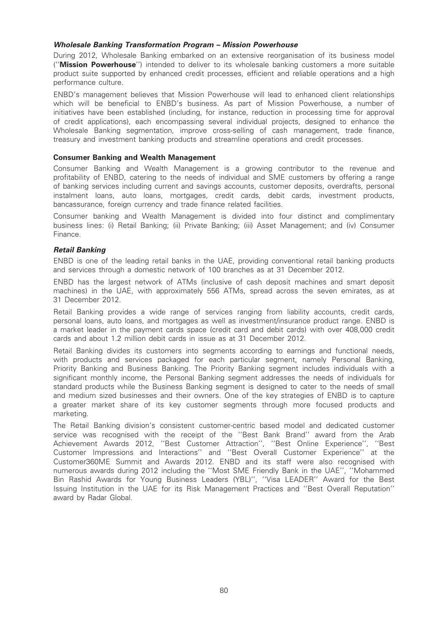## Wholesale Banking Transformation Program – Mission Powerhouse

During 2012, Wholesale Banking embarked on an extensive reorganisation of its business model (''Mission Powerhouse'') intended to deliver to its wholesale banking customers a more suitable product suite supported by enhanced credit processes, efficient and reliable operations and a high performance culture.

ENBD's management believes that Mission Powerhouse will lead to enhanced client relationships which will be beneficial to ENBD's business. As part of Mission Powerhouse, a number of initiatives have been established (including, for instance, reduction in processing time for approval of credit applications), each encompassing several individual projects, designed to enhance the Wholesale Banking segmentation, improve cross-selling of cash management, trade finance, treasury and investment banking products and streamline operations and credit processes.

### Consumer Banking and Wealth Management

Consumer Banking and Wealth Management is a growing contributor to the revenue and profitability of ENBD, catering to the needs of individual and SME customers by offering a range of banking services including current and savings accounts, customer deposits, overdrafts, personal instalment loans, auto loans, mortgages, credit cards, debit cards, investment products, bancassurance, foreign currency and trade finance related facilities.

Consumer banking and Wealth Management is divided into four distinct and complimentary business lines: (i) Retail Banking; (ii) Private Banking; (iii) Asset Management; and (iv) Consumer Finance.

## Retail Banking

ENBD is one of the leading retail banks in the UAE, providing conventional retail banking products and services through a domestic network of 100 branches as at 31 December 2012.

ENBD has the largest network of ATMs (inclusive of cash deposit machines and smart deposit machines) in the UAE, with approximately 556 ATMs, spread across the seven emirates, as at 31 December 2012.

Retail Banking provides a wide range of services ranging from liability accounts, credit cards, personal loans, auto loans, and mortgages as well as investment/insurance product range. ENBD is a market leader in the payment cards space (credit card and debit cards) with over 408,000 credit cards and about 1.2 million debit cards in issue as at 31 December 2012.

Retail Banking divides its customers into segments according to earnings and functional needs, with products and services packaged for each particular segment, namely Personal Banking, Priority Banking and Business Banking. The Priority Banking segment includes individuals with a significant monthly income, the Personal Banking segment addresses the needs of individuals for standard products while the Business Banking segment is designed to cater to the needs of small and medium sized businesses and their owners. One of the key strategies of ENBD is to capture a greater market share of its key customer segments through more focused products and marketing.

The Retail Banking division's consistent customer-centric based model and dedicated customer service was recognised with the receipt of the ''Best Bank Brand'' award from the Arab Achievement Awards 2012, ''Best Customer Attraction'', ''Best Online Experience'', ''Best Customer Impressions and Interactions'' and ''Best Overall Customer Experience'' at the Customer360ME Summit and Awards 2012. ENBD and its staff were also recognised with numerous awards during 2012 including the ''Most SME Friendly Bank in the UAE'', ''Mohammed Bin Rashid Awards for Young Business Leaders (YBL)'', ''Visa LEADER'' Award for the Best Issuing Institution in the UAE for its Risk Management Practices and ''Best Overall Reputation'' award by Radar Global.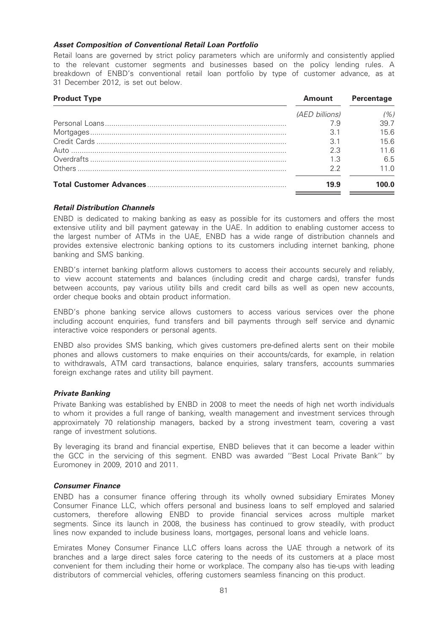## Asset Composition of Conventional Retail Loan Portfolio

Retail loans are governed by strict policy parameters which are uniformly and consistently applied to the relevant customer segments and businesses based on the policy lending rules. A breakdown of ENBD's conventional retail loan portfolio by type of customer advance, as at 31 December 2012, is set out below.

| <b>Product Type</b> | <b>Amount</b>  | <b>Percentage</b> |
|---------------------|----------------|-------------------|
|                     | (AED billions) | (%)               |
|                     | 7.9            | 397               |
|                     | 3.1            | 15.6              |
|                     | 3.1            | 15.6              |
|                     | 2.3            | 11 G              |
|                     | 1.3            | 6.5               |
|                     | 22             | 11 N              |
|                     | 19.9           |                   |

## Retail Distribution Channels

ENBD is dedicated to making banking as easy as possible for its customers and offers the most extensive utility and bill payment gateway in the UAE. In addition to enabling customer access to the largest number of ATMs in the UAE, ENBD has a wide range of distribution channels and provides extensive electronic banking options to its customers including internet banking, phone banking and SMS banking.

ENBD's internet banking platform allows customers to access their accounts securely and reliably, to view account statements and balances (including credit and charge cards), transfer funds between accounts, pay various utility bills and credit card bills as well as open new accounts, order cheque books and obtain product information.

ENBD's phone banking service allows customers to access various services over the phone including account enquiries, fund transfers and bill payments through self service and dynamic interactive voice responders or personal agents.

ENBD also provides SMS banking, which gives customers pre-defined alerts sent on their mobile phones and allows customers to make enquiries on their accounts/cards, for example, in relation to withdrawals, ATM card transactions, balance enquiries, salary transfers, accounts summaries foreign exchange rates and utility bill payment.

## Private Banking

Private Banking was established by ENBD in 2008 to meet the needs of high net worth individuals to whom it provides a full range of banking, wealth management and investment services through approximately 70 relationship managers, backed by a strong investment team, covering a vast range of investment solutions.

By leveraging its brand and financial expertise, ENBD believes that it can become a leader within the GCC in the servicing of this segment. ENBD was awarded ''Best Local Private Bank'' by Euromoney in 2009, 2010 and 2011.

## Consumer Finance

ENBD has a consumer finance offering through its wholly owned subsidiary Emirates Money Consumer Finance LLC, which offers personal and business loans to self employed and salaried customers, therefore allowing ENBD to provide financial services across multiple market segments. Since its launch in 2008, the business has continued to grow steadily, with product lines now expanded to include business loans, mortgages, personal loans and vehicle loans.

Emirates Money Consumer Finance LLC offers loans across the UAE through a network of its branches and a large direct sales force catering to the needs of its customers at a place most convenient for them including their home or workplace. The company also has tie-ups with leading distributors of commercial vehicles, offering customers seamless financing on this product.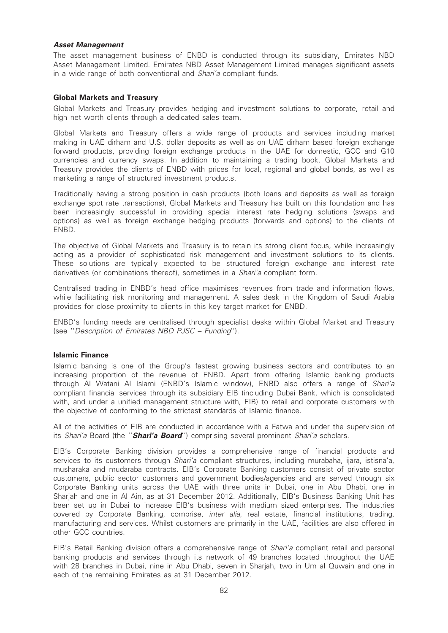#### Asset Management

The asset management business of ENBD is conducted through its subsidiary, Emirates NBD Asset Management Limited. Emirates NBD Asset Management Limited manages significant assets in a wide range of both conventional and Shari'a compliant funds.

## Global Markets and Treasury

Global Markets and Treasury provides hedging and investment solutions to corporate, retail and high net worth clients through a dedicated sales team.

Global Markets and Treasury offers a wide range of products and services including market making in UAE dirham and U.S. dollar deposits as well as on UAE dirham based foreign exchange forward products, providing foreign exchange products in the UAE for domestic, GCC and G10 currencies and currency swaps. In addition to maintaining a trading book, Global Markets and Treasury provides the clients of ENBD with prices for local, regional and global bonds, as well as marketing a range of structured investment products.

Traditionally having a strong position in cash products (both loans and deposits as well as foreign exchange spot rate transactions), Global Markets and Treasury has built on this foundation and has been increasingly successful in providing special interest rate hedging solutions (swaps and options) as well as foreign exchange hedging products (forwards and options) to the clients of ENBD.

The objective of Global Markets and Treasury is to retain its strong client focus, while increasingly acting as a provider of sophisticated risk management and investment solutions to its clients. These solutions are typically expected to be structured foreign exchange and interest rate derivatives (or combinations thereof), sometimes in a Shari'a compliant form.

Centralised trading in ENBD's head office maximises revenues from trade and information flows, while facilitating risk monitoring and management. A sales desk in the Kingdom of Saudi Arabia provides for close proximity to clients in this key target market for ENBD.

ENBD's funding needs are centralised through specialist desks within Global Market and Treasury (see ''Description of Emirates NBD PJSC – Funding'').

#### Islamic Finance

Islamic banking is one of the Group's fastest growing business sectors and contributes to an increasing proportion of the revenue of ENBD. Apart from offering Islamic banking products through Al Watani Al Islami (ENBD's Islamic window), ENBD also offers a range of Shari'a compliant financial services through its subsidiary EIB (including Dubai Bank, which is consolidated with, and under a unified management structure with, EIB) to retail and corporate customers with the objective of conforming to the strictest standards of Islamic finance.

All of the activities of EIB are conducted in accordance with a Fatwa and under the supervision of its Shari'a Board (the "**Shari'a Board**") comprising several prominent Shari'a scholars.

EIB's Corporate Banking division provides a comprehensive range of financial products and services to its customers through *Shari'a* compliant structures, including murabaha, ijara, istisna'a, musharaka and mudaraba contracts. EIB's Corporate Banking customers consist of private sector customers, public sector customers and government bodies/agencies and are served through six Corporate Banking units across the UAE with three units in Dubai, one in Abu Dhabi, one in Sharjah and one in Al Ain, as at 31 December 2012. Additionally, EIB's Business Banking Unit has been set up in Dubai to increase EIB's business with medium sized enterprises. The industries covered by Corporate Banking, comprise, *inter alia*, real estate, financial institutions, trading, manufacturing and services. Whilst customers are primarily in the UAE, facilities are also offered in other GCC countries.

EIB's Retail Banking division offers a comprehensive range of Shari'a compliant retail and personal banking products and services through its network of 49 branches located throughout the UAE with 28 branches in Dubai, nine in Abu Dhabi, seven in Sharjah, two in Um al Quwain and one in each of the remaining Emirates as at 31 December 2012.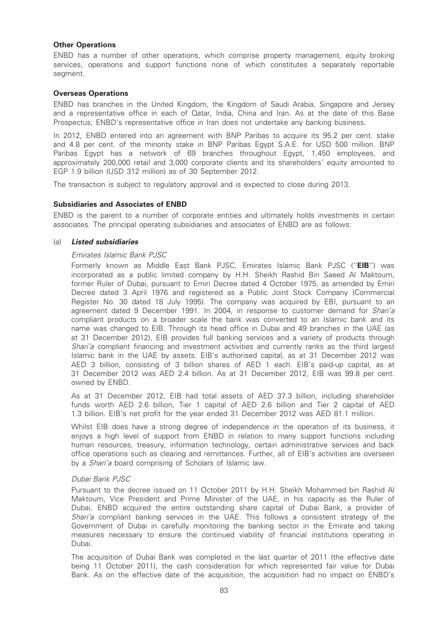## Other Operations

ENBD has a number of other operations, which comprise property management, equity broking services, operations and support functions none of which constitutes a separately reportable segment.

#### Overseas Operations

ENBD has branches in the United Kingdom, the Kingdom of Saudi Arabia, Singapore and Jersey and a representative office in each of Qatar, India, China and Iran. As at the date of this Base Prospectus, ENBD's representative office in Iran does not undertake any banking business.

In 2012, ENBD entered into an agreement with BNP Paribas to acquire its 95.2 per cent. stake and 4.8 per cent. of the minority stake in BNP Paribas Egypt S.A.E. for USD 500 million. BNP Paribas Egypt has a network of 69 branches throughout Egypt, 1,450 employees, and approximately 200,000 retail and 3,000 corporate clients and its shareholders' equity amounted to EGP 1.9 billion (USD 312 million) as of 30 September 2012.

The transaction is subject to regulatory approval and is expected to close during 2013.

## Subsidiaries and Associates of ENBD

ENBD is the parent to a number of corporate entities and ultimately holds investments in certain associates. The principal operating subsidiaries and associates of ENBD are as follows:

#### (a) Listed subsidiaries

#### Emirates Islamic Bank PJSC

Formerly known as Middle East Bank PJSC, Emirates Islamic Bank PJSC ("EIB") was incorporated as a public limited company by H.H. Sheikh Rashid Bin Saeed Al Maktoum, former Ruler of Dubai, pursuant to Emiri Decree dated 4 October 1975, as amended by Emiri Decree dated 3 April 1976 and registered as a Public Joint Stock Company (Commercial Register No. 30 dated 18 July 1995). The company was acquired by EBI, pursuant to an agreement dated 9 December 1991. In 2004, in response to customer demand for Shari'a compliant products on a broader scale the bank was converted to an Islamic bank and its name was changed to EIB. Through its head office in Dubai and 49 branches in the UAE (as at 31 December 2012), EIB provides full banking services and a variety of products through Shari'a compliant financing and investment activities and currently ranks as the third largest Islamic bank in the UAE by assets. EIB's authorised capital, as at 31 December 2012 was AED 3 billion, consisting of 3 billion shares of AED 1 each. EIB's paid-up capital, as at 31 December 2012 was AED 2.4 billion. As at 31 December 2012, EIB was 99.8 per cent. owned by ENBD.

As at 31 December 2012, EIB had total assets of AED 37.3 billion, including shareholder funds worth AED 2.6 billion, Tier 1 capital of AED 2.6 billion and Tier 2 capital of AED 1.3 billion. EIB's net profit for the year ended 31 December 2012 was AED 81.1 million.

Whilst EIB does have a strong degree of independence in the operation of its business, it enjoys a high level of support from ENBD in relation to many support functions including human resources, treasury, information technology, certain administrative services and back office operations such as clearing and remittances. Further, all of EIB's activities are overseen by a Shari'a board comprising of Scholars of Islamic law.

#### Dubai Bank PJSC

Pursuant to the decree issued on 11 October 2011 by H.H. Sheikh Mohammed bin Rashid Al Maktoum, Vice President and Prime Minister of the UAE, in his capacity as the Ruler of Dubai, ENBD acquired the entire outstanding share capital of Dubai Bank, a provider of Shari'a compliant banking services in the UAE. This follows a consistent strategy of the Government of Dubai in carefully monitoring the banking sector in the Emirate and taking measures necessary to ensure the continued viability of financial institutions operating in Dubai.

The acquisition of Dubai Bank was completed in the last quarter of 2011 (the effective date being 11 October 2011), the cash consideration for which represented fair value for Dubai Bank. As on the effective date of the acquisition, the acquisition had no impact on ENBD's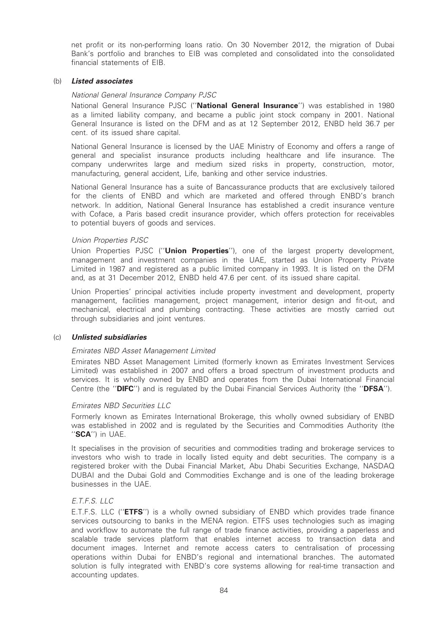net profit or its non-performing loans ratio. On 30 November 2012, the migration of Dubai Bank's portfolio and branches to EIB was completed and consolidated into the consolidated financial statements of EIB.

#### (b) Listed associates

#### National General Insurance Company PJSC

National General Insurance PJSC ("National General Insurance") was established in 1980 as a limited liability company, and became a public joint stock company in 2001. National General Insurance is listed on the DFM and as at 12 September 2012, ENBD held 36.7 per cent. of its issued share capital.

National General Insurance is licensed by the UAE Ministry of Economy and offers a range of general and specialist insurance products including healthcare and life insurance. The company underwrites large and medium sized risks in property, construction, motor, manufacturing, general accident, Life, banking and other service industries.

National General Insurance has a suite of Bancassurance products that are exclusively tailored for the clients of ENBD and which are marketed and offered through ENBD's branch network. In addition, National General Insurance has established a credit insurance venture with Coface, a Paris based credit insurance provider, which offers protection for receivables to potential buyers of goods and services.

## Union Properties PJSC

Union Properties PJSC ("Union Properties"), one of the largest property development, management and investment companies in the UAE, started as Union Property Private Limited in 1987 and registered as a public limited company in 1993. It is listed on the DFM and, as at 31 December 2012, ENBD held 47.6 per cent. of its issued share capital.

Union Properties' principal activities include property investment and development, property management, facilities management, project management, interior design and fit-out, and mechanical, electrical and plumbing contracting. These activities are mostly carried out through subsidiaries and joint ventures.

#### (c) Unlisted subsidiaries

## Emirates NBD Asset Management Limited

Emirates NBD Asset Management Limited (formerly known as Emirates Investment Services Limited) was established in 2007 and offers a broad spectrum of investment products and services. It is wholly owned by ENBD and operates from the Dubai International Financial Centre (the "DIFC") and is regulated by the Dubai Financial Services Authority (the "DFSA").

#### Emirates NBD Securities LLC

Formerly known as Emirates International Brokerage, this wholly owned subsidiary of ENBD was established in 2002 and is regulated by the Securities and Commodities Authority (the "SCA") in UAE.

It specialises in the provision of securities and commodities trading and brokerage services to investors who wish to trade in locally listed equity and debt securities. The company is a registered broker with the Dubai Financial Market, Abu Dhabi Securities Exchange, NASDAQ DUBAI and the Dubai Gold and Commodities Exchange and is one of the leading brokerage businesses in the UAE.

## E.T.F.S. LLC

E.T.F.S. LLC (''ETFS'') is a wholly owned subsidiary of ENBD which provides trade finance services outsourcing to banks in the MENA region. ETFS uses technologies such as imaging and workflow to automate the full range of trade finance activities, providing a paperless and scalable trade services platform that enables internet access to transaction data and document images. Internet and remote access caters to centralisation of processing operations within Dubai for ENBD's regional and international branches. The automated solution is fully integrated with ENBD's core systems allowing for real-time transaction and accounting updates.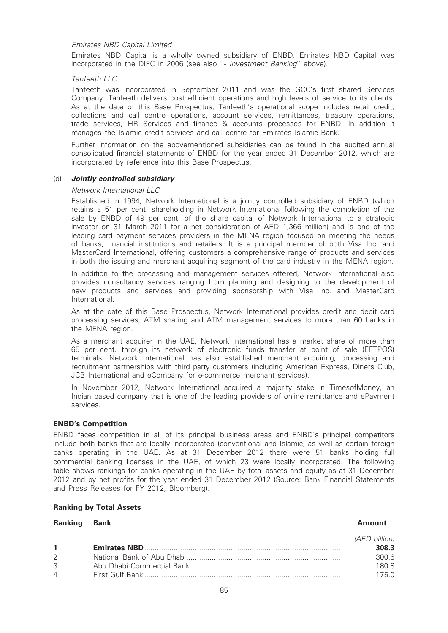## Emirates NBD Capital Limited

Emirates NBD Capital is a wholly owned subsidiary of ENBD. Emirates NBD Capital was incorporated in the DIFC in 2006 (see also ''- Investment Banking'' above).

### Tanfeeth LLC

Tanfeeth was incorporated in September 2011 and was the GCC's first shared Services Company. Tanfeeth delivers cost efficient operations and high levels of service to its clients. As at the date of this Base Prospectus, Tanfeeth's operational scope includes retail credit, collections and call centre operations, account services, remittances, treasury operations, trade services, HR Services and finance & accounts processes for ENBD. In addition it manages the Islamic credit services and call centre for Emirates Islamic Bank.

Further information on the abovementioned subsidiaries can be found in the audited annual consolidated financial statements of ENBD for the year ended 31 December 2012, which are incorporated by reference into this Base Prospectus.

#### (d) Jointly controlled subsidiary

#### Network International LLC

Established in 1994, Network International is a jointly controlled subsidiary of ENBD (which retains a 51 per cent. shareholding in Network International following the completion of the sale by ENBD of 49 per cent. of the share capital of Network International to a strategic investor on 31 March 2011 for a net consideration of AED 1,366 million) and is one of the leading card payment services providers in the MENA region focused on meeting the needs of banks, financial institutions and retailers. It is a principal member of both Visa Inc. and MasterCard International, offering customers a comprehensive range of products and services in both the issuing and merchant acquiring segment of the card industry in the MENA region.

In addition to the processing and management services offered, Network International also provides consultancy services ranging from planning and designing to the development of new products and services and providing sponsorship with Visa Inc. and MasterCard International.

As at the date of this Base Prospectus, Network International provides credit and debit card processing services, ATM sharing and ATM management services to more than 60 banks in the MENA region.

As a merchant acquirer in the UAE, Network International has a market share of more than 65 per cent. through its network of electronic funds transfer at point of sale (EFTPOS) terminals. Network International has also established merchant acquiring, processing and recruitment partnerships with third party customers (including American Express, Diners Club, JCB International and eCompany for e-commerce merchant services).

In November 2012, Network International acquired a majority stake in TimesofMoney, an Indian based company that is one of the leading providers of online remittance and ePayment services.

#### ENBD's Competition

ENBD faces competition in all of its principal business areas and ENBD's principal competitors include both banks that are locally incorporated (conventional and Islamic) as well as certain foreign banks operating in the UAE. As at 31 December 2012 there were 51 banks holding full commercial banking licenses in the UAE, of which 23 were locally incorporated. The following table shows rankings for banks operating in the UAE by total assets and equity as at 31 December 2012 and by net profits for the year ended 31 December 2012 (Source: Bank Financial Statements and Press Releases for FY 2012, Bloomberg).

#### Ranking by Total Assets

| <b>Ranking</b> | Bank | Amount        |
|----------------|------|---------------|
|                |      | (AED billion) |
| $\mathbf{1}$   |      | 308.3         |
| 2              |      | 300.6         |
| 3              |      | 180.8         |
| $\overline{4}$ |      | 175 0         |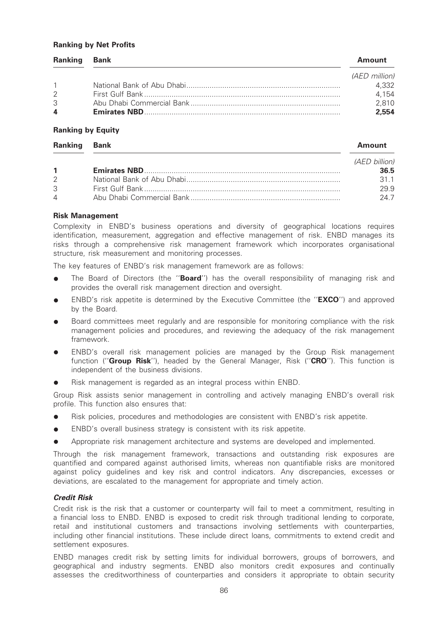#### Ranking by Net Profits

| <b>Ranking</b>          | Bank | Amount        |
|-------------------------|------|---------------|
|                         |      | (AED million) |
| $\overline{1}$          |      | 4,332         |
| $\mathcal{P}$           |      | 4,154         |
| $\mathcal{S}$           |      | 2.810         |
| $\overline{\mathbf{A}}$ |      | 2.554         |

#### Ranking by Equity

| <b>Ranking</b> | Bank | <b>Amount</b> |
|----------------|------|---------------|
|                |      | (AED billion) |
| $\mathbf{1}$   |      | 36.5          |
| $\mathcal{P}$  |      | 31.1          |
| 3              |      | 29.9          |
| $\overline{4}$ |      | 24.7          |

## Risk Management

Complexity in ENBD's business operations and diversity of geographical locations requires identification, measurement, aggregation and effective management of risk. ENBD manages its risks through a comprehensive risk management framework which incorporates organisational structure, risk measurement and monitoring processes.

The key features of ENBD's risk management framework are as follows:

- The Board of Directors (the "Board") has the overall responsibility of managing risk and provides the overall risk management direction and oversight.
- ENBD's risk appetite is determined by the Executive Committee (the "EXCO") and approved by the Board.
- Board committees meet regularly and are responsible for monitoring compliance with the risk management policies and procedures, and reviewing the adequacy of the risk management framework.
- ENBD's overall risk management policies are managed by the Group Risk management function ("Group Risk"), headed by the General Manager, Risk ("CRO"). This function is independent of the business divisions.
- Risk management is regarded as an integral process within ENBD.

Group Risk assists senior management in controlling and actively managing ENBD's overall risk profile. This function also ensures that:

- Risk policies, procedures and methodologies are consistent with ENBD's risk appetite.
- ENBD's overall business strategy is consistent with its risk appetite.
- Appropriate risk management architecture and systems are developed and implemented.

Through the risk management framework, transactions and outstanding risk exposures are quantified and compared against authorised limits, whereas non quantifiable risks are monitored against policy guidelines and key risk and control indicators. Any discrepancies, excesses or deviations, are escalated to the management for appropriate and timely action.

#### Credit Risk

Credit risk is the risk that a customer or counterparty will fail to meet a commitment, resulting in a financial loss to ENBD. ENBD is exposed to credit risk through traditional lending to corporate, retail and institutional customers and transactions involving settlements with counterparties, including other financial institutions. These include direct loans, commitments to extend credit and settlement exposures.

ENBD manages credit risk by setting limits for individual borrowers, groups of borrowers, and geographical and industry segments. ENBD also monitors credit exposures and continually assesses the creditworthiness of counterparties and considers it appropriate to obtain security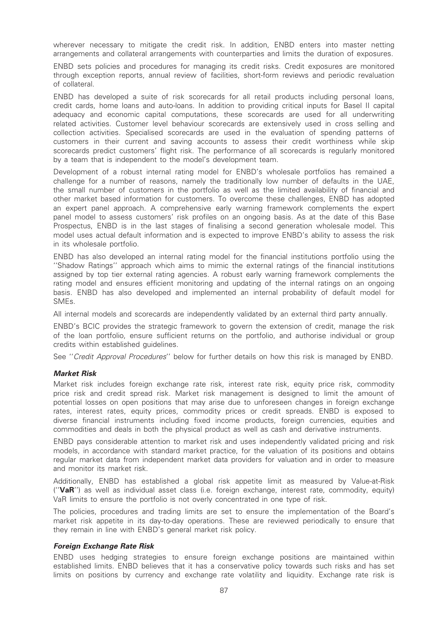wherever necessary to mitigate the credit risk. In addition, ENBD enters into master netting arrangements and collateral arrangements with counterparties and limits the duration of exposures.

ENBD sets policies and procedures for managing its credit risks. Credit exposures are monitored through exception reports, annual review of facilities, short-form reviews and periodic revaluation of collateral.

ENBD has developed a suite of risk scorecards for all retail products including personal loans, credit cards, home loans and auto-loans. In addition to providing critical inputs for Basel II capital adequacy and economic capital computations, these scorecards are used for all underwriting related activities. Customer level behaviour scorecards are extensively used in cross selling and collection activities. Specialised scorecards are used in the evaluation of spending patterns of customers in their current and saving accounts to assess their credit worthiness while skip scorecards predict customers' flight risk. The performance of all scorecards is regularly monitored by a team that is independent to the model's development team.

Development of a robust internal rating model for ENBD's wholesale portfolios has remained a challenge for a number of reasons, namely the traditionally low number of defaults in the UAE, the small number of customers in the portfolio as well as the limited availability of financial and other market based information for customers. To overcome these challenges, ENBD has adopted an expert panel approach. A comprehensive early warning framework complements the expert panel model to assess customers' risk profiles on an ongoing basis. As at the date of this Base Prospectus, ENBD is in the last stages of finalising a second generation wholesale model. This model uses actual default information and is expected to improve ENBD's ability to assess the risk in its wholesale portfolio.

ENBD has also developed an internal rating model for the financial institutions portfolio using the ''Shadow Ratings'' approach which aims to mimic the external ratings of the financial institutions assigned by top tier external rating agencies. A robust early warning framework complements the rating model and ensures efficient monitoring and updating of the internal ratings on an ongoing basis. ENBD has also developed and implemented an internal probability of default model for SMEs.

All internal models and scorecards are independently validated by an external third party annually.

ENBD's BCIC provides the strategic framework to govern the extension of credit, manage the risk of the loan portfolio, ensure sufficient returns on the portfolio, and authorise individual or group credits within established guidelines.

See ''Credit Approval Procedures'' below for further details on how this risk is managed by ENBD.

#### Market Risk

Market risk includes foreign exchange rate risk, interest rate risk, equity price risk, commodity price risk and credit spread risk. Market risk management is designed to limit the amount of potential losses on open positions that may arise due to unforeseen changes in foreign exchange rates, interest rates, equity prices, commodity prices or credit spreads. ENBD is exposed to diverse financial instruments including fixed income products, foreign currencies, equities and commodities and deals in both the physical product as well as cash and derivative instruments.

ENBD pays considerable attention to market risk and uses independently validated pricing and risk models, in accordance with standard market practice, for the valuation of its positions and obtains regular market data from independent market data providers for valuation and in order to measure and monitor its market risk.

Additionally, ENBD has established a global risk appetite limit as measured by Value-at-Risk (''VaR'') as well as individual asset class (i.e. foreign exchange, interest rate, commodity, equity) VaR limits to ensure the portfolio is not overly concentrated in one type of risk.

The policies, procedures and trading limits are set to ensure the implementation of the Board's market risk appetite in its day-to-day operations. These are reviewed periodically to ensure that they remain in line with ENBD's general market risk policy.

## Foreign Exchange Rate Risk

ENBD uses hedging strategies to ensure foreign exchange positions are maintained within established limits. ENBD believes that it has a conservative policy towards such risks and has set limits on positions by currency and exchange rate volatility and liquidity. Exchange rate risk is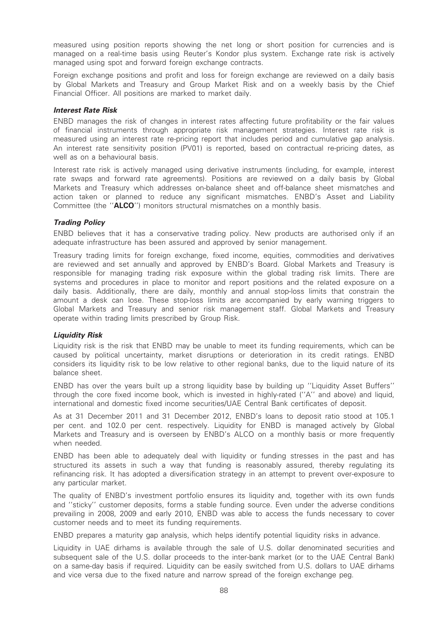measured using position reports showing the net long or short position for currencies and is managed on a real-time basis using Reuter's Kondor plus system. Exchange rate risk is actively managed using spot and forward foreign exchange contracts.

Foreign exchange positions and profit and loss for foreign exchange are reviewed on a daily basis by Global Markets and Treasury and Group Market Risk and on a weekly basis by the Chief Financial Officer. All positions are marked to market daily.

## Interest Rate Risk

ENBD manages the risk of changes in interest rates affecting future profitability or the fair values of financial instruments through appropriate risk management strategies. Interest rate risk is measured using an interest rate re-pricing report that includes period and cumulative gap analysis. An interest rate sensitivity position (PV01) is reported, based on contractual re-pricing dates, as well as on a behavioural basis.

Interest rate risk is actively managed using derivative instruments (including, for example, interest rate swaps and forward rate agreements). Positions are reviewed on a daily basis by Global Markets and Treasury which addresses on-balance sheet and off-balance sheet mismatches and action taken or planned to reduce any significant mismatches. ENBD's Asset and Liability Committee (the ''ALCO'') monitors structural mismatches on a monthly basis.

## Trading Policy

ENBD believes that it has a conservative trading policy. New products are authorised only if an adequate infrastructure has been assured and approved by senior management.

Treasury trading limits for foreign exchange, fixed income, equities, commodities and derivatives are reviewed and set annually and approved by ENBD's Board. Global Markets and Treasury is responsible for managing trading risk exposure within the global trading risk limits. There are systems and procedures in place to monitor and report positions and the related exposure on a daily basis. Additionally, there are daily, monthly and annual stop-loss limits that constrain the amount a desk can lose. These stop-loss limits are accompanied by early warning triggers to Global Markets and Treasury and senior risk management staff. Global Markets and Treasury operate within trading limits prescribed by Group Risk.

#### Liquidity Risk

Liquidity risk is the risk that ENBD may be unable to meet its funding requirements, which can be caused by political uncertainty, market disruptions or deterioration in its credit ratings. ENBD considers its liquidity risk to be low relative to other regional banks, due to the liquid nature of its balance sheet.

ENBD has over the years built up a strong liquidity base by building up ''Liquidity Asset Buffers'' through the core fixed income book, which is invested in highly-rated (''A'' and above) and liquid, international and domestic fixed income securities/UAE Central Bank certificates of deposit.

As at 31 December 2011 and 31 December 2012, ENBD's loans to deposit ratio stood at 105.1 per cent. and 102.0 per cent. respectively. Liquidity for ENBD is managed actively by Global Markets and Treasury and is overseen by ENBD's ALCO on a monthly basis or more frequently when needed.

ENBD has been able to adequately deal with liquidity or funding stresses in the past and has structured its assets in such a way that funding is reasonably assured, thereby regulating its refinancing risk. It has adopted a diversification strategy in an attempt to prevent over-exposure to any particular market.

The quality of ENBD's investment portfolio ensures its liquidity and, together with its own funds and ''sticky'' customer deposits, forms a stable funding source. Even under the adverse conditions prevailing in 2008, 2009 and early 2010, ENBD was able to access the funds necessary to cover customer needs and to meet its funding requirements.

ENBD prepares a maturity gap analysis, which helps identify potential liquidity risks in advance.

Liquidity in UAE dirhams is available through the sale of U.S. dollar denominated securities and subsequent sale of the U.S. dollar proceeds to the inter-bank market (or to the UAE Central Bank) on a same-day basis if required. Liquidity can be easily switched from U.S. dollars to UAE dirhams and vice versa due to the fixed nature and narrow spread of the foreign exchange peg.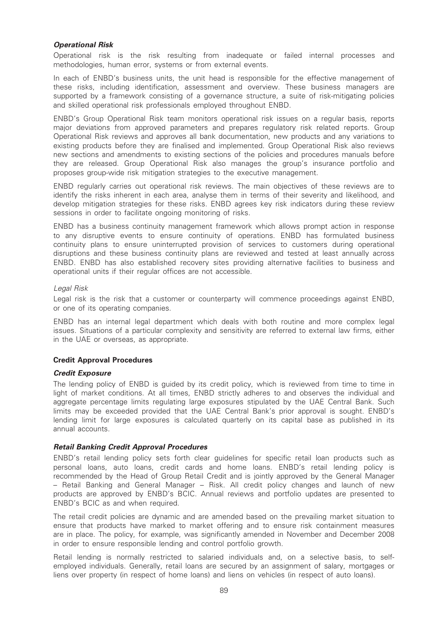## Operational Risk

Operational risk is the risk resulting from inadequate or failed internal processes and methodologies, human error, systems or from external events.

In each of ENBD's business units, the unit head is responsible for the effective management of these risks, including identification, assessment and overview. These business managers are supported by a framework consisting of a governance structure, a suite of risk-mitigating policies and skilled operational risk professionals employed throughout ENBD.

ENBD's Group Operational Risk team monitors operational risk issues on a regular basis, reports major deviations from approved parameters and prepares regulatory risk related reports. Group Operational Risk reviews and approves all bank documentation, new products and any variations to existing products before they are finalised and implemented. Group Operational Risk also reviews new sections and amendments to existing sections of the policies and procedures manuals before they are released. Group Operational Risk also manages the group's insurance portfolio and proposes group-wide risk mitigation strategies to the executive management.

ENBD regularly carries out operational risk reviews. The main objectives of these reviews are to identify the risks inherent in each area, analyse them in terms of their severity and likelihood, and develop mitigation strategies for these risks. ENBD agrees key risk indicators during these review sessions in order to facilitate ongoing monitoring of risks.

ENBD has a business continuity management framework which allows prompt action in response to any disruptive events to ensure continuity of operations. ENBD has formulated business continuity plans to ensure uninterrupted provision of services to customers during operational disruptions and these business continuity plans are reviewed and tested at least annually across ENBD. ENBD has also established recovery sites providing alternative facilities to business and operational units if their regular offices are not accessible.

## Legal Risk

Legal risk is the risk that a customer or counterparty will commence proceedings against ENBD, or one of its operating companies.

ENBD has an internal legal department which deals with both routine and more complex legal issues. Situations of a particular complexity and sensitivity are referred to external law firms, either in the UAE or overseas, as appropriate.

## Credit Approval Procedures

## Credit Exposure

The lending policy of ENBD is guided by its credit policy, which is reviewed from time to time in light of market conditions. At all times, ENBD strictly adheres to and observes the individual and aggregate percentage limits regulating large exposures stipulated by the UAE Central Bank. Such limits may be exceeded provided that the UAE Central Bank's prior approval is sought. ENBD's lending limit for large exposures is calculated quarterly on its capital base as published in its annual accounts.

## Retail Banking Credit Approval Procedures

ENBD's retail lending policy sets forth clear guidelines for specific retail loan products such as personal loans, auto loans, credit cards and home loans. ENBD's retail lending policy is recommended by the Head of Group Retail Credit and is jointly approved by the General Manager – Retail Banking and General Manager – Risk. All credit policy changes and launch of new products are approved by ENBD's BCIC. Annual reviews and portfolio updates are presented to ENBD's BCIC as and when required.

The retail credit policies are dynamic and are amended based on the prevailing market situation to ensure that products have marked to market offering and to ensure risk containment measures are in place. The policy, for example, was significantly amended in November and December 2008 in order to ensure responsible lending and control portfolio growth.

Retail lending is normally restricted to salaried individuals and, on a selective basis, to selfemployed individuals. Generally, retail loans are secured by an assignment of salary, mortgages or liens over property (in respect of home loans) and liens on vehicles (in respect of auto loans).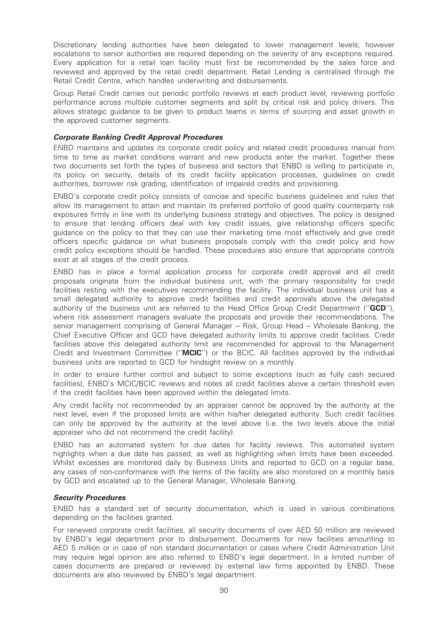Discretionary lending authorities have been delegated to lower management levels; however escalations to senior authorities are required depending on the severity of any exceptions required. Every application for a retail loan facility must first be recommended by the sales force and reviewed and approved by the retail credit department. Retail Lending is centralised through the Retail Credit Centre, which handles underwriting and disbursements.

Group Retail Credit carries out periodic portfolio reviews at each product level, reviewing portfolio performance across multiple customer segments and split by critical risk and policy drivers. This allows strategic guidance to be given to product teams in terms of sourcing and asset growth in the approved customer segments.

## Corporate Banking Credit Approval Procedures

ENBD maintains and updates its corporate credit policy and related credit procedures manual from time to time as market conditions warrant and new products enter the market. Together these two documents set forth the types of business and sectors that ENBD is willing to participate in, its policy on security, details of its credit facility application processes, guidelines on credit authorities, borrower risk grading, identification of impaired credits and provisioning.

ENBD's corporate credit policy consists of concise and specific business guidelines and rules that allow its management to attain and maintain its preferred portfolio of good quality counterparty risk exposures firmly in line with its underlying business strategy and objectives. The policy is designed to ensure that lending officers deal with key credit issues, give relationship officers specific guidance on the policy so that they can use their marketing time most effectively and give credit officers specific guidance on what business proposals comply with this credit policy and how credit policy exceptions should be handled. These procedures also ensure that appropriate controls exist at all stages of the credit process.

ENBD has in place a formal application process for corporate credit approval and all credit proposals originate from the individual business unit, with the primary responsibility for credit facilities resting with the executives recommending the facility. The individual business unit has a small delegated authority to approve credit facilities and credit approvals above the delegated authority of the business unit are referred to the Head Office Group Credit Department ("GCD"), where risk assessment managers evaluate the proposals and provide their recommendations. The senior management comprising of General Manager – Risk, Group Head – Wholesale Banking, the Chief Executive Officer and GCD have delegated authority limits to approve credit facilities. Credit facilities above this delegated authority limit are recommended for approval to the Management Credit and Investment Committee ("**MCIC**") or the BCIC. All facilities approved by the individual business units are reported to GCD for hindsight review on a monthly.

In order to ensure further control and subject to some exceptions (such as fully cash secured facilities), ENBD's MCIC/BCIC reviews and notes all credit facilities above a certain threshold even if the credit facilities have been approved within the delegated limits.

Any credit facility not recommended by an appraiser cannot be approved by the authority at the next level, even if the proposed limits are within his/her delegated authority. Such credit facilities can only be approved by the authority at the level above (i.e. the two levels above the initial appraiser who did not recommend the credit facility).

ENBD has an automated system for due dates for facility reviews. This automated system highlights when a due date has passed, as well as highlighting when limits have been exceeded. Whilst excesses are monitored daily by Business Units and reported to GCD on a regular base, any cases of non-conformance with the terms of the facility are also monitored on a monthly basis by GCD and escalated up to the General Manager, Wholesale Banking.

#### Security Procedures

ENBD has a standard set of security documentation, which is used in various combinations depending on the facilities granted.

For renewed corporate credit facilities, all security documents of over AED 50 million are reviewed by ENBD's legal department prior to disbursement. Documents for new facilities amounting to AED 5 million or in case of non standard documentation or cases where Credit Administration Unit may require legal opinion are also referred to ENBD's legal department. In a limited number of cases documents are prepared or reviewed by external law firms appointed by ENBD. These documents are also reviewed by ENBD's legal department.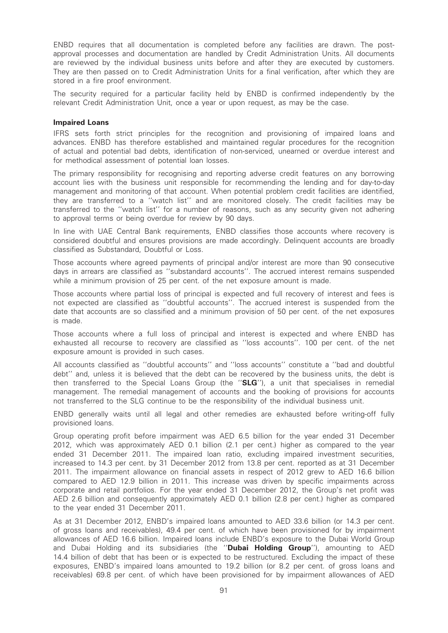ENBD requires that all documentation is completed before any facilities are drawn. The postapproval processes and documentation are handled by Credit Administration Units. All documents are reviewed by the individual business units before and after they are executed by customers. They are then passed on to Credit Administration Units for a final verification, after which they are stored in a fire proof environment.

The security required for a particular facility held by ENBD is confirmed independently by the relevant Credit Administration Unit, once a year or upon request, as may be the case.

#### Impaired Loans

IFRS sets forth strict principles for the recognition and provisioning of impaired loans and advances. ENBD has therefore established and maintained regular procedures for the recognition of actual and potential bad debts, identification of non-serviced, unearned or overdue interest and for methodical assessment of potential loan losses.

The primary responsibility for recognising and reporting adverse credit features on any borrowing account lies with the business unit responsible for recommending the lending and for day-to-day management and monitoring of that account. When potential problem credit facilities are identified, they are transferred to a ''watch list'' and are monitored closely. The credit facilities may be transferred to the ''watch list'' for a number of reasons, such as any security given not adhering to approval terms or being overdue for review by 90 days.

In line with UAE Central Bank requirements, ENBD classifies those accounts where recovery is considered doubtful and ensures provisions are made accordingly. Delinquent accounts are broadly classified as Substandard, Doubtful or Loss.

Those accounts where agreed payments of principal and/or interest are more than 90 consecutive days in arrears are classified as ''substandard accounts''. The accrued interest remains suspended while a minimum provision of 25 per cent. of the net exposure amount is made.

Those accounts where partial loss of principal is expected and full recovery of interest and fees is not expected are classified as ''doubtful accounts''. The accrued interest is suspended from the date that accounts are so classified and a minimum provision of 50 per cent. of the net exposures is made.

Those accounts where a full loss of principal and interest is expected and where ENBD has exhausted all recourse to recovery are classified as ''loss accounts''. 100 per cent. of the net exposure amount is provided in such cases.

All accounts classified as ''doubtful accounts'' and ''loss accounts'' constitute a ''bad and doubtful debt'' and, unless it is believed that the debt can be recovered by the business units, the debt is then transferred to the Special Loans Group (the "SLG"), a unit that specialises in remedial management. The remedial management of accounts and the booking of provisions for accounts not transferred to the SLG continue to be the responsibility of the individual business unit.

ENBD generally waits until all legal and other remedies are exhausted before writing-off fully provisioned loans.

Group operating profit before impairment was AED 6.5 billion for the year ended 31 December 2012, which was approximately AED 0.1 billion (2.1 per cent.) higher as compared to the year ended 31 December 2011. The impaired loan ratio, excluding impaired investment securities, increased to 14.3 per cent. by 31 December 2012 from 13.8 per cent. reported as at 31 December 2011. The impairment allowance on financial assets in respect of 2012 grew to AED 16.6 billion compared to AED 12.9 billion in 2011. This increase was driven by specific impairments across corporate and retail portfolios. For the year ended 31 December 2012, the Group's net profit was AED 2.6 billion and consequently approximately AED 0.1 billion (2.8 per cent.) higher as compared to the year ended 31 December 2011.

As at 31 December 2012, ENBD's impaired loans amounted to AED 33.6 billion (or 14.3 per cent. of gross loans and receivables), 49.4 per cent. of which have been provisioned for by impairment allowances of AED 16.6 billion. Impaired loans include ENBD's exposure to the Dubai World Group and Dubai Holding and its subsidiaries (the "Dubai Holding Group"), amounting to AED 14.4 billion of debt that has been or is expected to be restructured. Excluding the impact of these exposures, ENBD's impaired loans amounted to 19.2 billion (or 8.2 per cent. of gross loans and receivables) 69.8 per cent. of which have been provisioned for by impairment allowances of AED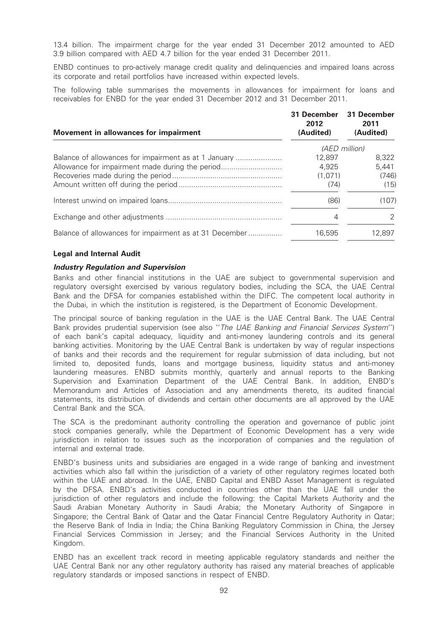13.4 billion. The impairment charge for the year ended 31 December 2012 amounted to AED 3.9 billion compared with AED 4.7 billion for the year ended 31 December 2011.

ENBD continues to pro-actively manage credit quality and delinquencies and impaired loans across its corporate and retail portfolios have increased within expected levels.

The following table summarises the movements in allowances for impairment for loans and receivables for ENBD for the year ended 31 December 2012 and 31 December 2011.

| Movement in allowances for impairment                  | 31 December<br>2012<br>(Audited) | 31 December<br>2011<br>(Audited) |
|--------------------------------------------------------|----------------------------------|----------------------------------|
|                                                        |                                  | (AED million)                    |
| Balance of allowances for impairment as at 1 January   | 12,897                           | 8.322                            |
| Allowance for impairment made during the period        | 4.925                            | 5,441                            |
|                                                        | (1,071)                          | (746)                            |
|                                                        | (74)                             | (15)                             |
|                                                        | (86)                             | (107)                            |
|                                                        | 4                                | 2                                |
| Balance of allowances for impairment as at 31 December | 16,595                           | 12.897                           |

## Legal and Internal Audit

#### Industry Regulation and Supervision

Banks and other financial institutions in the UAE are subject to governmental supervision and regulatory oversight exercised by various regulatory bodies, including the SCA, the UAE Central Bank and the DFSA for companies established within the DIFC. The competent local authority in the Dubai, in which the institution is registered, is the Department of Economic Development.

The principal source of banking regulation in the UAE is the UAE Central Bank. The UAE Central Bank provides prudential supervision (see also "The UAE Banking and Financial Services System") of each bank's capital adequacy, liquidity and anti-money laundering controls and its general banking activities. Monitoring by the UAE Central Bank is undertaken by way of regular inspections of banks and their records and the requirement for regular submission of data including, but not limited to, deposited funds, loans and mortgage business, liquidity status and anti-money laundering measures. ENBD submits monthly, quarterly and annual reports to the Banking Supervision and Examination Department of the UAE Central Bank. In addition, ENBD's Memorandum and Articles of Association and any amendments thereto, its audited financial statements, its distribution of dividends and certain other documents are all approved by the UAE Central Bank and the SCA.

The SCA is the predominant authority controlling the operation and governance of public joint stock companies generally, while the Department of Economic Development has a very wide jurisdiction in relation to issues such as the incorporation of companies and the regulation of internal and external trade.

ENBD's business units and subsidiaries are engaged in a wide range of banking and investment activities which also fall within the jurisdiction of a variety of other regulatory regimes located both within the UAE and abroad. In the UAE, ENBD Capital and ENBD Asset Management is regulated by the DFSA. ENBD's activities conducted in countries other than the UAE fall under the jurisdiction of other regulators and include the following: the Capital Markets Authority and the Saudi Arabian Monetary Authority in Saudi Arabia; the Monetary Authority of Singapore in Singapore; the Central Bank of Qatar and the Qatar Financial Centre Regulatory Authority in Qatar; the Reserve Bank of India in India; the China Banking Regulatory Commission in China, the Jersey Financial Services Commission in Jersey; and the Financial Services Authority in the United Kingdom.

ENBD has an excellent track record in meeting applicable regulatory standards and neither the UAE Central Bank nor any other regulatory authority has raised any material breaches of applicable regulatory standards or imposed sanctions in respect of ENBD.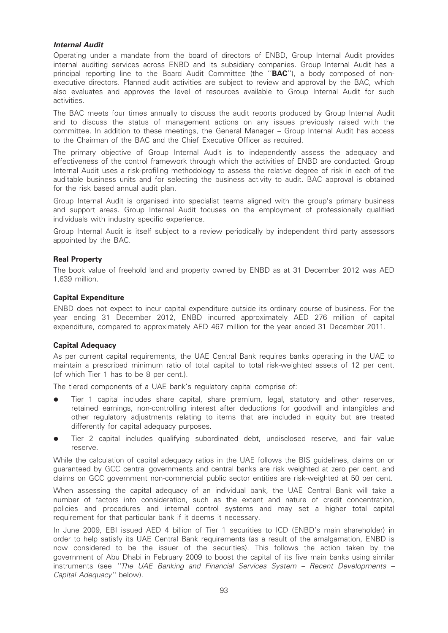## Internal Audit

Operating under a mandate from the board of directors of ENBD, Group Internal Audit provides internal auditing services across ENBD and its subsidiary companies. Group Internal Audit has a principal reporting line to the Board Audit Committee (the "**BAC**"), a body composed of nonexecutive directors. Planned audit activities are subject to review and approval by the BAC, which also evaluates and approves the level of resources available to Group Internal Audit for such activities.

The BAC meets four times annually to discuss the audit reports produced by Group Internal Audit and to discuss the status of management actions on any issues previously raised with the committee. In addition to these meetings, the General Manager – Group Internal Audit has access to the Chairman of the BAC and the Chief Executive Officer as required.

The primary objective of Group Internal Audit is to independently assess the adequacy and effectiveness of the control framework through which the activities of ENBD are conducted. Group Internal Audit uses a risk-profiling methodology to assess the relative degree of risk in each of the auditable business units and for selecting the business activity to audit. BAC approval is obtained for the risk based annual audit plan.

Group Internal Audit is organised into specialist teams aligned with the group's primary business and support areas. Group Internal Audit focuses on the employment of professionally qualified individuals with industry specific experience.

Group Internal Audit is itself subject to a review periodically by independent third party assessors appointed by the BAC.

## Real Property

The book value of freehold land and property owned by ENBD as at 31 December 2012 was AED 1,639 million.

## Capital Expenditure

ENBD does not expect to incur capital expenditure outside its ordinary course of business. For the year ending 31 December 2012, ENBD incurred approximately AED 276 million of capital expenditure, compared to approximately AED 467 million for the year ended 31 December 2011.

## Capital Adequacy

As per current capital requirements, the UAE Central Bank requires banks operating in the UAE to maintain a prescribed minimum ratio of total capital to total risk-weighted assets of 12 per cent. (of which Tier 1 has to be 8 per cent.).

The tiered components of a UAE bank's regulatory capital comprise of:

- Tier 1 capital includes share capital, share premium, legal, statutory and other reserves, retained earnings, non-controlling interest after deductions for goodwill and intangibles and other regulatory adjustments relating to items that are included in equity but are treated differently for capital adequacy purposes.
- Tier 2 capital includes qualifying subordinated debt, undisclosed reserve, and fair value reserve.

While the calculation of capital adequacy ratios in the UAE follows the BIS guidelines, claims on or guaranteed by GCC central governments and central banks are risk weighted at zero per cent. and claims on GCC government non-commercial public sector entities are risk-weighted at 50 per cent.

When assessing the capital adequacy of an individual bank, the UAE Central Bank will take a number of factors into consideration, such as the extent and nature of credit concentration, policies and procedures and internal control systems and may set a higher total capital requirement for that particular bank if it deems it necessary.

In June 2009, EBI issued AED 4 billion of Tier 1 securities to ICD (ENBD's main shareholder) in order to help satisfy its UAE Central Bank requirements (as a result of the amalgamation, ENBD is now considered to be the issuer of the securities). This follows the action taken by the government of Abu Dhabi in February 2009 to boost the capital of its five main banks using similar instruments (see ''The UAE Banking and Financial Services System – Recent Developments – Capital Adequacy'' below).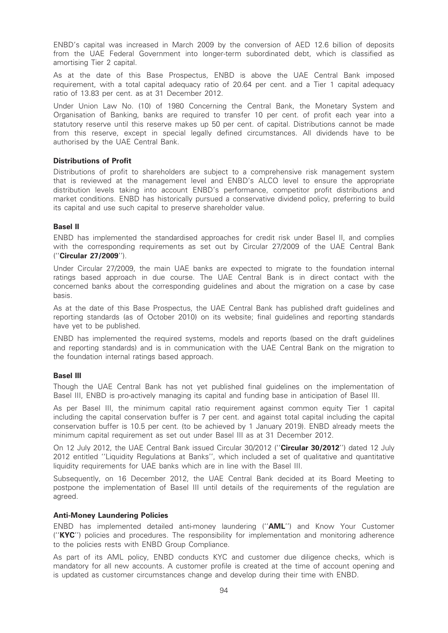ENBD's capital was increased in March 2009 by the conversion of AED 12.6 billion of deposits from the UAE Federal Government into longer-term subordinated debt, which is classified as amortising Tier 2 capital.

As at the date of this Base Prospectus, ENBD is above the UAE Central Bank imposed requirement, with a total capital adequacy ratio of 20.64 per cent. and a Tier 1 capital adequacy ratio of 13.83 per cent. as at 31 December 2012.

Under Union Law No. (10) of 1980 Concerning the Central Bank, the Monetary System and Organisation of Banking, banks are required to transfer 10 per cent. of profit each year into a statutory reserve until this reserve makes up 50 per cent. of capital. Distributions cannot be made from this reserve, except in special legally defined circumstances. All dividends have to be authorised by the UAE Central Bank.

## Distributions of Profit

Distributions of profit to shareholders are subject to a comprehensive risk management system that is reviewed at the management level and ENBD's ALCO level to ensure the appropriate distribution levels taking into account ENBD's performance, competitor profit distributions and market conditions. ENBD has historically pursued a conservative dividend policy, preferring to build its capital and use such capital to preserve shareholder value.

## Basel II

ENBD has implemented the standardised approaches for credit risk under Basel II, and complies with the corresponding requirements as set out by Circular 27/2009 of the UAE Central Bank (''Circular 27/2009'').

Under Circular 27/2009, the main UAE banks are expected to migrate to the foundation internal ratings based approach in due course. The UAE Central Bank is in direct contact with the concerned banks about the corresponding guidelines and about the migration on a case by case basis.

As at the date of this Base Prospectus, the UAE Central Bank has published draft guidelines and reporting standards (as of October 2010) on its website; final guidelines and reporting standards have yet to be published.

ENBD has implemented the required systems, models and reports (based on the draft guidelines and reporting standards) and is in communication with the UAE Central Bank on the migration to the foundation internal ratings based approach.

## Basel III

Though the UAE Central Bank has not yet published final guidelines on the implementation of Basel III, ENBD is pro-actively managing its capital and funding base in anticipation of Basel III.

As per Basel III, the minimum capital ratio requirement against common equity Tier 1 capital including the capital conservation buffer is 7 per cent. and against total capital including the capital conservation buffer is 10.5 per cent. (to be achieved by 1 January 2019). ENBD already meets the minimum capital requirement as set out under Basel III as at 31 December 2012.

On 12 July 2012, the UAE Central Bank issued Circular 30/2012 ("Circular 30/2012") dated 12 July 2012 entitled ''Liquidity Regulations at Banks'', which included a set of qualitative and quantitative liquidity requirements for UAE banks which are in line with the Basel III.

Subsequently, on 16 December 2012, the UAE Central Bank decided at its Board Meeting to postpone the implementation of Basel III until details of the requirements of the regulation are agreed.

### Anti-Money Laundering Policies

ENBD has implemented detailed anti-money laundering (''AML'') and Know Your Customer (''KYC'') policies and procedures. The responsibility for implementation and monitoring adherence to the policies rests with ENBD Group Compliance.

As part of its AML policy, ENBD conducts KYC and customer due diligence checks, which is mandatory for all new accounts. A customer profile is created at the time of account opening and is updated as customer circumstances change and develop during their time with ENBD.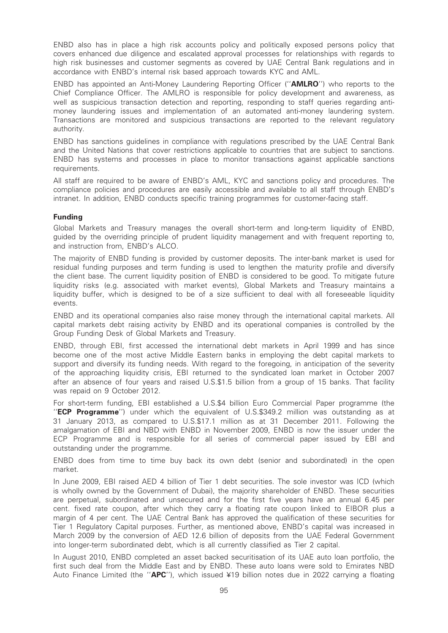ENBD also has in place a high risk accounts policy and politically exposed persons policy that covers enhanced due diligence and escalated approval processes for relationships with regards to high risk businesses and customer segments as covered by UAE Central Bank regulations and in accordance with ENBD's internal risk based approach towards KYC and AML.

ENBD has appointed an Anti-Money Laundering Reporting Officer (''AMLRO'') who reports to the Chief Compliance Officer. The AMLRO is responsible for policy development and awareness, as well as suspicious transaction detection and reporting, responding to staff queries regarding antimoney laundering issues and implementation of an automated anti-money laundering system. Transactions are monitored and suspicious transactions are reported to the relevant regulatory authority.

ENBD has sanctions guidelines in compliance with regulations prescribed by the UAE Central Bank and the United Nations that cover restrictions applicable to countries that are subject to sanctions. ENBD has systems and processes in place to monitor transactions against applicable sanctions requirements.

All staff are required to be aware of ENBD's AML, KYC and sanctions policy and procedures. The compliance policies and procedures are easily accessible and available to all staff through ENBD's intranet. In addition, ENBD conducts specific training programmes for customer-facing staff.

## Funding

Global Markets and Treasury manages the overall short-term and long-term liquidity of ENBD, guided by the overriding principle of prudent liquidity management and with frequent reporting to, and instruction from, ENBD's ALCO.

The majority of ENBD funding is provided by customer deposits. The inter-bank market is used for residual funding purposes and term funding is used to lengthen the maturity profile and diversify the client base. The current liquidity position of ENBD is considered to be good. To mitigate future liquidity risks (e.g. associated with market events), Global Markets and Treasury maintains a liquidity buffer, which is designed to be of a size sufficient to deal with all foreseeable liquidity events.

ENBD and its operational companies also raise money through the international capital markets. All capital markets debt raising activity by ENBD and its operational companies is controlled by the Group Funding Desk of Global Markets and Treasury.

ENBD, through EBI, first accessed the international debt markets in April 1999 and has since become one of the most active Middle Eastern banks in employing the debt capital markets to support and diversify its funding needs. With regard to the foregoing, in anticipation of the severity of the approaching liquidity crisis, EBI returned to the syndicated loan market in October 2007 after an absence of four years and raised U.S.\$1.5 billion from a group of 15 banks. That facility was repaid on 9 October 2012.

For short-term funding, EBI established a U.S.\$4 billion Euro Commercial Paper programme (the "ECP Programme") under which the equivalent of U.S.\$349.2 million was outstanding as at 31 January 2013, as compared to U.S.\$17.1 million as at 31 December 2011. Following the amalgamation of EBI and NBD with ENBD in November 2009, ENBD is now the issuer under the ECP Programme and is responsible for all series of commercial paper issued by EBI and outstanding under the programme.

ENBD does from time to time buy back its own debt (senior and subordinated) in the open market.

In June 2009, EBI raised AED 4 billion of Tier 1 debt securities. The sole investor was ICD (which is wholly owned by the Government of Dubai), the majority shareholder of ENBD. These securities are perpetual, subordinated and unsecured and for the first five years have an annual 6.45 per cent. fixed rate coupon, after which they carry a floating rate coupon linked to EIBOR plus a margin of 4 per cent. The UAE Central Bank has approved the qualification of these securities for Tier 1 Regulatory Capital purposes. Further, as mentioned above, ENBD's capital was increased in March 2009 by the conversion of AED 12.6 billion of deposits from the UAE Federal Government into longer-term subordinated debt, which is all currently classified as Tier 2 capital.

In August 2010, ENBD completed an asset backed securitisation of its UAE auto loan portfolio, the first such deal from the Middle East and by ENBD. These auto loans were sold to Emirates NBD Auto Finance Limited (the " $APC$ "), which issued ¥19 billion notes due in 2022 carrying a floating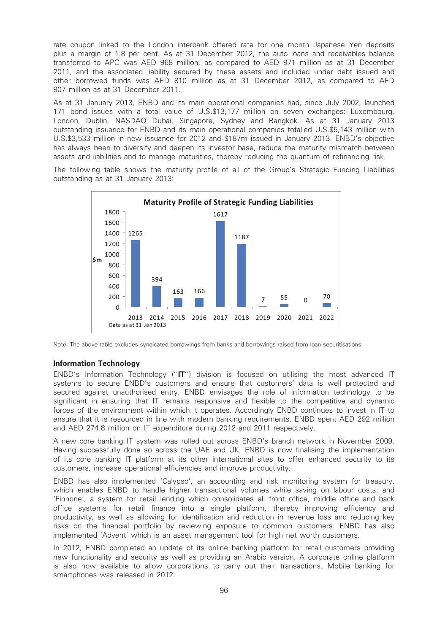rate coupon linked to the London interbank offered rate for one month Japanese Yen deposits plus a margin of 1.8 per cent. As at 31 December 2012, the auto loans and receivables balance transferred to APC was AED 968 million, as compared to AED 971 million as at 31 December 2011, and the associated liability secured by these assets and included under debt issued and other borrowed funds was AED 810 million as at 31 December 2012, as compared to AED 907 million as at 31 December 2011.

As at 31 January 2013, ENBD and its main operational companies had, since July 2002, launched 171 bond issues with a total value of U.S.\$13,177 million on seven exchanges: Luxembourg, London, Dublin, NASDAQ Dubai, Singapore, Sydney and Bangkok. As at 31 January 2013 outstanding issuance for ENBD and its main operational companies totalled U.S.\$5,143 million with U.S.\$3,533 million in new issuance for 2012 and \$187m issued in January 2013. ENBD's objective has always been to diversify and deepen its investor base, reduce the maturity mismatch between assets and liabilities and to manage maturities, thereby reducing the quantum of refinancing risk.

The following table shows the maturity profile of all of the Group's Strategic Funding Liabilities outstanding as at 31 January 2013:



Note: The above table excludes syndicated borrowings from banks and borrowings raised from loan securitisations

#### Information Technology

ENBD's Information Technology (''IT'') division is focused on utilising the most advanced IT systems to secure ENBD's customers and ensure that customers' data is well protected and secured against unauthorised entry. ENBD envisages the role of information technology to be significant in ensuring that IT remains responsive and flexible to the competitive and dynamic forces of the environment within which it operates. Accordingly ENBD continues to invest in IT to ensure that it is resourced in line with modern banking requirements. ENBD spent AED 292 million and AED 274.8 million on IT expenditure during 2012 and 2011 respectively.

A new core banking IT system was rolled out across ENBD's branch network in November 2009. Having successfully done so across the UAE and UK, ENBD is now finalising the implementation of its core banking IT platform at its other international sites to offer enhanced security to its customers, increase operational efficiencies and improve productivity.

ENBD has also implemented 'Calypso', an accounting and risk monitoring system for treasury, which enables ENBD to handle higher transactional volumes while saving on labour costs; and 'Finnone', a system for retail lending which consolidates all front office, middle office and back office systems for retail finance into a single platform, thereby improving efficiency and productivity, as well as allowing for identification and reduction in revenue loss and reducing key risks on the financial portfolio by reviewing exposure to common customers. ENBD has also implemented 'Advent' which is an asset management tool for high net worth customers.

In 2012, ENBD completed an update of its online banking platform for retail customers providing new functionality and security as well as providing an Arabic version. A corporate online platform is also now available to allow corporations to carry out their transactions. Mobile banking for smartphones was released in 2012.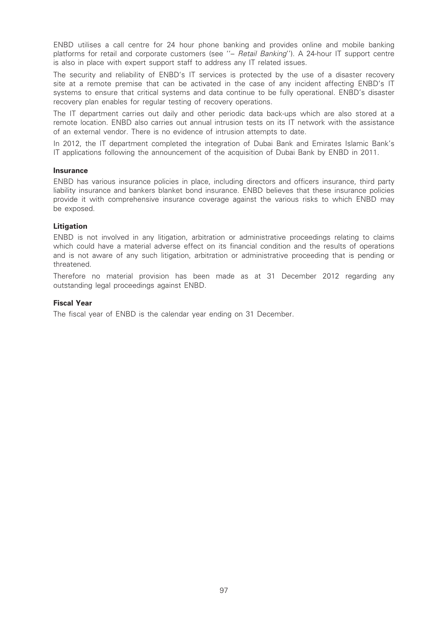ENBD utilises a call centre for 24 hour phone banking and provides online and mobile banking platforms for retail and corporate customers (see "- Retail Banking"). A 24-hour IT support centre is also in place with expert support staff to address any IT related issues.

The security and reliability of ENBD's IT services is protected by the use of a disaster recovery site at a remote premise that can be activated in the case of any incident affecting ENBD's IT systems to ensure that critical systems and data continue to be fully operational. ENBD's disaster recovery plan enables for regular testing of recovery operations.

The IT department carries out daily and other periodic data back-ups which are also stored at a remote location. ENBD also carries out annual intrusion tests on its IT network with the assistance of an external vendor. There is no evidence of intrusion attempts to date.

In 2012, the IT department completed the integration of Dubai Bank and Emirates Islamic Bank's IT applications following the announcement of the acquisition of Dubai Bank by ENBD in 2011.

#### Insurance

ENBD has various insurance policies in place, including directors and officers insurance, third party liability insurance and bankers blanket bond insurance. ENBD believes that these insurance policies provide it with comprehensive insurance coverage against the various risks to which ENBD may be exposed.

## Litigation

ENBD is not involved in any litigation, arbitration or administrative proceedings relating to claims which could have a material adverse effect on its financial condition and the results of operations and is not aware of any such litigation, arbitration or administrative proceeding that is pending or threatened.

Therefore no material provision has been made as at 31 December 2012 regarding any outstanding legal proceedings against ENBD.

## Fiscal Year

The fiscal year of ENBD is the calendar year ending on 31 December.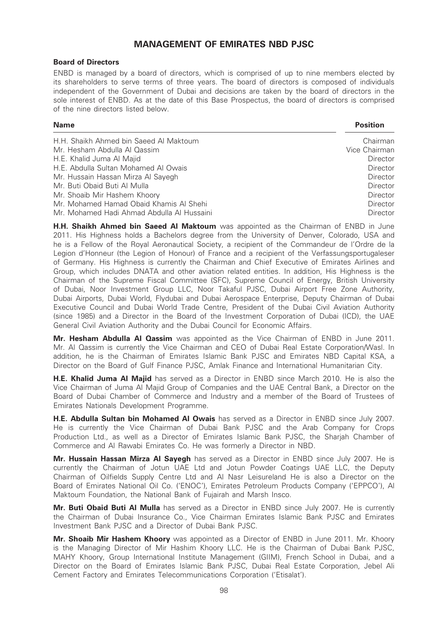# MANAGEMENT OF EMIRATES NBD PJSC

## Board of Directors

ENBD is managed by a board of directors, which is comprised of up to nine members elected by its shareholders to serve terms of three years. The board of directors is composed of individuals independent of the Government of Dubai and decisions are taken by the board of directors in the sole interest of ENBD. As at the date of this Base Prospectus, the board of directors is comprised of the nine directors listed below.

Name Position

| H.H. Shaikh Ahmed bin Saeed Al Maktoum     | Chairman        |
|--------------------------------------------|-----------------|
| Mr. Hesham Abdulla Al Qassim               | Vice Chairman   |
| H.E. Khalid Juma Al Majid                  | <b>Director</b> |
| H.E. Abdulla Sultan Mohamed Al Owais       | Director        |
| Mr. Hussain Hassan Mirza Al Sayegh         | Director        |
| Mr. Buti Obaid Buti Al Mulla               | Director        |
| Mr. Shoaib Mir Hashem Khoory               | Director        |
| Mr. Mohamed Hamad Obaid Khamis Al Shehi    | Director        |
| Mr. Mohamed Hadi Ahmad Abdulla Al Hussaini | <b>Director</b> |

**H.H. Shaikh Ahmed bin Saeed Al Maktoum** was appointed as the Chairman of ENBD in June 2011. His Highness holds a Bachelors degree from the University of Denver, Colorado, USA and he is a Fellow of the Royal Aeronautical Society, a recipient of the Commandeur de l'Ordre de la Legion d'Honneur (the Legion of Honour) of France and a recipient of the Verfassungsportugaleser of Germany. His Highness is currently the Chairman and Chief Executive of Emirates Airlines and Group, which includes DNATA and other aviation related entities. In addition, His Highness is the Chairman of the Supreme Fiscal Committee (SFC), Supreme Council of Energy, British University of Dubai, Noor Investment Group LLC, Noor Takaful PJSC, Dubai Airport Free Zone Authority, Dubai Airports, Dubai World, Flydubai and Dubai Aerospace Enterprise, Deputy Chairman of Dubai Executive Council and Dubai World Trade Centre, President of the Dubai Civil Aviation Authority (since 1985) and a Director in the Board of the Investment Corporation of Dubai (ICD), the UAE General Civil Aviation Authority and the Dubai Council for Economic Affairs.

Mr. Hesham Abdulla AI Qassim was appointed as the Vice Chairman of ENBD in June 2011. Mr. Al Qassim is currently the Vice Chairman and CEO of Dubai Real Estate Corporation/Wasl. In addition, he is the Chairman of Emirates Islamic Bank PJSC and Emirates NBD Capital KSA, a Director on the Board of Gulf Finance PJSC, Amlak Finance and International Humanitarian City.

**H.E. Khalid Juma Al Maiid** has served as a Director in ENBD since March 2010. He is also the Vice Chairman of Juma Al Majid Group of Companies and the UAE Central Bank, a Director on the Board of Dubai Chamber of Commerce and Industry and a member of the Board of Trustees of Emirates Nationals Development Programme.

**H.E. Abdulla Sultan bin Mohamed Al Owais** has served as a Director in ENBD since July 2007. He is currently the Vice Chairman of Dubai Bank PJSC and the Arab Company for Crops Production Ltd., as well as a Director of Emirates Islamic Bank PJSC, the Sharjah Chamber of Commerce and Al Rawabi Emirates Co. He was formerly a Director in NBD.

Mr. Hussain Hassan Mirza Al Sayegh has served as a Director in ENBD since July 2007. He is currently the Chairman of Jotun UAE Ltd and Jotun Powder Coatings UAE LLC, the Deputy Chairman of Oilfields Supply Centre Ltd and Al Nasr Leisureland He is also a Director on the Board of Emirates National Oil Co. ('ENOC'), Emirates Petroleum Products Company ('EPPCO'), Al Maktoum Foundation, the National Bank of Fujairah and Marsh Insco.

Mr. Buti Obaid Buti Al Mulla has served as a Director in ENBD since July 2007. He is currently the Chairman of Dubai Insurance Co., Vice Chairman Emirates Islamic Bank PJSC and Emirates Investment Bank PJSC and a Director of Dubai Bank PJSC.

Mr. Shoaib Mir Hashem Khoory was appointed as a Director of ENBD in June 2011. Mr. Khoory is the Managing Director of Mir Hashim Khoory LLC. He is the Chairman of Dubai Bank PJSC, MAHY Khoory, Group International Institute Management (GIIM), French School in Dubai, and a Director on the Board of Emirates Islamic Bank PJSC, Dubai Real Estate Corporation, Jebel Ali Cement Factory and Emirates Telecommunications Corporation ('Etisalat').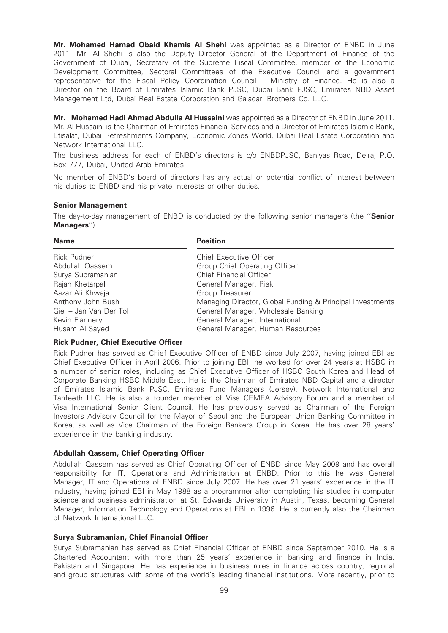Mr. Mohamed Hamad Obaid Khamis Al Shehi was appointed as a Director of ENBD in June 2011. Mr. Al Shehi is also the Deputy Director General of the Department of Finance of the Government of Dubai, Secretary of the Supreme Fiscal Committee, member of the Economic Development Committee, Sectoral Committees of the Executive Council and a government representative for the Fiscal Policy Coordination Council – Ministry of Finance. He is also a Director on the Board of Emirates Islamic Bank PJSC, Dubai Bank PJSC, Emirates NBD Asset Management Ltd, Dubai Real Estate Corporation and Galadari Brothers Co. LLC.

Mr. Mohamed Hadi Ahmad Abdulla Al Hussaini was appointed as a Director of ENBD in June 2011. Mr. Al Hussaini is the Chairman of Emirates Financial Services and a Director of Emirates Islamic Bank, Etisalat, Dubai Refreshments Company, Economic Zones World, Dubai Real Estate Corporation and Network International LLC.

The business address for each of ENBD's directors is c/o ENBDPJSC, Baniyas Road, Deira, P.O. Box 777, Dubai, United Arab Emirates.

No member of ENBD's board of directors has any actual or potential conflict of interest between his duties to ENBD and his private interests or other duties.

## Senior Management

The day-to-day management of ENBD is conducted by the following senior managers (the "Senior Managers'').

| <b>Position</b>                                           |
|-----------------------------------------------------------|
| Chief Executive Officer                                   |
| Group Chief Operating Officer                             |
| Chief Financial Officer                                   |
| General Manager, Risk                                     |
| Group Treasurer                                           |
| Managing Director, Global Funding & Principal Investments |
| General Manager, Wholesale Banking                        |
| General Manager, International                            |
| General Manager, Human Resources                          |
|                                                           |

## Rick Pudner, Chief Executive Officer

Rick Pudner has served as Chief Executive Officer of ENBD since July 2007, having joined EBI as Chief Executive Officer in April 2006. Prior to joining EBI, he worked for over 24 years at HSBC in a number of senior roles, including as Chief Executive Officer of HSBC South Korea and Head of Corporate Banking HSBC Middle East. He is the Chairman of Emirates NBD Capital and a director of Emirates Islamic Bank PJSC, Emirates Fund Managers (Jersey), Network International and Tanfeeth LLC. He is also a founder member of Visa CEMEA Advisory Forum and a member of Visa International Senior Client Council. He has previously served as Chairman of the Foreign Investors Advisory Council for the Mayor of Seoul and the European Union Banking Committee in Korea, as well as Vice Chairman of the Foreign Bankers Group in Korea. He has over 28 years' experience in the banking industry.

## Abdullah Qassem, Chief Operating Officer

Abdullah Qassem has served as Chief Operating Officer of ENBD since May 2009 and has overall responsibility for IT, Operations and Administration at ENBD. Prior to this he was General Manager, IT and Operations of ENBD since July 2007. He has over 21 years' experience in the IT industry, having joined EBI in May 1988 as a programmer after completing his studies in computer science and business administration at St. Edwards University in Austin, Texas, becoming General Manager, Information Technology and Operations at EBI in 1996. He is currently also the Chairman of Network International LLC.

#### Surya Subramanian, Chief Financial Officer

Surya Subramanian has served as Chief Financial Officer of ENBD since September 2010. He is a Chartered Accountant with more than 25 years' experience in banking and finance in India, Pakistan and Singapore. He has experience in business roles in finance across country, regional and group structures with some of the world's leading financial institutions. More recently, prior to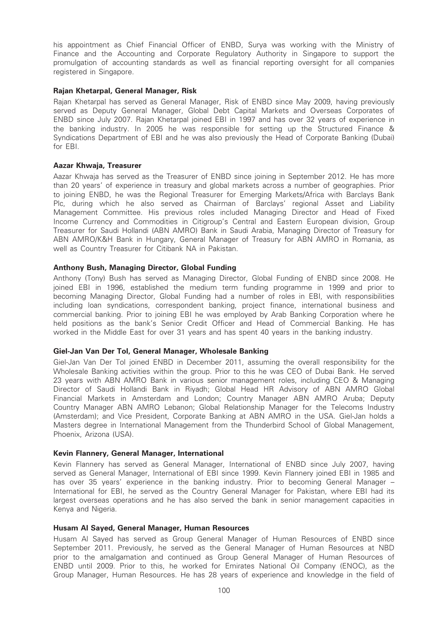his appointment as Chief Financial Officer of ENBD, Surya was working with the Ministry of Finance and the Accounting and Corporate Regulatory Authority in Singapore to support the promulgation of accounting standards as well as financial reporting oversight for all companies registered in Singapore.

## Rajan Khetarpal, General Manager, Risk

Rajan Khetarpal has served as General Manager, Risk of ENBD since May 2009, having previously served as Deputy General Manager, Global Debt Capital Markets and Overseas Corporates of ENBD since July 2007. Rajan Khetarpal joined EBI in 1997 and has over 32 years of experience in the banking industry. In 2005 he was responsible for setting up the Structured Finance & Syndications Department of EBI and he was also previously the Head of Corporate Banking (Dubai) for EBI.

## Aazar Khwaja, Treasurer

Aazar Khwaja has served as the Treasurer of ENBD since joining in September 2012. He has more than 20 years' of experience in treasury and global markets across a number of geographies. Prior to joining ENBD, he was the Regional Treasurer for Emerging Markets/Africa with Barclays Bank Plc, during which he also served as Chairman of Barclays' regional Asset and Liability Management Committee. His previous roles included Managing Director and Head of Fixed Income Currency and Commodities in Citigroup's Central and Eastern European division, Group Treasurer for Saudi Hollandi (ABN AMRO) Bank in Saudi Arabia, Managing Director of Treasury for ABN AMRO/K&H Bank in Hungary, General Manager of Treasury for ABN AMRO in Romania, as well as Country Treasurer for Citibank NA in Pakistan.

## Anthony Bush, Managing Director, Global Funding

Anthony (Tony) Bush has served as Managing Director, Global Funding of ENBD since 2008. He joined EBI in 1996, established the medium term funding programme in 1999 and prior to becoming Managing Director, Global Funding had a number of roles in EBI, with responsibilities including loan syndications, correspondent banking, project finance, international business and commercial banking. Prior to joining EBI he was employed by Arab Banking Corporation where he held positions as the bank's Senior Credit Officer and Head of Commercial Banking. He has worked in the Middle East for over 31 years and has spent 40 years in the banking industry.

#### Giel-Jan Van Der Tol, General Manager, Wholesale Banking

Giel-Jan Van Der Tol joined ENBD in December 2011, assuming the overall responsibility for the Wholesale Banking activities within the group. Prior to this he was CEO of Dubai Bank. He served 23 years with ABN AMRO Bank in various senior management roles, including CEO & Managing Director of Saudi Hollandi Bank in Riyadh; Global Head HR Advisory of ABN AMRO Global Financial Markets in Amsterdam and London; Country Manager ABN AMRO Aruba; Deputy Country Manager ABN AMRO Lebanon; Global Relationship Manager for the Telecoms Industry (Amsterdam); and Vice President, Corporate Banking at ABN AMRO in the USA. Giel-Jan holds a Masters degree in International Management from the Thunderbird School of Global Management, Phoenix, Arizona (USA).

#### Kevin Flannery, General Manager, International

Kevin Flannery has served as General Manager, International of ENBD since July 2007, having served as General Manager, International of EBI since 1999. Kevin Flannery joined EBI in 1985 and has over 35 years' experience in the banking industry. Prior to becoming General Manager -International for EBI, he served as the Country General Manager for Pakistan, where EBI had its largest overseas operations and he has also served the bank in senior management capacities in Kenya and Nigeria.

#### Husam Al Sayed, General Manager, Human Resources

Husam Al Sayed has served as Group General Manager of Human Resources of ENBD since September 2011. Previously, he served as the General Manager of Human Resources at NBD prior to the amalgamation and continued as Group General Manager of Human Resources of ENBD until 2009. Prior to this, he worked for Emirates National Oil Company (ENOC), as the Group Manager, Human Resources. He has 28 years of experience and knowledge in the field of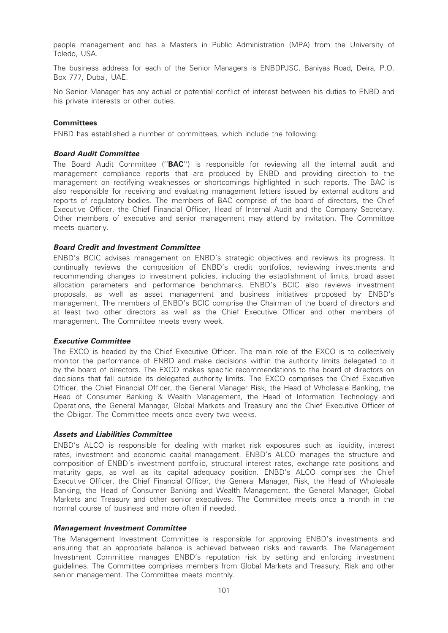people management and has a Masters in Public Administration (MPA) from the University of Toledo, USA.

The business address for each of the Senior Managers is ENBDPJSC, Baniyas Road, Deira, P.O. Box 777, Dubai, UAE.

No Senior Manager has any actual or potential conflict of interest between his duties to ENBD and his private interests or other duties.

## **Committees**

ENBD has established a number of committees, which include the following:

## Board Audit Committee

The Board Audit Committee ("**BAC**") is responsible for reviewing all the internal audit and management compliance reports that are produced by ENBD and providing direction to the management on rectifying weaknesses or shortcomings highlighted in such reports. The BAC is also responsible for receiving and evaluating management letters issued by external auditors and reports of regulatory bodies. The members of BAC comprise of the board of directors, the Chief Executive Officer, the Chief Financial Officer, Head of Internal Audit and the Company Secretary. Other members of executive and senior management may attend by invitation. The Committee meets quarterly.

## Board Credit and Investment Committee

ENBD's BCIC advises management on ENBD's strategic objectives and reviews its progress. It continually reviews the composition of ENBD's credit portfolios, reviewing investments and recommending changes to investment policies, including the establishment of limits, broad asset allocation parameters and performance benchmarks. ENBD's BCIC also reviews investment proposals, as well as asset management and business initiatives proposed by ENBD's management. The members of ENBD's BCIC comprise the Chairman of the board of directors and at least two other directors as well as the Chief Executive Officer and other members of management. The Committee meets every week.

#### Executive Committee

The EXCO is headed by the Chief Executive Officer. The main role of the EXCO is to collectively monitor the performance of ENBD and make decisions within the authority limits delegated to it by the board of directors. The EXCO makes specific recommendations to the board of directors on decisions that fall outside its delegated authority limits. The EXCO comprises the Chief Executive Officer, the Chief Financial Officer, the General Manager Risk, the Head of Wholesale Banking, the Head of Consumer Banking & Wealth Management, the Head of Information Technology and Operations, the General Manager, Global Markets and Treasury and the Chief Executive Officer of the Obligor. The Committee meets once every two weeks.

#### Assets and Liabilities Committee

ENBD's ALCO is responsible for dealing with market risk exposures such as liquidity, interest rates, investment and economic capital management. ENBD's ALCO manages the structure and composition of ENBD's investment portfolio, structural interest rates, exchange rate positions and maturity gaps, as well as its capital adequacy position. ENBD's ALCO comprises the Chief Executive Officer, the Chief Financial Officer, the General Manager, Risk, the Head of Wholesale Banking, the Head of Consumer Banking and Wealth Management, the General Manager, Global Markets and Treasury and other senior executives. The Committee meets once a month in the normal course of business and more often if needed.

#### Management Investment Committee

The Management Investment Committee is responsible for approving ENBD's investments and ensuring that an appropriate balance is achieved between risks and rewards. The Management Investment Committee manages ENBD's reputation risk by setting and enforcing investment guidelines. The Committee comprises members from Global Markets and Treasury, Risk and other senior management. The Committee meets monthly.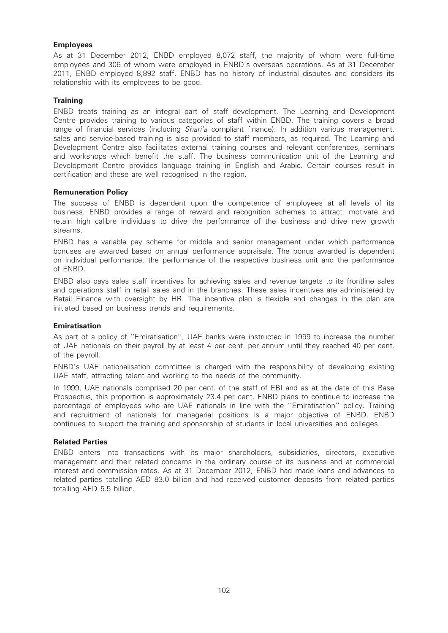## Employees

As at 31 December 2012, ENBD employed 8,072 staff, the majority of whom were full-time employees and 306 of whom were employed in ENBD's overseas operations. As at 31 December 2011, ENBD employed 8,892 staff. ENBD has no history of industrial disputes and considers its relationship with its employees to be good.

## **Training**

ENBD treats training as an integral part of staff development. The Learning and Development Centre provides training to various categories of staff within ENBD. The training covers a broad range of financial services (including *Shari'a* compliant finance). In addition various management, sales and service-based training is also provided to staff members, as required. The Learning and Development Centre also facilitates external training courses and relevant conferences, seminars and workshops which benefit the staff. The business communication unit of the Learning and Development Centre provides language training in English and Arabic. Certain courses result in certification and these are well recognised in the region.

## Remuneration Policy

The success of ENBD is dependent upon the competence of employees at all levels of its business. ENBD provides a range of reward and recognition schemes to attract, motivate and retain high calibre individuals to drive the performance of the business and drive new growth streams.

ENBD has a variable pay scheme for middle and senior management under which performance bonuses are awarded based on annual performance appraisals. The bonus awarded is dependent on individual performance, the performance of the respective business unit and the performance of ENBD.

ENBD also pays sales staff incentives for achieving sales and revenue targets to its frontline sales and operations staff in retail sales and in the branches. These sales incentives are administered by Retail Finance with oversight by HR. The incentive plan is flexible and changes in the plan are initiated based on business trends and requirements.

#### Emiratisation

As part of a policy of ''Emiratisation'', UAE banks were instructed in 1999 to increase the number of UAE nationals on their payroll by at least 4 per cent. per annum until they reached 40 per cent. of the payroll.

ENBD's UAE nationalisation committee is charged with the responsibility of developing existing UAE staff, attracting talent and working to the needs of the community.

In 1999, UAE nationals comprised 20 per cent. of the staff of EBI and as at the date of this Base Prospectus, this proportion is approximately 23.4 per cent. ENBD plans to continue to increase the percentage of employees who are UAE nationals in line with the ''Emiratisation'' policy. Training and recruitment of nationals for managerial positions is a major objective of ENBD. ENBD continues to support the training and sponsorship of students in local universities and colleges.

#### Related Parties

ENBD enters into transactions with its major shareholders, subsidiaries, directors, executive management and their related concerns in the ordinary course of its business and at commercial interest and commission rates. As at 31 December 2012, ENBD had made loans and advances to related parties totalling AED 83.0 billion and had received customer deposits from related parties totalling AED 5.5 billion.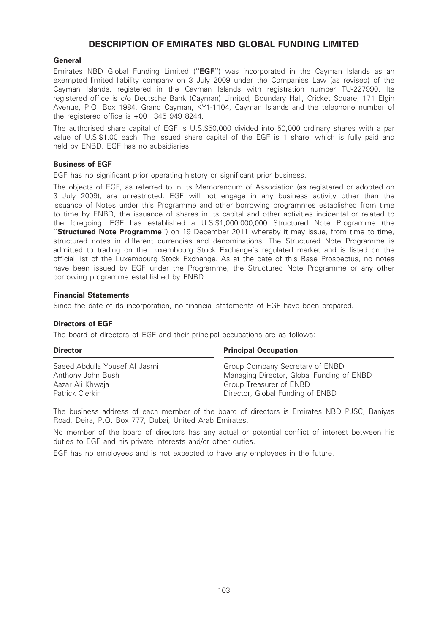# DESCRIPTION OF EMIRATES NBD GLOBAL FUNDING LIMITED

## **General**

Emirates NBD Global Funding Limited ("EGF") was incorporated in the Cayman Islands as an exempted limited liability company on 3 July 2009 under the Companies Law (as revised) of the Cayman Islands, registered in the Cayman Islands with registration number TU-227990. Its registered office is c/o Deutsche Bank (Cayman) Limited, Boundary Hall, Cricket Square, 171 Elgin Avenue, P.O. Box 1984, Grand Cayman, KY1-1104, Cayman Islands and the telephone number of the registered office is +001 345 949 8244.

The authorised share capital of EGF is U.S.\$50,000 divided into 50,000 ordinary shares with a par value of U.S.\$1.00 each. The issued share capital of the EGF is 1 share, which is fully paid and held by ENBD. EGF has no subsidiaries.

## Business of EGF

EGF has no significant prior operating history or significant prior business.

The objects of EGF, as referred to in its Memorandum of Association (as registered or adopted on 3 July 2009), are unrestricted. EGF will not engage in any business activity other than the issuance of Notes under this Programme and other borrowing programmes established from time to time by ENBD, the issuance of shares in its capital and other activities incidental or related to the foregoing. EGF has established a U.S.\$1,000,000,000 Structured Note Programme (the "Structured Note Programme") on 19 December 2011 whereby it may issue, from time to time, structured notes in different currencies and denominations. The Structured Note Programme is admitted to trading on the Luxembourg Stock Exchange's regulated market and is listed on the official list of the Luxembourg Stock Exchange. As at the date of this Base Prospectus, no notes have been issued by EGF under the Programme, the Structured Note Programme or any other borrowing programme established by ENBD.

#### Financial Statements

Since the date of its incorporation, no financial statements of EGF have been prepared.

#### Directors of EGF

The board of directors of EGF and their principal occupations are as follows:

| <b>Director</b>               | <b>Principal Occupation</b>               |
|-------------------------------|-------------------------------------------|
| Saeed Abdulla Yousef AI Jasmi | Group Company Secretary of ENBD           |
| Anthony John Bush             | Managing Director, Global Funding of ENBD |
| Aazar Ali Khwaja              | Group Treasurer of ENBD                   |
| Patrick Clerkin               | Director, Global Funding of ENBD          |

The business address of each member of the board of directors is Emirates NBD PJSC, Baniyas Road, Deira, P.O. Box 777, Dubai, United Arab Emirates.

No member of the board of directors has any actual or potential conflict of interest between his duties to EGF and his private interests and/or other duties.

EGF has no employees and is not expected to have any employees in the future.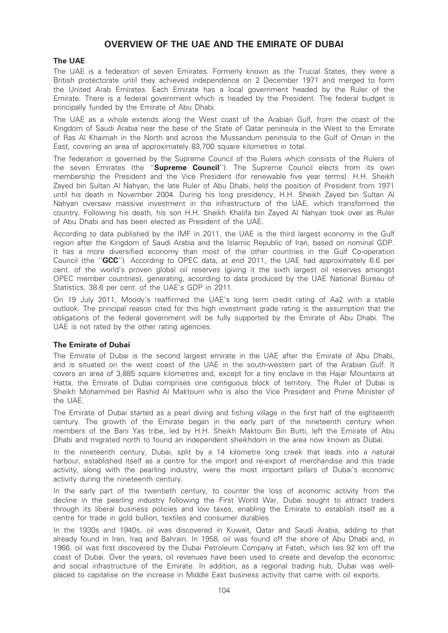# OVERVIEW OF THE UAE AND THE EMIRATE OF DUBAI

## The UAE

The UAE is a federation of seven Emirates. Formerly known as the Trucial States, they were a British protectorate until they achieved independence on 2 December 1971 and merged to form the United Arab Emirates. Each Emirate has a local government headed by the Ruler of the Emirate. There is a federal government which is headed by the President. The federal budget is principally funded by the Emirate of Abu Dhabi.

The UAE as a whole extends along the West coast of the Arabian Gulf, from the coast of the Kingdom of Saudi Arabia near the base of the State of Qatar peninsula in the West to the Emirate of Ras Al Khaimah in the North and across the Mussandum peninsula to the Gulf of Oman in the East, covering an area of approximately 83,700 square kilometres in total.

The federation is governed by the Supreme Council of the Rulers which consists of the Rulers of the seven Emirates (the "Supreme Council"). The Supreme Council elects from its own membership the President and the Vice President (for renewable five year terms). H.H. Sheikh Zayed bin Sultan Al Nahyan, the late Ruler of Abu Dhabi, held the position of President from 1971 until his death in November 2004. During his long presidency, H.H. Sheikh Zayed bin Sultan Al Nahyan oversaw massive investment in the infrastructure of the UAE, which transformed the country. Following his death, his son H.H. Sheikh Khalifa bin Zayed Al Nahyan took over as Ruler of Abu Dhabi and has been elected as President of the UAE.

According to data published by the IMF in 2011, the UAE is the third largest economy in the Gulf region after the Kingdom of Saudi Arabia and the Islamic Republic of Iran, based on nominal GDP. It has a more diversified economy than most of the other countries in the Gulf Co-operation Council (the "GCC"). According to OPEC data, at end 2011, the UAE had approximately 6.6 per cent. of the world's proven global oil reserves (giving it the sixth largest oil reserves amongst OPEC member countries), generating, according to data produced by the UAE National Bureau of Statistics, 38.6 per cent. of the UAE's GDP in 2011.

On 19 July 2011, Moody's reaffirmed the UAE's long term credit rating of Aa2 with a stable outlook. The principal reason cited for this high investment grade rating is the assumption that the obligations of the federal government will be fully supported by the Emirate of Abu Dhabi. The UAE is not rated by the other rating agencies.

## The Emirate of Dubai

The Emirate of Dubai is the second largest emirate in the UAE after the Emirate of Abu Dhabi, and is situated on the west coast of the UAE in the south-western part of the Arabian Gulf. It covers an area of 3,885 square kilometres and, except for a tiny enclave in the Hajar Mountains at Hatta, the Emirate of Dubai comprises one contiguous block of territory. The Ruler of Dubai is Sheikh Mohammed bin Rashid Al Maktoum who is also the Vice President and Prime Minister of the UAE.

The Emirate of Dubai started as a pearl diving and fishing village in the first half of the eighteenth century. The growth of the Emirate began in the early part of the nineteenth century when members of the Bani Yas tribe, led by H.H. Sheikh Maktoum Bin Butti, left the Emirate of Abu Dhabi and migrated north to found an independent sheikhdom in the area now known as Dubai.

In the nineteenth century, Dubai, split by a 14 kilometre long creek that leads into a natural harbour, established itself as a centre for the import and re-export of merchandise and this trade activity, along with the pearling industry, were the most important pillars of Dubai's economic activity during the nineteenth century.

In the early part of the twentieth century, to counter the loss of economic activity from the decline in the pearling industry following the First World War, Dubai sought to attract traders through its liberal business policies and low taxes, enabling the Emirate to establish itself as a centre for trade in gold bullion, textiles and consumer durables.

In the 1930s and 1940s, oil was discovered in Kuwait, Qatar and Saudi Arabia, adding to that already found in Iran, Iraq and Bahrain. In 1958, oil was found off the shore of Abu Dhabi and, in 1966, oil was first discovered by the Dubai Petroleum Company at Fateh, which lies 92 km off the coast of Dubai. Over the years, oil revenues have been used to create and develop the economic and social infrastructure of the Emirate. In addition, as a regional trading hub, Dubai was wellplaced to capitalise on the increase in Middle East business activity that came with oil exports.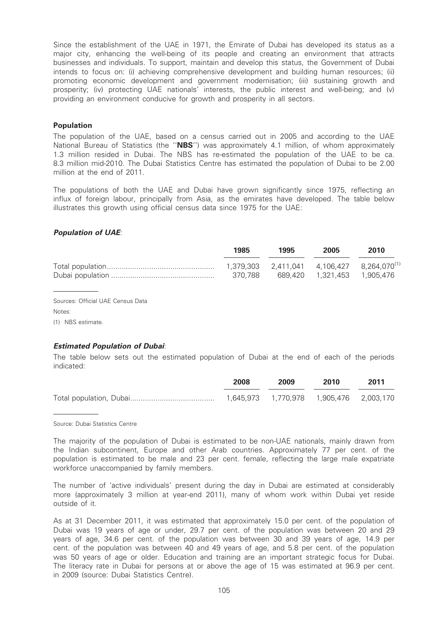Since the establishment of the UAE in 1971, the Emirate of Dubai has developed its status as a major city, enhancing the well-being of its people and creating an environment that attracts businesses and individuals. To support, maintain and develop this status, the Government of Dubai intends to focus on: (i) achieving comprehensive development and building human resources; (ii) promoting economic development and government modernisation; (iii) sustaining growth and prosperity; (iv) protecting UAE nationals' interests, the public interest and well-being; and (v) providing an environment conducive for growth and prosperity in all sectors.

## Population

The population of the UAE, based on a census carried out in 2005 and according to the UAE National Bureau of Statistics (the "NBS") was approximately 4.1 million, of whom approximately 1.3 million resided in Dubai. The NBS has re-estimated the population of the UAE to be ca. 8.3 million mid-2010. The Dubai Statistics Centre has estimated the population of Dubai to be 2.00 million at the end of 2011.

The populations of both the UAE and Dubai have grown significantly since 1975, reflecting an influx of foreign labour, principally from Asia, as the emirates have developed. The table below illustrates this growth using official census data since 1975 for the UAE:

## Population of UAE:

| 1985    | 1995 | 2005                          | 2010 |
|---------|------|-------------------------------|------|
| 370.788 |      | 689.420  1.321.453  1.905.476 |      |

Sources: Official UAE Census Data Notes:

(1) NBS estimate.

## Estimated Population of Dubai:

The table below sets out the estimated population of Dubai at the end of each of the periods indicated:

| 2008 | 2009 | 2010 | 2011 |
|------|------|------|------|
|      |      |      |      |

Source: Dubai Statistics Centre

The majority of the population of Dubai is estimated to be non-UAE nationals, mainly drawn from the Indian subcontinent, Europe and other Arab countries. Approximately 77 per cent. of the population is estimated to be male and 23 per cent. female, reflecting the large male expatriate workforce unaccompanied by family members.

The number of 'active individuals' present during the day in Dubai are estimated at considerably more (approximately 3 million at year-end 2011), many of whom work within Dubai yet reside outside of it.

As at 31 December 2011, it was estimated that approximately 15.0 per cent. of the population of Dubai was 19 years of age or under, 29.7 per cent. of the population was between 20 and 29 years of age, 34.6 per cent. of the population was between 30 and 39 years of age, 14.9 per cent. of the population was between 40 and 49 years of age, and 5.8 per cent. of the population was 50 years of age or older. Education and training are an important strategic focus for Dubai. The literacy rate in Dubai for persons at or above the age of 15 was estimated at 96.9 per cent. in 2009 (source: Dubai Statistics Centre).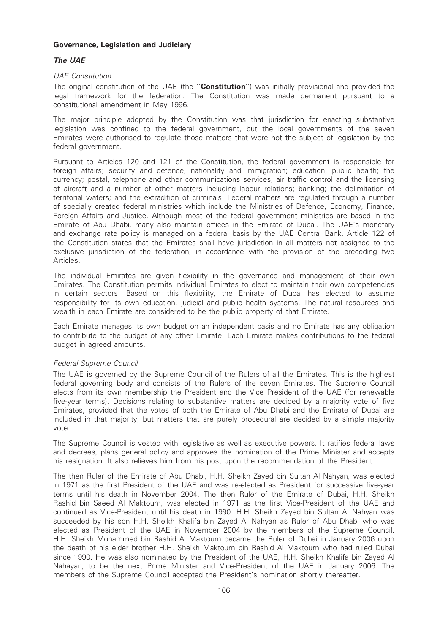## Governance, Legislation and Judiciary

## The UAE

## UAE Constitution

The original constitution of the UAE (the "Constitution") was initially provisional and provided the legal framework for the federation. The Constitution was made permanent pursuant to a constitutional amendment in May 1996.

The major principle adopted by the Constitution was that jurisdiction for enacting substantive legislation was confined to the federal government, but the local governments of the seven Emirates were authorised to regulate those matters that were not the subject of legislation by the federal government.

Pursuant to Articles 120 and 121 of the Constitution, the federal government is responsible for foreign affairs; security and defence; nationality and immigration; education; public health; the currency; postal, telephone and other communications services; air traffic control and the licensing of aircraft and a number of other matters including labour relations; banking; the delimitation of territorial waters; and the extradition of criminals. Federal matters are regulated through a number of specially created federal ministries which include the Ministries of Defence, Economy, Finance, Foreign Affairs and Justice. Although most of the federal government ministries are based in the Emirate of Abu Dhabi, many also maintain offices in the Emirate of Dubai. The UAE's monetary and exchange rate policy is managed on a federal basis by the UAE Central Bank. Article 122 of the Constitution states that the Emirates shall have jurisdiction in all matters not assigned to the exclusive jurisdiction of the federation, in accordance with the provision of the preceding two Articles.

The individual Emirates are given flexibility in the governance and management of their own Emirates. The Constitution permits individual Emirates to elect to maintain their own competencies in certain sectors. Based on this flexibility, the Emirate of Dubai has elected to assume responsibility for its own education, judicial and public health systems. The natural resources and wealth in each Emirate are considered to be the public property of that Emirate.

Each Emirate manages its own budget on an independent basis and no Emirate has any obligation to contribute to the budget of any other Emirate. Each Emirate makes contributions to the federal budget in agreed amounts.

## Federal Supreme Council

The UAE is governed by the Supreme Council of the Rulers of all the Emirates. This is the highest federal governing body and consists of the Rulers of the seven Emirates. The Supreme Council elects from its own membership the President and the Vice President of the UAE (for renewable five-year terms). Decisions relating to substantive matters are decided by a majority vote of five Emirates, provided that the votes of both the Emirate of Abu Dhabi and the Emirate of Dubai are included in that majority, but matters that are purely procedural are decided by a simple majority vote.

The Supreme Council is vested with legislative as well as executive powers. It ratifies federal laws and decrees, plans general policy and approves the nomination of the Prime Minister and accepts his resignation. It also relieves him from his post upon the recommendation of the President.

The then Ruler of the Emirate of Abu Dhabi, H.H. Sheikh Zayed bin Sultan Al Nahyan, was elected in 1971 as the first President of the UAE and was re-elected as President for successive five-year terms until his death in November 2004. The then Ruler of the Emirate of Dubai, H.H. Sheikh Rashid bin Saeed Al Maktoum, was elected in 1971 as the first Vice-President of the UAE and continued as Vice-President until his death in 1990. H.H. Sheikh Zayed bin Sultan Al Nahyan was succeeded by his son H.H. Sheikh Khalifa bin Zayed Al Nahyan as Ruler of Abu Dhabi who was elected as President of the UAE in November 2004 by the members of the Supreme Council. H.H. Sheikh Mohammed bin Rashid Al Maktoum became the Ruler of Dubai in January 2006 upon the death of his elder brother H.H. Sheikh Maktoum bin Rashid Al Maktoum who had ruled Dubai since 1990. He was also nominated by the President of the UAE, H.H. Sheikh Khalifa bin Zayed Al Nahayan, to be the next Prime Minister and Vice-President of the UAE in January 2006. The members of the Supreme Council accepted the President's nomination shortly thereafter.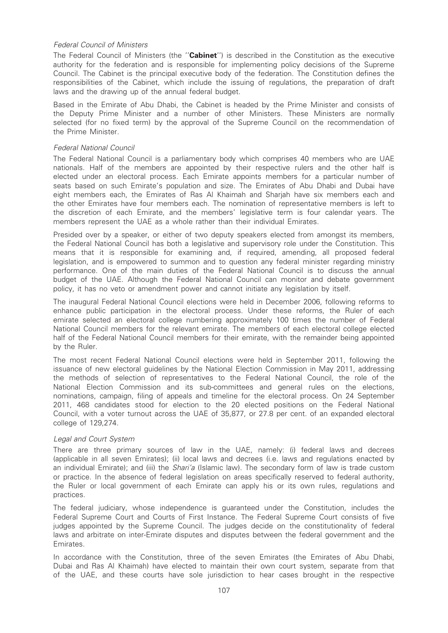## Federal Council of Ministers

The Federal Council of Ministers (the "Cabinet") is described in the Constitution as the executive authority for the federation and is responsible for implementing policy decisions of the Supreme Council. The Cabinet is the principal executive body of the federation. The Constitution defines the responsibilities of the Cabinet, which include the issuing of regulations, the preparation of draft laws and the drawing up of the annual federal budget.

Based in the Emirate of Abu Dhabi, the Cabinet is headed by the Prime Minister and consists of the Deputy Prime Minister and a number of other Ministers. These Ministers are normally selected (for no fixed term) by the approval of the Supreme Council on the recommendation of the Prime Minister.

## Federal National Council

The Federal National Council is a parliamentary body which comprises 40 members who are UAE nationals. Half of the members are appointed by their respective rulers and the other half is elected under an electoral process. Each Emirate appoints members for a particular number of seats based on such Emirate's population and size. The Emirates of Abu Dhabi and Dubai have eight members each, the Emirates of Ras Al Khaimah and Sharjah have six members each and the other Emirates have four members each. The nomination of representative members is left to the discretion of each Emirate, and the members' legislative term is four calendar years. The members represent the UAE as a whole rather than their individual Emirates.

Presided over by a speaker, or either of two deputy speakers elected from amongst its members, the Federal National Council has both a legislative and supervisory role under the Constitution. This means that it is responsible for examining and, if required, amending, all proposed federal legislation, and is empowered to summon and to question any federal minister regarding ministry performance. One of the main duties of the Federal National Council is to discuss the annual budget of the UAE. Although the Federal National Council can monitor and debate government policy, it has no veto or amendment power and cannot initiate any legislation by itself.

The inaugural Federal National Council elections were held in December 2006, following reforms to enhance public participation in the electoral process. Under these reforms, the Ruler of each emirate selected an electoral college numbering approximately 100 times the number of Federal National Council members for the relevant emirate. The members of each electoral college elected half of the Federal National Council members for their emirate, with the remainder being appointed by the Ruler.

The most recent Federal National Council elections were held in September 2011, following the issuance of new electoral guidelines by the National Election Commission in May 2011, addressing the methods of selection of representatives to the Federal National Council, the role of the National Election Commission and its sub-committees and general rules on the elections, nominations, campaign, filing of appeals and timeline for the electoral process. On 24 September 2011, 468 candidates stood for election to the 20 elected positions on the Federal National Council, with a voter turnout across the UAE of 35,877, or 27.8 per cent. of an expanded electoral college of 129,274.

#### Legal and Court System

There are three primary sources of law in the UAE, namely: (i) federal laws and decrees (applicable in all seven Emirates); (ii) local laws and decrees (i.e. laws and regulations enacted by an individual Emirate); and (iii) the *Shari'a* (Islamic law). The secondary form of law is trade custom or practice. In the absence of federal legislation on areas specifically reserved to federal authority, the Ruler or local government of each Emirate can apply his or its own rules, regulations and practices.

The federal judiciary, whose independence is guaranteed under the Constitution, includes the Federal Supreme Court and Courts of First Instance. The Federal Supreme Court consists of five judges appointed by the Supreme Council. The judges decide on the constitutionality of federal laws and arbitrate on inter-Emirate disputes and disputes between the federal government and the Emirates.

In accordance with the Constitution, three of the seven Emirates (the Emirates of Abu Dhabi, Dubai and Ras Al Khaimah) have elected to maintain their own court system, separate from that of the UAE, and these courts have sole jurisdiction to hear cases brought in the respective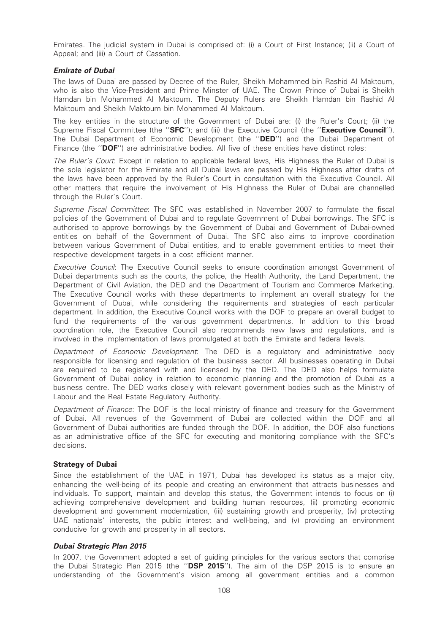Emirates. The judicial system in Dubai is comprised of: (i) a Court of First Instance; (ii) a Court of Appeal; and (iii) a Court of Cassation.

## Emirate of Dubai

The laws of Dubai are passed by Decree of the Ruler, Sheikh Mohammed bin Rashid Al Maktoum, who is also the Vice-President and Prime Minster of UAE. The Crown Prince of Dubai is Sheikh Hamdan bin Mohammed Al Maktoum. The Deputy Rulers are Sheikh Hamdan bin Rashid Al Maktoum and Sheikh Maktoum bin Mohammed Al Maktoum.

The key entities in the structure of the Government of Dubai are: (i) the Ruler's Court; (ii) the Supreme Fiscal Committee (the "SFC"); and (iii) the Executive Council (the "Executive Council"). The Dubai Department of Economic Development (the "DED") and the Dubai Department of Finance (the "DOF") are administrative bodies. All five of these entities have distinct roles:

The Ruler's Court: Except in relation to applicable federal laws, His Highness the Ruler of Dubai is the sole legislator for the Emirate and all Dubai laws are passed by His Highness after drafts of the laws have been approved by the Ruler's Court in consultation with the Executive Council. All other matters that require the involvement of His Highness the Ruler of Dubai are channelled through the Ruler's Court.

Supreme Fiscal Committee: The SFC was established in November 2007 to formulate the fiscal policies of the Government of Dubai and to regulate Government of Dubai borrowings. The SFC is authorised to approve borrowings by the Government of Dubai and Government of Dubai-owned entities on behalf of the Government of Dubai. The SFC also aims to improve coordination between various Government of Dubai entities, and to enable government entities to meet their respective development targets in a cost efficient manner.

Executive Council: The Executive Council seeks to ensure coordination amongst Government of Dubai departments such as the courts, the police, the Health Authority, the Land Department, the Department of Civil Aviation, the DED and the Department of Tourism and Commerce Marketing. The Executive Council works with these departments to implement an overall strategy for the Government of Dubai, while considering the requirements and strategies of each particular department. In addition, the Executive Council works with the DOF to prepare an overall budget to fund the requirements of the various government departments. In addition to this broad coordination role, the Executive Council also recommends new laws and regulations, and is involved in the implementation of laws promulgated at both the Emirate and federal levels.

Department of Economic Development: The DED is a regulatory and administrative body responsible for licensing and regulation of the business sector. All businesses operating in Dubai are required to be registered with and licensed by the DED. The DED also helps formulate Government of Dubai policy in relation to economic planning and the promotion of Dubai as a business centre. The DED works closely with relevant government bodies such as the Ministry of Labour and the Real Estate Regulatory Authority.

Department of Finance: The DOF is the local ministry of finance and treasury for the Government of Dubai. All revenues of the Government of Dubai are collected within the DOF and all Government of Dubai authorities are funded through the DOF. In addition, the DOF also functions as an administrative office of the SFC for executing and monitoring compliance with the SFC's decisions.

#### Strategy of Dubai

Since the establishment of the UAE in 1971, Dubai has developed its status as a major city, enhancing the well-being of its people and creating an environment that attracts businesses and individuals. To support, maintain and develop this status, the Government intends to focus on (i) achieving comprehensive development and building human resources, (ii) promoting economic development and government modernization, (iii) sustaining growth and prosperity, (iv) protecting UAE nationals' interests, the public interest and well-being, and (v) providing an environment conducive for growth and prosperity in all sectors.

#### Dubai Strategic Plan 2015

In 2007, the Government adopted a set of guiding principles for the various sectors that comprise the Dubai Strategic Plan 2015 (the "DSP 2015"). The aim of the DSP 2015 is to ensure an understanding of the Government's vision among all government entities and a common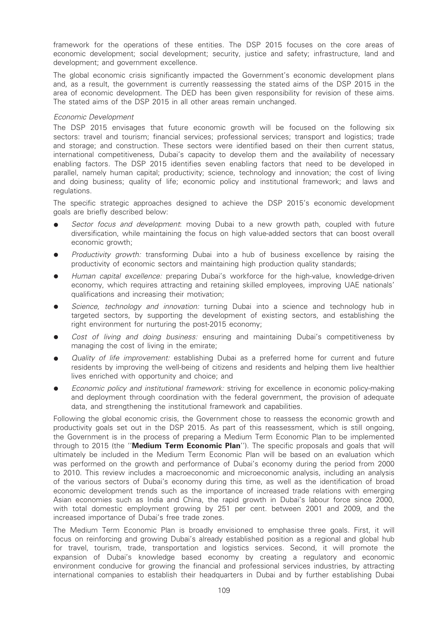framework for the operations of these entities. The DSP 2015 focuses on the core areas of economic development; social development; security, justice and safety; infrastructure, land and development; and government excellence.

The global economic crisis significantly impacted the Government's economic development plans and, as a result, the government is currently reassessing the stated aims of the DSP 2015 in the area of economic development. The DED has been given responsibility for revision of these aims. The stated aims of the DSP 2015 in all other areas remain unchanged.

## Economic Development

The DSP 2015 envisages that future economic growth will be focused on the following six sectors: travel and tourism; financial services; professional services; transport and logistics; trade and storage; and construction. These sectors were identified based on their then current status, international competitiveness, Dubai's capacity to develop them and the availability of necessary enabling factors. The DSP 2015 identifies seven enabling factors that need to be developed in parallel, namely human capital; productivity; science, technology and innovation; the cost of living and doing business; quality of life; economic policy and institutional framework; and laws and regulations.

The specific strategic approaches designed to achieve the DSP 2015's economic development goals are briefly described below:

- Sector focus and development: moving Dubai to a new growth path, coupled with future diversification, while maintaining the focus on high value-added sectors that can boost overall economic growth;
- Productivity growth: transforming Dubai into a hub of business excellence by raising the productivity of economic sectors and maintaining high production quality standards;
- Human capital excellence: preparing Dubai's workforce for the high-value, knowledge-driven economy, which requires attracting and retaining skilled employees, improving UAE nationals' qualifications and increasing their motivation;
- Science, technology and innovation: turning Dubai into a science and technology hub in targeted sectors, by supporting the development of existing sectors, and establishing the right environment for nurturing the post-2015 economy;
- Cost of living and doing business: ensuring and maintaining Dubai's competitiveness by managing the cost of living in the emirate;
- Quality of life improvement: establishing Dubai as a preferred home for current and future residents by improving the well-being of citizens and residents and helping them live healthier lives enriched with opportunity and choice; and
- Economic policy and institutional framework: striving for excellence in economic policy-making and deployment through coordination with the federal government, the provision of adequate data, and strengthening the institutional framework and capabilities.

Following the global economic crisis, the Government chose to reassess the economic growth and productivity goals set out in the DSP 2015. As part of this reassessment, which is still ongoing, the Government is in the process of preparing a Medium Term Economic Plan to be implemented through to 2015 (the "Medium Term Economic Plan"). The specific proposals and goals that will ultimately be included in the Medium Term Economic Plan will be based on an evaluation which was performed on the growth and performance of Dubai's economy during the period from 2000 to 2010. This review includes a macroeconomic and microeconomic analysis, including an analysis of the various sectors of Dubai's economy during this time, as well as the identification of broad economic development trends such as the importance of increased trade relations with emerging Asian economies such as India and China, the rapid growth in Dubai's labour force since 2000, with total domestic employment growing by 251 per cent. between 2001 and 2009, and the increased importance of Dubai's free trade zones.

The Medium Term Economic Plan is broadly envisioned to emphasise three goals. First, it will focus on reinforcing and growing Dubai's already established position as a regional and global hub for travel, tourism, trade, transportation and logistics services. Second, it will promote the expansion of Dubai's knowledge based economy by creating a regulatory and economic environment conducive for growing the financial and professional services industries, by attracting international companies to establish their headquarters in Dubai and by further establishing Dubai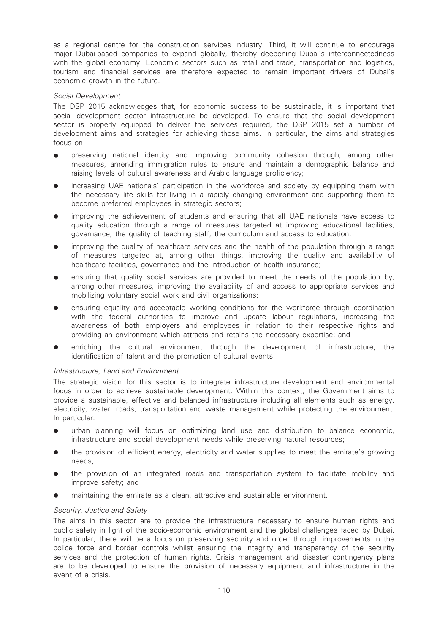as a regional centre for the construction services industry. Third, it will continue to encourage major Dubai-based companies to expand globally, thereby deepening Dubai's interconnectedness with the global economy. Economic sectors such as retail and trade, transportation and logistics, tourism and financial services are therefore expected to remain important drivers of Dubai's economic growth in the future.

## Social Development

The DSP 2015 acknowledges that, for economic success to be sustainable, it is important that social development sector infrastructure be developed. To ensure that the social development sector is properly equipped to deliver the services required, the DSP 2015 set a number of development aims and strategies for achieving those aims. In particular, the aims and strategies focus on:

- preserving national identity and improving community cohesion through, among other measures, amending immigration rules to ensure and maintain a demographic balance and raising levels of cultural awareness and Arabic language proficiency;
- increasing UAE nationals' participation in the workforce and society by equipping them with the necessary life skills for living in a rapidly changing environment and supporting them to become preferred employees in strategic sectors;
- improving the achievement of students and ensuring that all UAE nationals have access to quality education through a range of measures targeted at improving educational facilities, governance, the quality of teaching staff, the curriculum and access to education;
- improving the quality of healthcare services and the health of the population through a range of measures targeted at, among other things, improving the quality and availability of healthcare facilities, governance and the introduction of health insurance;
- ensuring that quality social services are provided to meet the needs of the population by, among other measures, improving the availability of and access to appropriate services and mobilizing voluntary social work and civil organizations;
- ensuring equality and acceptable working conditions for the workforce through coordination with the federal authorities to improve and update labour regulations, increasing the awareness of both employers and employees in relation to their respective rights and providing an environment which attracts and retains the necessary expertise; and
- enriching the cultural environment through the development of infrastructure, the identification of talent and the promotion of cultural events.

## Infrastructure, Land and Environment

The strategic vision for this sector is to integrate infrastructure development and environmental focus in order to achieve sustainable development. Within this context, the Government aims to provide a sustainable, effective and balanced infrastructure including all elements such as energy, electricity, water, roads, transportation and waste management while protecting the environment. In particular:

- urban planning will focus on optimizing land use and distribution to balance economic. infrastructure and social development needs while preserving natural resources;
- the provision of efficient energy, electricity and water supplies to meet the emirate's growing needs;
- the provision of an integrated roads and transportation system to facilitate mobility and improve safety; and
- maintaining the emirate as a clean, attractive and sustainable environment.

## Security, Justice and Safety

The aims in this sector are to provide the infrastructure necessary to ensure human rights and public safety in light of the socio-economic environment and the global challenges faced by Dubai. In particular, there will be a focus on preserving security and order through improvements in the police force and border controls whilst ensuring the integrity and transparency of the security services and the protection of human rights. Crisis management and disaster contingency plans are to be developed to ensure the provision of necessary equipment and infrastructure in the event of a crisis.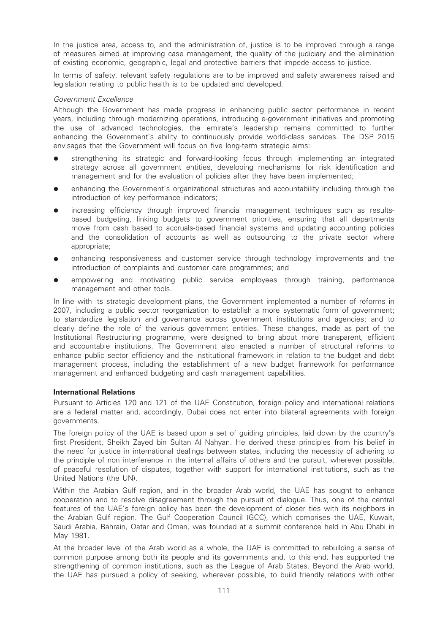In the justice area, access to, and the administration of, justice is to be improved through a range of measures aimed at improving case management, the quality of the judiciary and the elimination of existing economic, geographic, legal and protective barriers that impede access to justice.

In terms of safety, relevant safety regulations are to be improved and safety awareness raised and legislation relating to public health is to be updated and developed.

## Government Excellence

Although the Government has made progress in enhancing public sector performance in recent years, including through modernizing operations, introducing e-government initiatives and promoting the use of advanced technologies, the emirate's leadership remains committed to further enhancing the Government's ability to continuously provide world-class services. The DSP 2015 envisages that the Government will focus on five long-term strategic aims:

- strengthening its strategic and forward-looking focus through implementing an integrated strategy across all government entities, developing mechanisms for risk identification and management and for the evaluation of policies after they have been implemented;
- enhancing the Government's organizational structures and accountability including through the introduction of key performance indicators;
- increasing efficiency through improved financial management techniques such as resultsbased budgeting, linking budgets to government priorities, ensuring that all departments move from cash based to accruals-based financial systems and updating accounting policies and the consolidation of accounts as well as outsourcing to the private sector where appropriate;
- enhancing responsiveness and customer service through technology improvements and the introduction of complaints and customer care programmes; and
- empowering and motivating public service employees through training, performance management and other tools.

In line with its strategic development plans, the Government implemented a number of reforms in 2007, including a public sector reorganization to establish a more systematic form of government; to standardize legislation and governance across government institutions and agencies; and to clearly define the role of the various government entities. These changes, made as part of the Institutional Restructuring programme, were designed to bring about more transparent, efficient and accountable institutions. The Government also enacted a number of structural reforms to enhance public sector efficiency and the institutional framework in relation to the budget and debt management process, including the establishment of a new budget framework for performance management and enhanced budgeting and cash management capabilities.

### International Relations

Pursuant to Articles 120 and 121 of the UAE Constitution, foreign policy and international relations are a federal matter and, accordingly, Dubai does not enter into bilateral agreements with foreign governments.

The foreign policy of the UAE is based upon a set of guiding principles, laid down by the country's first President, Sheikh Zayed bin Sultan Al Nahyan. He derived these principles from his belief in the need for justice in international dealings between states, including the necessity of adhering to the principle of non interference in the internal affairs of others and the pursuit, wherever possible, of peaceful resolution of disputes, together with support for international institutions, such as the United Nations (the UN).

Within the Arabian Gulf region, and in the broader Arab world, the UAE has sought to enhance cooperation and to resolve disagreement through the pursuit of dialogue. Thus, one of the central features of the UAE's foreign policy has been the development of closer ties with its neighbors in the Arabian Gulf region. The Gulf Cooperation Council (GCC), which comprises the UAE, Kuwait, Saudi Arabia, Bahrain, Qatar and Oman, was founded at a summit conference held in Abu Dhabi in May 1981.

At the broader level of the Arab world as a whole, the UAE is committed to rebuilding a sense of common purpose among both its people and its governments and, to this end, has supported the strengthening of common institutions, such as the League of Arab States. Beyond the Arab world, the UAE has pursued a policy of seeking, wherever possible, to build friendly relations with other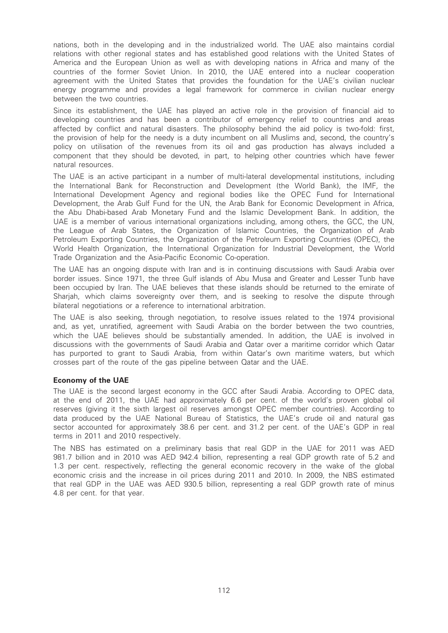nations, both in the developing and in the industrialized world. The UAE also maintains cordial relations with other regional states and has established good relations with the United States of America and the European Union as well as with developing nations in Africa and many of the countries of the former Soviet Union. In 2010, the UAE entered into a nuclear cooperation agreement with the United States that provides the foundation for the UAE's civilian nuclear energy programme and provides a legal framework for commerce in civilian nuclear energy between the two countries.

Since its establishment, the UAE has played an active role in the provision of financial aid to developing countries and has been a contributor of emergency relief to countries and areas affected by conflict and natural disasters. The philosophy behind the aid policy is two-fold: first, the provision of help for the needy is a duty incumbent on all Muslims and, second, the country's policy on utilisation of the revenues from its oil and gas production has always included a component that they should be devoted, in part, to helping other countries which have fewer natural resources.

The UAE is an active participant in a number of multi-lateral developmental institutions, including the International Bank for Reconstruction and Development (the World Bank), the IMF, the International Development Agency and regional bodies like the OPEC Fund for International Development, the Arab Gulf Fund for the UN, the Arab Bank for Economic Development in Africa, the Abu Dhabi-based Arab Monetary Fund and the Islamic Development Bank. In addition, the UAE is a member of various international organizations including, among others, the GCC, the UN, the League of Arab States, the Organization of Islamic Countries, the Organization of Arab Petroleum Exporting Countries, the Organization of the Petroleum Exporting Countries (OPEC), the World Health Organization, the International Organization for Industrial Development, the World Trade Organization and the Asia-Pacific Economic Co-operation.

The UAE has an ongoing dispute with Iran and is in continuing discussions with Saudi Arabia over border issues. Since 1971, the three Gulf islands of Abu Musa and Greater and Lesser Tunb have been occupied by Iran. The UAE believes that these islands should be returned to the emirate of Sharjah, which claims sovereignty over them, and is seeking to resolve the dispute through bilateral negotiations or a reference to international arbitration.

The UAE is also seeking, through negotiation, to resolve issues related to the 1974 provisional and, as yet, unratified, agreement with Saudi Arabia on the border between the two countries, which the UAE believes should be substantially amended. In addition, the UAE is involved in discussions with the governments of Saudi Arabia and Qatar over a maritime corridor which Qatar has purported to grant to Saudi Arabia, from within Qatar's own maritime waters, but which crosses part of the route of the gas pipeline between Qatar and the UAE.

## Economy of the UAE

The UAE is the second largest economy in the GCC after Saudi Arabia. According to OPEC data, at the end of 2011, the UAE had approximately 6.6 per cent. of the world's proven global oil reserves (giving it the sixth largest oil reserves amongst OPEC member countries). According to data produced by the UAE National Bureau of Statistics, the UAE's crude oil and natural gas sector accounted for approximately 38.6 per cent. and 31.2 per cent. of the UAE's GDP in real terms in 2011 and 2010 respectively.

The NBS has estimated on a preliminary basis that real GDP in the UAE for 2011 was AED 981.7 billion and in 2010 was AED 942.4 billion, representing a real GDP growth rate of 5.2 and 1.3 per cent. respectively, reflecting the general economic recovery in the wake of the global economic crisis and the increase in oil prices during 2011 and 2010. In 2009, the NBS estimated that real GDP in the UAE was AED 930.5 billion, representing a real GDP growth rate of minus 4.8 per cent. for that year.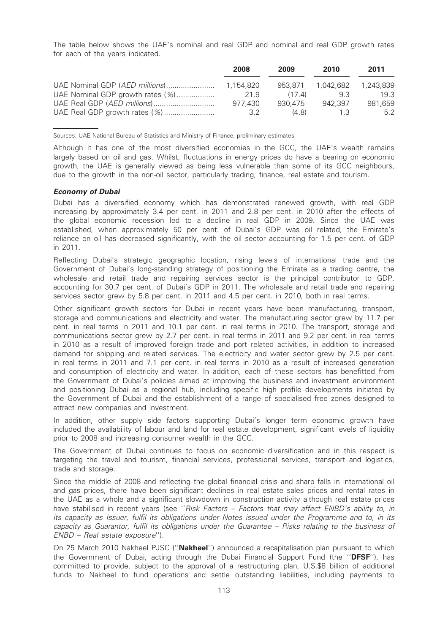The table below shows the UAE's nominal and real GDP and nominal and real GDP growth rates for each of the years indicated.

|                                  | 2008            | 2009    | 2010      | 2011      |
|----------------------------------|-----------------|---------|-----------|-----------|
| UAE Nominal GDP (AED millions)   | 1.154.820       | 953.871 | 1.042.682 | 1.243.839 |
| UAE Nominal GDP growth rates (%) | 21.9            | (17.4)  | 93        | 19.3      |
|                                  | 977.430         | 930.475 | 942.397   | 981.659   |
| UAE Real GDP growth rates (%)    | 32 <sup>2</sup> | (4.8)   | 13        | 52        |

Sources: UAE National Bureau of Statistics and Ministry of Finance, preliminary estimates.

Although it has one of the most diversified economies in the GCC, the UAE's wealth remains largely based on oil and gas. Whilst, fluctuations in energy prices do have a bearing on economic growth, the UAE is generally viewed as being less vulnerable than some of its GCC neighbours, due to the growth in the non-oil sector, particularly trading, finance, real estate and tourism.

## Economy of Dubai

Dubai has a diversified economy which has demonstrated renewed growth, with real GDP increasing by approximately 3.4 per cent. in 2011 and 2.8 per cent. in 2010 after the effects of the global economic recession led to a decline in real GDP in 2009. Since the UAE was established, when approximately 50 per cent. of Dubai's GDP was oil related, the Emirate's reliance on oil has decreased significantly, with the oil sector accounting for 1.5 per cent. of GDP in 2011.

Reflecting Dubai's strategic geographic location, rising levels of international trade and the Government of Dubai's long-standing strategy of positioning the Emirate as a trading centre, the wholesale and retail trade and repairing services sector is the principal contributor to GDP, accounting for 30.7 per cent. of Dubai's GDP in 2011. The wholesale and retail trade and repairing services sector grew by 5.8 per cent. in 2011 and 4.5 per cent. in 2010, both in real terms.

Other significant growth sectors for Dubai in recent years have been manufacturing, transport, storage and communications and electricity and water. The manufacturing sector grew by 11.7 per cent. in real terms in 2011 and 10.1 per cent. in real terms in 2010. The transport, storage and communications sector grew by 2.7 per cent. in real terms in 2011 and 9.2 per cent. in real terms in 2010 as a result of improved foreign trade and port related activities, in addition to increased demand for shipping and related services. The electricity and water sector grew by 2.5 per cent. in real terms in 2011 and 7.1 per cent. in real terms in 2010 as a result of increased generation and consumption of electricity and water. In addition, each of these sectors has benefitted from the Government of Dubai's policies aimed at improving the business and investment environment and positioning Dubai as a regional hub, including specific high profile developments initiated by the Government of Dubai and the establishment of a range of specialised free zones designed to attract new companies and investment.

In addition, other supply side factors supporting Dubai's longer term economic growth have included the availability of labour and land for real estate development, significant levels of liquidity prior to 2008 and increasing consumer wealth in the GCC.

The Government of Dubai continues to focus on economic diversification and in this respect is targeting the travel and tourism, financial services, professional services, transport and logistics, trade and storage.

Since the middle of 2008 and reflecting the global financial crisis and sharp falls in international oil and gas prices, there have been significant declines in real estate sales prices and rental rates in the UAE as a whole and a significant slowdown in construction activity although real estate prices have stabilised in recent years (see "Risk Factors – Factors that may affect ENBD's ability to, in its capacity as Issuer, fulfil its obligations under Notes issued under the Programme and to, in its capacity as Guarantor, fulfil its obligations under the Guarantee – Risks relating to the business of ENBD – Real estate exposure'').

On 25 March 2010 Nakheel PJSC ("Nakheel") announced a recapitalisation plan pursuant to which the Government of Dubai, acting through the Dubai Financial Support Fund (the "DFSF"), has committed to provide, subject to the approval of a restructuring plan, U.S.\$8 billion of additional funds to Nakheel to fund operations and settle outstanding liabilities, including payments to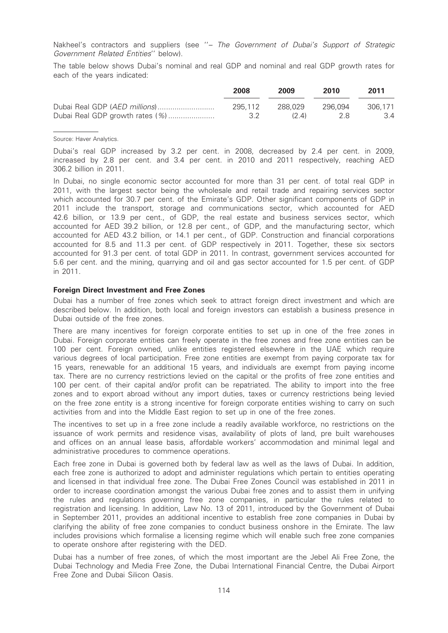Nakheel's contractors and suppliers (see "- The Government of Dubai's Support of Strategic Government Related Entities'' below).

The table below shows Dubai's nominal and real GDP and nominal and real GDP growth rates for each of the years indicated:

|                                 | 2008    | 2009    | 2010    | 2011    |
|---------------------------------|---------|---------|---------|---------|
|                                 | 295.112 | 288.029 | 296.094 | 306.171 |
| Dubai Real GDP growth rates (%) | 32      | (24)    | -28     | 3.4     |

#### Source: Haver Analytics.

Dubai's real GDP increased by 3.2 per cent. in 2008, decreased by 2.4 per cent. in 2009, increased by 2.8 per cent. and 3.4 per cent. in 2010 and 2011 respectively, reaching AED 306.2 billion in 2011.

In Dubai, no single economic sector accounted for more than 31 per cent. of total real GDP in 2011, with the largest sector being the wholesale and retail trade and repairing services sector which accounted for 30.7 per cent. of the Emirate's GDP. Other significant components of GDP in 2011 include the transport, storage and communications sector, which accounted for AED 42.6 billion, or 13.9 per cent., of GDP, the real estate and business services sector, which accounted for AED 39.2 billion, or 12.8 per cent., of GDP, and the manufacturing sector, which accounted for AED 43.2 billion, or 14.1 per cent., of GDP. Construction and financial corporations accounted for 8.5 and 11.3 per cent. of GDP respectively in 2011. Together, these six sectors accounted for 91.3 per cent. of total GDP in 2011. In contrast, government services accounted for 5.6 per cent. and the mining, quarrying and oil and gas sector accounted for 1.5 per cent. of GDP in 2011.

#### Foreign Direct Investment and Free Zones

Dubai has a number of free zones which seek to attract foreign direct investment and which are described below. In addition, both local and foreign investors can establish a business presence in Dubai outside of the free zones.

There are many incentives for foreign corporate entities to set up in one of the free zones in Dubai. Foreign corporate entities can freely operate in the free zones and free zone entities can be 100 per cent. Foreign owned, unlike entities registered elsewhere in the UAE which require various degrees of local participation. Free zone entities are exempt from paying corporate tax for 15 years, renewable for an additional 15 years, and individuals are exempt from paying income tax. There are no currency restrictions levied on the capital or the profits of free zone entities and 100 per cent. of their capital and/or profit can be repatriated. The ability to import into the free zones and to export abroad without any import duties, taxes or currency restrictions being levied on the free zone entity is a strong incentive for foreign corporate entities wishing to carry on such activities from and into the Middle East region to set up in one of the free zones.

The incentives to set up in a free zone include a readily available workforce, no restrictions on the issuance of work permits and residence visas, availability of plots of land, pre built warehouses and offices on an annual lease basis, affordable workers' accommodation and minimal legal and administrative procedures to commence operations.

Each free zone in Dubai is governed both by federal law as well as the laws of Dubai. In addition, each free zone is authorized to adopt and administer regulations which pertain to entities operating and licensed in that individual free zone. The Dubai Free Zones Council was established in 2011 in order to increase coordination amongst the various Dubai free zones and to assist them in unifying the rules and regulations governing free zone companies, in particular the rules related to registration and licensing. In addition, Law No. 13 of 2011, introduced by the Government of Dubai in September 2011, provides an additional incentive to establish free zone companies in Dubai by clarifying the ability of free zone companies to conduct business onshore in the Emirate. The law includes provisions which formalise a licensing regime which will enable such free zone companies to operate onshore after registering with the DED.

Dubai has a number of free zones, of which the most important are the Jebel Ali Free Zone, the Dubai Technology and Media Free Zone, the Dubai International Financial Centre, the Dubai Airport Free Zone and Dubai Silicon Oasis.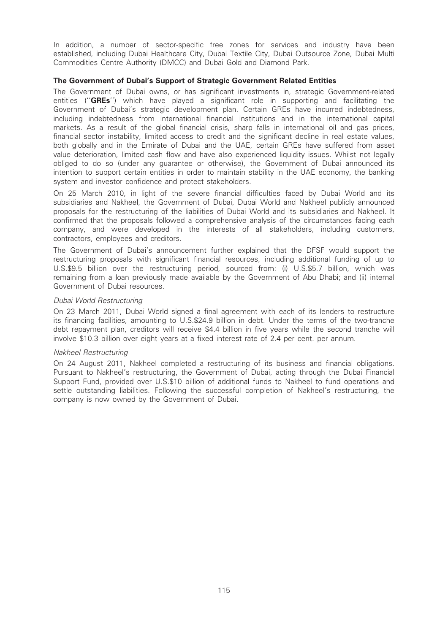In addition, a number of sector-specific free zones for services and industry have been established, including Dubai Healthcare City, Dubai Textile City, Dubai Outsource Zone, Dubai Multi Commodities Centre Authority (DMCC) and Dubai Gold and Diamond Park.

## The Government of Dubai's Support of Strategic Government Related Entities

The Government of Dubai owns, or has significant investments in, strategic Government-related entities ("GREs") which have played a significant role in supporting and facilitating the Government of Dubai's strategic development plan. Certain GREs have incurred indebtedness, including indebtedness from international financial institutions and in the international capital markets. As a result of the global financial crisis, sharp falls in international oil and gas prices, financial sector instability, limited access to credit and the significant decline in real estate values, both globally and in the Emirate of Dubai and the UAE, certain GREs have suffered from asset value deterioration, limited cash flow and have also experienced liquidity issues. Whilst not legally obliged to do so (under any guarantee or otherwise), the Government of Dubai announced its intention to support certain entities in order to maintain stability in the UAE economy, the banking system and investor confidence and protect stakeholders.

On 25 March 2010, in light of the severe financial difficulties faced by Dubai World and its subsidiaries and Nakheel, the Government of Dubai, Dubai World and Nakheel publicly announced proposals for the restructuring of the liabilities of Dubai World and its subsidiaries and Nakheel. It confirmed that the proposals followed a comprehensive analysis of the circumstances facing each company, and were developed in the interests of all stakeholders, including customers, contractors, employees and creditors.

The Government of Dubai's announcement further explained that the DFSF would support the restructuring proposals with significant financial resources, including additional funding of up to U.S.\$9.5 billion over the restructuring period, sourced from: (i) U.S.\$5.7 billion, which was remaining from a loan previously made available by the Government of Abu Dhabi; and (ii) internal Government of Dubai resources.

## Dubai World Restructuring

On 23 March 2011, Dubai World signed a final agreement with each of its lenders to restructure its financing facilities, amounting to U.S.\$24.9 billion in debt. Under the terms of the two-tranche debt repayment plan, creditors will receive \$4.4 billion in five years while the second tranche will involve \$10.3 billion over eight years at a fixed interest rate of 2.4 per cent. per annum.

## Nakheel Restructuring

On 24 August 2011, Nakheel completed a restructuring of its business and financial obligations. Pursuant to Nakheel's restructuring, the Government of Dubai, acting through the Dubai Financial Support Fund, provided over U.S.\$10 billion of additional funds to Nakheel to fund operations and settle outstanding liabilities. Following the successful completion of Nakheel's restructuring, the company is now owned by the Government of Dubai.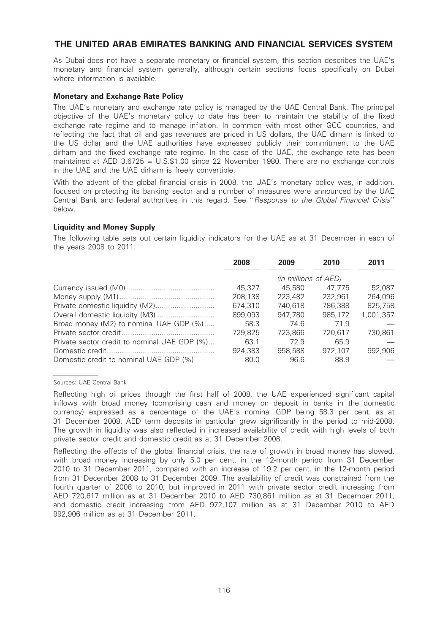# THE UNITED ARAB EMIRATES BANKING AND FINANCIAL SERVICES SYSTEM

As Dubai does not have a separate monetary or financial system, this section describes the UAE's monetary and financial system generally, although certain sections focus specifically on Dubai where information is available.

## Monetary and Exchange Rate Policy

The UAE's monetary and exchange rate policy is managed by the UAE Central Bank. The principal objective of the UAE's monetary policy to date has been to maintain the stability of the fixed exchange rate regime and to manage inflation. In common with most other GCC countries, and reflecting the fact that oil and gas revenues are priced in US dollars, the UAE dirham is linked to the US dollar and the UAE authorities have expressed publicly their commitment to the UAE dirham and the fixed exchange rate regime. In the case of the UAE, the exchange rate has been maintained at AED 3.6725 = U.S.\$1.00 since 22 November 1980. There are no exchange controls in the UAE and the UAE dirham is freely convertible.

With the advent of the global financial crisis in 2008, the UAE's monetary policy was, in addition, focused on protecting its banking sector and a number of measures were announced by the UAE Central Bank and federal authorities in this regard. See ''Response to the Global Financial Crisis'' below.

## Liquidity and Money Supply

The following table sets out certain liquidity indicators for the UAE as at 31 December in each of the years 2008 to 2011:

|                                              | 2008    | 2009                 | 2010    | 2011      |
|----------------------------------------------|---------|----------------------|---------|-----------|
|                                              |         | (in millions of AED) |         |           |
|                                              | 45.327  | 45,580               | 47.775  | 52.087    |
|                                              | 208,138 | 223,482              | 232,961 | 264,096   |
|                                              | 674,310 | 740.618              | 786.388 | 825,758   |
|                                              | 899,093 | 947,780              | 985.172 | 1.001.357 |
| Broad money (M2) to nominal UAE GDP (%)      | 58.3    | 74.6                 | 71.9    |           |
|                                              | 729,825 | 723.866              | 720.617 | 730.861   |
| Private sector credit to nominal UAE GDP (%) | 63.1    | 72.9                 | 65.9    |           |
|                                              | 924.383 | 958,588              | 972,107 | 992,906   |
| Domestic credit to nominal UAE GDP (%)       | 80.0    | 96.6                 | 88.9    |           |

Sources: UAE Central Bank

Reflecting the effects of the global financial crisis, the rate of growth in broad money has slowed, with broad money increasing by only 5.0 per cent. in the 12-month period from 31 December 2010 to 31 December 2011, compared with an increase of 19.2 per cent. in the 12-month period from 31 December 2008 to 31 December 2009. The availability of credit was constrained from the fourth quarter of 2008 to 2010, but improved in 2011 with private sector credit increasing from AED 720,617 million as at 31 December 2010 to AED 730,861 million as at 31 December 2011, and domestic credit increasing from AED 972,107 million as at 31 December 2010 to AED 992,906 million as at 31 December 2011.

Reflecting high oil prices through the first half of 2008, the UAE experienced significant capital inflows with broad money (comprising cash and money on deposit in banks in the domestic currency) expressed as a percentage of the UAE's nominal GDP being 58.3 per cent. as at 31 December 2008. AED term deposits in particular grew significantly in the period to mid-2008. The growth in liquidity was also reflected in increased availability of credit with high levels of both private sector credit and domestic credit as at 31 December 2008.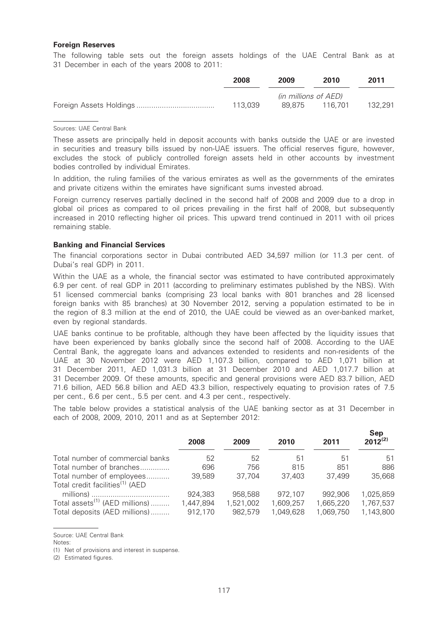### Foreign Reserves

The following table sets out the foreign assets holdings of the UAE Central Bank as at 31 December in each of the years 2008 to 2011:

| 2008    | 2009                 | 2010    | 2011    |
|---------|----------------------|---------|---------|
|         | (in millions of AED) |         |         |
| 113.039 | 89.875               | 116.701 | 132.291 |

#### Sources: UAE Central Bank

These assets are principally held in deposit accounts with banks outside the UAE or are invested in securities and treasury bills issued by non-UAE issuers. The official reserves figure, however, excludes the stock of publicly controlled foreign assets held in other accounts by investment bodies controlled by individual Emirates.

In addition, the ruling families of the various emirates as well as the governments of the emirates and private citizens within the emirates have significant sums invested abroad.

Foreign currency reserves partially declined in the second half of 2008 and 2009 due to a drop in global oil prices as compared to oil prices prevailing in the first half of 2008, but subsequently increased in 2010 reflecting higher oil prices. This upward trend continued in 2011 with oil prices remaining stable.

## Banking and Financial Services

The financial corporations sector in Dubai contributed AED 34,597 million (or 11.3 per cent. of Dubai's real GDP) in 2011.

Within the UAE as a whole, the financial sector was estimated to have contributed approximately 6.9 per cent. of real GDP in 2011 (according to preliminary estimates published by the NBS). With 51 licensed commercial banks (comprising 23 local banks with 801 branches and 28 licensed foreign banks with 85 branches) at 30 November 2012, serving a population estimated to be in the region of 8.3 million at the end of 2010, the UAE could be viewed as an over-banked market, even by regional standards.

UAE banks continue to be profitable, although they have been affected by the liquidity issues that have been experienced by banks globally since the second half of 2008. According to the UAE Central Bank, the aggregate loans and advances extended to residents and non-residents of the UAE at 30 November 2012 were AED 1,107.3 billion, compared to AED 1,071 billion at 31 December 2011, AED 1,031.3 billion at 31 December 2010 and AED 1,017.7 billion at 31 December 2009. Of these amounts, specific and general provisions were AED 83.7 billion, AED 71.6 billion, AED 56.8 billion and AED 43.3 billion, respectively equating to provision rates of 7.5 per cent., 6.6 per cent., 5.5 per cent. and 4.3 per cent., respectively.

The table below provides a statistical analysis of the UAE banking sector as at 31 December in each of 2008, 2009, 2010, 2011 and as at September 2012:

|                                                                          | 2008      | 2009      | 2010      | 2011      | Sep<br>$2012^{(2)}$ |
|--------------------------------------------------------------------------|-----------|-----------|-----------|-----------|---------------------|
| Total number of commercial banks                                         | 52        | 52        | 51        | .51       | 51                  |
| Total number of branches                                                 | 696       | 756       | 815       | 851       | 886                 |
| Total number of employees<br>Total credit facilities <sup>(1)</sup> (AED | 39,589    | 37.704    | 37.403    | 37,499    | 35,668              |
|                                                                          | 924,383   | 958,588   | 972.107   | 992,906   | 1,025,859           |
| Total assets <sup>(1)</sup> (AED millions)                               | 1,447,894 | 1,521,002 | 1,609,257 | 1,665,220 | 1,767,537           |
| Total deposits (AED millions)                                            | 912,170   | 982,579   | 1,049,628 | 1,069,750 | 1,143,800           |

Source: UAE Central Bank

(1) Net of provisions and interest in suspense.

(2) Estimated figures.

Notes: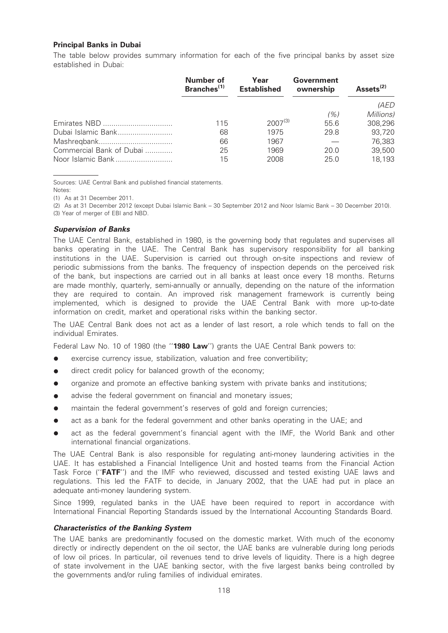## Principal Banks in Dubai

The table below provides summary information for each of the five principal banks by asset size established in Dubai:

|                          | Number of<br>Branches <sup>(1)</sup> | Year<br><b>Established</b> | Government<br>ownership | Assets <sup>(2)</sup> |
|--------------------------|--------------------------------------|----------------------------|-------------------------|-----------------------|
|                          |                                      |                            |                         | (AED                  |
|                          |                                      |                            | (%)                     | Millions)             |
|                          | 115                                  | $2007^{(3)}$               | 55.6                    | 308,296               |
| Dubai Islamic Bank       | 68                                   | 1975                       | 29.8                    | 93,720                |
|                          | 66                                   | 1967                       |                         | 76,383                |
| Commercial Bank of Dubai | 25                                   | 1969                       | 20.0                    | 39,500                |
| Noor Islamic Bank        | 15                                   | 2008                       | 25.0                    | 18,193                |
|                          |                                      |                            |                         |                       |

Sources: UAE Central Bank and published financial statements. Notes:

(1) As at 31 December 2011.

(2) As at 31 December 2012 (except Dubai Islamic Bank – 30 September 2012 and Noor Islamic Bank – 30 December 2010). (3) Year of merger of EBI and NBD.

# Supervision of Banks

The UAE Central Bank, established in 1980, is the governing body that regulates and supervises all banks operating in the UAE. The Central Bank has supervisory responsibility for all banking institutions in the UAE. Supervision is carried out through on-site inspections and review of periodic submissions from the banks. The frequency of inspection depends on the perceived risk of the bank, but inspections are carried out in all banks at least once every 18 months. Returns are made monthly, quarterly, semi-annually or annually, depending on the nature of the information they are required to contain. An improved risk management framework is currently being implemented, which is designed to provide the UAE Central Bank with more up-to-date information on credit, market and operational risks within the banking sector.

The UAE Central Bank does not act as a lender of last resort, a role which tends to fall on the individual Emirates.

Federal Law No. 10 of 1980 (the "1980 Law") grants the UAE Central Bank powers to:

- exercise currency issue, stabilization, valuation and free convertibility;
- direct credit policy for balanced growth of the economy;
- organize and promote an effective banking system with private banks and institutions;
- advise the federal government on financial and monetary issues;
- maintain the federal government's reserves of gold and foreign currencies;
- act as a bank for the federal government and other banks operating in the UAE; and
- act as the federal government's financial agent with the IMF, the World Bank and other international financial organizations.

The UAE Central Bank is also responsible for regulating anti-money laundering activities in the UAE. It has established a Financial Intelligence Unit and hosted teams from the Financial Action Task Force ("FATF") and the IMF who reviewed, discussed and tested existing UAE laws and regulations. This led the FATF to decide, in January 2002, that the UAE had put in place an adequate anti-money laundering system.

Since 1999, regulated banks in the UAE have been required to report in accordance with International Financial Reporting Standards issued by the International Accounting Standards Board.

## Characteristics of the Banking System

The UAE banks are predominantly focused on the domestic market. With much of the economy directly or indirectly dependent on the oil sector, the UAE banks are vulnerable during long periods of low oil prices. In particular, oil revenues tend to drive levels of liquidity. There is a high degree of state involvement in the UAE banking sector, with the five largest banks being controlled by the governments and/or ruling families of individual emirates.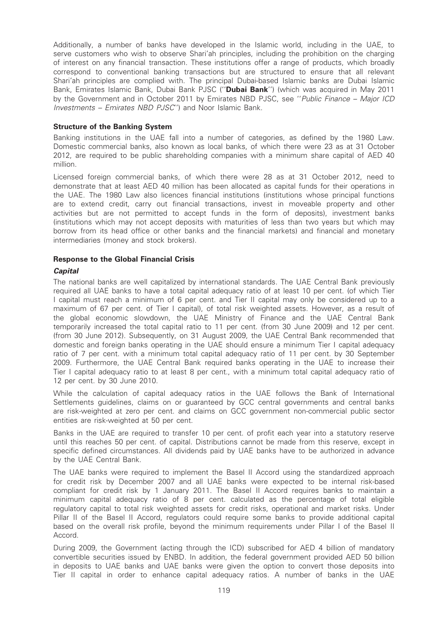Additionally, a number of banks have developed in the Islamic world, including in the UAE, to serve customers who wish to observe Shari'ah principles, including the prohibition on the charging of interest on any financial transaction. These institutions offer a range of products, which broadly correspond to conventional banking transactions but are structured to ensure that all relevant Shari'ah principles are complied with. The principal Dubai-based Islamic banks are Dubai Islamic Bank, Emirates Islamic Bank, Dubai Bank PJSC ("Dubai Bank") (which was acquired in May 2011 by the Government and in October 2011 by Emirates NBD PJSC, see "Public Finance – Major ICD Investments – Emirates NBD PJSC'') and Noor Islamic Bank.

## Structure of the Banking System

Banking institutions in the UAE fall into a number of categories, as defined by the 1980 Law. Domestic commercial banks, also known as local banks, of which there were 23 as at 31 October 2012, are required to be public shareholding companies with a minimum share capital of AED 40 million.

Licensed foreign commercial banks, of which there were 28 as at 31 October 2012, need to demonstrate that at least AED 40 million has been allocated as capital funds for their operations in the UAE. The 1980 Law also licences financial institutions (institutions whose principal functions are to extend credit, carry out financial transactions, invest in moveable property and other activities but are not permitted to accept funds in the form of deposits), investment banks (institutions which may not accept deposits with maturities of less than two years but which may borrow from its head office or other banks and the financial markets) and financial and monetary intermediaries (money and stock brokers).

## Response to the Global Financial Crisis

## **Capital**

The national banks are well capitalized by international standards. The UAE Central Bank previously required all UAE banks to have a total capital adequacy ratio of at least 10 per cent. (of which Tier I capital must reach a minimum of 6 per cent. and Tier II capital may only be considered up to a maximum of 67 per cent. of Tier I capital), of total risk weighted assets. However, as a result of the global economic slowdown, the UAE Ministry of Finance and the UAE Central Bank temporarily increased the total capital ratio to 11 per cent. (from 30 June 2009) and 12 per cent. (from 30 June 2012). Subsequently, on 31 August 2009, the UAE Central Bank recommended that domestic and foreign banks operating in the UAE should ensure a minimum Tier I capital adequacy ratio of 7 per cent. with a minimum total capital adequacy ratio of 11 per cent. by 30 September 2009. Furthermore, the UAE Central Bank required banks operating in the UAE to increase their Tier I capital adequacy ratio to at least 8 per cent., with a minimum total capital adequacy ratio of 12 per cent. by 30 June 2010.

While the calculation of capital adequacy ratios in the UAE follows the Bank of International Settlements guidelines, claims on or guaranteed by GCC central governments and central banks are risk-weighted at zero per cent. and claims on GCC government non-commercial public sector entities are risk-weighted at 50 per cent.

Banks in the UAE are required to transfer 10 per cent. of profit each year into a statutory reserve until this reaches 50 per cent. of capital. Distributions cannot be made from this reserve, except in specific defined circumstances. All dividends paid by UAE banks have to be authorized in advance by the UAE Central Bank.

The UAE banks were required to implement the Basel II Accord using the standardized approach for credit risk by December 2007 and all UAE banks were expected to be internal risk-based compliant for credit risk by 1 January 2011. The Basel II Accord requires banks to maintain a minimum capital adequacy ratio of 8 per cent. calculated as the percentage of total eligible regulatory capital to total risk weighted assets for credit risks, operational and market risks. Under Pillar II of the Basel II Accord, regulators could require some banks to provide additional capital based on the overall risk profile, beyond the minimum requirements under Pillar I of the Basel II Accord.

During 2009, the Government (acting through the ICD) subscribed for AED 4 billion of mandatory convertible securities issued by ENBD. In addition, the federal government provided AED 50 billion in deposits to UAE banks and UAE banks were given the option to convert those deposits into Tier II capital in order to enhance capital adequacy ratios. A number of banks in the UAE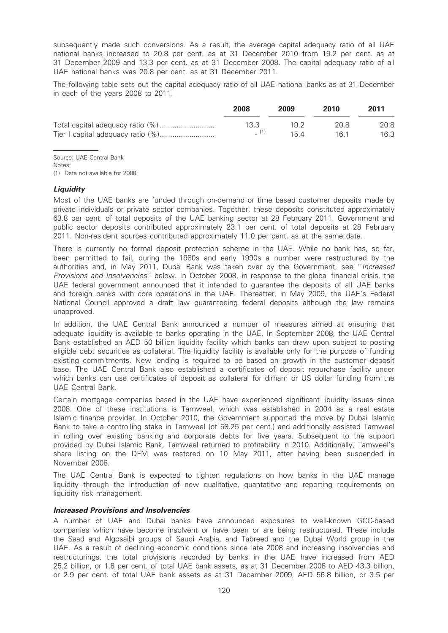subsequently made such conversions. As a result, the average capital adequacy ratio of all UAE national banks increased to 20.8 per cent. as at 31 December 2010 from 19.2 per cent. as at 31 December 2009 and 13.3 per cent. as at 31 December 2008. The capital adequacy ratio of all UAE national banks was 20.8 per cent. as at 31 December 2011.

The following table sets out the capital adequacy ratio of all UAE national banks as at 31 December in each of the years 2008 to 2011.

| 2008 | 2009 | 2010 | 2011 |
|------|------|------|------|
| 13.3 | 19.2 | 20 S | 20.8 |
|      | 154  | 16 1 | 16.3 |

Source: UAE Central Bank

Notes:

(1) Data not available for 2008

## **Liquidity**

Most of the UAE banks are funded through on-demand or time based customer deposits made by private individuals or private sector companies. Together, these deposits constituted approximately 63.8 per cent. of total deposits of the UAE banking sector at 28 February 2011. Government and public sector deposits contributed approximately 23.1 per cent. of total deposits at 28 February 2011. Non-resident sources contributed approximately 11.0 per cent. as at the same date.

There is currently no formal deposit protection scheme in the UAE. While no bank has, so far, been permitted to fail, during the 1980s and early 1990s a number were restructured by the authorities and, in May 2011, Dubai Bank was taken over by the Government, see ''Increased Provisions and Insolvencies'' below. In October 2008, in response to the global financial crisis, the UAE federal government announced that it intended to guarantee the deposits of all UAE banks and foreign banks with core operations in the UAE. Thereafter, in May 2009, the UAE's Federal National Council approved a draft law guaranteeing federal deposits although the law remains unapproved.

In addition, the UAE Central Bank announced a number of measures aimed at ensuring that adequate liquidity is available to banks operating in the UAE. In September 2008, the UAE Central Bank established an AED 50 billion liquidity facility which banks can draw upon subject to posting eligible debt securities as collateral. The liquidity facility is available only for the purpose of funding existing commitments. New lending is required to be based on growth in the customer deposit base. The UAE Central Bank also established a certificates of deposit repurchase facility under which banks can use certificates of deposit as collateral for dirham or US dollar funding from the UAE Central Bank.

Certain mortgage companies based in the UAE have experienced significant liquidity issues since 2008. One of these institutions is Tamweel, which was established in 2004 as a real estate Islamic finance provider. In October 2010, the Government supported the move by Dubai Islamic Bank to take a controlling stake in Tamweel (of 58.25 per cent.) and additionally assisted Tamweel in rolling over existing banking and corporate debts for five years. Subsequent to the support provided by Dubai Islamic Bank, Tamweel returned to profitability in 2010. Additionally, Tamweel's share listing on the DFM was restored on 10 May 2011, after having been suspended in November 2008.

The UAE Central Bank is expected to tighten regulations on how banks in the UAE manage liquidity through the introduction of new qualitative, quantatitve and reporting requirements on liquidity risk management.

#### Increased Provisions and Insolvencies

A number of UAE and Dubai banks have announced exposures to well-known GCC-based companies which have become insolvent or have been or are being restructured. These include the Saad and Algosaibi groups of Saudi Arabia, and Tabreed and the Dubai World group in the UAE. As a result of declining economic conditions since late 2008 and increasing insolvencies and restructurings, the total provisions recorded by banks in the UAE have increased from AED 25.2 billion, or 1.8 per cent. of total UAE bank assets, as at 31 December 2008 to AED 43.3 billion, or 2.9 per cent. of total UAE bank assets as at 31 December 2009, AED 56.8 billion, or 3.5 per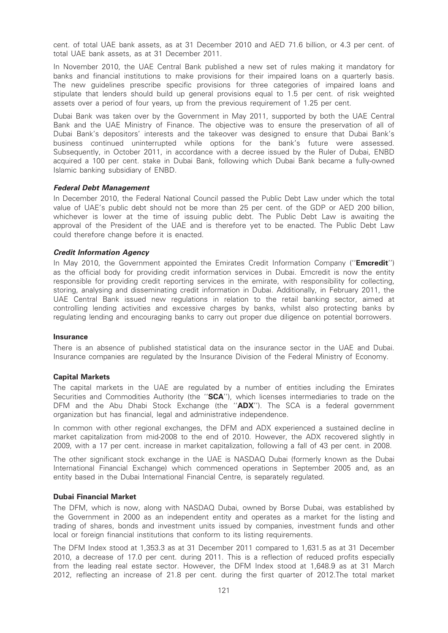cent. of total UAE bank assets, as at 31 December 2010 and AED 71.6 billion, or 4.3 per cent. of total UAE bank assets, as at 31 December 2011.

In November 2010, the UAE Central Bank published a new set of rules making it mandatory for banks and financial institutions to make provisions for their impaired loans on a quarterly basis. The new guidelines prescribe specific provisions for three categories of impaired loans and stipulate that lenders should build up general provisions equal to 1.5 per cent. of risk weighted assets over a period of four years, up from the previous requirement of 1.25 per cent.

Dubai Bank was taken over by the Government in May 2011, supported by both the UAE Central Bank and the UAE Ministry of Finance. The objective was to ensure the preservation of all of Dubai Bank's depositors' interests and the takeover was designed to ensure that Dubai Bank's business continued uninterrupted while options for the bank's future were assessed. Subsequently, in October 2011, in accordance with a decree issued by the Ruler of Dubai, ENBD acquired a 100 per cent. stake in Dubai Bank, following which Dubai Bank became a fully-owned Islamic banking subsidiary of ENBD.

#### Federal Debt Management

In December 2010, the Federal National Council passed the Public Debt Law under which the total value of UAE's public debt should not be more than 25 per cent. of the GDP or AED 200 billion, whichever is lower at the time of issuing public debt. The Public Debt Law is awaiting the approval of the President of the UAE and is therefore yet to be enacted. The Public Debt Law could therefore change before it is enacted.

#### Credit Information Agency

In May 2010, the Government appointed the Emirates Credit Information Company ("**Emcredit**") as the official body for providing credit information services in Dubai. Emcredit is now the entity responsible for providing credit reporting services in the emirate, with responsibility for collecting, storing, analysing and disseminating credit information in Dubai. Additionally, in February 2011, the UAE Central Bank issued new regulations in relation to the retail banking sector, aimed at controlling lending activities and excessive charges by banks, whilst also protecting banks by regulating lending and encouraging banks to carry out proper due diligence on potential borrowers.

#### Insurance

There is an absence of published statistical data on the insurance sector in the UAE and Dubai. Insurance companies are regulated by the Insurance Division of the Federal Ministry of Economy.

#### Capital Markets

The capital markets in the UAE are regulated by a number of entities including the Emirates Securities and Commodities Authority (the "SCA"), which licenses intermediaries to trade on the DFM and the Abu Dhabi Stock Exchange (the "ADX"). The SCA is a federal government organization but has financial, legal and administrative independence.

In common with other regional exchanges, the DFM and ADX experienced a sustained decline in market capitalization from mid-2008 to the end of 2010. However, the ADX recovered slightly in 2009, with a 17 per cent. increase in market capitalization, following a fall of 43 per cent. in 2008.

The other significant stock exchange in the UAE is NASDAQ Dubai (formerly known as the Dubai International Financial Exchange) which commenced operations in September 2005 and, as an entity based in the Dubai International Financial Centre, is separately regulated.

### Dubai Financial Market

The DFM, which is now, along with NASDAQ Dubai, owned by Borse Dubai, was established by the Government in 2000 as an independent entity and operates as a market for the listing and trading of shares, bonds and investment units issued by companies, investment funds and other local or foreign financial institutions that conform to its listing requirements.

The DFM Index stood at 1,353.3 as at 31 December 2011 compared to 1,631.5 as at 31 December 2010, a decrease of 17.0 per cent. during 2011. This is a reflection of reduced profits especially from the leading real estate sector. However, the DFM Index stood at 1,648.9 as at 31 March 2012, reflecting an increase of 21.8 per cent. during the first quarter of 2012.The total market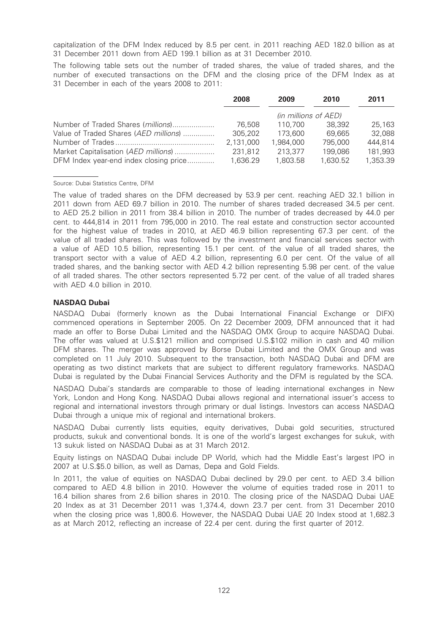capitalization of the DFM Index reduced by 8.5 per cent. in 2011 reaching AED 182.0 billion as at 31 December 2011 down from AED 199.1 billion as at 31 December 2010.

The following table sets out the number of traded shares, the value of traded shares, and the number of executed transactions on the DFM and the closing price of the DFM Index as at 31 December in each of the years 2008 to 2011:

|                                        | 2008      | 2009                 | 2010     | 2011     |
|----------------------------------------|-----------|----------------------|----------|----------|
|                                        |           | (in millions of AED) |          |          |
| Number of Traded Shares (millions)     | 76.508    | 110.700              | 38.392   | 25.163   |
| Value of Traded Shares (AED millions)  | 305,202   | 173,600              | 69.665   | 32,088   |
|                                        | 2,131,000 | 1,984,000            | 795,000  | 444,814  |
| Market Capitalisation (AED millions)   | 231,812   | 213,377              | 199,086  | 181,993  |
| DFM Index year-end index closing price | 1,636.29  | 1,803.58             | 1,630.52 | 1,353.39 |

#### Source: Dubai Statistics Centre, DFM

The value of traded shares on the DFM decreased by 53.9 per cent. reaching AED 32.1 billion in 2011 down from AED 69.7 billion in 2010. The number of shares traded decreased 34.5 per cent. to AED 25.2 billion in 2011 from 38.4 billion in 2010. The number of trades decreased by 44.0 per cent. to 444,814 in 2011 from 795,000 in 2010. The real estate and construction sector accounted for the highest value of trades in 2010, at AED 46.9 billion representing 67.3 per cent. of the value of all traded shares. This was followed by the investment and financial services sector with a value of AED 10.5 billion, representing 15.1 per cent. of the value of all traded shares, the transport sector with a value of AED 4.2 billion, representing 6.0 per cent. Of the value of all traded shares, and the banking sector with AED 4.2 billion representing 5.98 per cent. of the value of all traded shares. The other sectors represented 5.72 per cent. of the value of all traded shares with AED 4.0 billion in 2010.

## NASDAQ Dubai

NASDAQ Dubai (formerly known as the Dubai International Financial Exchange or DIFX) commenced operations in September 2005. On 22 December 2009, DFM announced that it had made an offer to Borse Dubai Limited and the NASDAQ OMX Group to acquire NASDAQ Dubai. The offer was valued at U.S.\$121 million and comprised U.S.\$102 million in cash and 40 million DFM shares. The merger was approved by Borse Dubai Limited and the OMX Group and was completed on 11 July 2010. Subsequent to the transaction, both NASDAQ Dubai and DFM are operating as two distinct markets that are subject to different regulatory frameworks. NASDAQ Dubai is regulated by the Dubai Financial Services Authority and the DFM is regulated by the SCA.

NASDAQ Dubai's standards are comparable to those of leading international exchanges in New York, London and Hong Kong. NASDAQ Dubai allows regional and international issuer's access to regional and international investors through primary or dual listings. Investors can access NASDAQ Dubai through a unique mix of regional and international brokers.

NASDAQ Dubai currently lists equities, equity derivatives, Dubai gold securities, structured products, sukuk and conventional bonds. It is one of the world's largest exchanges for sukuk, with 13 sukuk listed on NASDAQ Dubai as at 31 March 2012.

Equity listings on NASDAQ Dubai include DP World, which had the Middle East's largest IPO in 2007 at U.S.\$5.0 billion, as well as Damas, Depa and Gold Fields.

In 2011, the value of equities on NASDAQ Dubai declined by 29.0 per cent. to AED 3.4 billion compared to AED 4.8 billion in 2010. However the volume of equities traded rose in 2011 to 16.4 billion shares from 2.6 billion shares in 2010. The closing price of the NASDAQ Dubai UAE 20 Index as at 31 December 2011 was 1,374.4, down 23.7 per cent. from 31 December 2010 when the closing price was 1,800.6. However, the NASDAQ Dubai UAE 20 Index stood at 1,682.3 as at March 2012, reflecting an increase of 22.4 per cent. during the first quarter of 2012.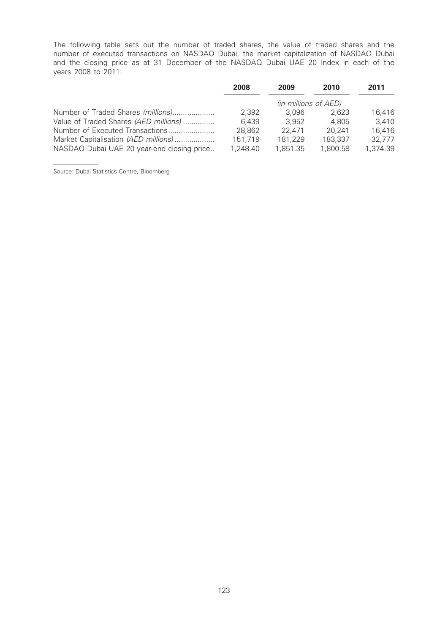The following table sets out the number of traded shares, the value of traded shares and the number of executed transactions on NASDAQ Dubai, the market capitalization of NASDAQ Dubai and the closing price as at 31 December of the NASDAQ Dubai UAE 20 Index in each of the years 2008 to 2011:

|                                            | 2008     | 2009                 | 2010     | 2011     |
|--------------------------------------------|----------|----------------------|----------|----------|
|                                            |          | (in millions of AED) |          |          |
| Number of Traded Shares (millions)         | 2.392    | 3.096                | 2.623    | 16,416   |
| Value of Traded Shares (AED millions)      | 6.439    | 3.952                | 4.805    | 3.410    |
| Number of Executed Transactions            | 28.862   | 22.471               | 20.241   | 16.416   |
| Market Capitalisation (AED millions)       | 151.719  | 181,229              | 183,337  | 32,777   |
| NASDAQ Dubai UAE 20 year-end closing price | 1,248.40 | 1,851.35             | 1.800.58 | 1.374.39 |

Source: Dubai Statistics Centre, Bloomberg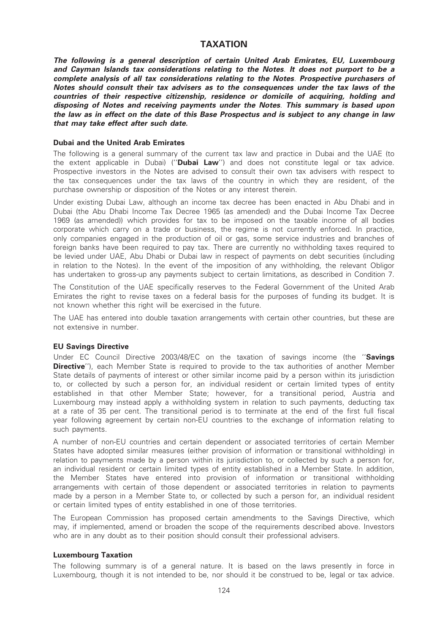# TAXATION

The following is a general description of certain United Arab Emirates, EU, Luxembourg and Cayman Islands tax considerations relating to the Notes. It does not purport to be a complete analysis of all tax considerations relating to the Notes. Prospective purchasers of Notes should consult their tax advisers as to the consequences under the tax laws of the countries of their respective citizenship, residence or domicile of acquiring, holding and disposing of Notes and receiving payments under the Notes. This summary is based upon the law as in effect on the date of this Base Prospectus and is subject to any change in law that may take effect after such date.

#### Dubai and the United Arab Emirates

The following is a general summary of the current tax law and practice in Dubai and the UAE (to the extent applicable in Dubai) ("**Dubai Law**") and does not constitute legal or tax advice. Prospective investors in the Notes are advised to consult their own tax advisers with respect to the tax consequences under the tax laws of the country in which they are resident, of the purchase ownership or disposition of the Notes or any interest therein.

Under existing Dubai Law, although an income tax decree has been enacted in Abu Dhabi and in Dubai (the Abu Dhabi Income Tax Decree 1965 (as amended) and the Dubai Income Tax Decree 1969 (as amended)) which provides for tax to be imposed on the taxable income of all bodies corporate which carry on a trade or business, the regime is not currently enforced. In practice, only companies engaged in the production of oil or gas, some service industries and branches of foreign banks have been required to pay tax. There are currently no withholding taxes required to be levied under UAE, Abu Dhabi or Dubai law in respect of payments on debt securities (including in relation to the Notes). In the event of the imposition of any withholding, the relevant Obligor has undertaken to gross-up any payments subject to certain limitations, as described in Condition 7.

The Constitution of the UAE specifically reserves to the Federal Government of the United Arab Emirates the right to revise taxes on a federal basis for the purposes of funding its budget. It is not known whether this right will be exercised in the future.

The UAE has entered into double taxation arrangements with certain other countries, but these are not extensive in number.

#### EU Savings Directive

Under EC Council Directive 2003/48/EC on the taxation of savings income (the "Savings **Directive''**), each Member State is required to provide to the tax authorities of another Member State details of payments of interest or other similar income paid by a person within its jurisdiction to, or collected by such a person for, an individual resident or certain limited types of entity established in that other Member State; however, for a transitional period, Austria and Luxembourg may instead apply a withholding system in relation to such payments, deducting tax at a rate of 35 per cent. The transitional period is to terminate at the end of the first full fiscal year following agreement by certain non-EU countries to the exchange of information relating to such payments.

A number of non-EU countries and certain dependent or associated territories of certain Member States have adopted similar measures (either provision of information or transitional withholding) in relation to payments made by a person within its jurisdiction to, or collected by such a person for, an individual resident or certain limited types of entity established in a Member State. In addition, the Member States have entered into provision of information or transitional withholding arrangements with certain of those dependent or associated territories in relation to payments made by a person in a Member State to, or collected by such a person for, an individual resident or certain limited types of entity established in one of those territories.

The European Commission has proposed certain amendments to the Savings Directive, which may, if implemented, amend or broaden the scope of the requirements described above. Investors who are in any doubt as to their position should consult their professional advisers.

#### Luxembourg Taxation

The following summary is of a general nature. It is based on the laws presently in force in Luxembourg, though it is not intended to be, nor should it be construed to be, legal or tax advice.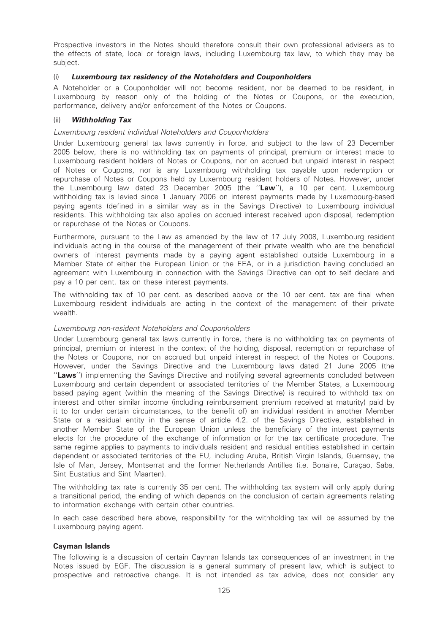Prospective investors in the Notes should therefore consult their own professional advisers as to the effects of state, local or foreign laws, including Luxembourg tax law, to which they may be subject.

## (i) Luxembourg tax residency of the Noteholders and Couponholders

A Noteholder or a Couponholder will not become resident, nor be deemed to be resident, in Luxembourg by reason only of the holding of the Notes or Coupons, or the execution, performance, delivery and/or enforcement of the Notes or Coupons.

## (ii) Withholding Tax

## Luxembourg resident individual Noteholders and Couponholders

Under Luxembourg general tax laws currently in force, and subject to the law of 23 December 2005 below, there is no withholding tax on payments of principal, premium or interest made to Luxembourg resident holders of Notes or Coupons, nor on accrued but unpaid interest in respect of Notes or Coupons, nor is any Luxembourg withholding tax payable upon redemption or repurchase of Notes or Coupons held by Luxembourg resident holders of Notes. However, under the Luxembourg law dated 23 December 2005 (the "Law"), a 10 per cent. Luxembourg withholding tax is levied since 1 January 2006 on interest payments made by Luxembourg-based paying agents (defined in a similar way as in the Savings Directive) to Luxembourg individual residents. This withholding tax also applies on accrued interest received upon disposal, redemption or repurchase of the Notes or Coupons.

Furthermore, pursuant to the Law as amended by the law of 17 July 2008, Luxembourg resident individuals acting in the course of the management of their private wealth who are the beneficial owners of interest payments made by a paying agent established outside Luxembourg in a Member State of either the European Union or the EEA, or in a jurisdiction having concluded an agreement with Luxembourg in connection with the Savings Directive can opt to self declare and pay a 10 per cent. tax on these interest payments.

The withholding tax of 10 per cent. as described above or the 10 per cent. tax are final when Luxembourg resident individuals are acting in the context of the management of their private wealth.

#### Luxembourg non-resident Noteholders and Couponholders

Under Luxembourg general tax laws currently in force, there is no withholding tax on payments of principal, premium or interest in the context of the holding, disposal, redemption or repurchase of the Notes or Coupons, nor on accrued but unpaid interest in respect of the Notes or Coupons. However, under the Savings Directive and the Luxembourg laws dated 21 June 2005 (the ''Laws'') implementing the Savings Directive and notifying several agreements concluded between Luxembourg and certain dependent or associated territories of the Member States, a Luxembourg based paying agent (within the meaning of the Savings Directive) is required to withhold tax on interest and other similar income (including reimbursement premium received at maturity) paid by it to (or under certain circumstances, to the benefit of) an individual resident in another Member State or a residual entity in the sense of article 4.2. of the Savings Directive, established in another Member State of the European Union unless the beneficiary of the interest payments elects for the procedure of the exchange of information or for the tax certificate procedure. The same regime applies to payments to individuals resident and residual entities established in certain dependent or associated territories of the EU, including Aruba, British Virgin Islands, Guernsey, the Isle of Man, Jersey, Montserrat and the former Netherlands Antilles (i.e. Bonaire, Curaçao, Saba, Sint Eustatius and Sint Maarten).

The withholding tax rate is currently 35 per cent. The withholding tax system will only apply during a transitional period, the ending of which depends on the conclusion of certain agreements relating to information exchange with certain other countries.

In each case described here above, responsibility for the withholding tax will be assumed by the Luxembourg paying agent.

#### Cayman Islands

The following is a discussion of certain Cayman Islands tax consequences of an investment in the Notes issued by EGF. The discussion is a general summary of present law, which is subject to prospective and retroactive change. It is not intended as tax advice, does not consider any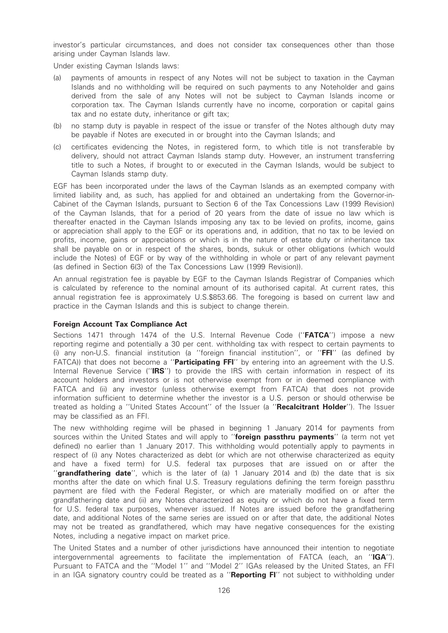investor's particular circumstances, and does not consider tax consequences other than those arising under Cayman Islands law.

Under existing Cayman Islands laws:

- payments of amounts in respect of any Notes will not be subject to taxation in the Cayman Islands and no withholding will be required on such payments to any Noteholder and gains derived from the sale of any Notes will not be subject to Cayman Islands income or corporation tax. The Cayman Islands currently have no income, corporation or capital gains tax and no estate duty, inheritance or gift tax;
- (b) no stamp duty is payable in respect of the issue or transfer of the Notes although duty may be payable if Notes are executed in or brought into the Cayman Islands; and
- (c) certificates evidencing the Notes, in registered form, to which title is not transferable by delivery, should not attract Cayman Islands stamp duty. However, an instrument transferring title to such a Notes, if brought to or executed in the Cayman Islands, would be subject to Cayman Islands stamp duty.

EGF has been incorporated under the laws of the Cayman Islands as an exempted company with limited liability and, as such, has applied for and obtained an undertaking from the Governor-in-Cabinet of the Cayman Islands, pursuant to Section 6 of the Tax Concessions Law (1999 Revision) of the Cayman Islands, that for a period of 20 years from the date of issue no law which is thereafter enacted in the Cayman Islands imposing any tax to be levied on profits, income, gains or appreciation shall apply to the EGF or its operations and, in addition, that no tax to be levied on profits, income, gains or appreciations or which is in the nature of estate duty or inheritance tax shall be payable on or in respect of the shares, bonds, sukuk or other obligations (which would include the Notes) of EGF or by way of the withholding in whole or part of any relevant payment (as defined in Section 6(3) of the Tax Concessions Law (1999 Revision)).

An annual registration fee is payable by EGF to the Cayman Islands Registrar of Companies which is calculated by reference to the nominal amount of its authorised capital. At current rates, this annual registration fee is approximately U.S.\$853.66. The foregoing is based on current law and practice in the Cayman Islands and this is subject to change therein.

#### Foreign Account Tax Compliance Act

Sections 1471 through 1474 of the U.S. Internal Revenue Code ("FATCA") impose a new reporting regime and potentially a 30 per cent. withholding tax with respect to certain payments to (i) any non-U.S. financial institution (a ''foreign financial institution'', or ''FFI'' (as defined by FATCA)) that does not become a "Participating FFI" by entering into an agreement with the U.S. Internal Revenue Service ("**IRS**") to provide the IRS with certain information in respect of its account holders and investors or is not otherwise exempt from or in deemed compliance with FATCA and (ii) any investor (unless otherwise exempt from FATCA) that does not provide information sufficient to determine whether the investor is a U.S. person or should otherwise be treated as holding a "United States Account" of the Issuer (a "Recalcitrant Holder"). The Issuer may be classified as an FFI.

The new withholding regime will be phased in beginning 1 January 2014 for payments from sources within the United States and will apply to "foreign passthru payments" (a term not yet defined) no earlier than 1 January 2017. This withholding would potentially apply to payments in respect of (i) any Notes characterized as debt (or which are not otherwise characterized as equity and have a fixed term) for U.S. federal tax purposes that are issued on or after the "grandfathering date", which is the later of (a) 1 January 2014 and (b) the date that is six months after the date on which final U.S. Treasury regulations defining the term foreign passthru payment are filed with the Federal Register, or which are materially modified on or after the grandfathering date and (ii) any Notes characterized as equity or which do not have a fixed term for U.S. federal tax purposes, whenever issued. If Notes are issued before the grandfathering date, and additional Notes of the same series are issued on or after that date, the additional Notes may not be treated as grandfathered, which may have negative consequences for the existing Notes, including a negative impact on market price.

The United States and a number of other jurisdictions have announced their intention to negotiate intergovernmental agreements to facilitate the implementation of FATCA (each, an "IGA"). Pursuant to FATCA and the ''Model 1'' and ''Model 2'' IGAs released by the United States, an FFI in an IGA signatory country could be treated as a "Reporting FI" not subject to withholding under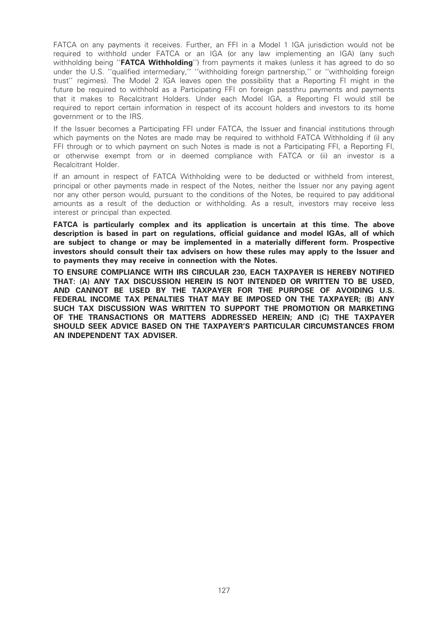FATCA on any payments it receives. Further, an FFI in a Model 1 IGA jurisdiction would not be required to withhold under FATCA or an IGA (or any law implementing an IGA) (any such withholding being "**FATCA Withholding**") from payments it makes (unless it has agreed to do so under the U.S. ''qualified intermediary,'' ''withholding foreign partnership,'' or ''withholding foreign trust'' regimes). The Model 2 IGA leaves open the possibility that a Reporting FI might in the future be required to withhold as a Participating FFI on foreign passthru payments and payments that it makes to Recalcitrant Holders. Under each Model IGA, a Reporting FI would still be required to report certain information in respect of its account holders and investors to its home government or to the IRS.

If the Issuer becomes a Participating FFI under FATCA, the Issuer and financial institutions through which payments on the Notes are made may be required to withhold FATCA Withholding if (i) any FFI through or to which payment on such Notes is made is not a Participating FFI, a Reporting FI, or otherwise exempt from or in deemed compliance with FATCA or (ii) an investor is a Recalcitrant Holder.

If an amount in respect of FATCA Withholding were to be deducted or withheld from interest, principal or other payments made in respect of the Notes, neither the Issuer nor any paying agent nor any other person would, pursuant to the conditions of the Notes, be required to pay additional amounts as a result of the deduction or withholding. As a result, investors may receive less interest or principal than expected.

FATCA is particularly complex and its application is uncertain at this time. The above description is based in part on regulations, official guidance and model IGAs, all of which are subject to change or may be implemented in a materially different form. Prospective investors should consult their tax advisers on how these rules may apply to the Issuer and to payments they may receive in connection with the Notes.

TO ENSURE COMPLIANCE WITH IRS CIRCULAR 230, EACH TAXPAYER IS HEREBY NOTIFIED THAT: (A) ANY TAX DISCUSSION HEREIN IS NOT INTENDED OR WRITTEN TO BE USED, AND CANNOT BE USED BY THE TAXPAYER FOR THE PURPOSE OF AVOIDING U.S. FEDERAL INCOME TAX PENALTIES THAT MAY BE IMPOSED ON THE TAXPAYER; (B) ANY SUCH TAX DISCUSSION WAS WRITTEN TO SUPPORT THE PROMOTION OR MARKETING OF THE TRANSACTIONS OR MATTERS ADDRESSED HEREIN; AND (C) THE TAXPAYER SHOULD SEEK ADVICE BASED ON THE TAXPAYER'S PARTICULAR CIRCUMSTANCES FROM AN INDEPENDENT TAX ADVISER.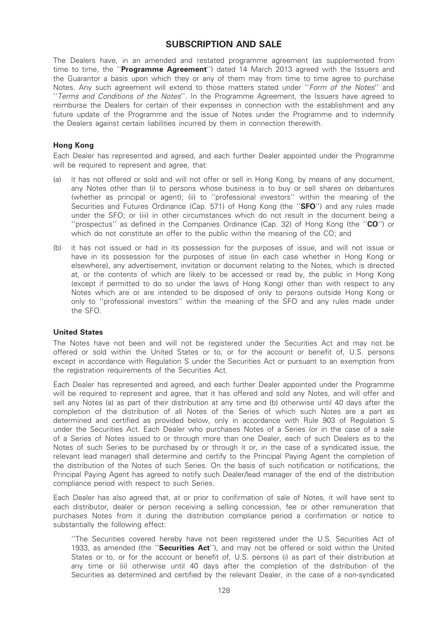# SUBSCRIPTION AND SALE

The Dealers have, in an amended and restated programme agreement (as supplemented from time to time, the "**Programme Agreement**") dated 14 March 2013 agreed with the Issuers and the Guarantor a basis upon which they or any of them may from time to time agree to purchase Notes. Any such agreement will extend to those matters stated under "Form of the Notes" and ''Terms and Conditions of the Notes''. In the Programme Agreement, the Issuers have agreed to reimburse the Dealers for certain of their expenses in connection with the establishment and any future update of the Programme and the issue of Notes under the Programme and to indemnify the Dealers against certain liabilities incurred by them in connection therewith.

## Hong Kong

Each Dealer has represented and agreed, and each further Dealer appointed under the Programme will be required to represent and agree, that:

- (a) it has not offered or sold and will not offer or sell in Hong Kong, by means of any document, any Notes other than (i) to persons whose business is to buy or sell shares on debantures (whether as principal or agent); (ii) to ''professional investors'' within the meaning of the Securities and Futures Ordinance (Cap. 571) of Hong Kong (the "SFO") and any rules made under the SFO; or (iii) in other circumstances which do not result in the document being a "prospectus" as defined in the Companies Ordinance (Cap. 32) of Hong Kong (the "CO") or which do not constitute an offer to the public within the meaning of the CO; and
- (b) it has not issued or had in its possession for the purposes of issue, and will not issue or have in its possession for the purposes of issue (in each case whether in Hong Kong or elsewhere), any advertisement, invitation or document relating to the Notes, which is directed at, or the contents of which are likely to be accessed or read by, the public in Hong Kong (except if permitted to do so under the laws of Hong Kong) other than with respect to any Notes which are or are intended to be disposed of only to persons outside Hong Kong or only to ''professional investors'' within the meaning of the SFO and any rules made under the SFO.

#### United States

The Notes have not been and will not be registered under the Securities Act and may not be offered or sold within the United States or to, or for the account or benefit of, U.S. persons except in accordance with Regulation S under the Securities Act or pursuant to an exemption from the registration requirements of the Securities Act.

Each Dealer has represented and agreed, and each further Dealer appointed under the Programme will be required to represent and agree, that it has offered and sold any Notes, and will offer and sell any Notes (a) as part of their distribution at any time and (b) otherwise until 40 days after the completion of the distribution of all Notes of the Series of which such Notes are a part as determined and certified as provided below, only in accordance with Rule 903 of Regulation S under the Securities Act. Each Dealer who purchases Notes of a Series (or in the case of a sale of a Series of Notes issued to or through more than one Dealer, each of such Dealers as to the Notes of such Series to be purchased by or through it or, in the case of a syndicated issue, the relevant lead manager) shall determine and certify to the Principal Paying Agent the completion of the distribution of the Notes of such Series. On the basis of such notification or notifications, the Principal Paying Agent has agreed to notify such Dealer/lead manager of the end of the distribution compliance period with respect to such Series.

Each Dealer has also agreed that, at or prior to confirmation of sale of Notes, it will have sent to each distributor, dealer or person receiving a selling concession, fee or other remuneration that purchases Notes from it during the distribution compliance period a confirmation or notice to substantially the following effect:

''The Securities covered hereby have not been registered under the U.S. Securities Act of 1933, as amended (the "Securities Act"), and may not be offered or sold within the United States or to, or for the account or benefit of, U.S. persons (i) as part of their distribution at any time or (ii) otherwise until 40 days after the completion of the distribution of the Securities as determined and certified by the relevant Dealer, in the case of a non-syndicated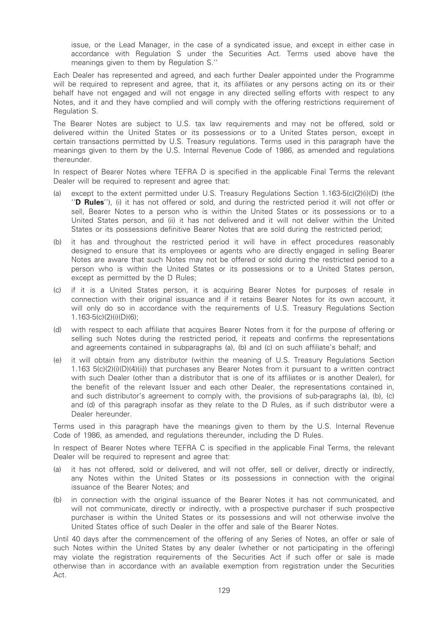issue, or the Lead Manager, in the case of a syndicated issue, and except in either case in accordance with Regulation S under the Securities Act. Terms used above have the meanings given to them by Regulation S.''

Each Dealer has represented and agreed, and each further Dealer appointed under the Programme will be required to represent and agree, that it, its affiliates or any persons acting on its or their behalf have not engaged and will not engage in any directed selling efforts with respect to any Notes, and it and they have complied and will comply with the offering restrictions requirement of Regulation S.

The Bearer Notes are subject to U.S. tax law requirements and may not be offered, sold or delivered within the United States or its possessions or to a United States person, except in certain transactions permitted by U.S. Treasury regulations. Terms used in this paragraph have the meanings given to them by the U.S. Internal Revenue Code of 1986, as amended and regulations thereunder.

In respect of Bearer Notes where TEFRA D is specified in the applicable Final Terms the relevant Dealer will be required to represent and agree that:

- (a) except to the extent permitted under U.S. Treasury Regulations Section 1.163-5(c)(2)(i)(D) (the ''D Rules''), (i) it has not offered or sold, and during the restricted period it will not offer or sell, Bearer Notes to a person who is within the United States or its possessions or to a United States person, and (ii) it has not delivered and it will not deliver within the United States or its possessions definitive Bearer Notes that are sold during the restricted period;
- (b) it has and throughout the restricted period it will have in effect procedures reasonably designed to ensure that its employees or agents who are directly engaged in selling Bearer Notes are aware that such Notes may not be offered or sold during the restricted period to a person who is within the United States or its possessions or to a United States person, except as permitted by the D Rules;
- (c) if it is a United States person, it is acquiring Bearer Notes for purposes of resale in connection with their original issuance and if it retains Bearer Notes for its own account, it will only do so in accordance with the requirements of U.S. Treasury Regulations Section 1.163-5(c)(2)(i)(D)(6);
- (d) with respect to each affiliate that acquires Bearer Notes from it for the purpose of offering or selling such Notes during the restricted period, it repeats and confirms the representations and agreements contained in subparagraphs (a), (b) and (c) on such affiliate's behalf; and
- (e) it will obtain from any distributor (within the meaning of U.S. Treasury Regulations Section 1.163 5(c)(2)(i)(D)(4)(ii)) that purchases any Bearer Notes from it pursuant to a written contract with such Dealer (other than a distributor that is one of its affiliates or is another Dealer), for the benefit of the relevant Issuer and each other Dealer, the representations contained in, and such distributor's agreement to comply with, the provisions of sub-paragraphs (a), (b), (c) and (d) of this paragraph insofar as they relate to the D Rules, as if such distributor were a Dealer hereunder.

Terms used in this paragraph have the meanings given to them by the U.S. Internal Revenue Code of 1986, as amended, and regulations thereunder, including the D Rules.

In respect of Bearer Notes where TEFRA C is specified in the applicable Final Terms, the relevant Dealer will be required to represent and agree that:

- (a) it has not offered, sold or delivered, and will not offer, sell or deliver, directly or indirectly, any Notes within the United States or its possessions in connection with the original issuance of the Bearer Notes; and
- (b) in connection with the original issuance of the Bearer Notes it has not communicated, and will not communicate, directly or indirectly, with a prospective purchaser if such prospective purchaser is within the United States or its possessions and will not otherwise involve the United States office of such Dealer in the offer and sale of the Bearer Notes.

Until 40 days after the commencement of the offering of any Series of Notes, an offer or sale of such Notes within the United States by any dealer (whether or not participating in the offering) may violate the registration requirements of the Securities Act if such offer or sale is made otherwise than in accordance with an available exemption from registration under the Securities Act.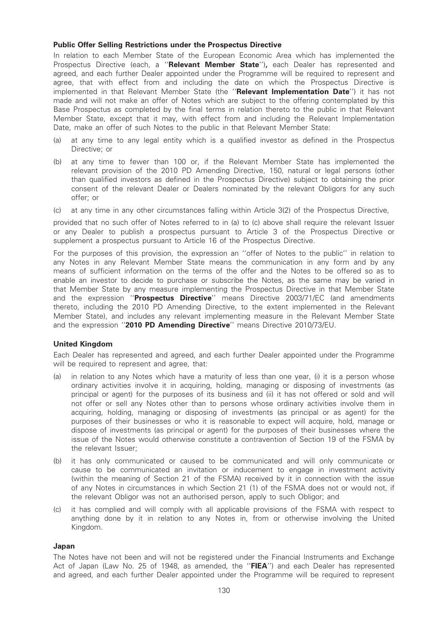## Public Offer Selling Restrictions under the Prospectus Directive

In relation to each Member State of the European Economic Area which has implemented the Prospectus Directive (each, a "Relevant Member State"), each Dealer has represented and agreed, and each further Dealer appointed under the Programme will be required to represent and agree, that with effect from and including the date on which the Prospectus Directive is implemented in that Relevant Member State (the "Relevant Implementation Date") it has not made and will not make an offer of Notes which are subject to the offering contemplated by this Base Prospectus as completed by the final terms in relation thereto to the public in that Relevant Member State, except that it may, with effect from and including the Relevant Implementation Date, make an offer of such Notes to the public in that Relevant Member State:

- (a) at any time to any legal entity which is a qualified investor as defined in the Prospectus Directive; or
- (b) at any time to fewer than 100 or, if the Relevant Member State has implemented the relevant provision of the 2010 PD Amending Directive, 150, natural or legal persons (other than qualified investors as defined in the Prospectus Directive) subject to obtaining the prior consent of the relevant Dealer or Dealers nominated by the relevant Obligors for any such offer; or
- (c) at any time in any other circumstances falling within Article 3(2) of the Prospectus Directive,

provided that no such offer of Notes referred to in (a) to (c) above shall require the relevant Issuer or any Dealer to publish a prospectus pursuant to Article 3 of the Prospectus Directive or supplement a prospectus pursuant to Article 16 of the Prospectus Directive.

For the purposes of this provision, the expression an ''offer of Notes to the public'' in relation to any Notes in any Relevant Member State means the communication in any form and by any means of sufficient information on the terms of the offer and the Notes to be offered so as to enable an investor to decide to purchase or subscribe the Notes, as the same may be varied in that Member State by any measure implementing the Prospectus Directive in that Member State and the expression "Prospectus Directive" means Directive 2003/71/EC (and amendments thereto, including the 2010 PD Amending Directive, to the extent implemented in the Relevant Member State), and includes any relevant implementing measure in the Relevant Member State and the expression "2010 PD Amending Directive" means Directive 2010/73/EU.

## United Kingdom

Each Dealer has represented and agreed, and each further Dealer appointed under the Programme will be required to represent and agree, that:

- (a) in relation to any Notes which have a maturity of less than one year, (i) it is a person whose ordinary activities involve it in acquiring, holding, managing or disposing of investments (as principal or agent) for the purposes of its business and (ii) it has not offered or sold and will not offer or sell any Notes other than to persons whose ordinary activities involve them in acquiring, holding, managing or disposing of investments (as principal or as agent) for the purposes of their businesses or who it is reasonable to expect will acquire, hold, manage or dispose of investments (as principal or agent) for the purposes of their businesses where the issue of the Notes would otherwise constitute a contravention of Section 19 of the FSMA by the relevant Issuer;
- (b) it has only communicated or caused to be communicated and will only communicate or cause to be communicated an invitation or inducement to engage in investment activity (within the meaning of Section 21 of the FSMA) received by it in connection with the issue of any Notes in circumstances in which Section 21 (1) of the FSMA does not or would not, if the relevant Obligor was not an authorised person, apply to such Obligor; and
- (c) it has complied and will comply with all applicable provisions of the FSMA with respect to anything done by it in relation to any Notes in, from or otherwise involving the United Kingdom.

#### Japan

The Notes have not been and will not be registered under the Financial Instruments and Exchange Act of Japan (Law No. 25 of 1948, as amended, the "FIEA") and each Dealer has represented and agreed, and each further Dealer appointed under the Programme will be required to represent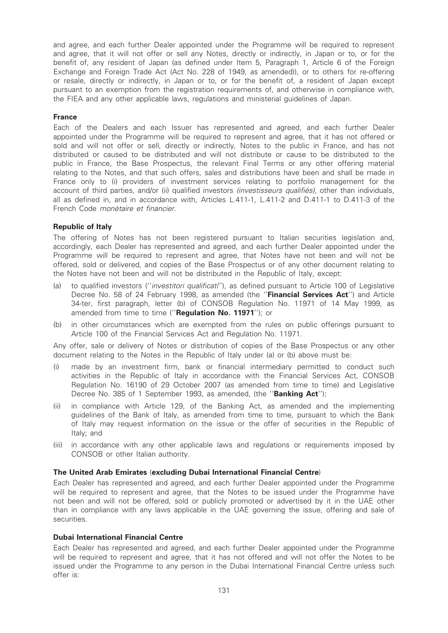and agree, and each further Dealer appointed under the Programme will be required to represent and agree, that it will not offer or sell any Notes, directly or indirectly, in Japan or to, or for the benefit of, any resident of Japan (as defined under Item 5, Paragraph 1, Article 6 of the Foreign Exchange and Foreign Trade Act (Act No. 228 of 1949, as amended)), or to others for re-offering or resale, directly or indirectly, in Japan or to, or for the benefit of, a resident of Japan except pursuant to an exemption from the registration requirements of, and otherwise in compliance with, the FIEA and any other applicable laws, regulations and ministerial guidelines of Japan.

## France

Each of the Dealers and each Issuer has represented and agreed, and each further Dealer appointed under the Programme will be required to represent and agree, that it has not offered or sold and will not offer or sell, directly or indirectly, Notes to the public in France, and has not distributed or caused to be distributed and will not distribute or cause to be distributed to the public in France, the Base Prospectus, the relevant Final Terms or any other offering material relating to the Notes, and that such offers, sales and distributions have been and shall be made in France only to (i) providers of investment services relating to portfolio management for the account of third parties, and/or (ii) qualified investors (investisseurs qualifiés), other than individuals, all as defined in, and in accordance with, Articles L.411-1, L.411-2 and D.411-1 to D.411-3 of the French Code monétaire et financier.

## Republic of Italy

The offering of Notes has not been registered pursuant to Italian securities legislation and, accordingly, each Dealer has represented and agreed, and each further Dealer appointed under the Programme will be required to represent and agree, that Notes have not been and will not be offered, sold or delivered, and copies of the Base Prospectus or of any other document relating to the Notes have not been and will not be distributed in the Republic of Italy, except:

- (a) to qualified investors ("*investitori qualificati*"), as defined pursuant to Article 100 of Legislative Decree No. 58 of 24 February 1998, as amended (the "Financial Services Act") and Article 34-ter, first paragraph, letter (b) of CONSOB Regulation No. 11971 of 14 May 1999, as amended from time to time ("Regulation No. 11971"); or
- (b) in other circumstances which are exempted from the rules on public offerings pursuant to Article 100 of the Financial Services Act and Regulation No. 11971.

Any offer, sale or delivery of Notes or distribution of copies of the Base Prospectus or any other document relating to the Notes in the Republic of Italy under (a) or (b) above must be:

- (i) made by an investment firm, bank or financial intermediary permitted to conduct such activities in the Republic of Italy in accordance with the Financial Services Act, CONSOB Regulation No. 16190 of 29 October 2007 (as amended from time to time) and Legislative Decree No. 385 of 1 September 1993, as amended, (the "**Banking Act**");
- (ii) in compliance with Article 129, of the Banking Act, as amended and the implementing guidelines of the Bank of Italy, as amended from time to time, pursuant to which the Bank of Italy may request information on the issue or the offer of securities in the Republic of Italy; and
- (iii) in accordance with any other applicable laws and regulations or requirements imposed by CONSOB or other Italian authority.

## The United Arab Emirates (excluding Dubai International Financial Centre)

Each Dealer has represented and agreed, and each further Dealer appointed under the Programme will be required to represent and agree, that the Notes to be issued under the Programme have not been and will not be offered, sold or publicly promoted or advertised by it in the UAE other than in compliance with any laws applicable in the UAE governing the issue, offering and sale of securities.

#### Dubai International Financial Centre

Each Dealer has represented and agreed, and each further Dealer appointed under the Programme will be required to represent and agree, that it has not offered and will not offer the Notes to be issued under the Programme to any person in the Dubai International Financial Centre unless such offer is: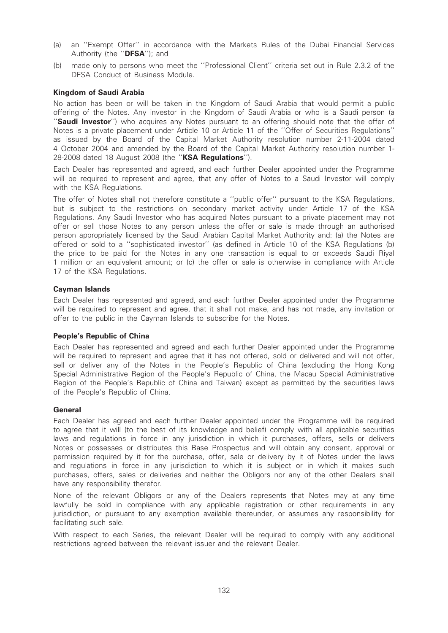- (a) an ''Exempt Offer'' in accordance with the Markets Rules of the Dubai Financial Services Authority (the "DFSA"); and
- (b) made only to persons who meet the ''Professional Client'' criteria set out in Rule 2.3.2 of the DFSA Conduct of Business Module.

## Kingdom of Saudi Arabia

No action has been or will be taken in the Kingdom of Saudi Arabia that would permit a public offering of the Notes. Any investor in the Kingdom of Saudi Arabia or who is a Saudi person (a "Saudi Investor") who acquires any Notes pursuant to an offering should note that the offer of Notes is a private placement under Article 10 or Article 11 of the ''Offer of Securities Regulations'' as issued by the Board of the Capital Market Authority resolution number 2-11-2004 dated 4 October 2004 and amended by the Board of the Capital Market Authority resolution number 1- 28-2008 dated 18 August 2008 (the "KSA Regulations").

Each Dealer has represented and agreed, and each further Dealer appointed under the Programme will be required to represent and agree, that any offer of Notes to a Saudi Investor will comply with the KSA Regulations.

The offer of Notes shall not therefore constitute a ''public offer'' pursuant to the KSA Regulations, but is subject to the restrictions on secondary market activity under Article 17 of the KSA Regulations. Any Saudi Investor who has acquired Notes pursuant to a private placement may not offer or sell those Notes to any person unless the offer or sale is made through an authorised person appropriately licensed by the Saudi Arabian Capital Market Authority and: (a) the Notes are offered or sold to a ''sophisticated investor'' (as defined in Article 10 of the KSA Regulations (b) the price to be paid for the Notes in any one transaction is equal to or exceeds Saudi Riyal 1 million or an equivalent amount; or (c) the offer or sale is otherwise in compliance with Article 17 of the KSA Regulations.

## Cayman Islands

Each Dealer has represented and agreed, and each further Dealer appointed under the Programme will be required to represent and agree, that it shall not make, and has not made, any invitation or offer to the public in the Cayman Islands to subscribe for the Notes.

#### People's Republic of China

Each Dealer has represented and agreed and each further Dealer appointed under the Programme will be required to represent and agree that it has not offered, sold or delivered and will not offer, sell or deliver any of the Notes in the People's Republic of China (excluding the Hong Kong Special Administrative Region of the People's Republic of China, the Macau Special Administrative Region of the People's Republic of China and Taiwan) except as permitted by the securities laws of the People's Republic of China.

#### General

Each Dealer has agreed and each further Dealer appointed under the Programme will be required to agree that it will (to the best of its knowledge and belief) comply with all applicable securities laws and regulations in force in any jurisdiction in which it purchases, offers, sells or delivers Notes or possesses or distributes this Base Prospectus and will obtain any consent, approval or permission required by it for the purchase, offer, sale or delivery by it of Notes under the laws and regulations in force in any jurisdiction to which it is subject or in which it makes such purchases, offers, sales or deliveries and neither the Obligors nor any of the other Dealers shall have any responsibility therefor.

None of the relevant Obligors or any of the Dealers represents that Notes may at any time lawfully be sold in compliance with any applicable registration or other requirements in any jurisdiction, or pursuant to any exemption available thereunder, or assumes any responsibility for facilitating such sale.

With respect to each Series, the relevant Dealer will be required to comply with any additional restrictions agreed between the relevant issuer and the relevant Dealer.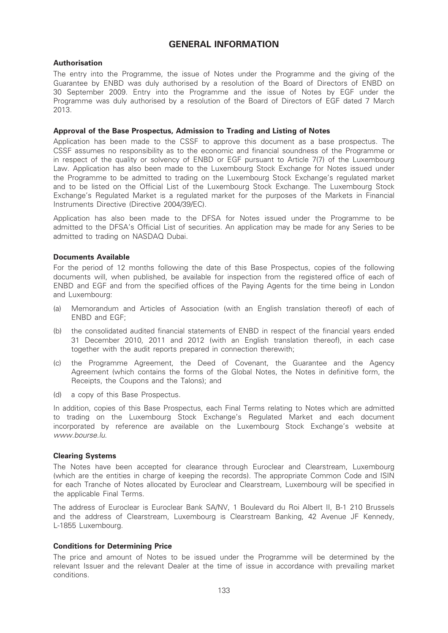# GENERAL INFORMATION

## Authorisation

The entry into the Programme, the issue of Notes under the Programme and the giving of the Guarantee by ENBD was duly authorised by a resolution of the Board of Directors of ENBD on 30 September 2009. Entry into the Programme and the issue of Notes by EGF under the Programme was duly authorised by a resolution of the Board of Directors of EGF dated 7 March 2013.

## Approval of the Base Prospectus, Admission to Trading and Listing of Notes

Application has been made to the CSSF to approve this document as a base prospectus. The CSSF assumes no responsibility as to the economic and financial soundness of the Programme or in respect of the quality or solvency of ENBD or EGF pursuant to Article 7(7) of the Luxembourg Law. Application has also been made to the Luxembourg Stock Exchange for Notes issued under the Programme to be admitted to trading on the Luxembourg Stock Exchange's regulated market and to be listed on the Official List of the Luxembourg Stock Exchange. The Luxembourg Stock Exchange's Regulated Market is a regulated market for the purposes of the Markets in Financial Instruments Directive (Directive 2004/39/EC).

Application has also been made to the DFSA for Notes issued under the Programme to be admitted to the DFSA's Official List of securities. An application may be made for any Series to be admitted to trading on NASDAQ Dubai.

## Documents Available

For the period of 12 months following the date of this Base Prospectus, copies of the following documents will, when published, be available for inspection from the registered office of each of ENBD and EGF and from the specified offices of the Paying Agents for the time being in London and Luxembourg:

- (a) Memorandum and Articles of Association (with an English translation thereof) of each of ENBD and EGF;
- (b) the consolidated audited financial statements of ENBD in respect of the financial years ended 31 December 2010, 2011 and 2012 (with an English translation thereof), in each case together with the audit reports prepared in connection therewith;
- (c) the Programme Agreement, the Deed of Covenant, the Guarantee and the Agency Agreement (which contains the forms of the Global Notes, the Notes in definitive form, the Receipts, the Coupons and the Talons); and
- (d) a copy of this Base Prospectus.

In addition, copies of this Base Prospectus, each Final Terms relating to Notes which are admitted to trading on the Luxembourg Stock Exchange's Regulated Market and each document incorporated by reference are available on the Luxembourg Stock Exchange's website at www.bourse.lu.

## Clearing Systems

The Notes have been accepted for clearance through Euroclear and Clearstream, Luxembourg (which are the entities in charge of keeping the records). The appropriate Common Code and ISIN for each Tranche of Notes allocated by Euroclear and Clearstream, Luxembourg will be specified in the applicable Final Terms.

The address of Euroclear is Euroclear Bank SA/NV, 1 Boulevard du Roi Albert II, B-1 210 Brussels and the address of Clearstream, Luxembourg is Clearstream Banking, 42 Avenue JF Kennedy, L-1855 Luxembourg.

## Conditions for Determining Price

The price and amount of Notes to be issued under the Programme will be determined by the relevant Issuer and the relevant Dealer at the time of issue in accordance with prevailing market conditions.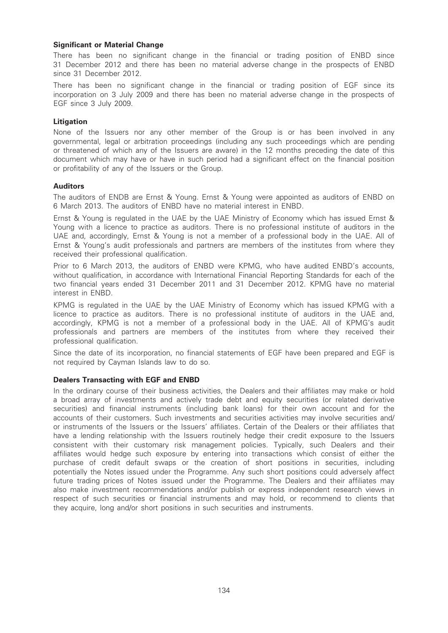## Significant or Material Change

There has been no significant change in the financial or trading position of ENBD since 31 December 2012 and there has been no material adverse change in the prospects of ENBD since 31 December 2012.

There has been no significant change in the financial or trading position of EGF since its incorporation on 3 July 2009 and there has been no material adverse change in the prospects of EGF since 3 July 2009.

## Litigation

None of the Issuers nor any other member of the Group is or has been involved in any governmental, legal or arbitration proceedings (including any such proceedings which are pending or threatened of which any of the Issuers are aware) in the 12 months preceding the date of this document which may have or have in such period had a significant effect on the financial position or profitability of any of the Issuers or the Group.

#### Auditors

The auditors of ENDB are Ernst & Young. Ernst & Young were appointed as auditors of ENBD on 6 March 2013. The auditors of ENBD have no material interest in ENBD.

Ernst & Young is regulated in the UAE by the UAE Ministry of Economy which has issued Ernst & Young with a licence to practice as auditors. There is no professional institute of auditors in the UAE and, accordingly, Ernst & Young is not a member of a professional body in the UAE. All of Ernst & Young's audit professionals and partners are members of the institutes from where they received their professional qualification.

Prior to 6 March 2013, the auditors of ENBD were KPMG, who have audited ENBD's accounts, without qualification, in accordance with International Financial Reporting Standards for each of the two financial years ended 31 December 2011 and 31 December 2012. KPMG have no material interest in ENBD.

KPMG is regulated in the UAE by the UAE Ministry of Economy which has issued KPMG with a licence to practice as auditors. There is no professional institute of auditors in the UAE and, accordingly, KPMG is not a member of a professional body in the UAE. All of KPMG's audit professionals and partners are members of the institutes from where they received their professional qualification.

Since the date of its incorporation, no financial statements of EGF have been prepared and EGF is not required by Cayman Islands law to do so.

## Dealers Transacting with EGF and ENBD

In the ordinary course of their business activities, the Dealers and their affiliates may make or hold a broad array of investments and actively trade debt and equity securities (or related derivative securities) and financial instruments (including bank loans) for their own account and for the accounts of their customers. Such investments and securities activities may involve securities and/ or instruments of the Issuers or the Issuers' affiliates. Certain of the Dealers or their affiliates that have a lending relationship with the Issuers routinely hedge their credit exposure to the Issuers consistent with their customary risk management policies. Typically, such Dealers and their affiliates would hedge such exposure by entering into transactions which consist of either the purchase of credit default swaps or the creation of short positions in securities, including potentially the Notes issued under the Programme. Any such short positions could adversely affect future trading prices of Notes issued under the Programme. The Dealers and their affiliates may also make investment recommendations and/or publish or express independent research views in respect of such securities or financial instruments and may hold, or recommend to clients that they acquire, long and/or short positions in such securities and instruments.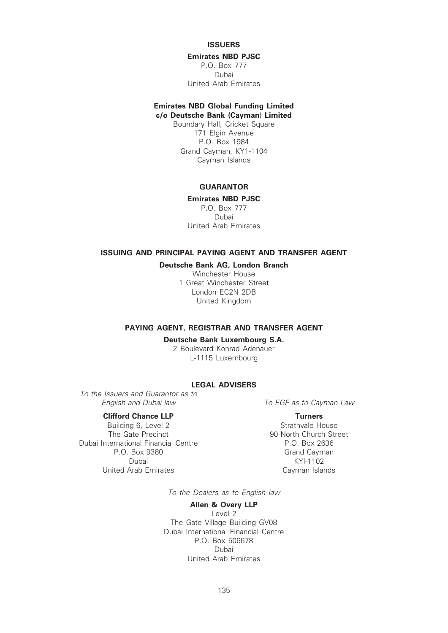## **ISSUERS**

#### Emirates NBD PJSC

P.O. Box 777 Dubai United Arab Emirates

## Emirates NBD Global Funding Limited c/o Deutsche Bank (Cayman) Limited

Boundary Hall, Cricket Square 171 Elgin Avenue P.O. Box 1984 Grand Cayman, KY1-1104 Cayman Islands

# **GUARANTOR**

Emirates NBD PJSC P.O. Box 777

Dubai United Arab Emirates

# ISSUING AND PRINCIPAL PAYING AGENT AND TRANSFER AGENT

# Deutsche Bank AG, London Branch

Winchester House 1 Great Winchester Street London EC2N 2DB United Kingdom

## PAYING AGENT, REGISTRAR AND TRANSFER AGENT

### Deutsche Bank Luxembourg S.A.

2 Boulevard Konrad Adenauer L-1115 Luxembourg

# LEGAL ADVISERS

To the Issuers and Guarantor as to English and Dubai law To EGF as to Cayman Law

**Clifford Chance LLP** Turners<br>
Ruilding 6 Level 2 Strathvale House Building 6, Level 2<br>The Gate Precinct Dubai International Financial Centre P.O. Box 2636 P.O. Box 9380 Grand Cayman Dubai KYI-1102 United Arab Emirates **Cayman Islands** 

90 North Church Street

To the Dealers as to English law

## Allen & Overy LLP

Level 2 The Gate Village Building GV08 Dubai International Financial Centre P.O. Box 506678 Dubai United Arab Emirates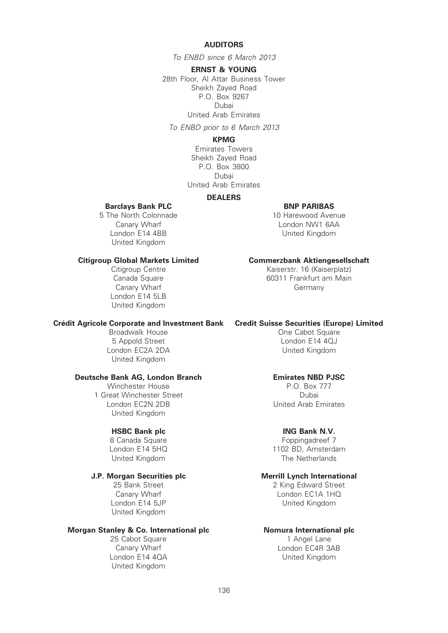## AUDITORS

To ENBD since 6 March 2013

ERNST & YOUNG

28th Floor, Al Attar Business Tower Sheikh Zayed Road P.O. Box 9267 Dubai United Arab Emirates

To ENBD prior to 6 March 2013

## KPMG

Emirates Towers Sheikh Zayed Road P.O. Box 3800 Dubai United Arab Emirates

## DEALERS

#### Barclays Bank PLC **BANK BISH BISH BNP PARIBAS**

10 Harewood Avenue London NW1 6AA United Kingdom

Canary Wharf London E14 4BB United Kingdom

5 The North Colonnade

Citigroup Centre Canada Square Canary Wharf London E14 5LB United Kingdom

#### Crédit Agricole Corporate and Investment Bank Credit Suisse Securities (Europe) Limited

Broadwalk House 5 Appold Street London EC2A 2DA United Kingdom

## Deutsche Bank AG, London Branch

Winchester House 1 Great Winchester Street London EC2N 2DB United Kingdom

## HSBC Bank plc

8 Canada Square London E14 5HQ United Kingdom

# J.P. Morgan Securities plc

25 Bank Street Canary Wharf London E14 5JP United Kingdom

## Morgan Stanley & Co. International plc

25 Cabot Square Canary Wharf London E14 4QA United Kingdom

## Citigroup Global Markets Limited Commerzbank Aktiengesellschaft

Kaiserstr. 16 (Kaiserplatz) 60311 Frankfurt am Main Germany

One Cabot Square London E14 4QJ United Kingdom

## Emirates NBD PJSC

P.O. Box 777 Dubai United Arab Emirates

## ING Bank N.V.

Foppingadreef 7 1102 BD, Amsterdam The Netherlands

## Merrill Lynch International

2 King Edward Street London EC1A 1HQ United Kingdom

## Nomura International plc

1 Angel Lane London EC4R 3AB United Kingdom